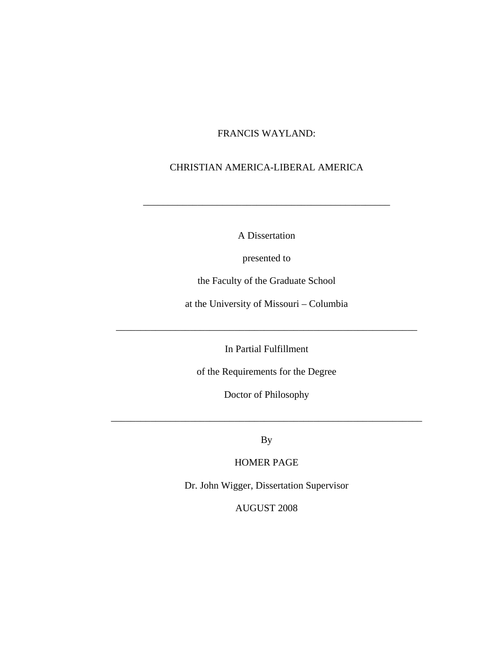## FRANCIS WAYLAND:

## CHRISTIAN AMERICA-LIBERAL AMERICA

A Dissertation

\_\_\_\_\_\_\_\_\_\_\_\_\_\_\_\_\_\_\_\_\_\_\_\_\_\_\_\_\_\_\_\_\_\_\_\_\_\_\_\_\_\_\_\_\_\_\_\_\_\_

presented to

the Faculty of the Graduate School

at the University of Missouri – Columbia

In Partial Fulfillment

\_\_\_\_\_\_\_\_\_\_\_\_\_\_\_\_\_\_\_\_\_\_\_\_\_\_\_\_\_\_\_\_\_\_\_\_\_\_\_\_\_\_\_\_\_\_\_\_\_\_\_\_\_\_\_\_\_\_\_\_\_

of the Requirements for the Degree

Doctor of Philosophy

By

\_\_\_\_\_\_\_\_\_\_\_\_\_\_\_\_\_\_\_\_\_\_\_\_\_\_\_\_\_\_\_\_\_\_\_\_\_\_\_\_\_\_\_\_\_\_\_\_\_\_\_\_\_\_\_\_\_\_\_\_\_\_\_

HOMER PAGE

Dr. John Wigger, Dissertation Supervisor

AUGUST 2008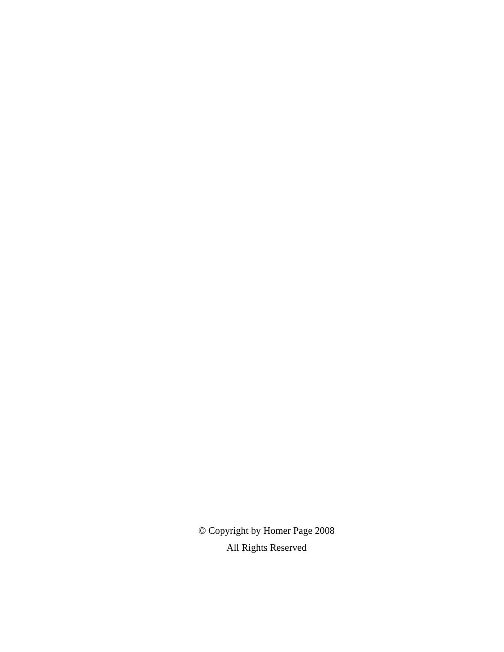© Copyright by Homer Page 2008 All Rights Reserved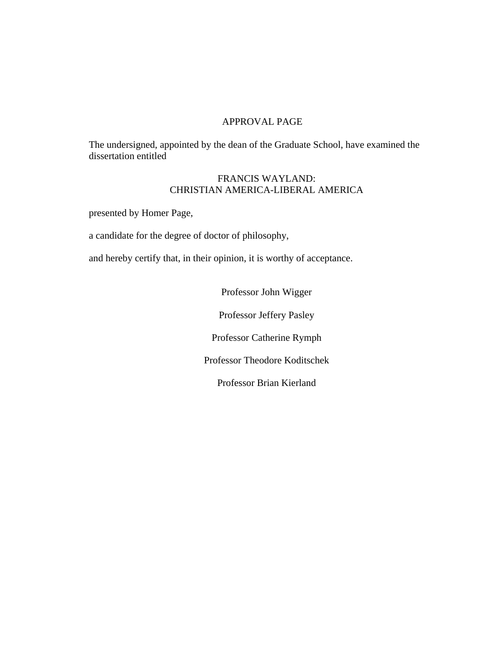## APPROVAL PAGE

The undersigned, appointed by the dean of the Graduate School, have examined the dissertation entitled

## FRANCIS WAYLAND: CHRISTIAN AMERICA-LIBERAL AMERICA

presented by Homer Page,

a candidate for the degree of doctor of philosophy,

and hereby certify that, in their opinion, it is worthy of acceptance.

Professor John Wigger Professor Jeffery Pasley Professor Catherine Rymph Professor Theodore Koditschek Professor Brian Kierland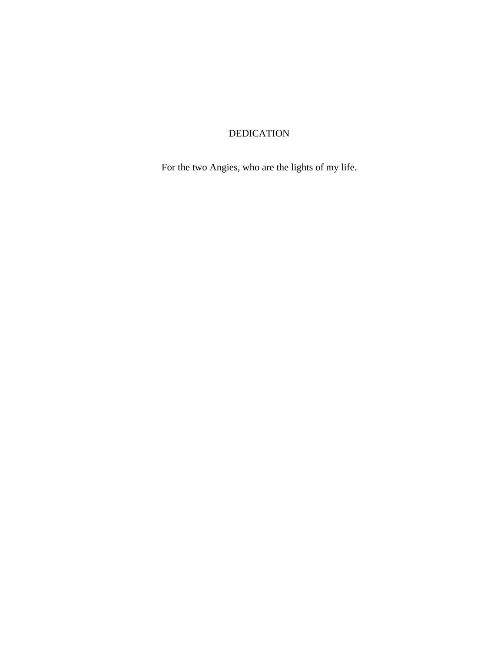# DEDICATION

For the two Angies, who are the lights of my life.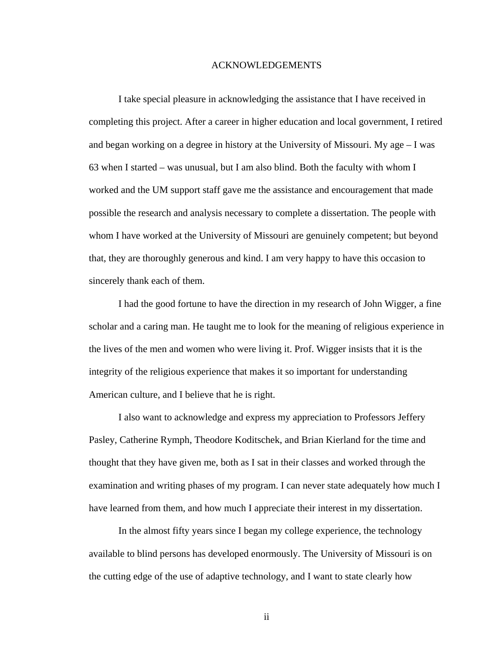#### ACKNOWLEDGEMENTS

I take special pleasure in acknowledging the assistance that I have received in completing this project. After a career in higher education and local government, I retired and began working on a degree in history at the University of Missouri. My age – I was 63 when I started – was unusual, but I am also blind. Both the faculty with whom I worked and the UM support staff gave me the assistance and encouragement that made possible the research and analysis necessary to complete a dissertation. The people with whom I have worked at the University of Missouri are genuinely competent; but beyond that, they are thoroughly generous and kind. I am very happy to have this occasion to sincerely thank each of them.

I had the good fortune to have the direction in my research of John Wigger, a fine scholar and a caring man. He taught me to look for the meaning of religious experience in the lives of the men and women who were living it. Prof. Wigger insists that it is the integrity of the religious experience that makes it so important for understanding American culture, and I believe that he is right.

I also want to acknowledge and express my appreciation to Professors Jeffery Pasley, Catherine Rymph, Theodore Koditschek, and Brian Kierland for the time and thought that they have given me, both as I sat in their classes and worked through the examination and writing phases of my program. I can never state adequately how much I have learned from them, and how much I appreciate their interest in my dissertation.

In the almost fifty years since I began my college experience, the technology available to blind persons has developed enormously. The University of Missouri is on the cutting edge of the use of adaptive technology, and I want to state clearly how

ii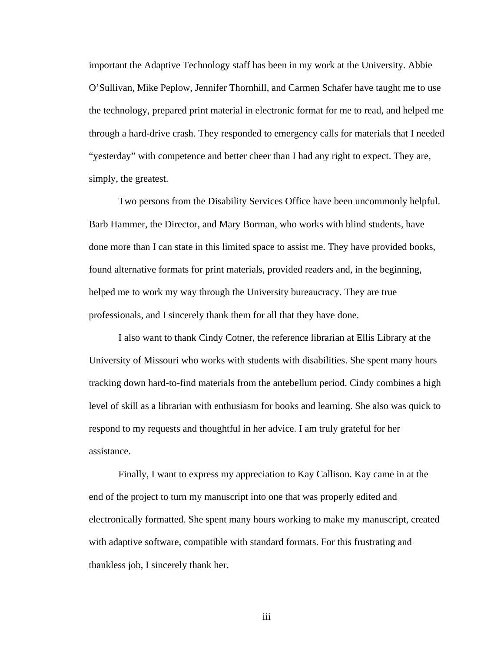important the Adaptive Technology staff has been in my work at the University. Abbie O'Sullivan, Mike Peplow, Jennifer Thornhill, and Carmen Schafer have taught me to use the technology, prepared print material in electronic format for me to read, and helped me through a hard-drive crash. They responded to emergency calls for materials that I needed "yesterday" with competence and better cheer than I had any right to expect. They are, simply, the greatest.

Two persons from the Disability Services Office have been uncommonly helpful. Barb Hammer, the Director, and Mary Borman, who works with blind students, have done more than I can state in this limited space to assist me. They have provided books, found alternative formats for print materials, provided readers and, in the beginning, helped me to work my way through the University bureaucracy. They are true professionals, and I sincerely thank them for all that they have done.

I also want to thank Cindy Cotner, the reference librarian at Ellis Library at the University of Missouri who works with students with disabilities. She spent many hours tracking down hard-to-find materials from the antebellum period. Cindy combines a high level of skill as a librarian with enthusiasm for books and learning. She also was quick to respond to my requests and thoughtful in her advice. I am truly grateful for her assistance.

Finally, I want to express my appreciation to Kay Callison. Kay came in at the end of the project to turn my manuscript into one that was properly edited and electronically formatted. She spent many hours working to make my manuscript, created with adaptive software, compatible with standard formats. For this frustrating and thankless job, I sincerely thank her.

iii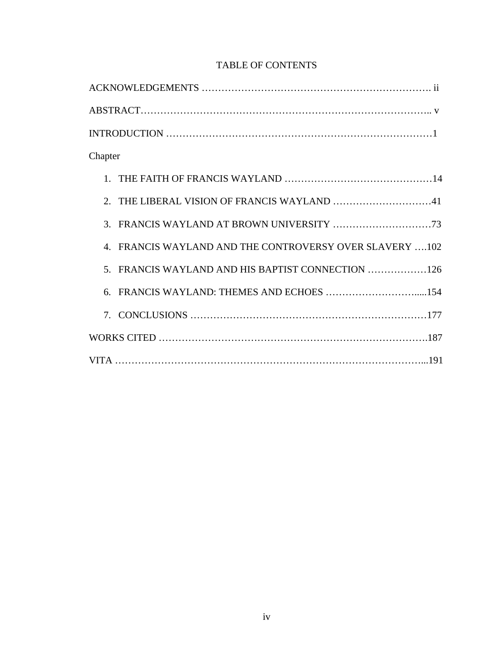# TABLE OF CONTENTS

| Chapter                                                 |
|---------------------------------------------------------|
|                                                         |
|                                                         |
|                                                         |
| 4. FRANCIS WAYLAND AND THE CONTROVERSY OVER SLAVERY 102 |
| 5. FRANCIS WAYLAND AND HIS BAPTIST CONNECTION 126       |
| 6. FRANCIS WAYLAND: THEMES AND ECHOES 154               |
|                                                         |
|                                                         |
|                                                         |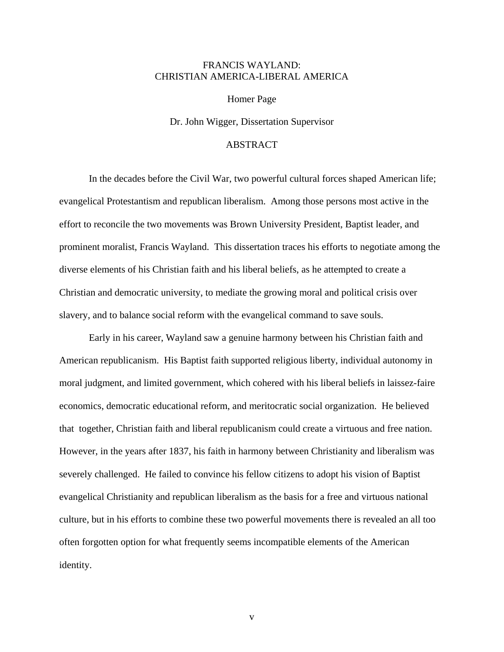#### FRANCIS WAYLAND: CHRISTIAN AMERICA-LIBERAL AMERICA

Homer Page

Dr. John Wigger, Dissertation Supervisor

## ABSTRACT

In the decades before the Civil War, two powerful cultural forces shaped American life; evangelical Protestantism and republican liberalism. Among those persons most active in the effort to reconcile the two movements was Brown University President, Baptist leader, and prominent moralist, Francis Wayland. This dissertation traces his efforts to negotiate among the diverse elements of his Christian faith and his liberal beliefs, as he attempted to create a Christian and democratic university, to mediate the growing moral and political crisis over slavery, and to balance social reform with the evangelical command to save souls.

Early in his career, Wayland saw a genuine harmony between his Christian faith and American republicanism. His Baptist faith supported religious liberty, individual autonomy in moral judgment, and limited government, which cohered with his liberal beliefs in laissez-faire economics, democratic educational reform, and meritocratic social organization. He believed that together, Christian faith and liberal republicanism could create a virtuous and free nation. However, in the years after 1837, his faith in harmony between Christianity and liberalism was severely challenged. He failed to convince his fellow citizens to adopt his vision of Baptist evangelical Christianity and republican liberalism as the basis for a free and virtuous national culture, but in his efforts to combine these two powerful movements there is revealed an all too often forgotten option for what frequently seems incompatible elements of the American identity.

v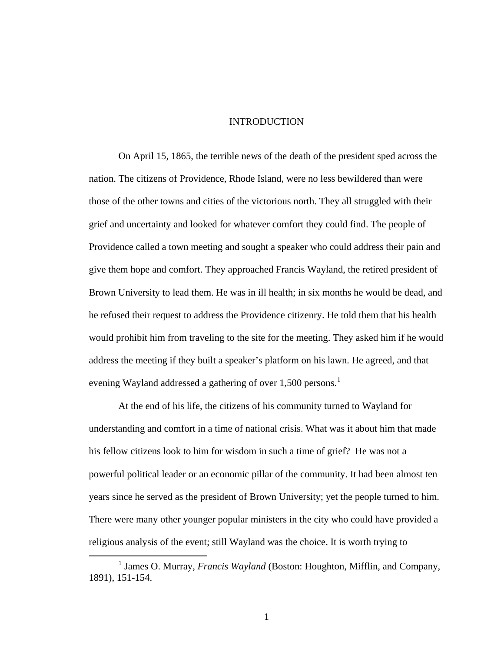#### INTRODUCTION

On April 15, 1865, the terrible news of the death of the president sped across the nation. The citizens of Providence, Rhode Island, were no less bewildered than were those of the other towns and cities of the victorious north. They all struggled with their grief and uncertainty and looked for whatever comfort they could find. The people of Providence called a town meeting and sought a speaker who could address their pain and give them hope and comfort. They approached Francis Wayland, the retired president of Brown University to lead them. He was in ill health; in six months he would be dead, and he refused their request to address the Providence citizenry. He told them that his health would prohibit him from traveling to the site for the meeting. They asked him if he would address the meeting if they built a speaker's platform on his lawn. He agreed, and that evening Wayland addressed a gathering of over [1](#page-8-0),500 persons.<sup>1</sup>

At the end of his life, the citizens of his community turned to Wayland for understanding and comfort in a time of national crisis. What was it about him that made his fellow citizens look to him for wisdom in such a time of grief? He was not a powerful political leader or an economic pillar of the community. It had been almost ten years since he served as the president of Brown University; yet the people turned to him. There were many other younger popular ministers in the city who could have provided a religious analysis of the event; still Wayland was the choice. It is worth trying to

1

<span id="page-8-0"></span><sup>&</sup>lt;u>1</u> <sup>1</sup> James O. Murray, *Francis Wayland* (Boston: Houghton, Mifflin, and Company, 1891), 151-154.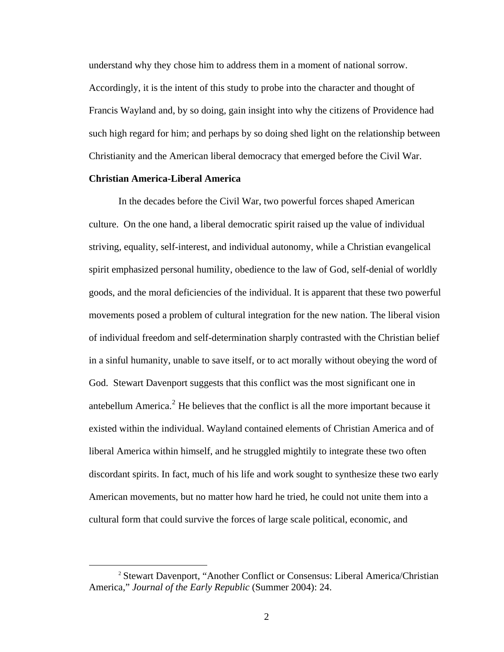understand why they chose him to address them in a moment of national sorrow. Accordingly, it is the intent of this study to probe into the character and thought of Francis Wayland and, by so doing, gain insight into why the citizens of Providence had such high regard for him; and perhaps by so doing shed light on the relationship between Christianity and the American liberal democracy that emerged before the Civil War.

#### **Christian America-Liberal America**

In the decades before the Civil War, two powerful forces shaped American culture. On the one hand, a liberal democratic spirit raised up the value of individual striving, equality, self-interest, and individual autonomy, while a Christian evangelical spirit emphasized personal humility, obedience to the law of God, self-denial of worldly goods, and the moral deficiencies of the individual. It is apparent that these two powerful movements posed a problem of cultural integration for the new nation. The liberal vision of individual freedom and self-determination sharply contrasted with the Christian belief in a sinful humanity, unable to save itself, or to act morally without obeying the word of God. Stewart Davenport suggests that this conflict was the most significant one in antebellum America.<sup>[2](#page-9-0)</sup> He believes that the conflict is all the more important because it existed within the individual. Wayland contained elements of Christian America and of liberal America within himself, and he struggled mightily to integrate these two often discordant spirits. In fact, much of his life and work sought to synthesize these two early American movements, but no matter how hard he tried, he could not unite them into a cultural form that could survive the forces of large scale political, economic, and

<span id="page-9-0"></span><sup>&</sup>lt;sup>2</sup> Stewart Davenport, "Another Conflict or Consensus: Liberal America/Christian America," *Journal of the Early Republic* (Summer 2004): 24.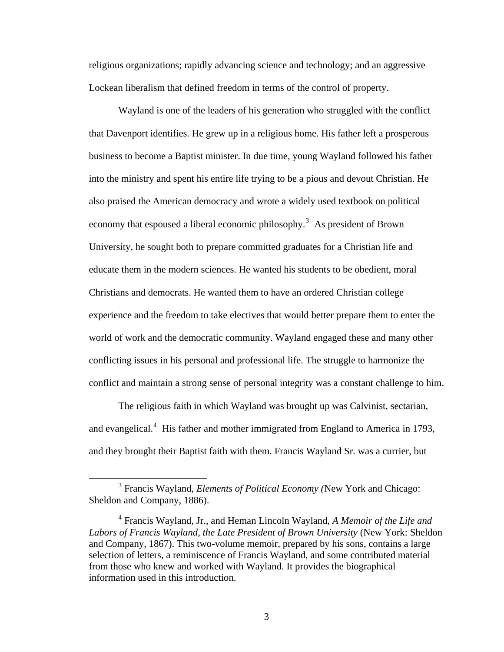religious organizations; rapidly advancing science and technology; and an aggressive Lockean liberalism that defined freedom in terms of the control of property.

Wayland is one of the leaders of his generation who struggled with the conflict that Davenport identifies. He grew up in a religious home. His father left a prosperous business to become a Baptist minister. In due time, young Wayland followed his father into the ministry and spent his entire life trying to be a pious and devout Christian. He also praised the American democracy and wrote a widely used textbook on political economy that espoused a liberal economic philosophy.<sup>[3](#page-10-0)</sup> As president of Brown University, he sought both to prepare committed graduates for a Christian life and educate them in the modern sciences. He wanted his students to be obedient, moral Christians and democrats. He wanted them to have an ordered Christian college experience and the freedom to take electives that would better prepare them to enter the world of work and the democratic community. Wayland engaged these and many other conflicting issues in his personal and professional life. The struggle to harmonize the conflict and maintain a strong sense of personal integrity was a constant challenge to him.

The religious faith in which Wayland was brought up was Calvinist, sectarian, and evangelical.<sup>[4](#page-10-1)</sup> His father and mother immigrated from England to America in 1793, and they brought their Baptist faith with them. Francis Wayland Sr. was a currier, but

<span id="page-10-0"></span> $\frac{1}{3}$  Francis Wayland, *Elements of Political Economy (*New York and Chicago: Sheldon and Company, 1886).

<span id="page-10-1"></span><sup>4</sup> Francis Wayland, Jr., and Heman Lincoln Wayland, *A Memoir of the Life and Labors of Francis Wayland, the Late President of Brown University* (New York: Sheldon and Company, 1867). This two-volume memoir, prepared by his sons, contains a large selection of letters, a reminiscence of Francis Wayland, and some contributed material from those who knew and worked with Wayland. It provides the biographical information used in this introduction.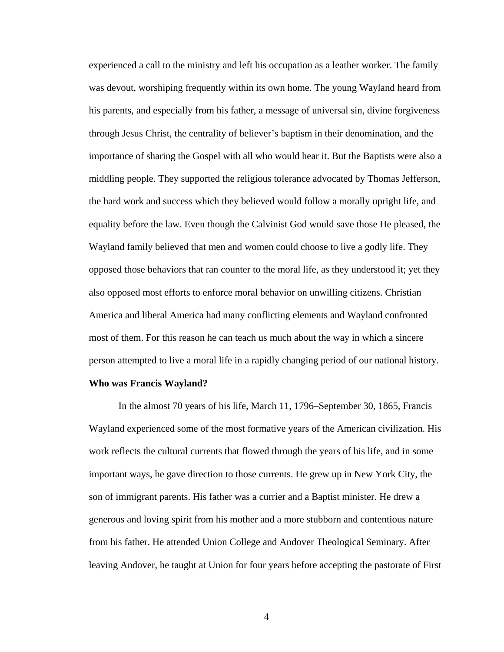experienced a call to the ministry and left his occupation as a leather worker. The family was devout, worshiping frequently within its own home. The young Wayland heard from his parents, and especially from his father, a message of universal sin, divine forgiveness through Jesus Christ, the centrality of believer's baptism in their denomination, and the importance of sharing the Gospel with all who would hear it. But the Baptists were also a middling people. They supported the religious tolerance advocated by Thomas Jefferson, the hard work and success which they believed would follow a morally upright life, and equality before the law. Even though the Calvinist God would save those He pleased, the Wayland family believed that men and women could choose to live a godly life. They opposed those behaviors that ran counter to the moral life, as they understood it; yet they also opposed most efforts to enforce moral behavior on unwilling citizens. Christian America and liberal America had many conflicting elements and Wayland confronted most of them. For this reason he can teach us much about the way in which a sincere person attempted to live a moral life in a rapidly changing period of our national history.

#### **Who was Francis Wayland?**

In the almost 70 years of his life, March 11, 1796–September 30, 1865, Francis Wayland experienced some of the most formative years of the American civilization. His work reflects the cultural currents that flowed through the years of his life, and in some important ways, he gave direction to those currents. He grew up in New York City, the son of immigrant parents. His father was a currier and a Baptist minister. He drew a generous and loving spirit from his mother and a more stubborn and contentious nature from his father. He attended Union College and Andover Theological Seminary. After leaving Andover, he taught at Union for four years before accepting the pastorate of First

4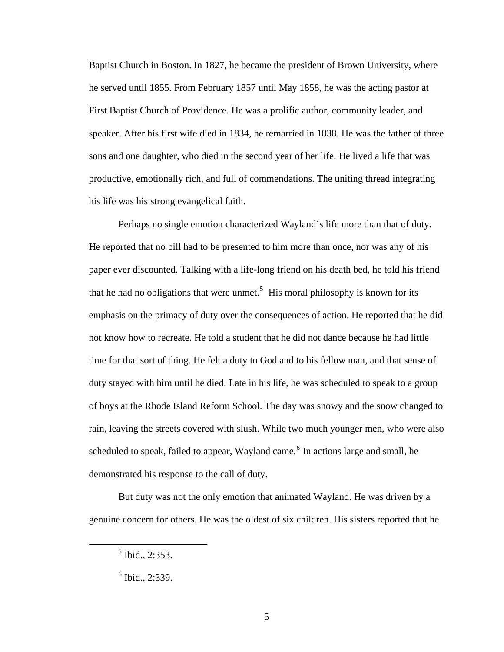Baptist Church in Boston. In 1827, he became the president of Brown University, where he served until 1855. From February 1857 until May 1858, he was the acting pastor at First Baptist Church of Providence. He was a prolific author, community leader, and speaker. After his first wife died in 1834, he remarried in 1838. He was the father of three sons and one daughter, who died in the second year of her life. He lived a life that was productive, emotionally rich, and full of commendations. The uniting thread integrating his life was his strong evangelical faith.

Perhaps no single emotion characterized Wayland's life more than that of duty. He reported that no bill had to be presented to him more than once, nor was any of his paper ever discounted. Talking with a life-long friend on his death bed, he told his friend that he had no obligations that were unmet.<sup>[5](#page-12-0)</sup> His moral philosophy is known for its emphasis on the primacy of duty over the consequences of action. He reported that he did not know how to recreate. He told a student that he did not dance because he had little time for that sort of thing. He felt a duty to God and to his fellow man, and that sense of duty stayed with him until he died. Late in his life, he was scheduled to speak to a group of boys at the Rhode Island Reform School. The day was snowy and the snow changed to rain, leaving the streets covered with slush. While two much younger men, who were also scheduled to speak, failed to appear, Wayland came.<sup>[6](#page-12-1)</sup> In actions large and small, he demonstrated his response to the call of duty.

But duty was not the only emotion that animated Wayland. He was driven by a genuine concern for others. He was the oldest of six children. His sisters reported that he

<span id="page-12-1"></span><span id="page-12-0"></span> $\frac{1}{5}$  $<sup>5</sup>$  Ibid., 2:353.</sup>

 $<sup>6</sup>$  Ibid., 2:339.</sup>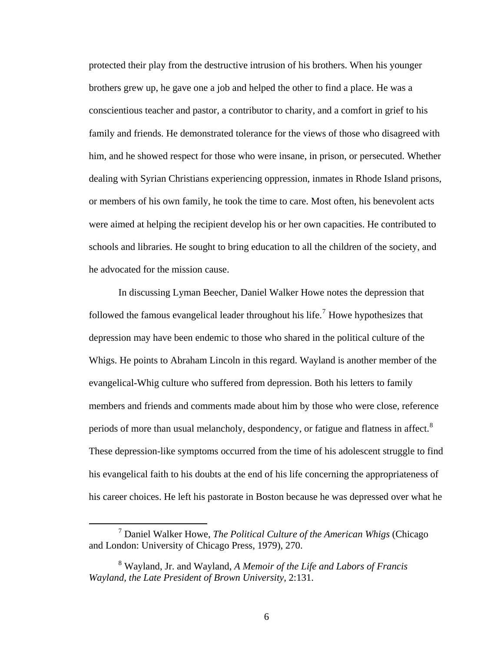protected their play from the destructive intrusion of his brothers. When his younger brothers grew up, he gave one a job and helped the other to find a place. He was a conscientious teacher and pastor, a contributor to charity, and a comfort in grief to his family and friends. He demonstrated tolerance for the views of those who disagreed with him, and he showed respect for those who were insane, in prison, or persecuted. Whether dealing with Syrian Christians experiencing oppression, inmates in Rhode Island prisons, or members of his own family, he took the time to care. Most often, his benevolent acts were aimed at helping the recipient develop his or her own capacities. He contributed to schools and libraries. He sought to bring education to all the children of the society, and he advocated for the mission cause.

In discussing Lyman Beecher, Daniel Walker Howe notes the depression that followed the famous evangelical leader throughout his life.<sup>[7](#page-13-0)</sup> Howe hypothesizes that depression may have been endemic to those who shared in the political culture of the Whigs. He points to Abraham Lincoln in this regard. Wayland is another member of the evangelical-Whig culture who suffered from depression. Both his letters to family members and friends and comments made about him by those who were close, reference periods of more than usual melancholy, despondency, or fatigue and flatness in affect.<sup>[8](#page-13-1)</sup> These depression-like symptoms occurred from the time of his adolescent struggle to find his evangelical faith to his doubts at the end of his life concerning the appropriateness of his career choices. He left his pastorate in Boston because he was depressed over what he

<span id="page-13-0"></span> $\frac{1}{7}$  Daniel Walker Howe, *The Political Culture of the American Whigs* (Chicago and London: University of Chicago Press, 1979), 270.

<span id="page-13-1"></span><sup>8</sup> Wayland, Jr. and Wayland, *A Memoir of the Life and Labors of Francis Wayland, the Late President of Brown University*, 2:131.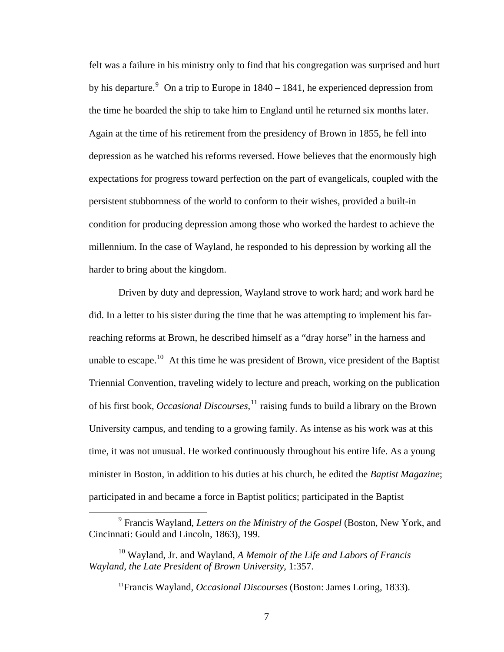felt was a failure in his ministry only to find that his congregation was surprised and hurt by his departure.<sup>[9](#page-14-0)</sup> On a trip to Europe in  $1840 - 1841$ , he experienced depression from the time he boarded the ship to take him to England until he returned six months later. Again at the time of his retirement from the presidency of Brown in 1855, he fell into depression as he watched his reforms reversed. Howe believes that the enormously high expectations for progress toward perfection on the part of evangelicals, coupled with the persistent stubbornness of the world to conform to their wishes, provided a built-in condition for producing depression among those who worked the hardest to achieve the millennium. In the case of Wayland, he responded to his depression by working all the harder to bring about the kingdom.

Driven by duty and depression, Wayland strove to work hard; and work hard he did. In a letter to his sister during the time that he was attempting to implement his farreaching reforms at Brown, he described himself as a "dray horse" in the harness and unable to escape.<sup>[10](#page-14-1)</sup> At this time he was president of Brown, vice president of the Baptist Triennial Convention, traveling widely to lecture and preach, working on the publication of his first book, *Occasional Discourses*, [11](#page-14-2) raising funds to build a library on the Brown University campus, and tending to a growing family. As intense as his work was at this time, it was not unusual. He worked continuously throughout his entire life. As a young minister in Boston, in addition to his duties at his church, he edited the *Baptist Magazine*; participated in and became a force in Baptist politics; participated in the Baptist

<span id="page-14-0"></span> $\frac{1}{\sqrt{9}}$  Francis Wayland, *Letters on the Ministry of the Gospel* (Boston, New York, and Cincinnati: Gould and Lincoln, 1863), 199.

<span id="page-14-2"></span><span id="page-14-1"></span><sup>10</sup> Wayland, Jr. and Wayland, *A Memoir of the Life and Labors of Francis Wayland, the Late President of Brown University*, 1:357.

<sup>11</sup>Francis Wayland, *Occasional Discourses* (Boston: James Loring, 1833).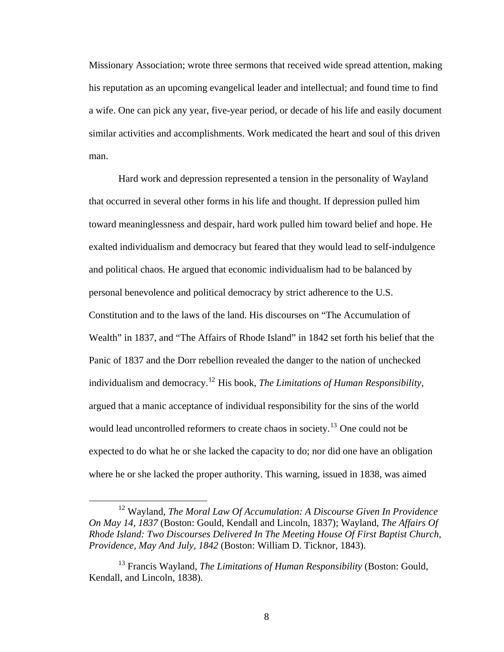Missionary Association; wrote three sermons that received wide spread attention, making his reputation as an upcoming evangelical leader and intellectual; and found time to find a wife. One can pick any year, five-year period, or decade of his life and easily document similar activities and accomplishments. Work medicated the heart and soul of this driven man.

Hard work and depression represented a tension in the personality of Wayland that occurred in several other forms in his life and thought. If depression pulled him toward meaninglessness and despair, hard work pulled him toward belief and hope. He exalted individualism and democracy but feared that they would lead to self-indulgence and political chaos. He argued that economic individualism had to be balanced by personal benevolence and political democracy by strict adherence to the U.S. Constitution and to the laws of the land. His discourses on "The Accumulation of Wealth" in 1837, and "The Affairs of Rhode Island" in 1842 set forth his belief that the Panic of 1837 and the Dorr rebellion revealed the danger to the nation of unchecked individualism and democracy.[12](#page-15-0) His book, *The Limitations of Human Responsibility*, argued that a manic acceptance of individual responsibility for the sins of the world would lead uncontrolled reformers to create chaos in society.<sup>[13](#page-15-1)</sup> One could not be expected to do what he or she lacked the capacity to do; nor did one have an obligation where he or she lacked the proper authority. This warning, issued in 1838, was aimed

<span id="page-15-0"></span> <sup>12</sup> Wayland, *The Moral Law Of Accumulation: A Discourse Given In Providence On May 14, 1837* (Boston: Gould, Kendall and Lincoln, 1837); Wayland, *The Affairs Of Rhode Island: Two Discourses Delivered In The Meeting House Of First Baptist Church, Providence, May And July, 1842* (Boston: William D. Ticknor, 1843).

<span id="page-15-1"></span><sup>13</sup> Francis Wayland, *The Limitations of Human Responsibility* (Boston: Gould, Kendall, and Lincoln, 1838).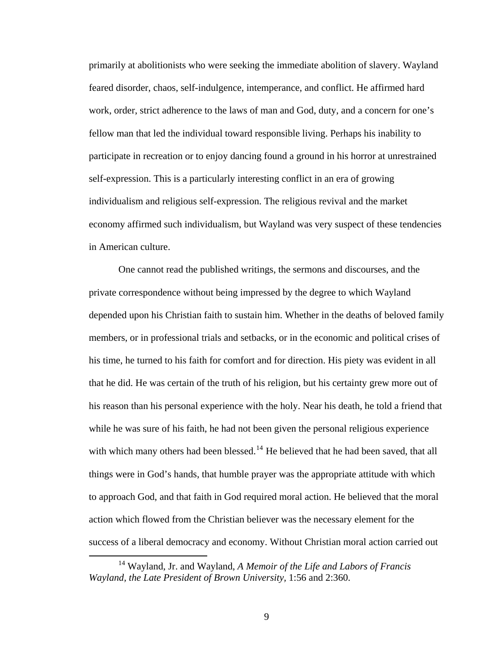primarily at abolitionists who were seeking the immediate abolition of slavery. Way land feared disorder, chaos, self-indulgence, intemperance, and conflict. He affirmed hard work, order, strict adherence to the laws of man and God, duty, and a concern for one's fellow man that led the individual toward responsible living. Perhaps his inability to participate in recreation or to enjoy dancing found a ground in his horror at unrestr ained self-expression. This is a particularly interesting conflict in an era of growing individualism and religious self-expression. The religious revival and the market economy affirmed such individualism, but Wayland was very suspect of these tenden cies in Americ an culture.

One cannot read the published writings, the sermons and discourses, and the private correspondence without being impressed by the degree to which Wayland depended upon his Christian faith to sustain him. Whether in the deaths of beloved family members, or in professional trials and setbacks, or in the economic and political crises of his time, he turned to his faith for comfort and for direction. His piety was evident in all that he did. He was certain of the truth of his religion, but his certainty grew more out of his reason than his personal experience with the holy. Near his death, he told a friend that while he was sure of his faith, he had not been given the personal religious experience with which many others had been blessed.<sup>[14](#page-16-0)</sup> He believed that he had been saved, that all things were in God's hands, that humble prayer was the appropriate attitude with which to approach God, and that faith in God required moral action. He believed that the moral action which flowed from the Christian believer was the necessary element for the success of a liberal democracy and economy. Without Christian moral action carried out

1

<span id="page-16-0"></span><sup>14</sup> Wayland, Jr. and Wayland, *A Memoir of the Life and Labors of Francis Wayland, the Late President of Brown University,* 1:56 and 2:360.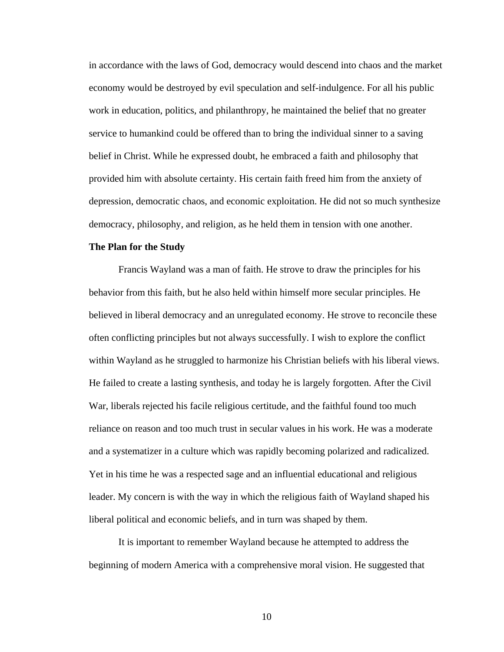in accordance with the laws of God, democracy would descend into chaos and the market economy would be destroyed by evil speculation and self-indulgence. For all his public work in education, politics, and philanthropy, he maintained the belief that no greater service to humankind could be offered than to bring the individual sinner to a saving belief in Christ. While he expressed doubt, he embraced a faith and philosophy that provided him with absolute certainty. His certain faith freed him from the anxiety of depression, democratic chaos, and economic exploitation. He did not so much synthesize democracy, philosophy, and religion, as he held them in tension with one another.

#### **The Plan for the Study**

Francis Wayland was a man of faith. He strove to draw the principles for his behavior from this faith, but he also held within himself more secular principles. He believed in liberal democracy and an unregulated economy. He strove to reconcile these often conflicting principles but not always successfully. I wish to explore the conflict within Wayland as he struggled to harmonize his Christian beliefs with his liberal views. He failed to create a lasting synthesis, and today he is largely forgotten. After the Civil War, liberals rejected his facile religious certitude, and the faithful found too much reliance on reason and too much trust in secular values in his work. He was a moderate and a systematizer in a culture which was rapidly becoming polarized and radicalized. Yet in his time he was a respected sage and an influential educational and religious leader. My concern is with the way in which the religious faith of Wayland shaped his liberal political and economic beliefs, and in turn was shaped by them.

It is important to remember Wayland because he attempted to address the beginning of modern America with a comprehensive moral vision. He suggested that

10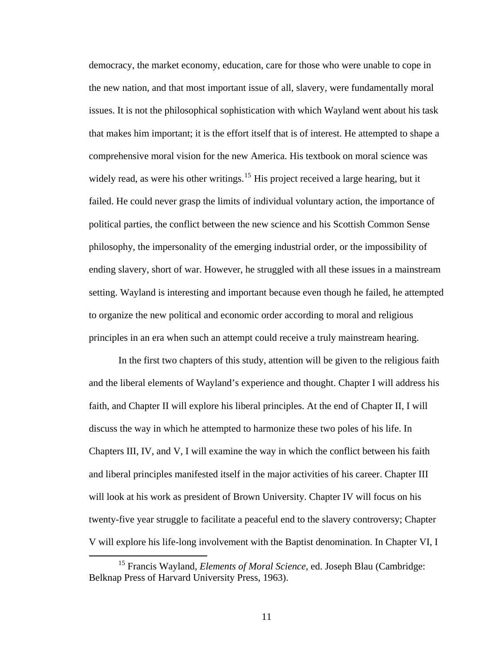democracy, the market economy, education, care for those who were unable to cope in the new nation, and that most important issue of all, slavery, were fundamentally moral issues. It is not the philosophical sophistication with which Wayland went about his task that makes him important; it is the effort itself that is of interest. He attempted to shape a comprehensive moral vision for the new America. His textbook on moral science was widely read, as were his other writings.<sup>[15](#page-18-0)</sup> His project received a large hearing, but it failed. He could never grasp the limits of individual voluntary action, the importance of political parties, the conflict between the new science and his Scottish Common Sense philosophy, the impersonality of the emerging industrial order, or the impossibility of ending slavery, short of war. However, he struggled with all these issues in a mainstream setting. Wayland is interesting and important because even though he failed, he attempted to organize the new political and economic order according to moral and religious principles in an era when such an attempt could receive a truly mainstream hearing.

In the first two chapters of this study, attention will be given to the religious faith and the liberal elements of Wayland's experience and thought. Chapter I will address his faith, and Chapter II will explore his liberal principles. At the end of Chapter II, I will discuss the way in which he attempted to harmonize these two poles of his life. In Chapters III, IV, and V, I will examine the way in which the conflict between his faith and liberal principles manifested itself in the major activities of his career. Chapter III will look at his work as president of Brown University. Chapter IV will focus on his twenty-five year struggle to facilitate a peaceful end to the slavery controversy; Chapter V will explore his life-long involvement with the Baptist denomination. In Chapter VI, I

<span id="page-18-0"></span><sup>&</sup>lt;sup>15</sup> Francis Wayland, *Elements of Moral Science*, ed. Joseph Blau (Cambridge: Belknap Press of Harvard University Press, 1963).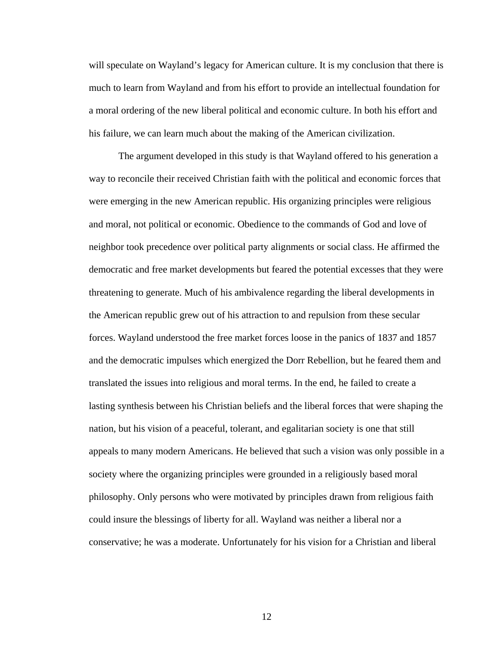will speculate on Wayland's legacy for American culture. It is my conclusion that there is much to learn from Wayland and from his effort to provide an intellectual foundation for a moral ordering of the new liberal political and economic culture. In both his effort and his failure, we can learn much about the making of the American civilization.

The argument developed in this study is that Wayland offered to his generation a way to reconcile their received Christian faith with the political and economic forces that were emerging in the new American republic. His organizing principles were religious and moral, not political or economic. Obedience to the commands of God and love of neighbor took precedence over political party alignments or social class. He affirmed the democratic and free market developments but feared the potential excesses that they were threatening to generate. Much of his ambivalence regarding the liberal developments in the American republic grew out of his attraction to and repulsion from these secular forces. Wayland understood the free market forces loose in the panics of 1837 and 1857 and the democratic impulses which energized the Dorr Rebellion, but he feared them and translated the issues into religious and moral terms. In the end, he failed to create a lasting synthesis between his Christian beliefs and the liberal forces that were shaping the nation, but his vision of a peaceful, tolerant, and egalitarian society is one that still appeals to many modern Americans. He believed that such a vision was only possible in a society where the organizing principles were grounded in a religiously based moral philosophy. Only persons who were motivated by principles drawn from religious faith could insure the blessings of liberty for all. Wayland was neither a liberal nor a conservative; he was a moderate. Unfortunately for his vision for a Christian and liberal

12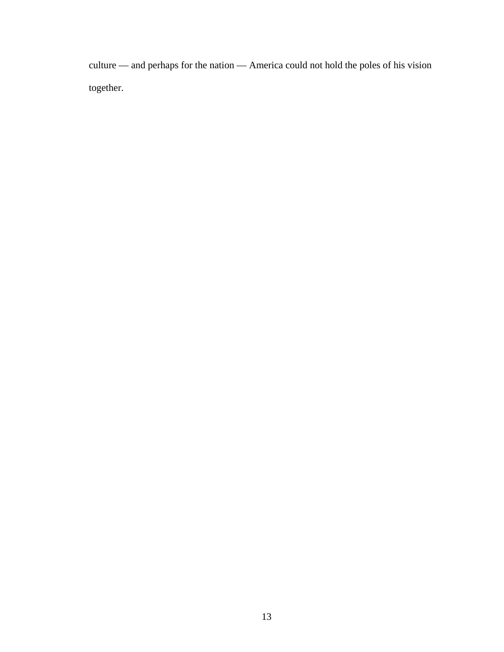culture — and perhaps for the nation — America could not hold the poles of his vision together.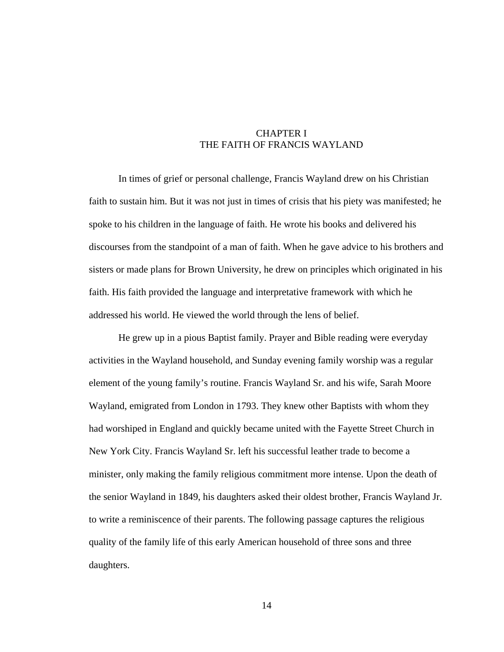## CHAPTER I THE FAITH OF FRANCIS WAYLAND

In times of grief or personal challenge, Francis Wayland drew on his Christian faith to sustain him. But it was not just in times of crisis that his piety was manifested; he spoke to his children in the language of faith. He wrote his books and delivered his discourses from the standpoint of a man of faith. When he gave advice to his brothers and sisters or made plans for Brown University, he drew on principles which originated in his faith. His faith provided the language and interpretative framework with which he addressed his world. He viewed the world through the lens of belief.

He grew up in a pious Baptist family. Prayer and Bible reading were everyday activities in the Wayland household, and Sunday evening family worship was a regular element of the young family's routine. Francis Wayland Sr. and his wife, Sarah Moore Wayland, emigrated from London in 1793. They knew other Baptists with whom they had worshiped in England and quickly became united with the Fayette Street Church in New York City. Francis Wayland Sr. left his successful leather trade to become a minister, only making the family religious commitment more intense. Upon the death of the senior Wayland in 1849, his daughters asked their oldest brother, Francis Wayland Jr. to write a reminiscence of their parents. The following passage captures the religious quality of the family life of this early American household of three sons and three daughters.

14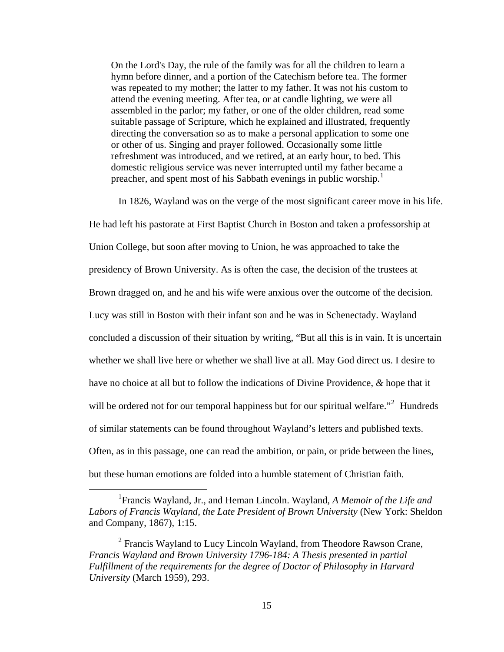On the Lord's Day, the rule of the family was for all the children to learn a hymn before dinner, and a portion of the Catechism before tea. The former was repeated to my mother; the latter to my father. It was not his custom to attend the evening meeting. After tea, or at candle lighting, we were all assembled in the parlor; my father, or one of the older children, read some suitable passage of Scripture, which he explained and illustrated, frequently directing the conversation so as to make a personal application to some one or other of us. Singing and prayer followed. Occasionally some little refreshment was introduced, and we retired, at an early hour, to bed. This domestic religious service was never interrupted until my father became a preacher, and spent most of his Sabbath evenings in public worship.<sup>[1](#page-22-0)</sup>

In 1826, Wayland was on the verge of the most significant career move in his life. He had left his pastorate at First Baptist Church in Boston and taken a professorship at Union College, but soon after moving to Union, he was approached to take the presidency of Brown University. As is often the case, the decision of the trustees at Brown dragged on, and he and his wife were anxious over the outcome of the decision. Lucy was still in Boston with their infant son and he was in Schenectady. Wayland concluded a discussion of their situation by writing, "But all this is in vain. It is uncertain whether we shall live here or whether we shall live at all. May God direct us. I desire to have no choice at all but to follow the indications of Divine Providence, *&* hope that it will be ordered not for our temporal happiness but for our spiritual welfare."<sup>[2](#page-22-1)</sup> Hundreds of similar statements can be found throughout Wayland's letters and published texts. Often, as in this passage, one can read the ambition, or pain, or pride between the lines, but these human emotions are folded into a humble statement of Christian faith.

<span id="page-22-0"></span><sup>&</sup>lt;u>1</u> Francis Wayland, Jr., and Heman Lincoln. Wayland, *A Memoir of the Life and Labors of Francis Wayland, the Late President of Brown University* (New York: Sheldon and Company, 1867), 1:15.

<span id="page-22-1"></span> <sup>2</sup> <sup>2</sup> Francis Wayland to Lucy Lincoln Wayland, from Theodore Rawson Crane, *Francis Wayland and Brown University 1796-184: A Thesis presented in partial Fulfillment of the requirements for the degree of Doctor of Philosophy in Harvard University* (March 1959), 293.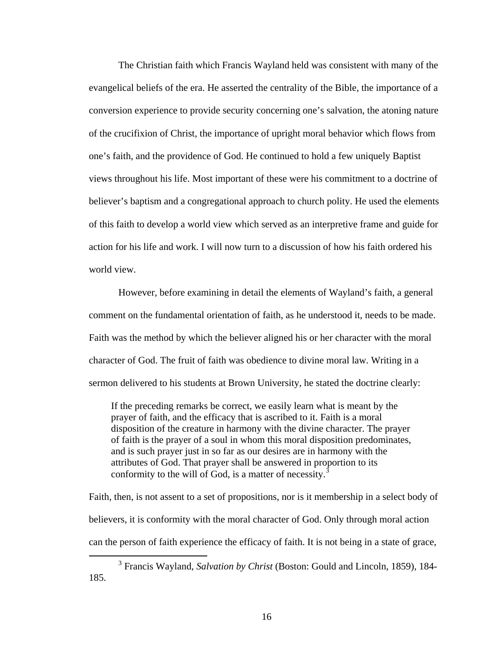The Christian faith which Francis Wayland held was consistent with many of the evangelical beliefs of the era. He asserted the centrality of the Bible, the importance of a conversion experience to provide security concerning one's salvation, the atoning nature of the crucifixion of Christ, the importance of upright moral behavior which flows from one's faith, and the providence of God. He continued to hold a few uniquely Baptist views throughout his life. Most important of these were his commitment to a doctrine of believer's baptism and a congregational approach to church polity. He used the elements of this faith to develop a world view which served as an interpretive frame and guide for action for his life and work. I will now turn to a discussion of how his faith ordered his world view.

However, before examining in detail the elements of Wayland's faith, a general comment on the fundamental orientation of faith, as he understood it, needs to be made. Faith was the method by which the believer aligned his or her character with the moral character of God. The fruit of faith was obedience to divine moral law. Writing in a sermon delivered to his students at Brown University, he stated the doctrine clearly:

If the preceding remarks be correct, we easily learn what is meant by the prayer of faith, and the efficacy that is ascribed to it. Faith is a moral disposition of the creature in harmony with the divine character. The prayer of faith is the prayer of a soul in whom this moral disposition predominates, and is such prayer just in so far as our desires are in harmony with the attributes of God. That prayer shall be answered in proportion to its conformity to the will of God, is a matter of necessity.<sup>[3](#page-23-0)</sup>

Faith, then, is not assent to a set of propositions, nor is it membership in a select body of believers, it is conformity with the moral character of God. Only through moral action can the person of faith experience the efficacy of faith. It is not being in a state of grace,

<span id="page-23-0"></span> $\frac{1}{3}$  Francis Wayland, *Salvation by Christ* (Boston: Gould and Lincoln, 1859), 184- 185.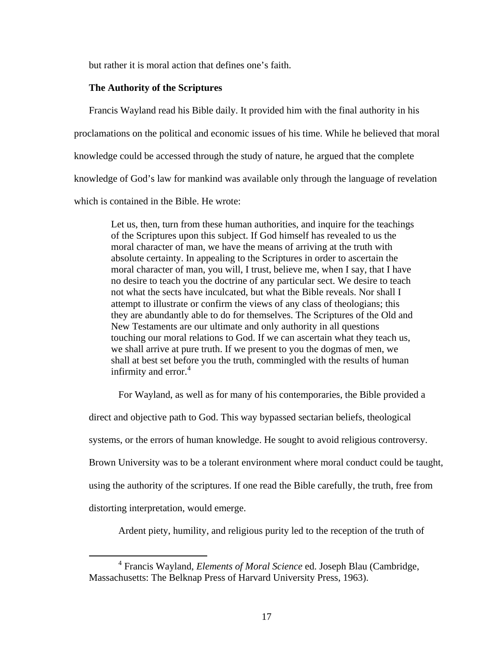but rather it is moral action that defines one's faith.

#### **The Authority of the Scriptures**

Francis Wayland read his Bible daily. It provided him with the final authority in his proclamations on the political and economic issues of his time. While he believed that moral knowledge could be accessed through the study of nature, he argued that the complete knowledge of God's law for mankind was available only through the language of revelation which is contained in the Bible. He wrote:

Let us, then, turn from these human authorities, and inquire for the teachings of the Scriptures upon this subject. If God himself has revealed to us the moral character of man, we have the means of arriving at the truth with absolute certainty. In appealing to the Scriptures in order to ascertain the moral character of man, you will, I trust, believe me, when I say, that I have no desire to teach you the doctrine of any particular sect. We desire to teach not what the sects have inculcated, but what the Bible reveals. Nor shall I attempt to illustrate or confirm the views of any class of theologians; this they are abundantly able to do for themselves. The Scriptures of the Old and New Testaments are our ultimate and only authority in all questions touching our moral relations to God. If we can ascertain what they teach us, we shall arrive at pure truth. If we present to you the dogmas of men, we shall at best set before you the truth, commingled with the results of human infirmity and error. $4$ 

For Wayland, as well as for many of his contemporaries, the Bible provided a

direct and objective path to God. This way bypassed sectarian beliefs, theological systems, or the errors of human knowledge. He sought to avoid religious controversy. Brown University was to be a tolerant environment where moral conduct could be taught, using the authority of the scriptures. If one read the Bible carefully, the truth, free from distorting interpretation, would emerge.

Ardent piety, humility, and religious purity led to the reception of the truth of

<span id="page-24-0"></span> $\overline{4}$  Francis Wayland, *Elements of Moral Science* ed. Joseph Blau (Cambridge, Massachusetts: The Belknap Press of Harvard University Press, 1963).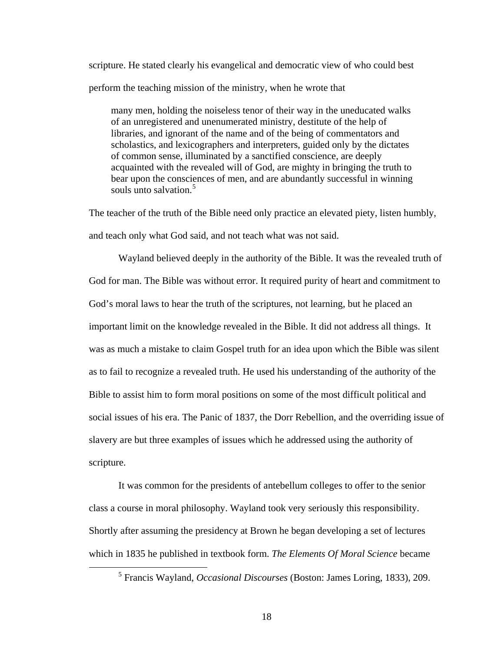scripture. He stated clearly his evangelical and democratic view of who could best perform the teaching mission of the ministry, when he wrote that

many men, holding the noiseless tenor of their way in the uneducated walks of an unregistered and unenumerated ministry, destitute of the help of libraries, and ignorant of the name and of the being of commentators and scholastics, and lexicographers and interpreters, guided only by the dictates of common sense, illuminated by a sanctified conscience, are deeply acquainted with the revealed will of God, are mighty in bringing the truth to bear upon the consciences of men, and are abundantly successful in winning souls unto salvation.<sup>[5](#page-25-0)</sup>

The teacher of the truth of the Bible need only practice an elevated piety, listen humbly, and teach only what God said, and not teach what was not said.

Wayland believed deeply in the authority of the Bible. It was the revealed truth of God for man. The Bible was without error. It required purity of heart and commitment to God's moral laws to hear the truth of the scriptures, not learning, but he placed an important limit on the knowledge revealed in the Bible. It did not address all things. It was as much a mistake to claim Gospel truth for an idea upon which the Bible was silent as to fail to recognize a revealed truth. He used his understanding of the authority of the Bible to assist him to form moral positions on some of the most difficult political and social issues of his era. The Panic of 1837, the Dorr Rebellion, and the overriding issue of slavery are but three examples of issues which he addressed using the authority of scripture.

It was common for the presidents of antebellum colleges to offer to the senior class a course in moral philosophy. Wayland took very seriously this responsibility. Shortly after assuming the presidency at Brown he began developing a set of lectures which in 1835 he published in textbook form. *The Elements Of Moral Science* became

<span id="page-25-0"></span> $rac{1}{5}$ Francis Wayland, *Occasional Discourses* (Boston: James Loring, 1833), 209.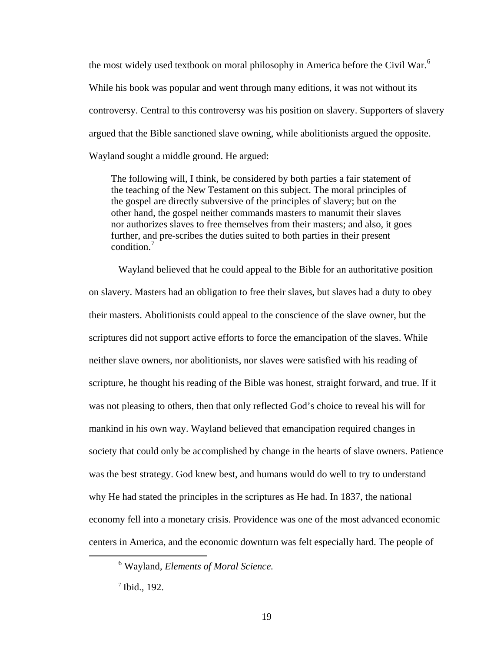the most widely used textbook on moral philosophy in America before the Civil War.<sup>[6](#page-26-0)</sup> While his book was popular and went through many editions, it was not without its controversy. Central to this controversy was his position on slavery. Supporters of slavery argued that the Bible sanctioned slave owning, while abolitionists argued the opposite. Wayland sought a middle ground. He argued:

The following will, I think, be considered by both parties a fair statement of the teaching of the New Testament on this subject. The moral principles of the gospel are directly subversive of the principles of slavery; but on the other hand, the gospel neither commands masters to manumit their slaves nor authorizes slaves to free themselves from their masters; and also, it goes further, and pre-scribes the duties suited to both parties in their present condition<sup>[7](#page-26-1)</sup>

Wayland believed that he could appeal to the Bible for an authoritative position on slavery. Masters had an obligation to free their slaves, but slaves had a duty to obey their masters. Abolitionists could appeal to the conscience of the slave owner, but the scriptures did not support active efforts to force the emancipation of the slaves. While neither slave owners, nor abolitionists, nor slaves were satisfied with his reading of scripture, he thought his reading of the Bible was honest, straight forward, and true. If it was not pleasing to others, then that only reflected God's choice to reveal his will for mankind in his own way. Wayland believed that emancipation required changes in society that could only be accomplished by change in the hearts of slave owners. Patience was the best strategy. God knew best, and humans would do well to try to understand why He had stated the principles in the scriptures as He had. In 1837, the national economy fell into a monetary crisis. Providence was one of the most advanced economic centers in America, and the economic downturn was felt especially hard. The people of

<span id="page-26-1"></span><span id="page-26-0"></span> $\begin{array}{c|c}\n\hline\n\end{array}$ Wayland, *Elements of Moral Science.*

<sup>7</sup> Ibid., 192.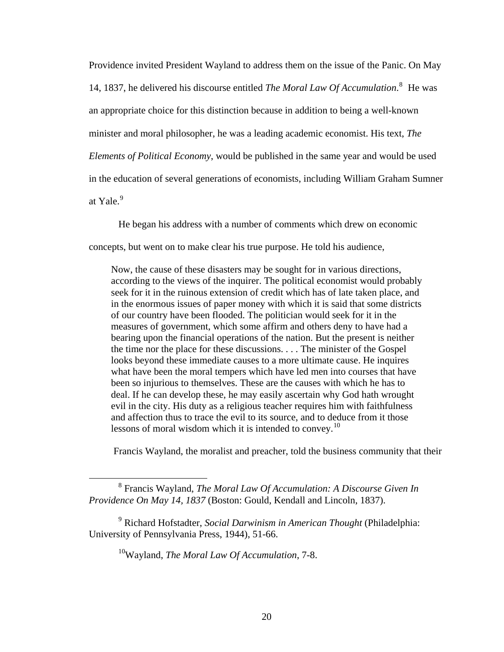Providence invited President Wayland to address them on the issue of the Panic. On May 14, 1[8](#page-27-0)37, he delivered his discourse entitled *The Moral Law Of Accumulation*.<sup>8</sup> He was an appropriate choice for this distinction because in addition to being a well-known minister and moral philosopher, he was a leading academic economist. His text, *The Elements of Political Economy*, would be published in the same year and would be used in the education of several generations of economists, including William Graham Sumner at Yale. $9$ 

He began his address with a number of comments which drew on economic

concepts, but went on to make clear his true purpose. He told his audience,

Now, the cause of these disasters may be sought for in various directions, according to the views of the inquirer. The political economist would probably seek for it in the ruinous extension of credit which has of late taken place, and in the enormous issues of paper money with which it is said that some districts of our country have been flooded. The politician would seek for it in the measures of government, which some affirm and others deny to have had a bearing upon the financial operations of the nation. But the present is neither the time nor the place for these discussions. . . . The minister of the Gospel looks beyond these immediate causes to a more ultimate cause. He inquires what have been the moral tempers which have led men into courses that have been so injurious to themselves. These are the causes with which he has to deal. If he can develop these, he may easily ascertain why God hath wrought evil in the city. His duty as a religious teacher requires him with faithfulness and affection thus to trace the evil to its source, and to deduce from it those lessons of moral wisdom which it is intended to convey.<sup>[10](#page-27-2)</sup>

Francis Wayland, the moralist and preacher, told the business community that their

<span id="page-27-0"></span> <sup>8</sup> Francis Wayland, *The Moral Law Of Accumulation: A Discourse Given In Providence On May 14, 1837* (Boston: Gould, Kendall and Lincoln, 1837).

<span id="page-27-2"></span><span id="page-27-1"></span><sup>9</sup> Richard Hofstadter, *Social Darwinism in American Thought* (Philadelphia: University of Pennsylvania Press, 1944), 51-66.

<sup>10</sup>Wayland, *The Moral Law Of Accumulation*, 7-8.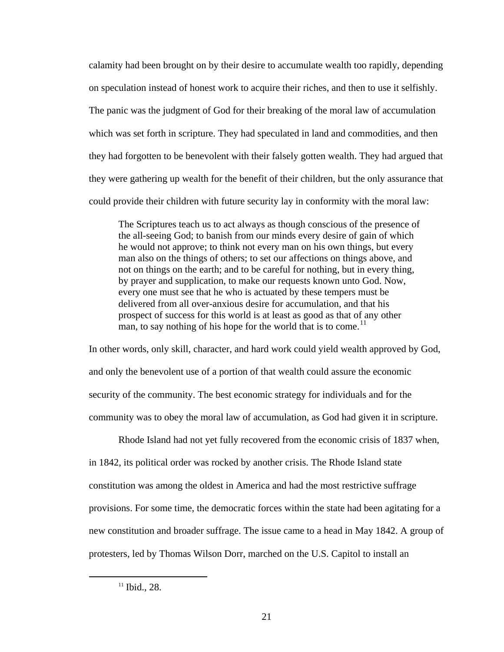calamity had been brought on by their desire to accumulate wealth too rapidly, depending on speculation instead of honest work to acquire their riches, and then to use it selfishly. The panic was the judgment of God for their breaking of the moral law of accumulation which was set forth in scripture. They had speculated in land and commodities, and then they had forgotten to be benevolent with their falsely gotten wealth. They had argued that they were gathering up wealth for the benefit of their children, but the only assurance that could provide their children with future security lay in conformity with the moral law:

The Scriptures teach us to act always as though conscious of the presence of the all-seeing God; to banish from our minds every desire of gain of which he would not approve; to think not every man on his own things, but every man also on the things of others; to set our affections on things above, and not on things on the earth; and to be careful for nothing, but in every thing, by prayer and supplication, to make our requests known unto God. Now, every one must see that he who is actuated by these tempers must be delivered from all over-anxious desire for accumulation, and that his prospect of success for this world is at least as good as that of any other man, to say nothing of his hope for the world that is to come.<sup>[11](#page-28-0)</sup>

In other words, only skill, character, and hard work could yield wealth approved by God, and only the benevolent use of a portion of that wealth could assure the economic security of the community. The best economic strategy for individuals and for the community was to obey the moral law of accumulation, as God had given it in scripture.

Rhode Island had not yet fully recovered from the economic crisis of 1837 when, in 1842, its political order was rocked by another crisis. The Rhode Island state constitution was among the oldest in America and had the most restrictive suffrage provisions. For some time, the democratic forces within the state had been agitating for a new constitution and broader suffrage. The issue came to a head in May 1842. A group of protesters, led by Thomas Wilson Dorr, marched on the U.S. Capitol to install an

<span id="page-28-0"></span> $11$  Ibid., 28.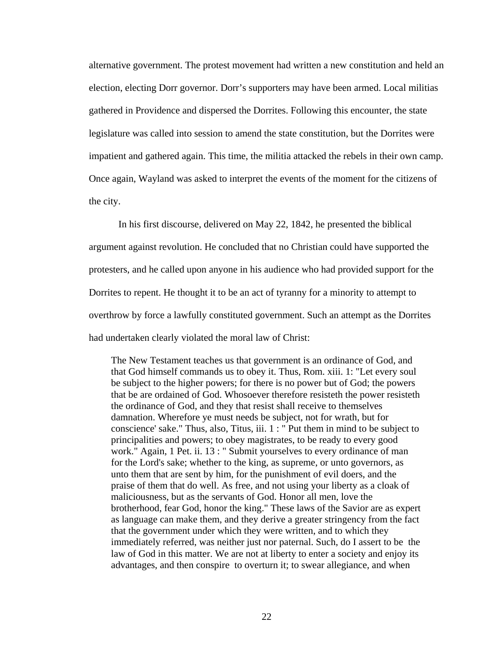alternative government. The protest movement had written a new constitution and held an election, electing Dorr governor. Dorr's supporters may have been armed. Local militias gathered in Providence and dispersed the Dorrites. Following this encounter, the state legislature was called into session to amend the state constitution, but the Dorrites were impatient and gathered again. This time, the militia attacked the rebels in their own camp. Once again, Wayland was asked to interpret the events of the moment for the citizens of the city.

In his first discourse, delivered on May 22, 1842, he presented the biblical argument against revolution. He concluded that no Christian could have supported the protesters, and he called upon anyone in his audience who had provided support for the Dorrites to repent. He thought it to be an act of tyranny for a minority to attempt to overthrow by force a lawfully constituted government. Such an attempt as the Dorrites had undertaken clearly violated the moral law of Christ:

The New Testament teaches us that government is an ordinance of God, and that God himself commands us to obey it. Thus, Rom. xiii. 1: "Let every soul be subject to the higher powers; for there is no power but of God; the powers that be are ordained of God. Whosoever therefore resisteth the power resisteth the ordinance of God, and they that resist shall receive to themselves damnation. Wherefore ye must needs be subject, not for wrath, but for conscience' sake." Thus, also, Titus, iii. 1 : " Put them in mind to be subject to principalities and powers; to obey magistrates, to be ready to every good work." Again, 1 Pet. ii. 13 : " Submit yourselves to every ordinance of man for the Lord's sake; whether to the king, as supreme, or unto governors, as unto them that are sent by him, for the punishment of evil doers, and the praise of them that do well. As free, and not using your liberty as a cloak of maliciousness, but as the servants of God. Honor all men, love the brotherhood, fear God, honor the king." These laws of the Savior are as expert as language can make them, and they derive a greater stringency from the fact that the government under which they were written, and to which they immediately referred, was neither just nor paternal. Such, do I assert to be the law of God in this matter. We are not at liberty to enter a society and enjoy its advantages, and then conspire to overturn it; to swear allegiance, and when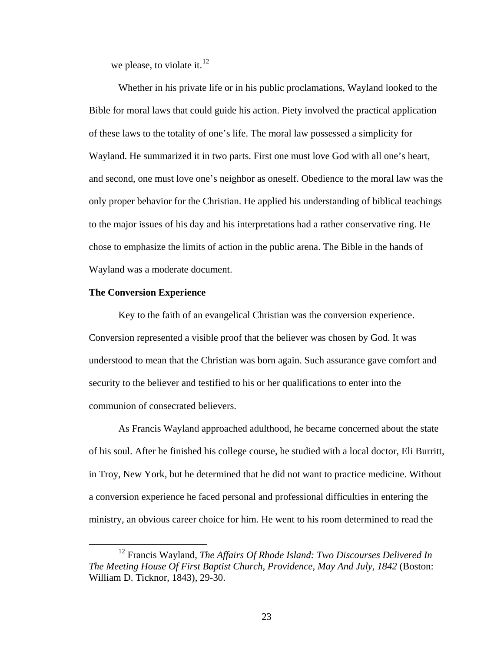we please, to violate it. $^{12}$  $^{12}$  $^{12}$ 

Whether in his private life or in his public proclamations, Wayland looked to the Bible for moral laws that could guide his action. Piety involved the practical application of these laws to the totality of one's life. The moral law possessed a simplicity for Wayland. He summarized it in two parts. First one must love God with all one's heart, and second, one must love one's neighbor as oneself. Obedience to the moral law was the only proper behavior for the Christian. He applied his understanding of biblical teachings to the major issues of his day and his interpretations had a rather conservative ring. He chose to emphasize the limits of action in the public arena. The Bible in the hands of Wayland was a moderate document.

#### **The Conversion Experience**

Key to the faith of an evangelical Christian was the conversion experience. Conversion represented a visible proof that the believer was chosen by God. It was understood to mean that the Christian was born again. Such assurance gave comfort and security to the believer and testified to his or her qualifications to enter into the communion of consecrated believers.

As Francis Wayland approached adulthood, he became concerned about the state of his soul. After he finished his college course, he studied with a local doctor, Eli Burritt, in Troy, New York, but he determined that he did not want to practice medicine. Without a conversion experience he faced personal and professional difficulties in entering the ministry, an obvious career choice for him. He went to his room determined to read the

<span id="page-30-0"></span> <sup>12</sup> Francis Wayland, *The Affairs Of Rhode Island: Two Discourses Delivered In The Meeting House Of First Baptist Church, Providence, May And July, 1842* (Boston: William D. Ticknor, 1843), 29-30.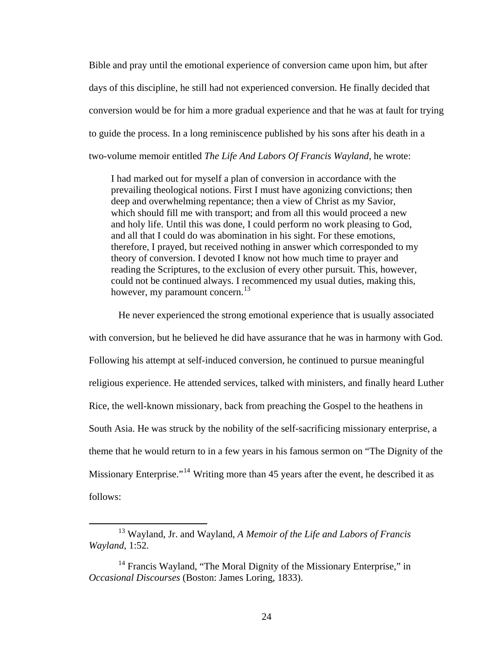Bible and pray until the emotional experience of conversion came upon him, but after days of this discipline, he still had not experienced conversion. He finally decided that conversion would be for him a more gradual experience and that he was at fault for trying to guide the process. In a long reminiscence published by his sons after his death in a two-volume memoir entitled *The Life And Labors Of Francis Wayland*, he wrote:

I had marked out for myself a plan of conversion in accordance with the prevailing theological notions. First I must have agonizing convictions; then deep and overwhelming repentance; then a view of Christ as my Savior, which should fill me with transport; and from all this would proceed a new and holy life. Until this was done, I could perform no work pleasing to God, and all that I could do was abomination in his sight. For these emotions, therefore, I prayed, but received nothing in answer which corresponded to my theory of conversion. I devoted I know not how much time to prayer and reading the Scriptures, to the exclusion of every other pursuit. This, however, could not be continued always. I recommenced my usual duties, making this, however, my paramount concern.<sup>[13](#page-31-0)</sup>

He never experienced the strong emotional experience that is usually associated with conversion, but he believed he did have assurance that he was in harmony with God. Following his attempt at self-induced conversion, he continued to pursue meaningful religious experience. He attended services, talked with ministers, and finally heard Luther Rice, the well-known missionary, back from preaching the Gospel to the heathens in South Asia. He was struck by the nobility of the self-sacrificing missionary enterprise, a theme that he would return to in a few years in his famous sermon on "The Dignity of the Missionary Enterprise."<sup>[14](#page-31-1)</sup> Writing more than 45 years after the event, he described it as follows:

<span id="page-31-0"></span> <sup>13</sup> Wayland, Jr. and Wayland, *A Memoir of the Life and Labors of Francis Wayland*, 1:52.

<span id="page-31-1"></span> $14$  Francis Wayland, "The Moral Dignity of the Missionary Enterprise," in *Occasional Discourses* (Boston: James Loring, 1833).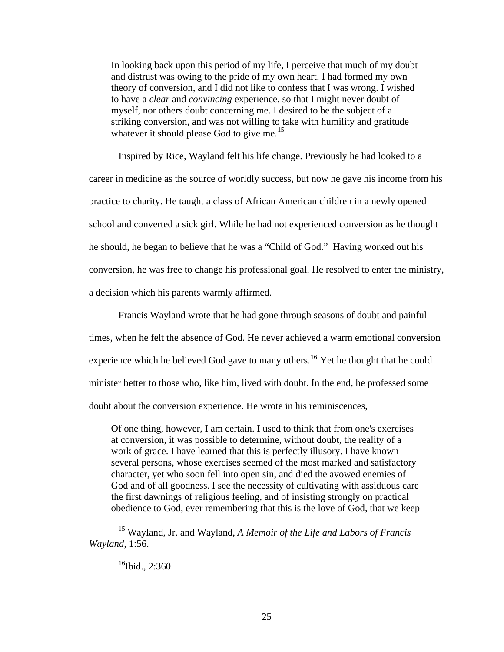In looking back upon this period of my life, I perceive that much of my doubt and distrust was owing to the pride of my own heart. I had formed my own theory of conversion, and I did not like to confess that I was wrong. I wished to have a *clear* and *convincing* experience, so that I might never doubt of myself, nor others doubt concerning me. I desired to be the subject of a striking conversion, and was not willing to take with humility and gratitude whatever it should please God to give me.<sup>[15](#page-32-0)</sup>

Inspired by Rice, Wayland felt his life change. Previously he had looked to a career in medicine as the source of worldly success, but now he gave his income from his practice to charity. He taught a class of African American children in a newly opened school and converted a sick girl. While he had not experienced conversion as he thought he should, he began to believe that he was a "Child of God." Having worked out his conversion, he was free to change his professional goal. He resolved to enter the ministry, a decision which his parents warmly affirmed.

Francis Wayland wrote that he had gone through seasons of doubt and painful times, when he felt the absence of God. He never achieved a warm emotional conversion experience which he believed God gave to many others.<sup>[16](#page-32-1)</sup> Yet he thought that he could minister better to those who, like him, lived with doubt. In the end, he professed some doubt about the conversion experience. He wrote in his reminiscences,

Of one thing, however, I am certain. I used to think that from one's exercises at conversion, it was possible to determine, without doubt, the reality of a work of grace. I have learned that this is perfectly illusory. I have known several persons, whose exercises seemed of the most marked and satisfactory character, yet who soon fell into open sin, and died the avowed enemies of God and of all goodness. I see the necessity of cultivating with assiduous care the first dawnings of religious feeling, and of insisting strongly on practical obedience to God, ever remembering that this is the love of God, that we keep

<span id="page-32-1"></span><span id="page-32-0"></span> <sup>15</sup> Wayland, Jr. and Wayland, *A Memoir of the Life and Labors of Francis Wayland,* 1:56.

 $^{16}$ Ibid., 2:360.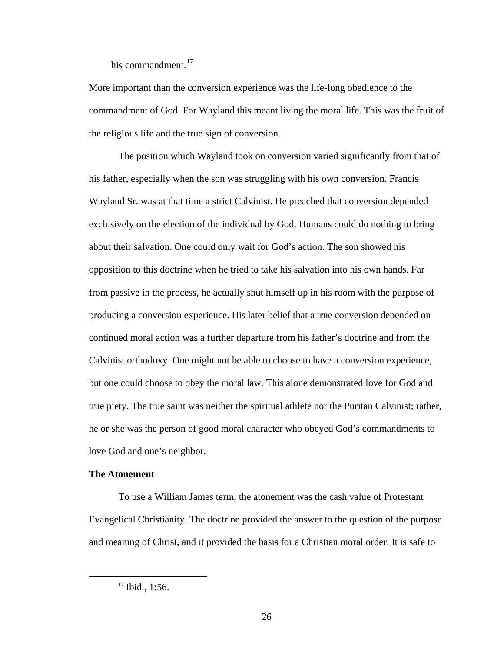his commandment. $17$ 

More important than the conversion experience was the life-long obedience to the commandment of God. For Wayland this meant living the moral life. This was the fruit of the religious life and the true sign of conversion.

The position which Wayland took on conversion varied significantly from that of his father, especially when the son was struggling with his own conversion. Francis Wayland Sr. was at that time a strict Calvinist. He preached that conversion depended exclusively on the election of the individual by God. Humans could do nothing to bring about their salvation. One could only wait for God's action. The son showed his opposition to this doctrine when he tried to take his salvation into his own hands. Far from passive in the process, he actually shut himself up in his room with the purpose of producing a conversion experience. His later belief that a true conversion depended on continued moral action was a further departure from his father's doctrine and from the Calvinist orthodoxy. One might not be able to choose to have a conversion experience, but one could choose to obey the moral law. This alone demonstrated love for God and true piety. The true saint was neither the spiritual athlete nor the Puritan Calvinist; rather, he or she was the person of good moral character who obeyed God's commandments to love God and one's neighbor.

#### **The Atonement**

To use a William James term, the atonement was the cash value of Protestant Evangelical Christianity. The doctrine provided the answer to the question of the purpose and meaning of Christ, and it provided the basis for a Christian moral order. It is safe to

<span id="page-33-0"></span><sup>&</sup>lt;sup>17</sup> Ibid., 1:56.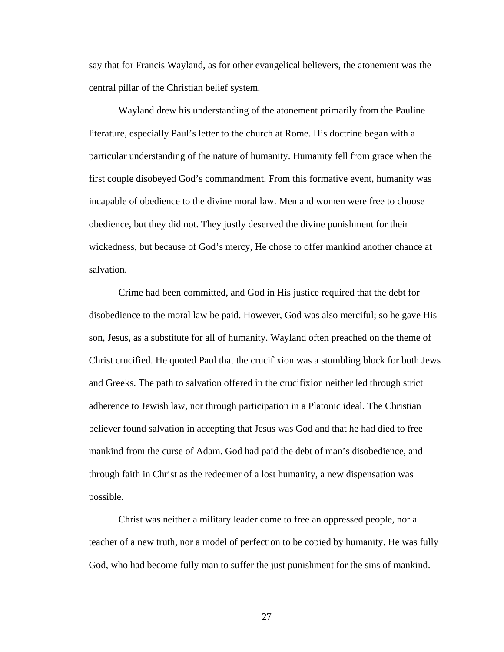say that for Francis Wayland, as for other evangelical believers, the atonement was the central pillar of the Christian belief system.

Wayland drew his understanding of the atonement primarily from the Pauline literature, especially Paul's letter to the church at Rome. His doctrine began with a particular understanding of the nature of humanity. Humanity fell from grace when the first couple disobeyed God's commandment. From this formative event, humanity was incapable of obedience to the divine moral law. Men and women were free to choose obedience, but they did not. They justly deserved the divine punishment for their wickedness, but because of God's mercy, He chose to offer mankind another chance at salvation.

Crime had been committed, and God in His justice required that the debt for disobedience to the moral law be paid. However, God was also merciful; so he gave His son, Jesus, as a substitute for all of humanity. Wayland often preached on the theme of Christ crucified. He quoted Paul that the crucifixion was a stumbling block for both Jews and Greeks. The path to salvation offered in the crucifixion neither led through strict adherence to Jewish law, nor through participation in a Platonic ideal. The Christian believer found salvation in accepting that Jesus was God and that he had died to free mankind from the curse of Adam. God had paid the debt of man's disobedience, and through faith in Christ as the redeemer of a lost humanity, a new dispensation was possible.

Christ was neither a military leader come to free an oppressed people, nor a teacher of a new truth, nor a model of perfection to be copied by humanity. He was fully God, who had become fully man to suffer the just punishment for the sins of mankind.

27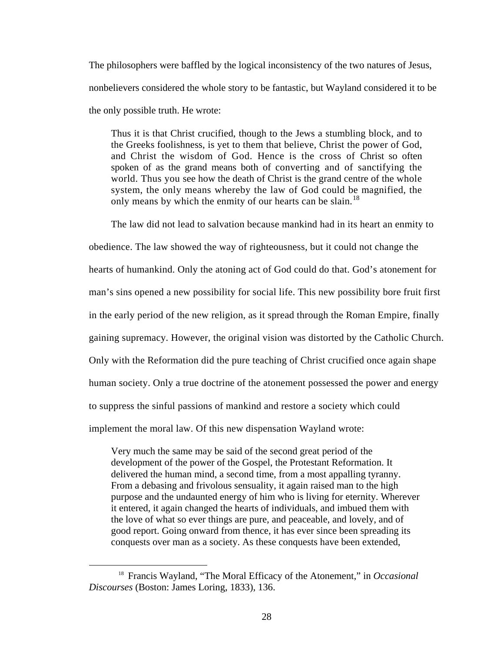The philosophers were baffled by the logical inconsistency of the two natures of Jesus, nonbelievers considered the whole story to be fantastic, but Wayland considered it to be the only possible truth. He wrote:

Thus it is that Christ crucified, though to the Jews a stumbling block, and to the Greeks foolishness, is yet to them that believe, Christ the power of God, and Christ the wisdom of God. Hence is the cross of Christ so often spoken of as the grand means both of converting and of sanctifying the world. Thus you see how the death of Christ is the grand centre of the whole system, the only means whereby the law of God could be magnified, the only means by which the enmity of our hearts can be slain.<sup>[18](#page-35-0)</sup>

The law did not lead to salvation because mankind had in its heart an enmity to obedience. The law showed the way of righteousness, but it could not change the hearts of humankind. Only the atoning act of God could do that. God's atonement for man's sins opened a new possibility for social life. This new possibility bore fruit first in the early period of the new religion, as it spread through the Roman Empire, finally gaining supremacy. However, the original vision was distorted by the Catholic Church. Only with the Reformation did the pure teaching of Christ crucified once again shape human society. Only a true doctrine of the atonement possessed the power and energy to suppress the sinful passions of mankind and restore a society which could implement the moral law. Of this new dispensation Wayland wrote:

Very much the same may be said of the second great period of the development of the power of the Gospel, the Protestant Reformation. It delivered the human mind, a second time, from a most appalling tyranny. From a debasing and frivolous sensuality, it again raised man to the high purpose and the undaunted energy of him who is living for eternity. Wherever it entered, it again changed the hearts of individuals, and imbued them with the love of what so ever things are pure, and peaceable, and lovely, and of good report. Going onward from thence, it has ever since been spreading its conquests over man as a society. As these conquests have been extended,

<span id="page-35-0"></span> <sup>18</sup> Francis Wayland, "The Moral Efficacy of the Atonement," in *Occasional Discourses* (Boston: James Loring, 1833), 136.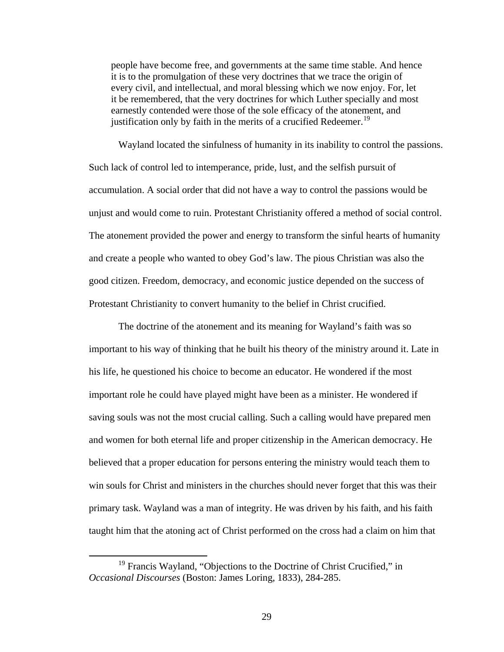people have become free, and governments at the same time stable. And hence it is to the promulgation of these very doctrines that we trace the origin of every civil, and intellectual, and moral blessing which we now enjoy. For, let it be remembered, that the very doctrines for which Luther specially and most earnestly contended were those of the sole efficacy of the atonement, and justification only by faith in the merits of a crucified Redeemer.<sup>[19](#page-36-0)</sup>

Wayland located the sinfulness of humanity in its inability to control the passions. Such lack of control led to intemperance, pride, lust, and the selfish pursuit of accumulation. A social order that did not have a way to control the passions would be unjust and would come to ruin. Protestant Christianity offered a method of social control. The atonement provided the power and energy to transform the sinful hearts of humanity and create a people who wanted to obey God's law. The pious Christian was also the good citizen. Freedom, democracy, and economic justice depended on the success of Protestant Christianity to convert humanity to the belief in Christ crucified.

The doctrine of the atonement and its meaning for Wayland's faith was so important to his way of thinking that he built his theory of the ministry around it. Late in his life, he questioned his choice to become an educator. He wondered if the most important role he could have played might have been as a minister. He wondered if saving souls was not the most crucial calling. Such a calling would have prepared men and women for both eternal life and proper citizenship in the American democracy. He believed that a proper education for persons entering the ministry would teach them to win souls for Christ and ministers in the churches should never forget that this was their primary task. Wayland was a man of integrity. He was driven by his faith, and his faith taught him that the atoning act of Christ performed on the cross had a claim on him that

<span id="page-36-0"></span><sup>&</sup>lt;sup>19</sup> Francis Wayland, "Objections to the Doctrine of Christ Crucified," in *Occasional Discourses* (Boston: James Loring, 1833), 284-285.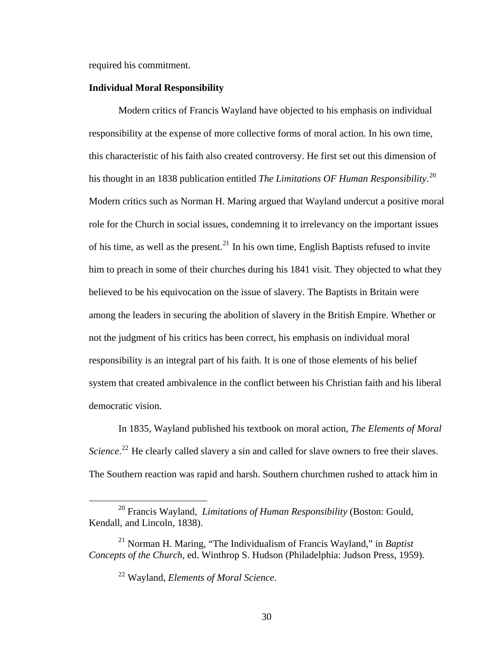required his commitment.

### **Individual Moral Responsibility**

Modern critics of Francis Wayland have objected to his emphasis on individual responsibility at the expense of more collective forms of moral action. In his own time, this characteristic of his faith also created controversy. He first set out this dimension of his thought in an 1838 publication entitled *The Limitations OF Human Responsibility*. [20](#page-37-0) Modern critics such as Norman H. Maring argued that Wayland undercut a positive moral role for the Church in social issues, condemning it to irrelevancy on the important issues of his time, as well as the present.<sup>[21](#page-37-1)</sup> In his own time, English Baptists refused to invite him to preach in some of their churches during his 1841 visit. They objected to what they believed to be his equivocation on the issue of slavery. The Baptists in Britain were among the leaders in securing the abolition of slavery in the British Empire. Whether or not the judgment of his critics has been correct, his emphasis on individual moral responsibility is an integral part of his faith. It is one of those elements of his belief system that created ambivalence in the conflict between his Christian faith and his liberal democratic vision.

In 1835, Wayland published his textbook on moral action, *The Elements of Moral*  Science.<sup>[22](#page-37-2)</sup> He clearly called slavery a sin and called for slave owners to free their slaves. The Southern reaction was rapid and harsh. Southern churchmen rushed to attack him in

<span id="page-37-0"></span> <sup>20</sup> Francis Wayland, *Limitations of Human Responsibility* (Boston: Gould, Kendall, and Lincoln, 1838).

<span id="page-37-2"></span><span id="page-37-1"></span><sup>21</sup> Norman H. Maring, "The Individualism of Francis Wayland," in *Baptist Concepts of the Church,* ed. Winthrop S. Hudson (Philadelphia: Judson Press, 1959).

<sup>22</sup> Wayland, *Elements of Moral Science.*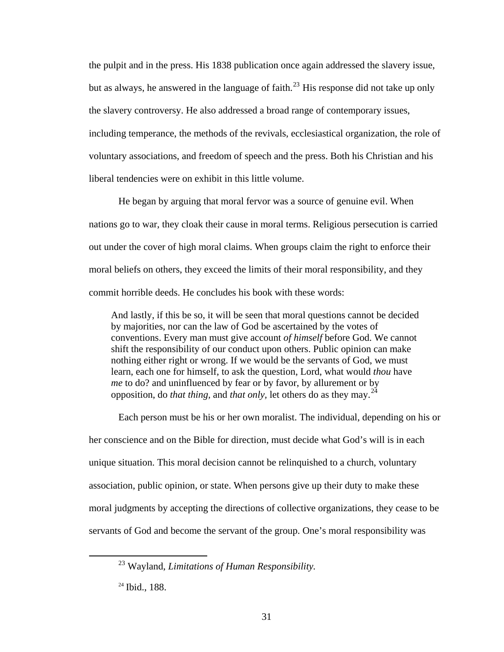the pulpit and in the press. His 1838 publication once again addressed the slavery issue, but as always, he answered in the language of faith.<sup>[23](#page-38-0)</sup> His response did not take up only the slavery controversy. He also addressed a broad range of contemporary issues, including temperance, the methods of the revivals, ecclesiastical organization, the role of voluntary associations, and freedom of speech and the press. Both his Christian and his liberal tendencies were on exhibit in this little volume.

He began by arguing that moral fervor was a source of genuine evil. When nations go to war, they cloak their cause in moral terms. Religious persecution is carried out under the cover of high moral claims. When groups claim the right to enforce their moral beliefs on others, they exceed the limits of their moral responsibility, and they commit horrible deeds. He concludes his book with these words:

And lastly, if this be so, it will be seen that moral questions cannot be decided by majorities, nor can the law of God be ascertained by the votes of conventions. Every man must give account *of himself* before God. We cannot shift the responsibility of our conduct upon others. Public opinion can make nothing either right or wrong. If we would be the servants of God, we must learn, each one for himself, to ask the question, Lord, what would *thou* have *me* to do? and uninfluenced by fear or by favor, by allurement or by opposition, do *that thing,* and *that only,* let others do as they may.[24](#page-38-1)

Each person must be his or her own moralist. The individual, depending on his or her conscience and on the Bible for direction, must decide what God's will is in each unique situation. This moral decision cannot be relinquished to a church, voluntary association, public opinion, or state. When persons give up their duty to make these moral judgments by accepting the directions of collective organizations, they cease to be servants of God and become the servant of the group. One's moral responsibility was

<span id="page-38-0"></span> <sup>23</sup> Wayland, *Limitations of Human Responsibility.*

<span id="page-38-1"></span><sup>&</sup>lt;sup>24</sup> Ibid., 188.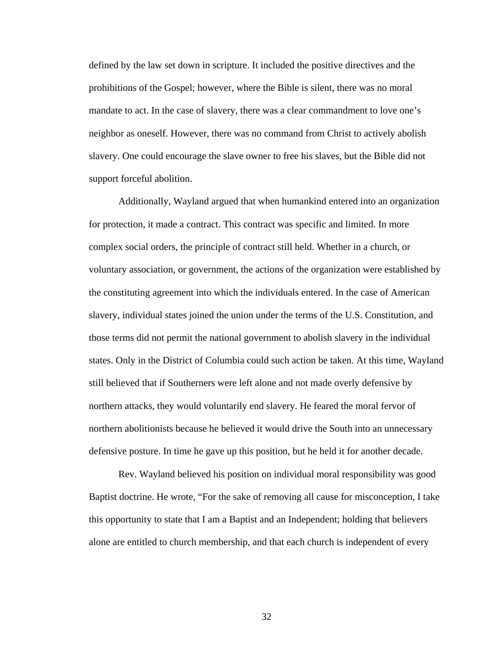defined by the law set down in scripture. It included the positive directives and the prohibitions of the Gospel; however, where the Bible is silent, there was no moral mandate to act. In the case of slavery, there was a clear commandment to love one's neighbor as oneself. However, there was no command from Christ to actively abolish slavery. One could encourage the slave owner to free his slaves, but the Bible did not support forceful abolition.

Additionally, Wayland argued that when humankind entered into an organization for protection, it made a contract. This contract was specific and limited. In more complex social orders, the principle of contract still held. Whether in a church, or voluntary association, or government, the actions of the organization were established by the constituting agreement into which the individuals entered. In the case of American slavery, individual states joined the union under the terms of the U.S. Constitution, and those terms did not permit the national government to abolish slavery in the individual states. Only in the District of Columbia could such action be taken. At this time, Wayland still believed that if Southerners were left alone and not made overly defensive by northern attacks, they would voluntarily end slavery. He feared the moral fervor of northern abolitionists because he believed it would drive the South into an unnecessary defensive posture. In time he gave up this position, but he held it for another decade.

Rev. Wayland believed his position on individual moral responsibility was good Baptist doctrine. He wrote, "For the sake of removing all cause for misconception, I take this opportunity to state that I am a Baptist and an Independent; holding that believers alone are entitled to church membership, and that each church is independent of every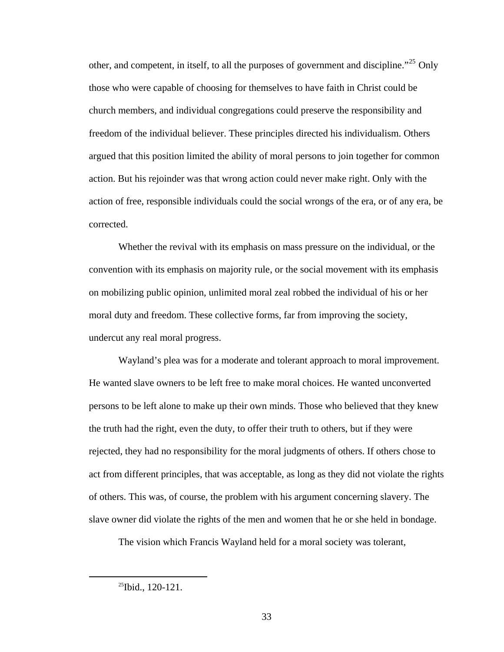other, and competent, in itself, to all the purposes of government and discipline."<sup>[25](#page-40-0)</sup> Only those who were capable of choosing for themselves to have faith in Christ could be church members, and individual congregations could preserve the responsibility and freedom of the individual believer. These principles directed his individualism. Others argued that this position limited the ability of moral persons to join together for common action. But his rejoinder was that wrong action could never make right. Only with the action of free, responsible individuals could the social wrongs of the era, or of any era, be corrected.

Whether the revival with its emphasis on mass pressure on the individual, or the convention with its emphasis on majority rule, or the social movement with its emphasis on mobilizing public opinion, unlimited moral zeal robbed the individual of his or her moral duty and freedom. These collective forms, far from improving the society, undercut any real moral progress.

Wayland's plea was for a moderate and tolerant approach to moral improvement. He wanted slave owners to be left free to make moral choices. He wanted unconverted persons to be left alone to make up their own minds. Those who believed that they knew the truth had the right, even the duty, to offer their truth to others, but if they were rejected, they had no responsibility for the moral judgments of others. If others chose to act from different principles, that was acceptable, as long as they did not violate the rights of others. This was, of course, the problem with his argument concerning slavery. The slave owner did violate the rights of the men and women that he or she held in bondage.

The vision which Francis Wayland held for a moral society was tolerant,

<span id="page-40-0"></span><sup>&</sup>lt;sup>25</sup>Ibid., 120-121.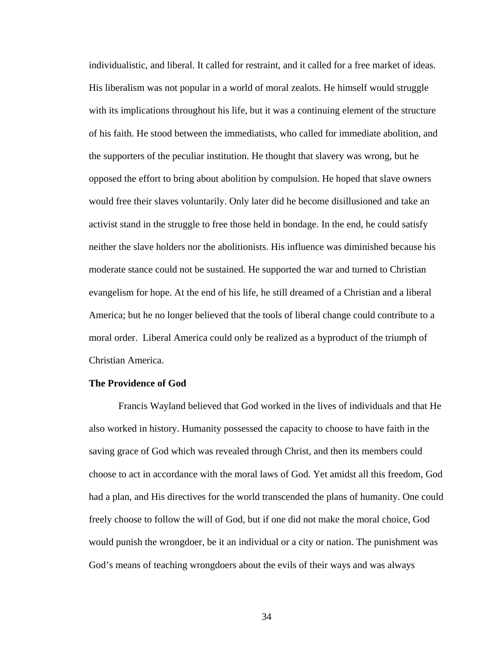individualistic, and liberal. It called for restraint, and it called for a free market of ideas. His liberalism was not popular in a world of moral zealots. He himself would struggle with its implications throughout his life, but it was a continuing element of the structure of his faith. He stood between the immediatists, who called for immediate abolition, and the supporters of the peculiar institution. He thought that slavery was wrong, but he opposed the effort to bring about abolition by compulsion. He hoped that slave owners would free their slaves voluntarily. Only later did he become disillusioned and take an activist stand in the struggle to free those held in bondage. In the end, he could satisfy neither the slave holders nor the abolitionists. His influence was diminished because his moderate stance could not be sustained. He supported the war and turned to Christian evangelism for hope. At the end of his life, he still dreamed of a Christian and a liberal America; but he no longer believed that the tools of liberal change could contribute to a moral order. Liberal America could only be realized as a byproduct of the triumph of Christian America.

#### **The Providence of God**

Francis Wayland believed that God worked in the lives of individuals and that He also worked in history. Humanity possessed the capacity to choose to have faith in the saving grace of God which was revealed through Christ, and then its members could choose to act in accordance with the moral laws of God. Yet amidst all this freedom, God had a plan, and His directives for the world transcended the plans of humanity. One could freely choose to follow the will of God, but if one did not make the moral choice, God would punish the wrongdoer, be it an individual or a city or nation. The punishment was God's means of teaching wrongdoers about the evils of their ways and was always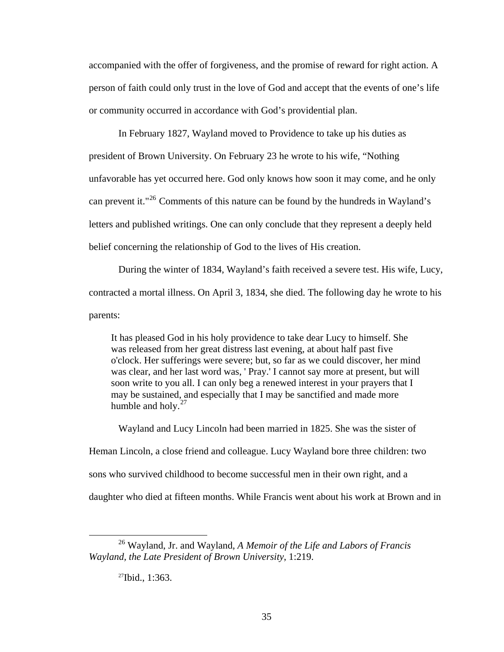accompanied with the offer of forgiveness, and the promise of reward for right action. A person of faith could only trust in the love of God and accept that the events of one's life or community occurred in accordance with God's providential plan.

In February 1827, Wayland moved to Providence to take up his duties as president of Brown University. On February 23 he wrote to his wife, "Nothing unfavorable has yet occurred here. God only knows how soon it may come, and he only can prevent it."[26](#page-42-0) Comments of this nature can be found by the hundreds in Wayland's letters and published writings. One can only conclude that they represent a deeply held belief concerning the relationship of God to the lives of His creation.

During the winter of 1834, Wayland's faith received a severe test. His wife, Lucy, contracted a mortal illness. On April 3, 1834, she died. The following day he wrote to his parents:

It has pleased God in his holy providence to take dear Lucy to himself. She was released from her great distress last evening, at about half past five o'clock. Her sufferings were severe; but, so far as we could discover, her mind was clear, and her last word was, ' Pray.' I cannot say more at present, but will soon write to you all. I can only beg a renewed interest in your prayers that I may be sustained, and especially that I may be sanctified and made more humble and holy. $27$ 

Wayland and Lucy Lincoln had been married in 1825. She was the sister of Heman Lincoln, a close friend and colleague. Lucy Wayland bore three children: two sons who survived childhood to become successful men in their own right, and a daughter who died at fifteen months. While Francis went about his work at Brown and in

<span id="page-42-1"></span><span id="page-42-0"></span> <sup>26</sup> Wayland, Jr. and Wayland, *A Memoir of the Life and Labors of Francis Wayland, the Late President of Brown University*, 1:219.

<sup>27</sup>Ibid., 1:363.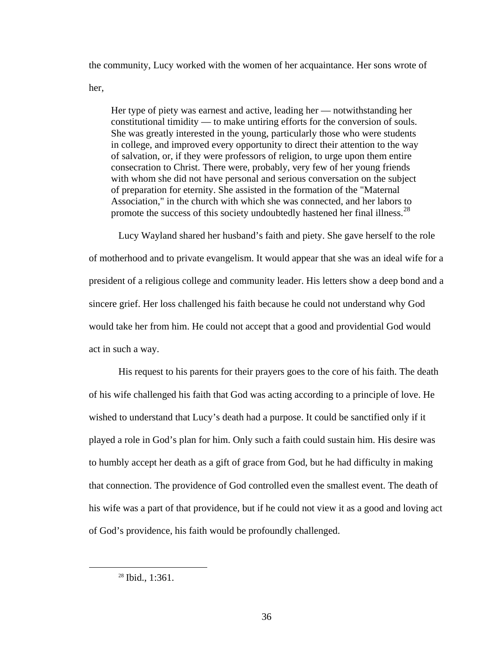the community, Lucy worked with the women of her acquaintance. Her sons wrote of her,

Her type of piety was earnest and active, leading her — notwithstanding her constitutional timidity — to make untiring efforts for the conversion of souls. She was greatly interested in the young, particularly those who were students in college, and improved every opportunity to direct their attention to the way of salvation, or, if they were professors of religion, to urge upon them entire consecration to Christ. There were, probably, very few of her young friends with whom she did not have personal and serious conversation on the subject of preparation for eternity. She assisted in the formation of the "Maternal Association," in the church with which she was connected, and her labors to promote the success of this society undoubtedly hastened her final illness.<sup>[28](#page-43-0)</sup>

Lucy Wayland shared her husband's faith and piety. She gave herself to the role of motherhood and to private evangelism. It would appear that she was an ideal wife for a president of a religious college and community leader. His letters show a deep bond and a sincere grief. Her loss challenged his faith because he could not understand why God would take her from him. He could not accept that a good and providential God would act in such a way.

His request to his parents for their prayers goes to the core of his faith. The death of his wife challenged his faith that God was acting according to a principle of love. He wished to understand that Lucy's death had a purpose. It could be sanctified only if it played a role in God's plan for him. Only such a faith could sustain him. His desire was to humbly accept her death as a gift of grace from God, but he had difficulty in making that connection. The providence of God controlled even the smallest event. The death of his wife was a part of that providence, but if he could not view it as a good and loving act of God's providence, his faith would be profoundly challenged.

<span id="page-43-0"></span><sup>&</sup>lt;sup>28</sup> Ibid., 1:361.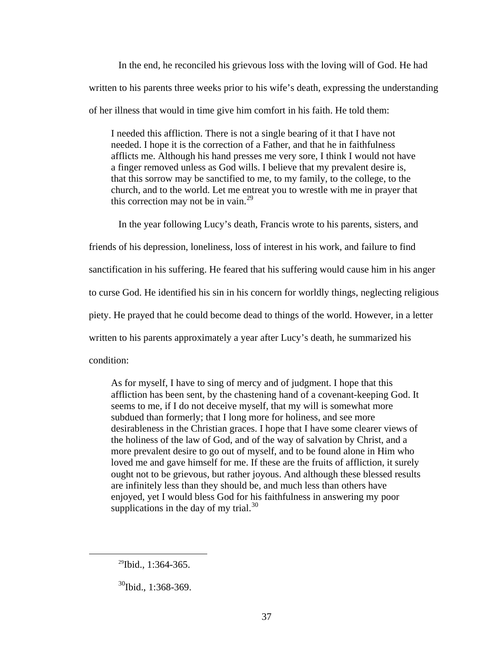In the end, he reconciled his grievous loss with the loving will of God. He had written to his parents three weeks prior to his wife's death, expressing the understanding of her illness that would in time give him comfort in his faith. He told them:

I needed this affliction. There is not a single bearing of it that I have not needed. I hope it is the correction of a Father, and that he in faithfulness afflicts me. Although his hand presses me very sore, I think I would not have a finger removed unless as God wills. I believe that my prevalent desire is, that this sorrow may be sanctified to me, to my family, to the college, to the church, and to the world. Let me entreat you to wrestle with me in prayer that this correction may not be in vain.<sup>[29](#page-44-0)</sup>

In the year following Lucy's death, Francis wrote to his parents, sisters, and friends of his depression, loneliness, loss of interest in his work, and failure to find sanctification in his suffering. He feared that his suffering would cause him in his anger to curse God. He identified his sin in his concern for worldly things, neglecting religious piety. He prayed that he could become dead to things of the world. However, in a letter written to his parents approximately a year after Lucy's death, he summarized his condition:

As for myself, I have to sing of mercy and of judgment. I hope that this affliction has been sent, by the chastening hand of a covenant-keeping God. It seems to me, if I do not deceive myself, that my will is somewhat more subdued than formerly; that I long more for holiness, and see more desirableness in the Christian graces. I hope that I have some clearer views of the holiness of the law of God, and of the way of salvation by Christ, and a more prevalent desire to go out of myself, and to be found alone in Him who loved me and gave himself for me. If these are the fruits of affliction, it surely ought not to be grievous, but rather joyous. And although these blessed results are infinitely less than they should be, and much less than others have enjoyed, yet I would bless God for his faithfulness in answering my poor supplications in the day of my trial. $^{30}$  $^{30}$  $^{30}$ 

<span id="page-44-0"></span> $29$ Ibid., 1:364-365.

<span id="page-44-1"></span> $^{30}$ Ibid., 1:368-369.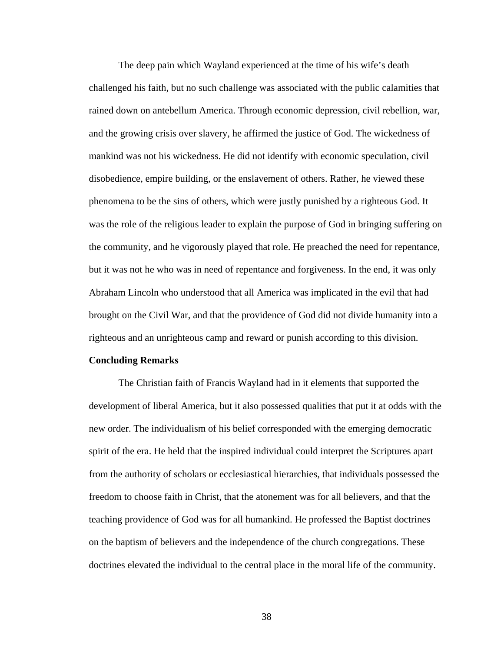The deep pain which Wayland experienced at the time of his wife's death challenged his faith, but no such challenge was associated with the public calamities that rained down on antebellum America. Through economic depression, civil rebellion, war, and the growing crisis over slavery, he affirmed the justice of God. The wickedness of mankind was not his wickedness. He did not identify with economic speculation, civil disobedience, empire building, or the enslavement of others. Rather, he viewed these phenomena to be the sins of others, which were justly punished by a righteous God. It was the role of the religious leader to explain the purpose of God in bringing suffering on the community, and he vigorously played that role. He preached the need for repentance, but it was not he who was in need of repentance and forgiveness. In the end, it was only Abraham Lincoln who understood that all America was implicated in the evil that had brought on the Civil War, and that the providence of God did not divide humanity into a righteous and an unrighteous camp and reward or punish according to this division.

#### **Concluding Remarks**

The Christian faith of Francis Wayland had in it elements that supported the development of liberal America, but it also possessed qualities that put it at odds with the new order. The individualism of his belief corresponded with the emerging democratic spirit of the era. He held that the inspired individual could interpret the Scriptures apart from the authority of scholars or ecclesiastical hierarchies, that individuals possessed the freedom to choose faith in Christ, that the atonement was for all believers, and that the teaching providence of God was for all humankind. He professed the Baptist doctrines on the baptism of believers and the independence of the church congregations. These doctrines elevated the individual to the central place in the moral life of the community.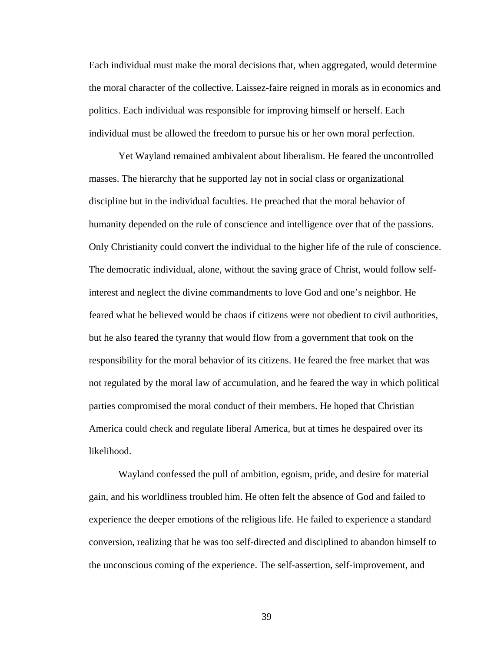Each individual must make the moral decisions that, when aggregated, would determine the moral character of the collective. Laissez-faire reigned in morals as in economics and politics. Each individual was responsible for improving himself or herself. Each individual must be allowed the freedom to pursue his or her own moral perfection.

Yet Wayland remained ambivalent about liberalism. He feared the uncontrolled masses. The hierarchy that he supported lay not in social class or organizational discipline but in the individual faculties. He preached that the moral behavior of humanity depended on the rule of conscience and intelligence over that of the passions. Only Christianity could convert the individual to the higher life of the rule of conscience. The democratic individual, alone, without the saving grace of Christ, would follow selfinterest and neglect the divine commandments to love God and one's neighbor. He feared what he believed would be chaos if citizens were not obedient to civil authorities, but he also feared the tyranny that would flow from a government that took on the responsibility for the moral behavior of its citizens. He feared the free market that was not regulated by the moral law of accumulation, and he feared the way in which political parties compromised the moral conduct of their members. He hoped that Christian America could check and regulate liberal America, but at times he despaired over its likelihood.

Wayland confessed the pull of ambition, egoism, pride, and desire for material gain, and his worldliness troubled him. He often felt the absence of God and failed to experience the deeper emotions of the religious life. He failed to experience a standard conversion, realizing that he was too self-directed and disciplined to abandon himself to the unconscious coming of the experience. The self-assertion, self-improvement, and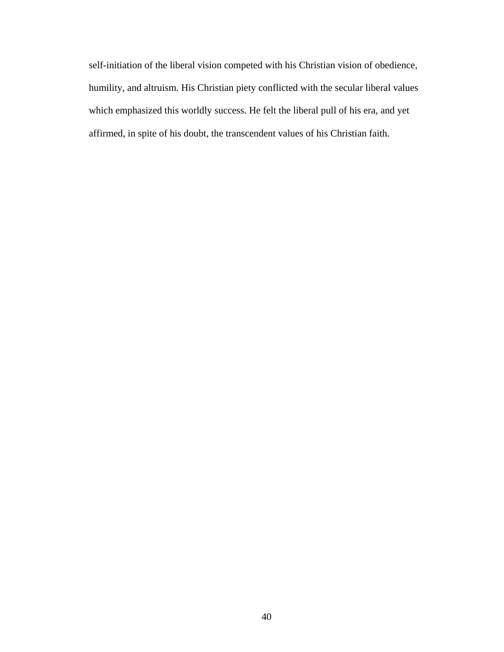self-initiation of the liberal vision competed with his Christian vision of obedience, humility, and altruism. His Christian piety conflicted with the secular liberal values which emphasized this worldly success. He felt the liberal pull of his era, and yet affirmed, in spite of his doubt, the transcendent values of his Christian faith.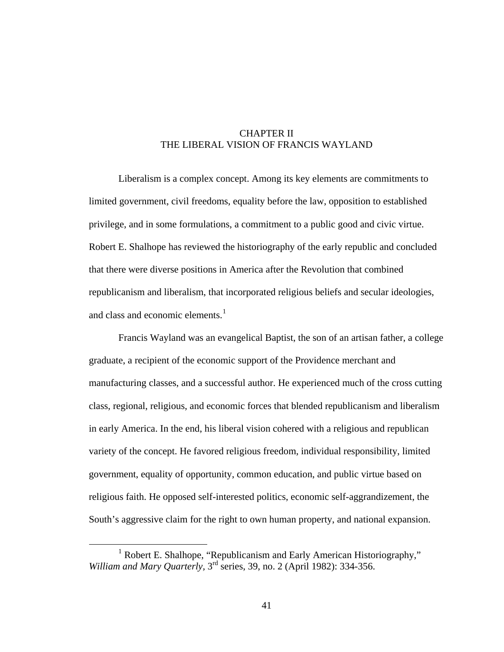## CHAPTER II THE LIBERAL VISION OF FRANCIS WAYLAND

Liberalism is a complex concept. Among its key elements are commitments to limited government, civil freedoms, equality before the law, opposition to established privilege, and in some formulations, a commitment to a public good and civic virtue. Robert E. Shalhope has reviewed the historiography of the early republic and concluded that there were diverse positions in America after the Revolution that combined republicanism and liberalism, that incorporated religious beliefs and secular ideologies, and class and economic elements.<sup>[1](#page-48-0)</sup>

Francis Wayland was an evangelical Baptist, the son of an artisan father, a college graduate, a recipient of the economic support of the Providence merchant and manufacturing classes, and a successful author. He experienced much of the cross cutting class, regional, religious, and economic forces that blended republicanism and liberalism in early America. In the end, his liberal vision cohered with a religious and republican variety of the concept. He favored religious freedom, individual responsibility, limited government, equality of opportunity, common education, and public virtue based on religious faith. He opposed self-interested politics, economic self-aggrandizement, the South's aggressive claim for the right to own human property, and national expansion.

<span id="page-48-0"></span><sup>&</sup>lt;u>1</u> <sup>1</sup> Robert E. Shalhope, "Republicanism and Early American Historiography," *William and Mary Quarterly,* 3rd series, 39, no. 2 (April 1982): 334-356.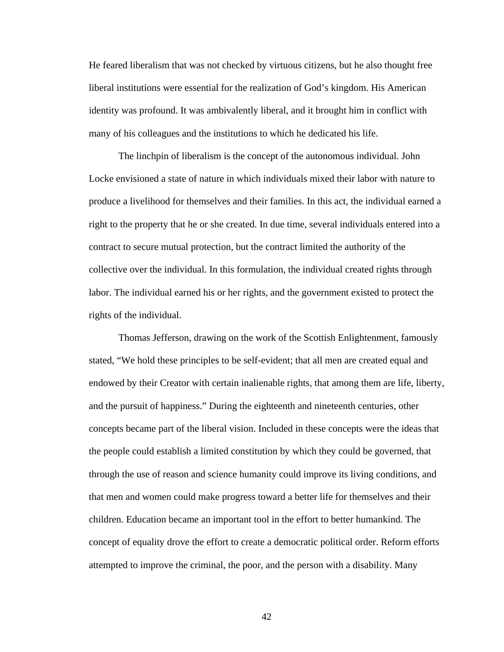He feared liberalism that was not checked by virtuous citizens, but he also thought free liberal institutions were essential for the realization of God's kingdom. His American identity was profound. It was ambivalently liberal, and it brought him in conflict with many of his colleagues and the institutions to which he dedicated his life.

The linchpin of liberalism is the concept of the autonomous individual. John Locke envisioned a state of nature in which individuals mixed their labor with nature to produce a livelihood for themselves and their families. In this act, the individual earned a right to the property that he or she created. In due time, several individuals entered into a contract to secure mutual protection, but the contract limited the authority of the collective over the individual. In this formulation, the individual created rights through labor. The individual earned his or her rights, and the government existed to protect the rights of the individual.

Thomas Jefferson, drawing on the work of the Scottish Enlightenment, famously stated, "We hold these principles to be self-evident; that all men are created equal and endowed by their Creator with certain inalienable rights, that among them are life, liberty, and the pursuit of happiness." During the eighteenth and nineteenth centuries, other concepts became part of the liberal vision. Included in these concepts were the ideas that the people could establish a limited constitution by which they could be governed, that through the use of reason and science humanity could improve its living conditions, and that men and women could make progress toward a better life for themselves and their children. Education became an important tool in the effort to better humankind. The concept of equality drove the effort to create a democratic political order. Reform efforts attempted to improve the criminal, the poor, and the person with a disability. Many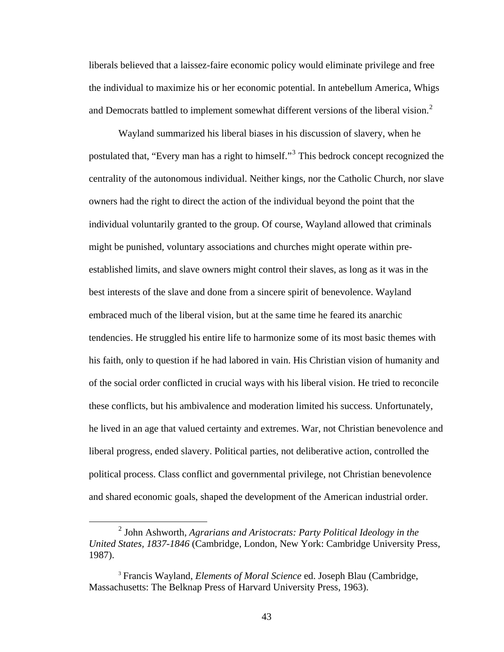liberals believed that a laissez-faire economic policy would eliminate privilege and free the individual to maximize his or her economic potential. In antebellum America, Whigs and Democrats battled to implement somewhat different versions of the liberal vision.<sup>[2](#page-50-0)</sup>

Wayland summarized his liberal biases in his discussion of slavery, when he postulated that, "Every man has a right to himself."<sup>[3](#page-50-1)</sup> This bedrock concept recognized the centrality of the autonomous individual. Neither kings, nor the Catholic Church, nor slave owners had the right to direct the action of the individual beyond the point that the individual voluntarily granted to the group. Of course, Wayland allowed that criminals might be punished, voluntary associations and churches might operate within preestablished limits, and slave owners might control their slaves, as long as it was in the best interests of the slave and done from a sincere spirit of benevolence. Wayland embraced much of the liberal vision, but at the same time he feared its anarchic tendencies. He struggled his entire life to harmonize some of its most basic themes with his faith, only to question if he had labored in vain. His Christian vision of humanity and of the social order conflicted in crucial ways with his liberal vision. He tried to reconcile these conflicts, but his ambivalence and moderation limited his success. Unfortunately, he lived in an age that valued certainty and extremes. War, not Christian benevolence and liberal progress, ended slavery. Political parties, not deliberative action, controlled the political process. Class conflict and governmental privilege, not Christian benevolence and shared economic goals, shaped the development of the American industrial order.

<span id="page-50-0"></span> <sup>2</sup> <sup>2</sup> John Ashworth, *Agrarians and Aristocrats: Party Political Ideology in the United States, 1837-1846* (Cambridge, London, New York: Cambridge University Press, 1987).

<span id="page-50-1"></span><sup>3</sup> Francis Wayland, *Elements of Moral Science* ed. Joseph Blau (Cambridge, Massachusetts: The Belknap Press of Harvard University Press, 1963).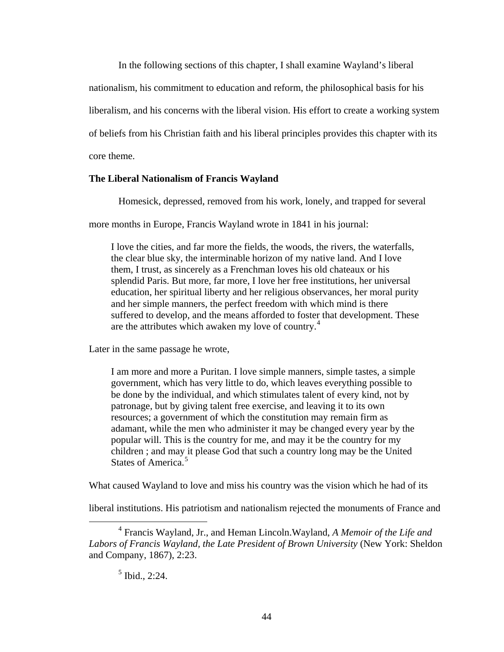In the following sections of this chapter, I shall examine Wayland's liberal

nationalism, his commitment to education and reform, the philosophical basis for his

liberalism, and his concerns with the liberal vision. His effort to create a working system

of beliefs from his Christian faith and his liberal principles provides this chapter with its

core theme.

#### **The Liberal Nationalism of Francis Wayland**

Homesick, depressed, removed from his work, lonely, and trapped for several

more months in Europe, Francis Wayland wrote in 1841 in his journal:

I love the cities, and far more the fields, the woods, the rivers, the waterfalls, the clear blue sky, the interminable horizon of my native land. And I love them, I trust, as sincerely as a Frenchman loves his old chateaux or his splendid Paris. But more, far more, I love her free institutions, her universal education, her spiritual liberty and her religious observances, her moral purity and her simple manners, the perfect freedom with which mind is there suffered to develop, and the means afforded to foster that development. These are the attributes which awaken my love of country.<sup>[4](#page-51-0)</sup>

Later in the same passage he wrote,

I am more and more a Puritan. I love simple manners, simple tastes, a simple government, which has very little to do, which leaves everything possible to be done by the individual, and which stimulates talent of every kind, not by patronage, but by giving talent free exercise, and leaving it to its own resources; a government of which the constitution may remain firm as adamant, while the men who administer it may be changed every year by the popular will. This is the country for me, and may it be the country for my children ; and may it please God that such a country long may be the United States of America.<sup>[5](#page-51-1)</sup>

What caused Wayland to love and miss his country was the vision which he had of its

liberal institutions. His patriotism and nationalism rejected the monuments of France and

<span id="page-51-1"></span><span id="page-51-0"></span> $\overline{4}$  Francis Wayland, Jr., and Heman Lincoln.Wayland, *A Memoir of the Life and Labors of Francis Wayland, the Late President of Brown University* (New York: Sheldon and Company, 1867), 2:23.

<sup>5</sup> Ibid., 2:24.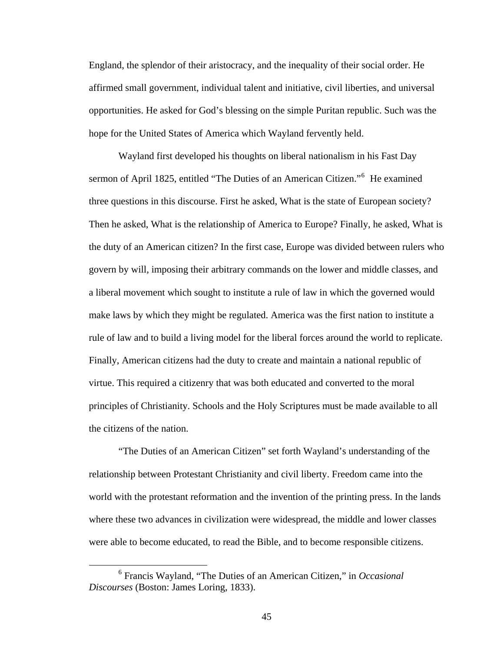England, the splendor of their aristocracy, and the inequality of their social order. He affirmed small government, individual talent and initiative, civil liberties, and universal opportunities. He asked for God's blessing on the simple Puritan republic. Such was the hope for the United States of America which Wayland fervently held.

Wayland first developed his thoughts on liberal nationalism in his Fast Day sermon of April 1825, entitled "The Duties of an American Citizen."<sup>[6](#page-52-0)</sup> He examined three questions in this discourse. First he asked, What is the state of European society? Then he asked, What is the relationship of America to Europe? Finally, he asked, What is the duty of an American citizen? In the first case, Europe was divided between rulers who govern by will, imposing their arbitrary commands on the lower and middle classes, and a liberal movement which sought to institute a rule of law in which the governed woul d make laws by which they might be regulated. America was the first nation to institute a rule of law and to build a living model for the liberal forces around the world to replicate. Finally, American citizens had the duty to create and maintain a national republic of virtue. This required a citizenry that was both educated and converted to the moral principles of Christianity. Schools and the Holy Scriptures must be made available to all the citizens of the nation.

"The Duties of an American Citizen" set forth Wayland's understanding of the relationship between Protestant Christianity and civil liberty. Freedom came into the world with the protestant reformation and the invention of the printing press. In the lands where these two advances in civilization were widespread, the middle and lower classes were able to become educated, to read the Bible, and to become responsible citizens.

 $\overline{a}$ 

<span id="page-52-0"></span><sup>6</sup> Francis Wayland, "The Duties of an American Citizen," in *Occasional Discourses* (Boston: James Loring, 1833).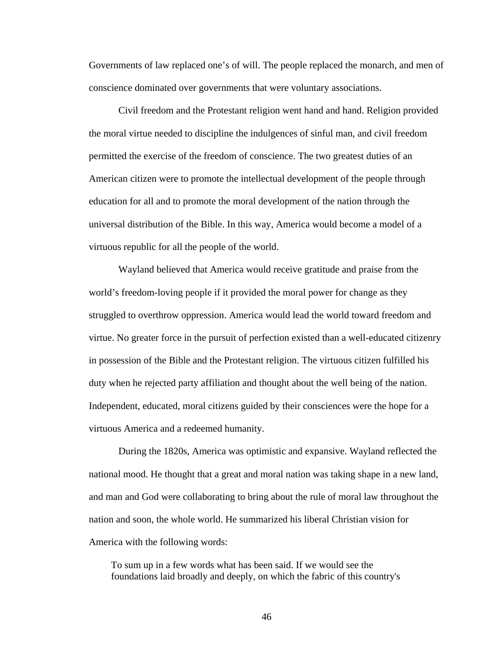Governments of law replaced one's of will. The people replaced the monarch, and men of conscience dominated over governments that were voluntary associations.

Civil freedom and the Protestant religion went hand and hand. Religion provided the moral virtue needed to discipline the indulgences of sinful man, and civil freedom permitted the exercise of the freedom of conscience. The two greatest duties of an American citizen were to promote the intellectual development of the people through education for all and to promote the moral development of the nation through the universal distribution of the Bible. In this way, America would become a model of a virtuous republic for all the people of the world.

Wayland believed that America would receive gratitude and praise from the world's freedom-loving people if it provided the moral power for change as they struggled to overthrow oppression. America would lead the world toward freedom and virtue. No greater force in the pursuit of perfection existed than a well-educated citizenry in possession of the Bible and the Protestant religion. The virtuous citizen fulfilled his duty when he rejected party affiliation and thought about the well being of the nation. Independent, educated, moral citizens guided by their consciences were the hope for a virtuous America and a redeemed humanity.

During the 1820s, America was optimistic and expansive. Wayland reflected the national mood. He thought that a great and moral nation was taking shape in a new land, and man and God were collaborating to bring about the rule of moral law throughout the nation and soon, the whole world. He summarized his liberal Christian vision for America with the following words:

To sum up in a few words what has been said. If we would see the foundations laid broadly and deeply, on which the fabric of this country's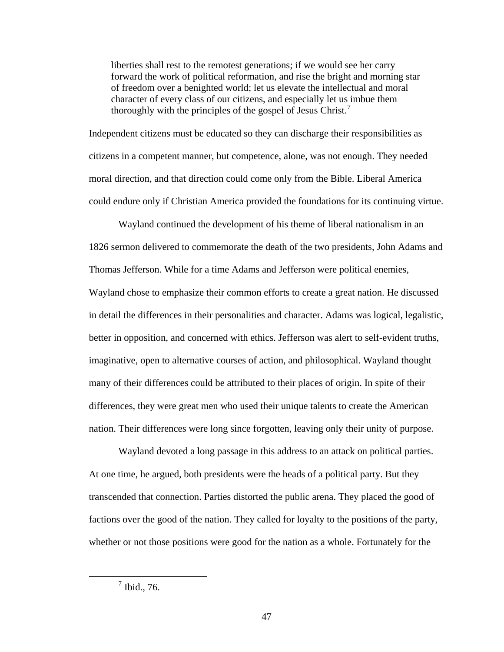liberties shall rest to the remotest generations; if we would see her carry forward the work of political reformation, and rise the bright and morning star of freedom over a benighted world; let us elevate the intellectual and moral character of every class of our citizens, and especially let us imbue them thoroughly with the principles of the gospel of Jesus Christ.<sup>[7](#page-54-0)</sup>

Independent citizens must be educated so they can discharge their responsibilities as citizens in a competent manner, but competence, alone, was not enough. They needed moral direction, and that direction could come only from the Bible. Liberal America could endure only if Christian America provided the foundations for its continuing virtue.

Wayland continued the development of his theme of liberal nationalism in an 1826 sermon delivered to commemorate the death of the two presidents, John Adams and Thomas Jefferson. While for a time Adams and Jefferson were political enemies, Wayland chose to emphasize their common efforts to create a great nation. He discussed in detail the differences in their personalities and character. Adams was logical, legalistic, better in opposition, and concerned with ethics. Jefferson was alert to self-evident truths, imaginative, open to alternative courses of action, and philosophical. Wayland thought many of their differences could be attributed to their places of origin. In spite of their differences, they were great men who used their unique talents to create the American nation. Their differences were long since forgotten, leaving only their unity of purpose.

Wayland devoted a long passage in this address to an attack on political parties. At one time, he argued, both presidents were the heads of a political party. But they transcended that connection. Parties distorted the public arena. They placed the good of factions over the good of the nation. They called for loyalty to the positions of the party, whether or not those positions were good for the nation as a whole. Fortunately for the

<span id="page-54-0"></span> $\overline{7}$  $<sup>7</sup>$  Ibid., 76.</sup>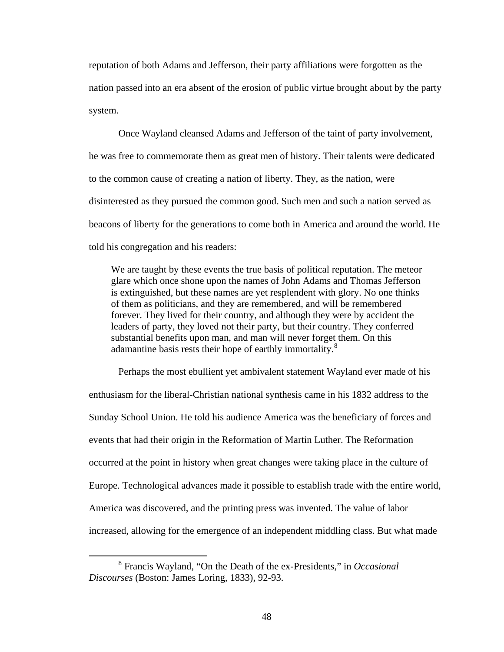reputation of both Adams and Jefferson, their party affiliations were forgotten as the nation passed into an era absent of the erosion of public virtue brought about by the party system.

Once Wayland cleansed Adams and Jefferson of the taint of party involvement, he was free to commemorate them as great men of history. Their talents were dedicated to the common cause of creating a nation of liberty. They, as the nation, were disinterested as they pursued the common good. Such men and such a nation served as beacons of liberty for the generations to come both in America and around the world. He told his congregation and his readers:

We are taught by these events the true basis of political reputation. The meteor glare which once shone upon the names of John Adams and Thomas Jefferson is extinguished, but these names are yet resplendent with glory. No one thinks of them as politicians, and they are remembered, and will be remembered forever. They lived for their country, and although they were by accident the leaders of party, they loved not their party, but their country. They conferred substantial benefits upon man, and man will never forget them. On this adamantine basis rests their hope of earthly immortality.<sup>[8](#page-55-0)</sup>

Perhaps the most ebullient yet ambivalent statement Wayland ever made of his enthusiasm for the liberal-Christian national synthesis came in his 1832 address to the Sunday School Union. He told his audience America was the beneficiary of forces and events that had their origin in the Reformation of Martin Luther. The Reformation occurred at the point in history when great changes were taking place in the culture of Europe. Technological advances made it possible to establish trade with the entire world, America was discovered, and the printing press was invented. The value of labor increased, allowing for the emergence of an independent middling class. But what made

<span id="page-55-0"></span> <sup>8</sup> Francis Wayland, "On the Death of the ex-Presidents," in *Occasional Discourses* (Boston: James Loring, 1833), 92-93.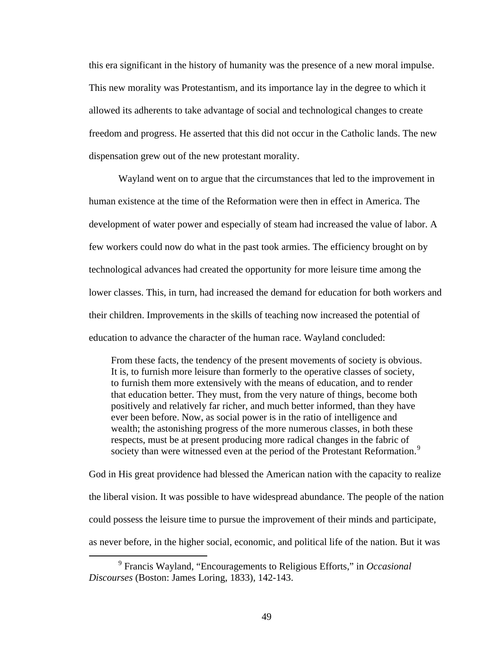this era significant in the history of humanity was the presence of a new moral impulse. This new morality was Protestantism, and its importance lay in the degree to which it allowed its adherents to take advantage of social and technological changes to create freedom and progress. He asserted that this did not occur in the Catholic lands. The new dispensation grew out of the new protestant morality.

Wayland went on to argue that the circumstances that led to the improvement in human existence at the time of the Reformation were then in effect in America. The development of water power and especially of steam had increased the value of labor. A few workers could now do what in the past took armies. The efficiency brought on by technological advances had created the opportunity for more leisure time among the lower classes. This, in turn, had increased the demand for education for both workers and their children. Improvements in the skills of teaching now increased the potential of education to advance the character of the human race. Wayland concluded:

From these facts, the tendency of the present movements of society is obvious. It is, to furnish more leisure than formerly to the operative classes of society, to furnish them more extensively with the means of education, and to render that education better. They must, from the very nature of things, become both positively and relatively far richer, and much better informed, than they have ever been before. Now, as social power is in the ratio of intelligence and wealth; the astonishing progress of the more numerous classes, in both these respects, must be at present producing more radical changes in the fabric of society than were witnessed even at the period of the Protestant Reformation.<sup>[9](#page-56-0)</sup>

God in His great providence had blessed the American nation with the capacity to realize the liberal vision. It was possible to have widespread abundance. The people of the nation could possess the leisure time to pursue the improvement of their minds and participate, as never before, in the higher social, economic, and political life of the nation. But it was

<span id="page-56-0"></span> $\frac{1}{\sqrt{9}}$  Francis Wayland, "Encouragements to Religious Efforts," in *Occasional Discourses* (Boston: James Loring, 1833), 142-143.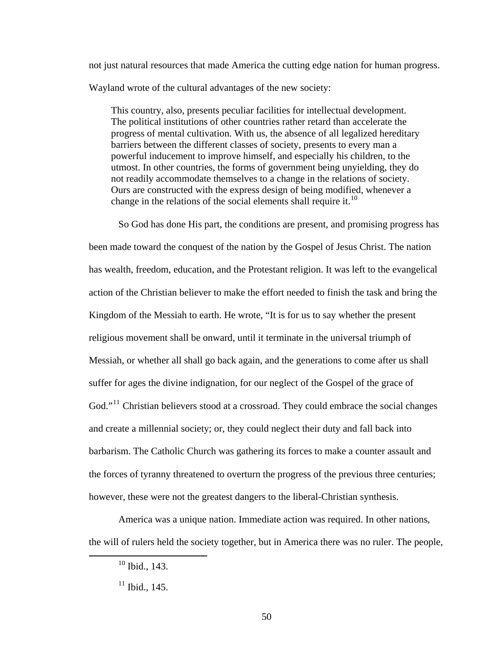not just natural resources that made America the cutting edge nation for human progress. Wayland wrote of the cultural advantages of the new society:

This country, also, presents peculiar facilities for intellectual development. The political institutions of other countries rather retard than accelerate the progress of mental cultivation. With us, the absence of all legalized hereditary barriers between the different classes of society, presents to every man a powerful inducement to improve himself, and especially his children, to the utmost. In other countries, the forms of government being unyielding, they do not readily accommodate themselves to a change in the relations of society. Ours are constructed with the express design of being modified, whenever a change in the relations of the social elements shall require it.<sup>[10](#page-57-0)</sup>

So God has done His part, the conditions are present, and promising progress has been made toward the conquest of the nation by the Gospel of Jesus Christ. The nation has wealth, freedom, education, and the Protestant religion. It was left to the evangelical action of the Christian believer to make the effort needed to finish the task and bring the Kingdom of the Messiah to earth. He wrote, "It is for us to say whether the present religious movement shall be onward, until it terminate in the universal triumph of Messiah, or whether all shall go back again, and the generations to come after us shall suffer for ages the divine indignation, for our neglect of the Gospel of the grace of God."<sup>[11](#page-57-1)</sup> Christian believers stood at a crossroad. They could embrace the social changes and create a millennial society; or, they could neglect their duty and fall back into barbarism. The Catholic Church was gathering its forces to make a counter assault and the forces of tyranny threatened to overturn the progress of the previous three centuries; however, these were not the greatest dangers to the liberal-Christian synthesis.

<span id="page-57-1"></span><span id="page-57-0"></span>America was a unique nation. Immediate action was required. In other nations, the will of rulers held the society together, but in America there was no ruler. The people,

 <sup>10</sup> Ibid., 143.

 $11$  Ibid., 145.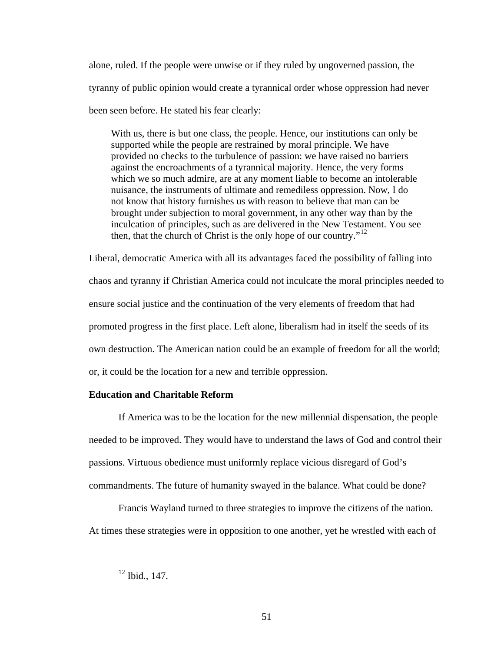alone, ruled. If the people were unwise or if they ruled by ungoverned passion, the tyranny of public opinion would create a tyrannical order whose oppression had never been seen before. He stated his fear clearly:

With us, there is but one class, the people. Hence, our institutions can only be supported while the people are restrained by moral principle. We have provided no checks to the turbulence of passion: we have raised no barriers against the encroachments of a tyrannical majority. Hence, the very forms which we so much admire, are at any moment liable to become an intolerable nuisance, the instruments of ultimate and remediless oppression. Now, I do not know that history furnishes us with reason to believe that man can be brought under subjection to moral government, in any other way than by the inculcation of principles, such as are delivered in the New Testament. You see then, that the church of Christ is the only hope of our country."<sup>[12](#page-58-0)</sup>

Liberal, democratic America with all its advantages faced the possibility of falling into chaos and tyranny if Christian America could not inculcate the moral principles needed to ensure social justice and the continuation of the very elements of freedom that had promoted progress in the first place. Left alone, liberalism had in itself the seeds of its own destruction. The American nation could be an example of freedom for all the world; or, it could be the location for a new and terrible oppression.

## **Education and Charitable Reform**

If America was to be the location for the new millennial dispensation, the people needed to be improved. They would have to understand the laws of God and control their passions. Virtuous obedience must uniformly replace vicious disregard of God's commandments. The future of humanity swayed in the balance. What could be done?

<span id="page-58-0"></span>Francis Wayland turned to three strategies to improve the citizens of the nation. At times these strategies were in opposition to one another, yet he wrestled with each of

 $12$  Ibid., 147.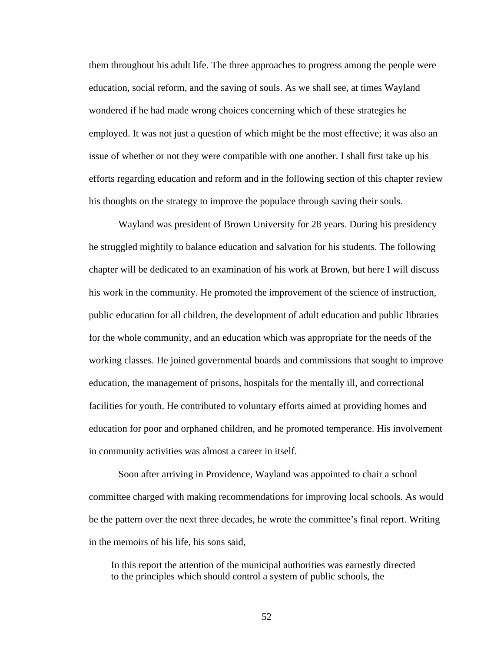them throughout his adult life. The three approaches to progress among the people were education, social reform, and the saving of souls. As we shall see, at times Wayland wondered if he had made wrong choices concerning which of these strategies he employed. It was not just a question of which might be the most effective; it was also an issue of whether or not they were compatible with one another. I shall first take up his efforts regarding education and reform and in the following section of this chapter review his thoughts on the strategy to improve the populace through saving their souls.

Wayland was president of Brown University for 28 years. During his presidency he struggled mightily to balance education and salvation for his students. The following chapter will be dedicated to an examination of his work at Brown, but here I will discuss his work in the community. He promoted the improvement of the science of instruction, public education for all children, the development of adult education and public libraries for the whole community, and an education which was appropriate for the needs of the working classes. He joined governmental boards and commissions that sought to improve education, the management of prisons, hospitals for the mentally ill, and correctional facilities for youth. He contributed to voluntary efforts aimed at providing homes and education for poor and orphaned children, and he promoted temperance. His involvement in community activities was almost a career in itself.

Soon after arriving in Providence, Wayland was appointed to chair a school committee charged with making recommendations for improving local schools. As would be the pattern over the next three decades, he wrote the committee's final report. Writing in the memoirs of his life, his sons said,

In this report the attention of the municipal authorities was earnestly directed to the principles which should control a system of public schools, the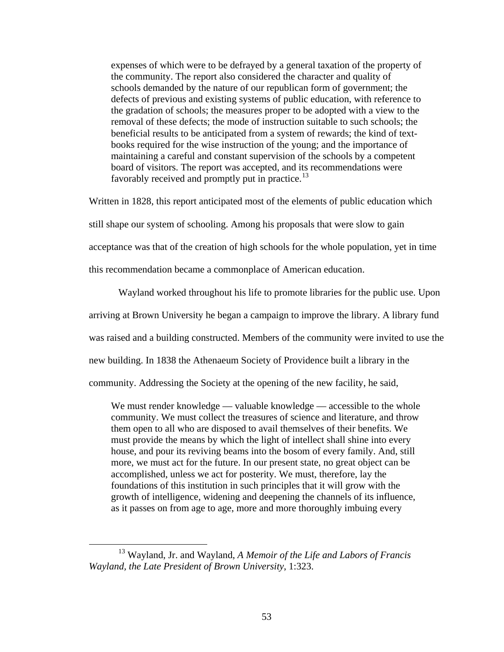expenses of which were to be defrayed by a general taxation of the property of the community. The report also considered the character and quality of schools demanded by the nature of our republican form of government; the defects of previous and existing systems of public education, with reference to the gradation of schools; the measures proper to be adopted with a view to the removal of these defects; the mode of instruction suitable to such schools; the beneficial results to be anticipated from a system of rewards; the kind of textbooks required for the wise instruction of the young; and the importance of maintaining a careful and constant supervision of the schools by a competent board of visitors. The report was accepted, and its recommendations were favorably received and promptly put in practice.<sup>[13](#page-60-0)</sup>

Written in 1828, this report anticipated most of the elements of public education which still shape our system of schooling. Among his proposals that were slow to gain acceptance was that of the creation of high schools for the whole population, yet in time

this recommendation became a commonplace of American education.

Wayland worked throughout his life to promote libraries for the public use. Upon

arriving at Brown University he began a campaign to improve the library. A library fund

was raised and a building constructed. Members of the community were invited to use the

new building. In 1838 the Athenaeum Society of Providence built a library in the

community. Addressing the Society at the opening of the new facility, he said,

We must render knowledge — valuable knowledge — accessible to the whole community. We must collect the treasures of science and literature, and throw them open to all who are disposed to avail themselves of their benefits. We must provide the means by which the light of intellect shall shine into every house, and pour its reviving beams into the bosom of every family. And, still more, we must act for the future. In our present state, no great object can be accomplished, unless we act for posterity. We must, therefore, lay the foundations of this institution in such principles that it will grow with the growth of intelligence, widening and deepening the channels of its influence, as it passes on from age to age, more and more thoroughly imbuing every

<span id="page-60-0"></span> <sup>13</sup> Wayland, Jr. and Wayland, *A Memoir of the Life and Labors of Francis Wayland, the Late President of Brown University*, 1:323.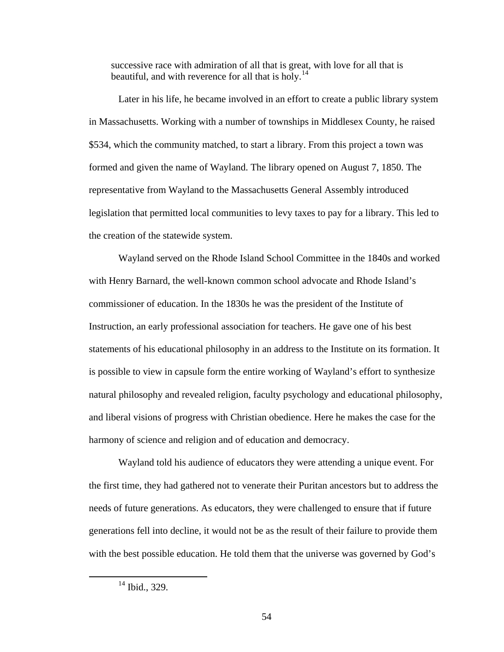successive race with admiration of all that is great, with love for all that is beautiful, and with reverence for all that is holy.<sup>[14](#page-61-0)</sup>

Later in his life, he became involved in an effort to create a public library system in Massachusetts. Working with a number of townships in Middlesex County, he raised \$534, which the community matched, to start a library. From this project a town was formed and given the name of Wayland. The library opened on August 7, 1850. The representative from Wayland to the Massachusetts General Assembly introduced legislation that permitted local communities to levy taxes to pay for a library. This led to the creation of the statewide system.

Wayland served on the Rhode Island School Committee in the 1840s and worked with Henry Barnard, the well-known common school advocate and Rhode Island's commissioner of education. In the 1830s he was the president of the Institute of Instruction, an early professional association for teachers. He gave one of his best statements of his educational philosophy in an address to the Institute on its formation. It is possible to view in capsule form the entire working of Wayland's effort to synthesize natural philosophy and revealed religion, faculty psychology and educational philosophy, and liberal visions of progress with Christian obedience. Here he makes the case for the harmony of science and religion and of education and democracy.

Wayland told his audience of educators they were attending a unique event. For the first time, they had gathered not to venerate their Puritan ancestors but to address the needs of future generations. As educators, they were challenged to ensure that if future generations fell into decline, it would not be as the result of their failure to provide them with the best possible education. He told them that the universe was governed by God's

<span id="page-61-0"></span><sup>&</sup>lt;sup>14</sup> Ibid., 329.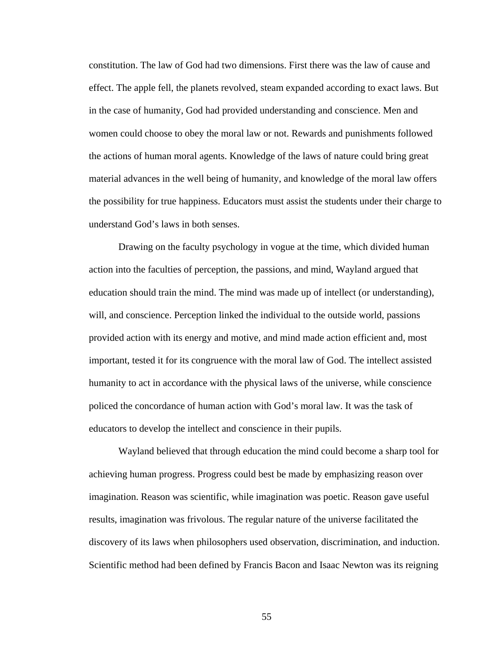constitution. The law of God had two dimensions. First there was the law of cause and effect. The apple fell, the planets revolved, steam expanded according to exact laws. But in the case of humanity, God had provided understanding and conscience. Men and women could choose to obey the moral law or not. Rewards and punishments followed the actions of human moral agents. Knowledge of the laws of nature could bring great material advances in the well being of humanity, and knowledge of the moral law offers the possibility for true happiness. Educators must assist the students under their charge to understand God's laws in both senses.

Drawing on the faculty psychology in vogue at the time, which divided human action into the faculties of perception, the passions, and mind, Wayland argued that education should train the mind. The mind was made up of intellect (or understanding), will, and conscience. Perception linked the individual to the outside world, passions provided action with its energy and motive, and mind made action efficient and, most important, tested it for its congruence with the moral law of God. The intellect assisted humanity to act in accordance with the physical laws of the universe, while conscience policed the concordance of human action with God's moral law. It was the task of educators to develop the intellect and conscience in their pupils.

Wayland believed that through education the mind could become a sharp tool for achieving human progress. Progress could best be made by emphasizing reason over imagination. Reason was scientific, while imagination was poetic. Reason gave useful results, imagination was frivolous. The regular nature of the universe facilitated the discovery of its laws when philosophers used observation, discrimination, and induction. Scientific method had been defined by Francis Bacon and Isaac Newton was its reigning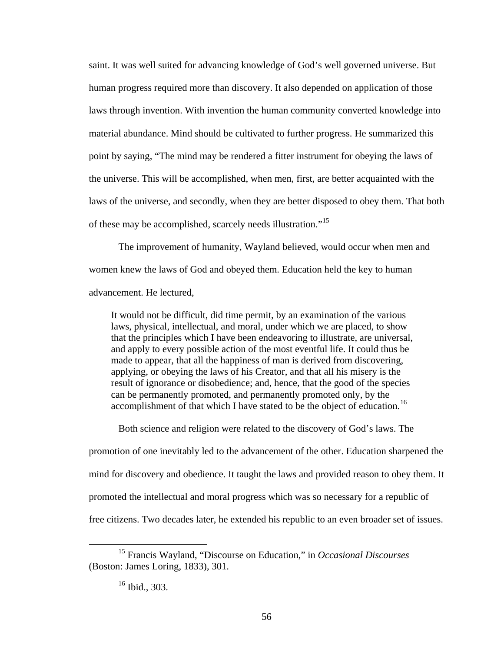saint. It was well suited for advancing knowledge of God's well governed universe. But human progress required more than discovery. It also depended on application of those laws through invention. With invention the human community converted knowledge into material abundance. Mind should be cultivated to further progress. He summarized this point by saying, "The mind may be rendered a fitter instrument for obeying the laws of the universe. This will be accomplished, when men, first, are better acquainted with the laws of the universe, and secondly, when they are better disposed to obey them. That both of these may be accomplished, scarcely needs illustration."<sup>[15](#page-63-0)</sup>

The improvement of humanity, Wayland believed, would occur when men and women knew the laws of God and obeyed them. Education held the key to human advancement. He lectured,

It would not be difficult, did time permit, by an examination of the various laws, physical, intellectual, and moral, under which we are placed, to show that the principles which I have been endeavoring to illustrate, are universal, and apply to every possible action of the most eventful life. It could thus be made to appear, that all the happiness of man is derived from discovering, applying, or obeying the laws of his Creator, and that all his misery is the result of ignorance or disobedience; and, hence, that the good of the species can be permanently promoted, and permanently promoted only, by the accomplishment of that which I have stated to be the object of education.<sup>[16](#page-63-1)</sup>

Both science and religion were related to the discovery of God's laws. The

promotion of one inevitably led to the advancement of the other. Education sharpened the mind for discovery and obedience. It taught the laws and provided reason to obey them. It promoted the intellectual and moral progress which was so necessary for a republic of free citizens. Two decades later, he extended his republic to an even broader set of issues.

<span id="page-63-1"></span><span id="page-63-0"></span> <sup>15</sup> Francis Wayland, "Discourse on Education," in *Occasional Discourses* (Boston: James Loring, 1833), 301.

<sup>16</sup> Ibid., 303.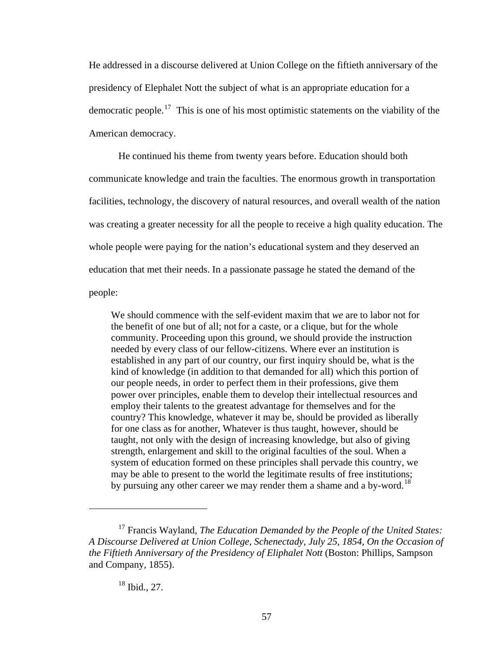He addressed in a discourse delivered at Union College on the fiftieth anniversary of the presidency of Elephalet Nott the subject of what is an appropriate education for a democratic people.<sup>[17](#page-64-0)</sup> This is one of his most optimistic statements on the viability of the American democracy.

He continued his theme from twenty years before. Education should both communicate knowledge and train the faculties. The enormous growth in transportation facilities, technology, the discovery of natural resources, and overall wealth of the nation was creating a greater necessity for all the people to receive a high quality education. The whole people were paying for the nation's educational system and they deserved an education that met their needs. In a passionate passage he stated the demand of the people:

We should commence with the self-evident maxim that *we* are to labor not for the benefit of one but of all; notfor a caste, or a clique, but for the whole community. Proceeding upon this ground, we should provide the instruction needed by every class of our fellow-citizens. Where ever an institution is established in any part of our country, our first inquiry should be, what is the kind of knowledge (in addition to that demanded for all) which this portion of our people needs, in order to perfect them in their professions, give them power over principles, enable them to develop their intellectual resources and employ their talents to the greatest advantage for themselves and for the country? This knowledge, whatever it may be, should be provided as liberally for one class as for another, Whatever is thus taught, however, should be taught, not only with the design of increasing knowledge, but also of giving strength, enlargement and skill to the original faculties of the soul. When a system of education formed on these principles shall pervade this country, we may be able to present to the world the legitimate results of free institutions; by pursuing any other career we may render them a shame and a by-word.<sup>[18](#page-64-1)</sup>

# 18 Ibid., 27.

 $\overline{a}$ 

<span id="page-64-1"></span><span id="page-64-0"></span><sup>17</sup> Francis Wayland, *The Education Demanded by the People of the United States: A Discourse Delivered at Union College, Schenectady, July 25, 1854, On the Occasion of the Fiftieth Anniversary of the Presidency of Eliphalet Nott (Boston: Phillips, Sampson* and Company, 1855).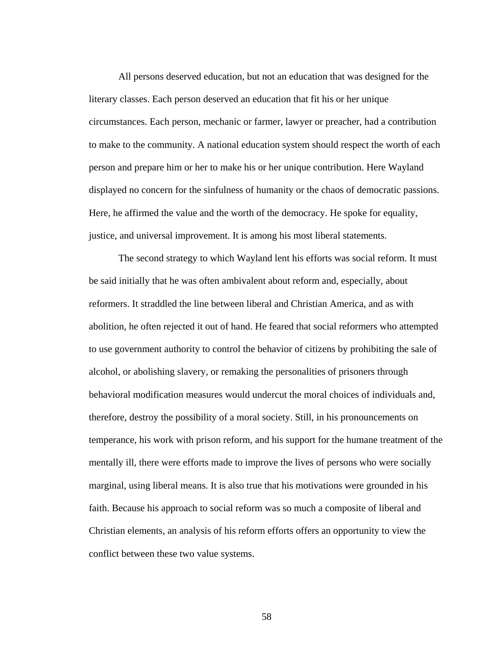All persons deserved education, but not an education that was designed for the literary classes. Each person deserved an education that fit his or her unique circumstances. Each person, mechanic or farmer, lawyer or preacher, had a contribution to make to the community. A national education system should respect the worth of each person and prepare him or her to make his or her unique contribution. Here Wayland displayed no concern for the sinfulness of humanity or the chaos of democratic passions. Here, he affirmed the value and the worth of the democracy. He spoke for equality, justice, and universal improvement. It is among his most liberal statements.

The second strategy to which Wayland lent his efforts was social reform. It must be said initially that he was often ambivalent about reform and, especially, about reformers. It straddled the line between liberal and Christian America, and as with abolition, he often rejected it out of hand. He feared that social reformers who attempted to use government authority to control the behavior of citizens by prohibiting the sale of alcohol, or abolishing slavery, or remaking the personalities of prisoners through behavioral modification measures would undercut the moral choices of individuals and, therefore, destroy the possibility of a moral society. Still, in his pronouncements on temperance, his work with prison reform, and his support for the humane treatment of the mentally ill, there were efforts made to improve the lives of persons who were socially marginal, using liberal means. It is also true that his motivations were grounded in his faith. Because his approach to social reform was so much a composite of liberal and Christian elements, an analysis of his reform efforts offers an opportunity to view the conflict between these two value systems.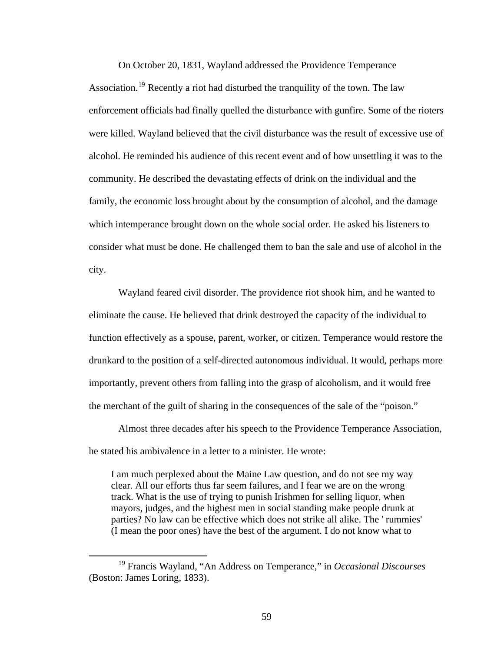On October 20, 1831, Wayland addressed the Providence Temperance Association.<sup>[19](#page-66-0)</sup> Recently a riot had disturbed the tranquility of the town. The law enforcement officials had finally quelled the disturbance with gunfire. Some of the rioters were killed. Wayland believed that the civil disturbance was the result of excessive use of alcohol. He reminded his audience of this recent event and of how unsettling it was to the community. He described the devastating effects of drink on the individual and the family, the economic loss brought about by the consumption of alcohol, and the damage which intemperance brought down on the whole social order. He asked his listeners to consider what must be done. He challenged them to ban the sale and use of alcohol in the city.

Wayland feared civil disorder. The providence riot shook him, and he wanted to eliminate the cause. He believed that drink destroyed the capacity of the individual to function effectively as a spouse, parent, worker, or citizen. Temperance would restore the drunkard to the position of a self-directed autonomous individual. It would, perhaps more importantly, prevent others from falling into the grasp of alcoholism, and it would free the merchant of the guilt of sharing in the consequences of the sale of the "poison."

Almost three decades after his speech to the Providence Temperance Association, he stated his ambivalence in a letter to a minister. He wrote:

I am much perplexed about the Maine Law question, and do not see my way clear. All our efforts thus far seem failures, and I fear we are on the wrong track. What is the use of trying to punish Irishmen for selling liquor, when mayors, judges, and the highest men in social standing make people drunk at parties? No law can be effective which does not strike all alike. The ' rummies' (I mean the poor ones) have the best of the argument. I do not know what to

<span id="page-66-0"></span> <sup>19</sup> Francis Wayland, "An Address on Temperance," in *Occasional Discourses*  (Boston: James Loring, 1833).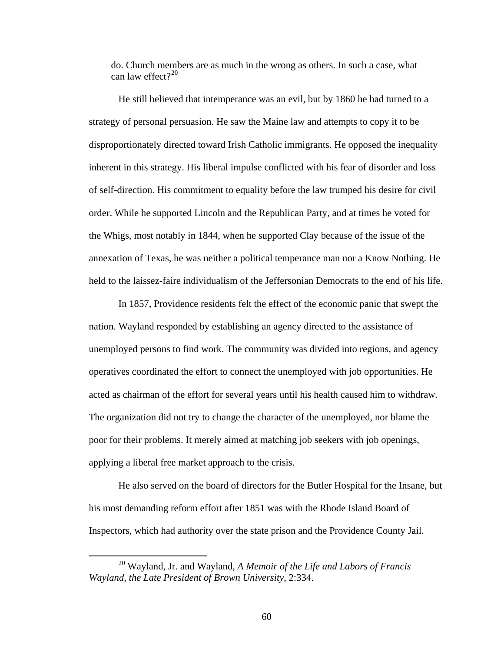do. Church members are as much in the wrong as others. In such a case, what can law effect? $20$ 

He still believed that intemperance was an evil, but by 1860 he had turned to a strategy of personal persuasion. He saw the Maine law and attempts to copy it to be disproportionately directed toward Irish Catholic immigrants. He opposed the inequality inherent in this strategy. His liberal impulse conflicted with his fear of disorder and loss of self-direction. His commitment to equality before the law trumped his desire for civil order. While he supported Lincoln and the Republican Party, and at times he voted for the Whigs, most notably in 1844, when he supported Clay because of the issue of the annexation of Texas, he was neither a political temperance man nor a Know Nothing. He held to the laissez-faire individualism of the Jeffersonian Democrats to the end of his life.

In 1857, Providence residents felt the effect of the economic panic that swept the nation. Wayland responded by establishing an agency directed to the assistance of unemployed persons to find work. The community was divided into regions, and agency operatives coordinated the effort to connect the unemployed with job opportunities. He acted as chairman of the effort for several years until his health caused him to withdraw. The organization did not try to change the character of the unemployed, nor blame the poor for their problems. It merely aimed at matching job seekers with job openings, applying a liberal free market approach to the crisis.

He also served on the board of directors for the Butler Hospital for the Insane, but his most demanding reform effort after 1851 was with the Rhode Island Board of Inspectors, which had authority over the state prison and the Providence County Jail.

<span id="page-67-0"></span> <sup>20</sup> Wayland, Jr. and Wayland, *A Memoir of the Life and Labors of Francis Wayland, the Late President of Brown University*, 2:334.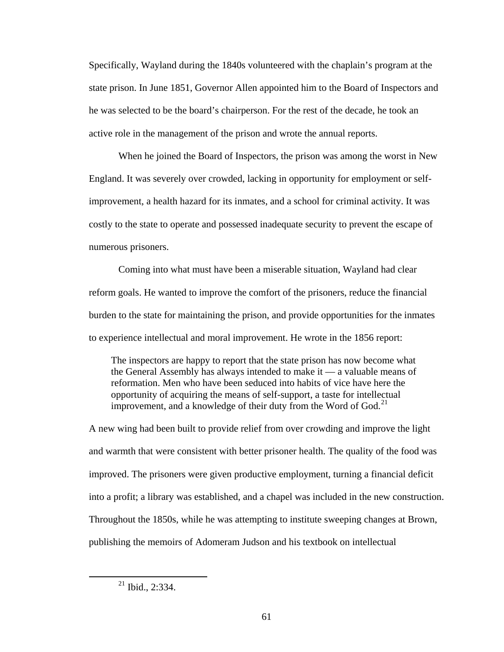Specifically, Wayland during the 1840s volunteered with the chaplain's program at the state prison. In June 1851, Governor Allen appointed him to the Board of Inspectors and he was selected to be the board's chairperson. For the rest of the decade, he took an active role in the management of the prison and wrote the annual reports.

When he joined the Board of Inspectors, the prison was among the worst in New England. It was severely over crowded, lacking in opportunity for employment or selfimprovement, a health hazard for its inmates, and a school for criminal activity. It was costly to the state to operate and possessed inadequate security to prevent the escape of numerous prisoners.

Coming into what must have been a miserable situation, Wayland had clear reform goals. He wanted to improve the comfort of the prisoners, reduce the financial burden to the state for maintaining the prison, and provide opportunities for the inmates to experience intellectual and moral improvement. He wrote in the 1856 report:

The inspectors are happy to report that the state prison has now become what the General Assembly has always intended to make it — a valuable means of reformation. Men who have been seduced into habits of vice have here the opportunity of acquiring the means of self-support, a taste for intellectual improvement, and a knowledge of their duty from the Word of God. $^{21}$  $^{21}$  $^{21}$ 

A new wing had been built to provide relief from over crowding and improve the light and warmth that were consistent with better prisoner health. The quality of the food was improved. The prisoners were given productive employment, turning a financial deficit into a profit; a library was established, and a chapel was included in the new construction. Throughout the 1850s, while he was attempting to institute sweeping changes at Brown, publishing the memoirs of Adomeram Judson and his textbook on intellectual

<span id="page-68-0"></span> $21$  Ibid., 2:334.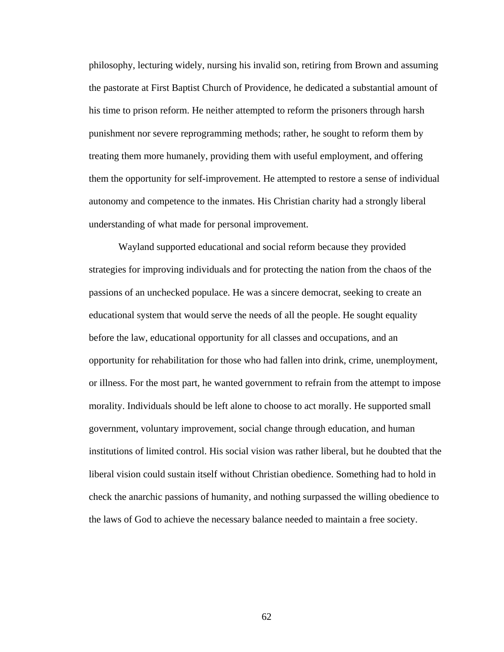philosophy, lecturing widely, nursing his invalid son, retiring from Brown and assuming the pastorate at First Baptist Church of Providence, he dedicated a substantial amount of his time to prison reform. He neither attempted to reform the prisoners through harsh punishment nor severe reprogramming methods; rather, he sought to reform them by treating them more humanely, providing them with useful employment, and offering them the opportunity for self-improvement. He attempted to restore a sense of individual autonomy and competence to the inmates. His Christian charity had a strongly liberal understanding of what made for personal improvement.

Wayland supported educational and social reform because they provided strategies for improving individuals and for protecting the nation from the chaos of the passions of an unchecked populace. He was a sincere democrat, seeking to create an educational system that would serve the needs of all the people. He sought equality before the law, educational opportunity for all classes and occupations, and an opportunity for rehabilitation for those who had fallen into drink, crime, unemployment, or illness. For the most part, he wanted government to refrain from the attempt to impose morality. Individuals should be left alone to choose to act morally. He supported small government, voluntary improvement, social change through education, and human institutions of limited control. His social vision was rather liberal, but he doubted that the liberal vision could sustain itself without Christian obedience. Something had to hold in check the anarchic passions of humanity, and nothing surpassed the willing obedience to the laws of God to achieve the necessary balance needed to maintain a free society.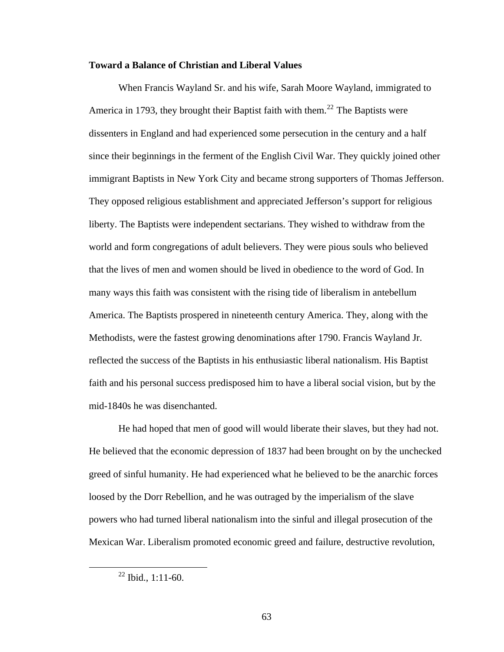#### **Toward a Balance of Christian and Liberal Values**

When Francis Wayland Sr. and his wife, Sarah Moore Wayland, immigrated to America in 1793, they brought their Baptist faith with them.<sup>[22](#page-70-0)</sup> The Baptists were dissenters in England and had experienced some persecution in the century and a half since their beginnings in the ferment of the English Civil War. They quickly joined other immigrant Baptists in New York City and became strong supporters of Thomas Jefferson. They opposed religious establishment and appreciated Jefferson's support for religious liberty. The Baptists were independent sectarians. They wished to withdraw from the world and form congregations of adult believers. They were pious souls who believed that the lives of men and women should be lived in obedience to the word of God. In many ways this faith was consistent with the rising tide of liberalism in antebellum America. The Baptists prospered in nineteenth century America. They, along with the Methodists, were the fastest growing denominations after 1790. Francis Wayland Jr. reflected the success of the Baptists in his enthusiastic liberal nationalism. His Baptist faith and his personal success predisposed him to have a liberal social vision, but by the mid-1840s he was disenchanted.

He had hoped that men of good will would liberate their slaves, but they had not. He believed that the economic depression of 1837 had been brought on by the unchecked greed of sinful humanity. He had experienced what he believed to be the anarchic forces loosed by the Dorr Rebellion, and he was outraged by the imperialism of the slave powers who had turned liberal nationalism into the sinful and illegal prosecution of the Mexican War. Liberalism promoted economic greed and failure, destructive revolution,

<span id="page-70-0"></span> $22$  Ibid., 1:11-60.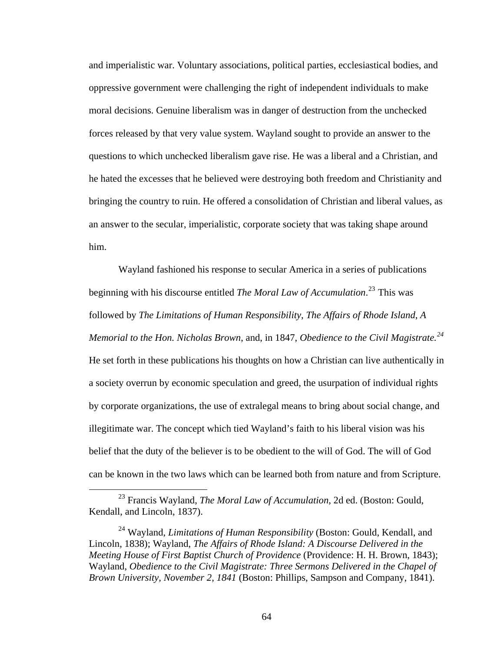and imperialistic war. Voluntary associations, political parties, ecclesiastical bodies, and oppressive government were challenging the right of independent individuals to make moral decisions. Genuine liberalism was in danger of destruction from the unchecked forces released by that very value system. Wayland sought to provide an answer to the questions to which unchecked liberalism gave rise. He was a liberal and a Christian, and he hated the excesses that he believed were destroying both freedom and Christianity and bringing the country to ruin. He offered a consolidation of Christian and liberal values, as an answer to the secular, imperialistic, corporate society that was taking shape around him.

Wayland fashioned his response to secular America in a series of publications beginning with his discourse entitled *The Moral Law of Accumulation*. [23](#page-71-0) This was followed by *The Limitations of Human Responsibility*, *The Affairs of Rhode Island*, *A Memorial to the Hon. Nicholas Brown*, and, in 1847, *Obedience to the Civil Magistrate.[24](#page-71-1)* He set forth in these publications his thoughts on how a Christian can live authentically in a society overrun by economic speculation and greed, the usurpation of individual rights by corporate organizations, the use of extralegal means to bring about social change, and illegitimate war. The concept which tied Wayland's faith to his liberal vision was his belief that the duty of the believer is to be obedient to the will of God. The will of God can be known in the two laws which can be learned both from nature and from Scripture.

<span id="page-71-0"></span> <sup>23</sup> Francis Wayland, *The Moral Law of Accumulation*, 2d ed. (Boston: Gould, Kendall, and Lincoln, 1837).

<span id="page-71-1"></span><sup>&</sup>lt;sup>24</sup> Wayland, *Limitations of Human Responsibility* (Boston: Gould, Kendall, and Lincoln, 1838); Wayland, *The Affairs of Rhode Island: A Discourse Delivered in the Meeting House of First Baptist Church of Providence* (Providence: H. H. Brown, 1843); Wayland, *Obedience to the Civil Magistrate: Three Sermons Delivered in the Chapel of Brown University, November 2, 1841* (Boston: Phillips, Sampson and Company, 1841).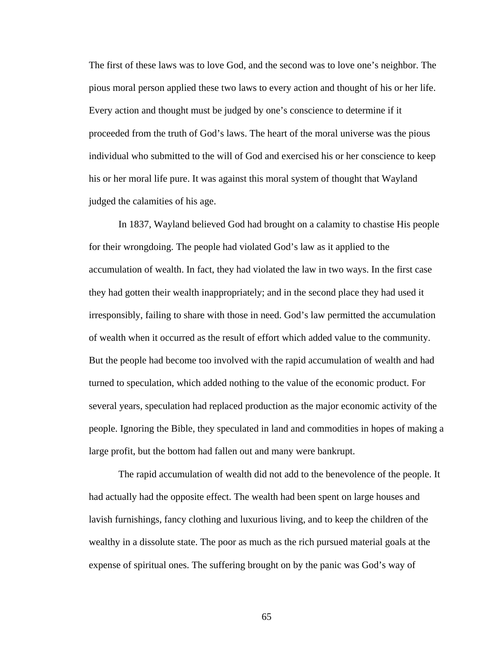The first of these laws was to love God, and the second was to love one's neighbor. The pious moral person applied these two laws to every action and thought of his or her life. Every action and thought must be judged by one's conscience to determine if it proceeded from the truth of God's laws. The heart of the moral universe was the pious individual who submitted to the will of God and exercised his or her conscience to keep his or her moral life pure. It was against this moral system of thought that Wayland judged the calamities of his age.

In 1837, Wayland believed God had brought on a calamity to chastise His people for their wrongdoing. The people had violated God's law as it applied to the accumulation of wealth. In fact, they had violated the law in two ways. In the first case they had gotten their wealth inappropriately; and in the second place they had used it irresponsibly, failing to share with those in need. God's law permitted the accumulation of wealth when it occurred as the result of effort which added value to the community. But the people had become too involved with the rapid accumulation of wealth and had turned to speculation, which added nothing to the value of the economic product. For several years, speculation had replaced production as the major economic activity of the people. Ignoring the Bible, they speculated in land and commodities in hopes of making a large profit, but the bottom had fallen out and many were bankrupt.

The rapid accumulation of wealth did not add to the benevolence of the people. It had actually had the opposite effect. The wealth had been spent on large houses and lavish furnishings, fancy clothing and luxurious living, and to keep the children of the wealthy in a dissolute state. The poor as much as the rich pursued material goals at the expense of spiritual ones. The suffering brought on by the panic was God's way of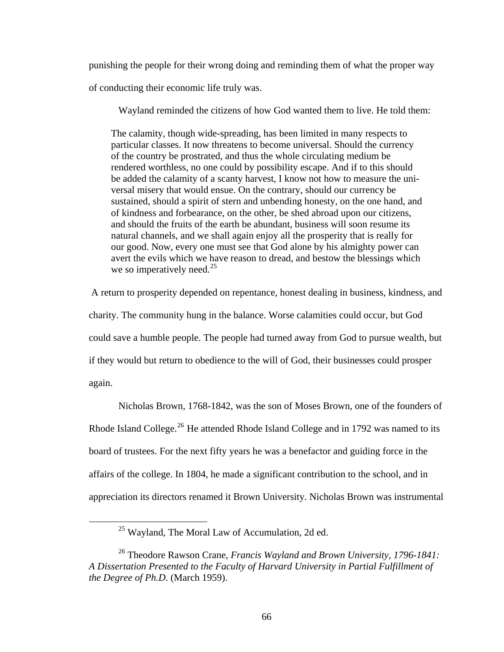punishing the people for their wrong doing and reminding them of what the proper way

of conducting their economic life truly was.

Wayland reminded the citizens of how God wanted them to live. He told them:

The calamity, though wide-spreading, has been limited in many respects to particular classes. It now threatens to become universal. Should the currency of the country be prostrated, and thus the whole circulating medium be rendered worthless, no one could by possibility escape. And if to this should be added the calamity of a scanty harvest, I know not how to measure the universal misery that would ensue. On the contrary, should our currency be sustained, should a spirit of stern and unbending honesty, on the one hand, and of kindness and forbearance, on the other, be shed abroad upon our citizens, and should the fruits of the earth be abundant, business will soon resume its natural channels, and we shall again enjoy all the prosperity that is really for our good. Now, every one must see that God alone by his almighty power can avert the evils which we have reason to dread, and bestow the blessings which we so imperatively need. $^{25}$  $^{25}$  $^{25}$ 

 A return to prosperity depended on repentance, honest dealing in business, kindness, and charity. The community hung in the balance. Worse calamities could occur, but God could save a humble people. The people had turned away from God to pursue wealth, but if they would but return to obedience to the will of God, their businesses could prosper again.

Nicholas Brown, 1768-1842, was the son of Moses Brown, one of the founders of Rhode Island College.<sup>[26](#page-73-1)</sup> He attended Rhode Island College and in 1792 was named to its board of trustees. For the next fifty years he was a benefactor and guiding force in the affairs of the college. In 1804, he made a significant contribution to the school, and in appreciation its directors renamed it Brown University. Nicholas Brown was instrumental

<span id="page-73-0"></span><u>.</u>

25 Wayland, The Moral Law of Accumulation, 2d ed.

<span id="page-73-1"></span><sup>26</sup> Theodore Rawson Crane, *Francis Wayland and Brown University, 1796-1841: A Dissertation Presented to the Faculty of Harvard University in Partial Fulfillment of the Degree of Ph.D.* (March 1959).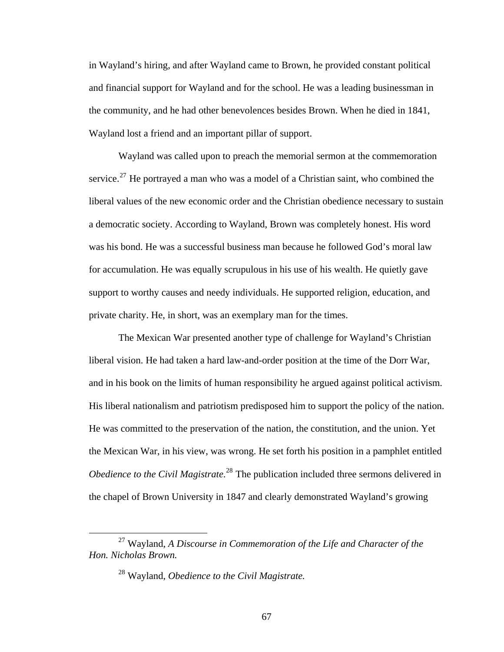in Wayland's hiring, and after Wayland came to Brown, he provided constant political and financial support for Wayland and for the school. He was a leading businessman in the community, and he had other benevolences besides Brown. When he died in 1841, Wayland lost a friend and an important pillar of support.

Wayland was called upon to preach the memorial sermon at the commemoration service.<sup>[27](#page-74-0)</sup> He portrayed a man who was a model of a Christian saint, who combined the liberal values of the new economic order and the Christian obedience necessary to sustain a democratic society. According to Wayland, Brown was completely honest. His word was his bond. He was a successful business man because he followed God's moral law for accumulation. He was equally scrupulous in his use of his wealth. He quietly gave support to worthy causes and needy individuals. He supported religion, education, and private charity. He, in short, was an exemplary man for the times.

The Mexican War presented another type of challenge for Wayland's Christian liberal vision. He had taken a hard law-and-order position at the time of the Dorr War, and in his book on the limits of human responsibility he argued against political activism. His liberal nationalism and patriotism predisposed him to support the policy of the nation. He was committed to the preservation of the nation, the constitution, and the union. Yet the Mexican War, in his view, was wrong. He set forth his position in a pamphlet entitled *Obedience to the Civil Magistrate.*<sup>[28](#page-74-1)</sup> The publication included three sermons delivered in the chapel of Brown University in 1847 and clearly demonstrated Wayland's growing

<span id="page-74-1"></span><span id="page-74-0"></span> <sup>27</sup> Wayland, *A Discourse in Commemoration of the Life and Character of the Hon. Nicholas Brown.*

<sup>28</sup> Wayland, *Obedience to the Civil Magistrate.*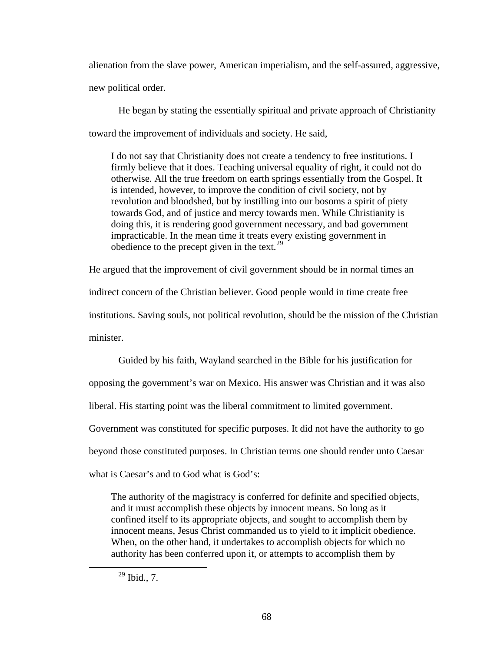alienation from the slave power, American imperialism, and the self-assured, aggressive, new political order.

He began by stating the essentially spiritual and private approach of Christianity toward the improvement of individuals and society. He said,

I do not say that Christianity does not create a tendency to free institutions. I firmly believe that it does. Teaching universal equality of right, it could not do otherwise. All the true freedom on earth springs essentially from the Gospel. It is intended, however, to improve the condition of civil society, not by revolution and bloodshed, but by instilling into our bosoms a spirit of piety towards God, and of justice and mercy towards men. While Christianity is doing this, it is rendering good government necessary, and bad government impracticable. In the mean time it treats every existing government in obedience to the precept given in the text. $29$ 

He argued that the improvement of civil government should be in normal times an

indirect concern of the Christian believer. Good people would in time create free

institutions. Saving souls, not political revolution, should be the mission of the Christian minister.

Guided by his faith, Wayland searched in the Bible for his justification for opposing the government's war on Mexico. His answer was Christian and it was also liberal. His starting point was the liberal commitment to limited government. Government was constituted for specific purposes. It did not have the authority to go beyond those constituted purposes. In Christian terms one should render unto Caesar what is Caesar's and to God what is God's:

The authority of the magistracy is conferred for definite and specified objects, and it must accomplish these objects by innocent means. So long as it confined itself to its appropriate objects, and sought to accomplish them by innocent means, Jesus Christ commanded us to yield to it implicit obedience. When, on the other hand, it undertakes to accomplish objects for which no authority has been conferred upon it, or attempts to accomplish them by

<span id="page-75-0"></span> $^{29}$  Ibid., 7.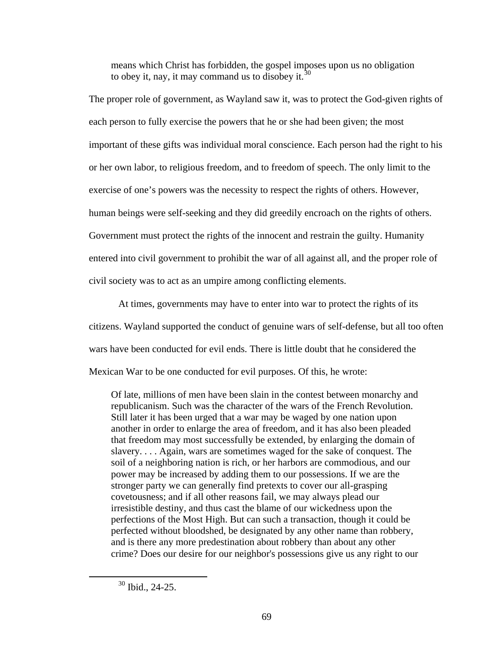means which Christ has forbidden, the gospel imposes upon us no obligation to obey it, nay, it may command us to disobey it.<sup>[30](#page-76-0)</sup>

The proper role of government, as Wayland saw it, was to protect the God-given rights of each person to fully exercise the powers that he or she had been given; the most important of these gifts was individual moral conscience. Each person had the right to his or her own labor, to religious freedom, and to freedom of speech. The only limit to the exercise of one's powers was the necessity to respect the rights of others. However, human beings were self-seeking and they did greedily encroach on the rights of others. Government must protect the rights of the innocent and restrain the guilty. Humanity entered into civil government to prohibit the war of all against all, and the proper role of civil society was to act as an umpire among conflicting elements.

At times, governments may have to enter into war to protect the rights of its citizens. Wayland supported the conduct of genuine wars of self-defense, but all too often wars have been conducted for evil ends. There is little doubt that he considered the Mexican War to be one conducted for evil purposes. Of this, he wrote:

Of late, millions of men have been slain in the contest between monarchy and republicanism. Such was the character of the wars of the French Revolution. Still later it has been urged that a war may be waged by one nation upon another in order to enlarge the area of freedom, and it has also been pleaded that freedom may most successfully be extended, by enlarging the domain of slavery. . . . Again, wars are sometimes waged for the sake of conquest. The soil of a neighboring nation is rich, or her harbors are commodious, and our power may be increased by adding them to our possessions. If we are the stronger party we can generally find pretexts to cover our all-grasping covetousness; and if all other reasons fail, we may always plead our irresistible destiny, and thus cast the blame of our wickedness upon the perfections of the Most High. But can such a transaction, though it could be perfected without bloodshed, be designated by any other name than robbery, and is there any more predestination about robbery than about any other crime? Does our desire for our neighbor's possessions give us any right to our

<span id="page-76-0"></span> <sup>30</sup> Ibid., 24-25.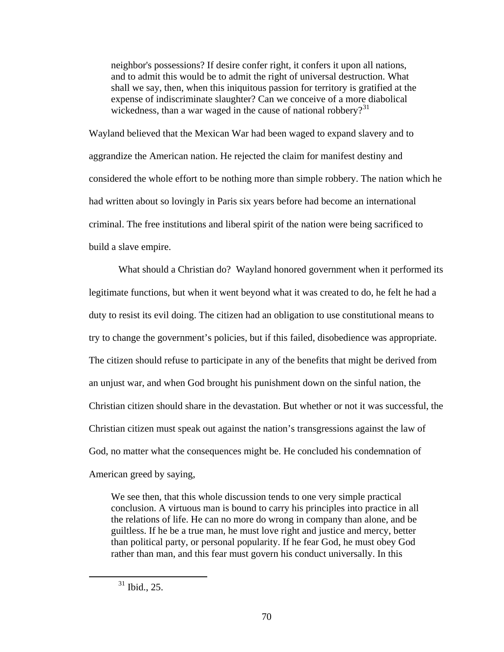neighbor's possessions? If desire confer right, it confers it upon all nations, and to admit this would be to admit the right of universal destruction. What shall we say, then, when this iniquitous passion for territory is gratified at the expense of indiscriminate slaughter? Can we conceive of a more diabolical wickedness, than a war waged in the cause of national robbery?<sup>[31](#page-77-0)</sup>

Wayland believed that the Mexican War had been waged to expand slavery and to aggrandize the American nation. He rejected the claim for manifest destiny and considered the whole effort to be nothing more than simple robbery. The nation which he had written about so lovingly in Paris six years before had become an international criminal. The free institutions and liberal spirit of the nation were being sacrificed to build a slave empire.

What should a Christian do? Wayland honored government when it performed its legitimate functions, but when it went beyond what it was created to do, he felt he had a duty to resist its evil doing. The citizen had an obligation to use constitutional means to try to change the government's policies, but if this failed, disobedience was appropriate. The citizen should refuse to participate in any of the benefits that might be derived from an unjust war, and when God brought his punishment down on the sinful nation, the Christian citizen should share in the devastation. But whether or not it was successful, the Christian citizen must speak out against the nation's transgressions against the law of God, no matter what the consequences might be. He concluded his condemnation of American greed by saying,

We see then, that this whole discussion tends to one very simple practical conclusion. A virtuous man is bound to carry his principles into practice in all the relations of life. He can no more do wrong in company than alone, and be guiltless. If he be a true man, he must love right and justice and mercy, better than political party, or personal popularity. If he fear God, he must obey God rather than man, and this fear must govern his conduct universally. In this

<span id="page-77-0"></span> $31$  Ibid., 25.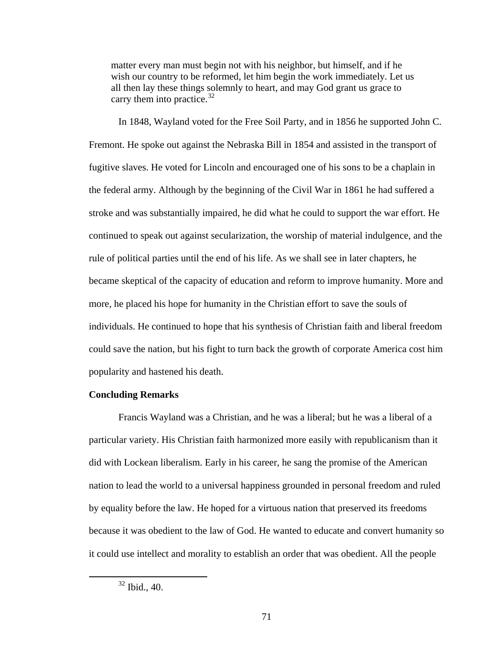matter every man must begin not with his neighbor, but himself, and if he wish our country to be reformed, let him begin the work immediately. Let us all then lay these things solemnly to heart, and may God grant us grace to carry them into practice. $32$ 

In 1848, Wayland voted for the Free Soil Party, and in 1856 he supported John C. Fremont. He spoke out against the Nebraska Bill in 1854 and assisted in the transport of fugitive slaves. He voted for Lincoln and encouraged one of his sons to be a chaplain in the federal army. Although by the beginning of the Civil War in 1861 he had suffered a stroke and was substantially impaired, he did what he could to support the war effort. He continued to speak out against secularization, the worship of material indulgence, and the rule of political parties until the end of his life. As we shall see in later chapters, he became skeptical of the capacity of education and reform to improve humanity. More and more, he placed his hope for humanity in the Christian effort to save the souls of individuals. He continued to hope that his synthesis of Christian faith and liberal freedom could save the nation, but his fight to turn back the growth of corporate America cost him popularity and hastened his death.

## **Concluding Remarks**

Francis Wayland was a Christian, and he was a liberal; but he was a liberal of a particular variety. His Christian faith harmonized more easily with republicanism than it did with Lockean liberalism. Early in his career, he sang the promise of the American nation to lead the world to a universal happiness grounded in personal freedom and ruled by equality before the law. He hoped for a virtuous nation that preserved its freedoms because it was obedient to the law of God. He wanted to educate and convert humanity so it could use intellect and morality to establish an order that was obedient. All the people

<span id="page-78-0"></span> $32$  Ibid., 40.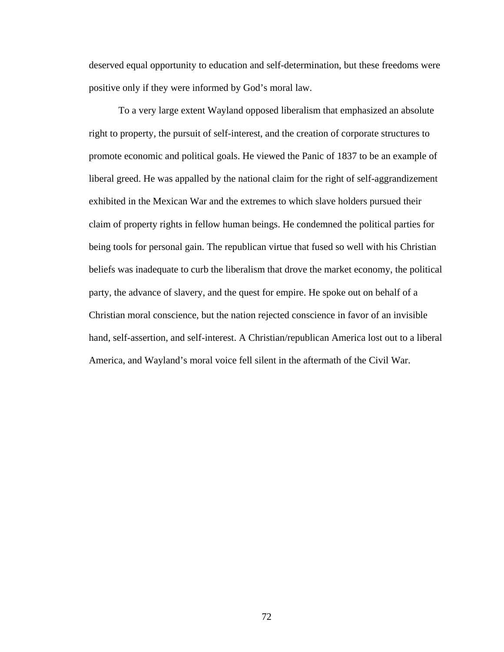deserved equal opportunity to education and self-determination, but these freedoms were positive only if they were informed by God's moral law.

To a very large extent Wayland opposed liberalism that emphasized an absolute right to property, the pursuit of self-interest, and the creation of corporate structures to promote economic and political goals. He viewed the Panic of 1837 to be an example of liberal greed. He was appalled by the national claim for the right of self-aggrandizement exhibited in the Mexican War and the extremes to which slave holders pursued their claim of property rights in fellow human beings. He condemned the political parties for being tools for personal gain. The republican virtue that fused so well with his Christian beliefs was inadequate to curb the liberalism that drove the market economy, the political party, the advance of slavery, and the quest for empire. He spoke out on behalf of a Christian moral conscience, but the nation rejected conscience in favor of an invisible hand, self-assertion, and self-interest. A Christian/republican America lost out to a liberal America, and Wayland's moral voice fell silent in the aftermath of the Civil War.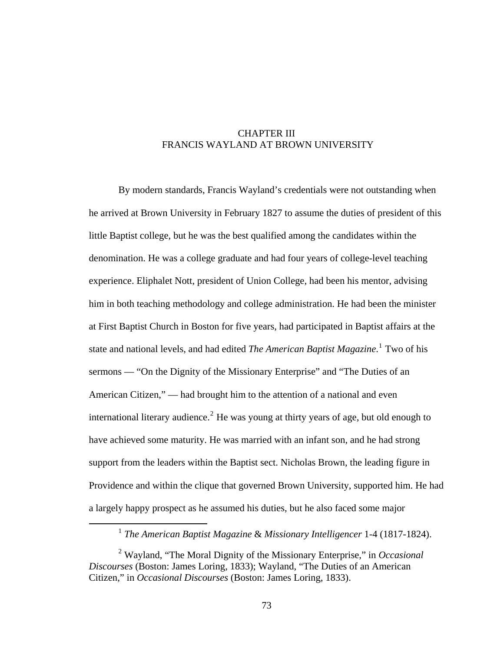# CHAPTER III FRANCIS WAYLAND AT BROWN UNIVERSITY

By modern standards, Francis Wayland's credentials were not outstanding when he arrived at Brown University in February 1827 to assume the duties of president of this little Baptist college, but he was the best qualified among the candidates within the denomination. He was a college graduate and had four years of college-level teaching experience. Eliphalet Nott, president of Union College, had been his mentor, advising him in both teaching methodology and college administration. He had been the minister at First Baptist Church in Boston for five years, had participated in Baptist affairs at the state and national levels, and had edited *The American Baptist Magazine*. [1](#page-80-0) Two of his sermons — "On the Dignity of the Missionary Enterprise" and "The Duties of an American Citizen," — had brought him to the attention of a national and even international literary audience.<sup>[2](#page-80-1)</sup> He was young at thirty years of age, but old enough to have achieved some maturity. He was married with an infant son, and he had strong support from the leaders within the Baptist sect. Nicholas Brown, the leading figure in Providence and within the clique that governed Brown University, supported him. He had a largely happy prospect as he assumed his duties, but he also faced some major

 <sup>1</sup> *The American Baptist Magazine* & *Missionary Intelligencer* 1-4 (1817-1824).

<span id="page-80-1"></span><span id="page-80-0"></span><sup>2</sup> Wayland, "The Moral Dignity of the Missionary Enterprise," in *Occasional Discourses* (Boston: James Loring, 1833); Wayland, "The Duties of an American Citizen," in *Occasional Discourses* (Boston: James Loring, 1833).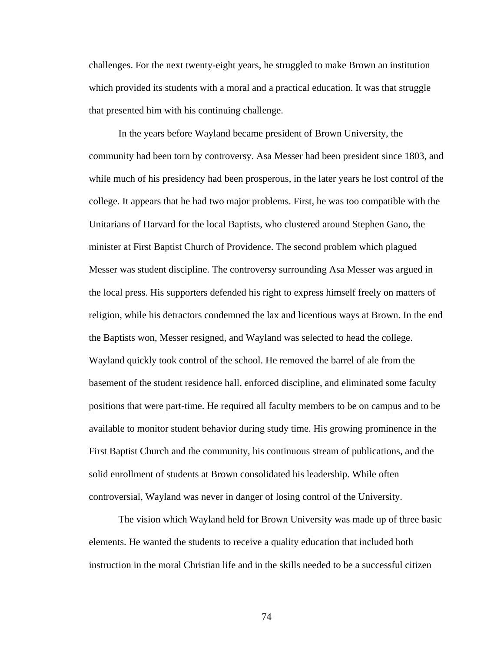challenges. For the next twenty-eight years, he struggled to make Brown an institution which provided its students with a moral and a practical education. It was that struggle that presented him with his continuing challenge.

In the years before Wayland became president of Brown University, the community had been torn by controversy. Asa Messer had been president since 1803, and while much of his presidency had been prosperous, in the later years he lost control of the college. It appears that he had two major problems. First, he was too compatible with the Unitarians of Harvard for the local Baptists, who clustered around Stephen Gano, the minister at First Baptist Church of Providence. The second problem which plagued Messer was student discipline. The controversy surrounding Asa Messer was argued in the local press. His supporters defended his right to express himself freely on matters of religion, while his detractors condemned the lax and licentious ways at Brown. In the end the Baptists won, Messer resigned, and Wayland was selected to head the college. Wayland quickly took control of the school. He removed the barrel of ale from the basement of the student residence hall, enforced discipline, and eliminated some faculty positions that were part-time. He required all faculty members to be on campus and to be available to monitor student behavior during study time. His growing prominence in the First Baptist Church and the community, his continuous stream of publications, and the solid enrollment of students at Brown consolidated his leadership. While often controversial, Wayland was never in danger of losing control of the University.

The vision which Wayland held for Brown University was made up of three basic elements. He wanted the students to receive a quality education that included both instruction in the moral Christian life and in the skills needed to be a successful citizen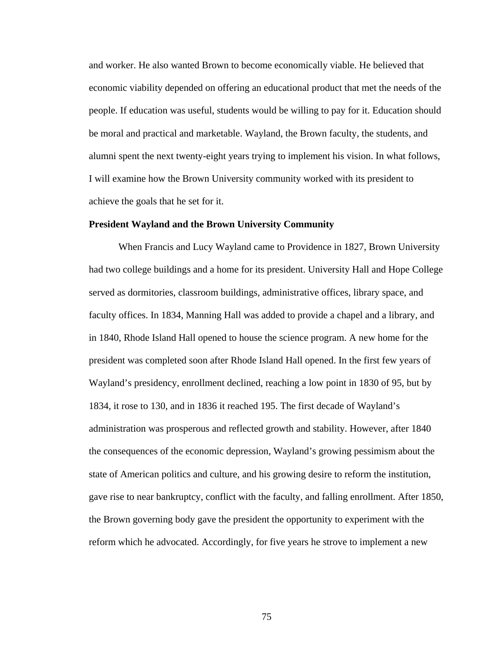and worker. He also wanted Brown to become economically viable. He believed that economic viability depended on offering an educational product that met the needs of the people. If education was useful, students would be willing to pay for it. Education should be moral and practical and marketable. Wayland, the Brown faculty, the students, and alumni spent the next twenty-eight years trying to implement his vision. In what follows, I will examine how the Brown University community worked with its president to achieve the goals that he set for it.

#### **President Wayland and the Brown University Community**

When Francis and Lucy Wayland came to Providence in 1827, Brown University had two college buildings and a home for its president. University Hall and Hope College served as dormitories, classroom buildings, administrative offices, library space, and faculty offices. In 1834, Manning Hall was added to provide a chapel and a library, and in 1840, Rhode Island Hall opened to house the science program. A new home for the president was completed soon after Rhode Island Hall opened. In the first few years of Wayland's presidency, enrollment declined, reaching a low point in 1830 of 95, but by 1834, it rose to 130, and in 1836 it reached 195. The first decade of Wayland's administration was prosperous and reflected growth and stability. However, after 1840 the consequences of the economic depression, Wayland's growing pessimism about the state of American politics and culture, and his growing desire to reform the institution, gave rise to near bankruptcy, conflict with the faculty, and falling enrollment. After 1850, the Brown governing body gave the president the opportunity to experiment with the reform which he advocated. Accordingly, for five years he strove to implement a new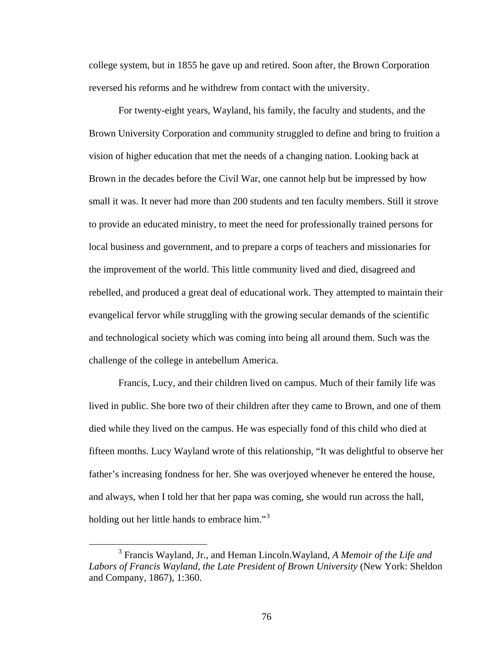college system, but in 1855 he gave up and retired. Soon after, the Brown Corporation reversed his reforms and he withdrew from contact with the university.

For twenty-eight years, Wayland, his family, the faculty and students, and the Brown University Corporation and community struggled to define and bring to fruition a vision of higher education that met the needs of a changing nation. Looking back at Brown in the decades before the Civil War, one cannot help but be impressed by how small it was. It never had more than 200 students and ten faculty members. Still it strove to provide an educated ministry, to meet the need for professionally trained persons for local business and government, and to prepare a corps of teachers and missionaries for the improvement of the world. This little community lived and died, disagreed and rebelled, and produced a great deal of educational work. They attempted to maintain their evangelical fervor while struggling with the growing secular demands of the scientific and technological society which was coming into being all around them. Such was the challenge of the college in antebellum America.

Francis, Lucy, and their children lived on campus. Much of their family life was lived in public. She bore two of their children after they came to Brown, and one of them died while they lived on the campus. He was especially fond of this child who died at fifteen months. Lucy Wayland wrote of this relationship, "It was delightful to observe her father's increasing fondness for her. She was overjoyed whenever he entered the house, and always, when I told her that her papa was coming, she would run across the hall, holding out her little hands to embrace him."<sup>[3](#page-83-0)</sup>

<span id="page-83-0"></span> $\frac{1}{3}$  Francis Wayland, Jr., and Heman Lincoln.Wayland, *A Memoir of the Life and Labors of Francis Wayland, the Late President of Brown University* (New York: Sheldon and Company, 1867), 1:360.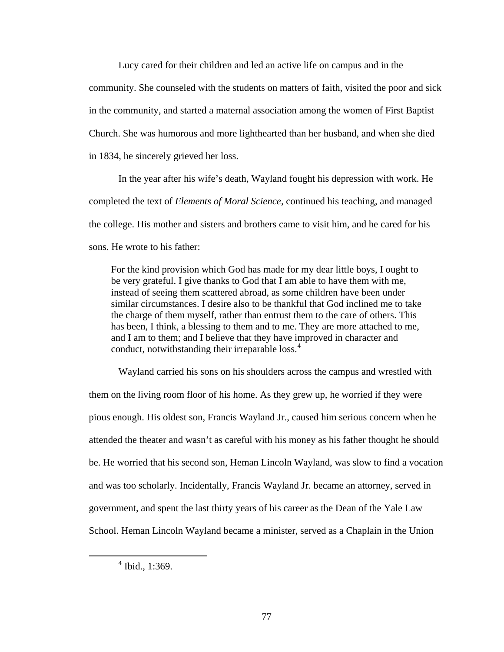Lucy cared for their children and led an active life on campus and in the community. She counseled with the students on matters of faith, visited the poor and sick in the community, and started a maternal association among the women of First Baptist Church. She was humorous and more lighthearted than her husband, and when she died in 1834, he sincerely grieved her loss.

In the year after his wife's death, Wayland fought his depression with work. He completed the text of *Elements of Moral Science,* continued his teaching, and managed the college. His mother and sisters and brothers came to visit him, and he cared for his sons. He wrote to his father:

For the kind provision which God has made for my dear little boys, I ought to be very grateful. I give thanks to God that I am able to have them with me, instead of seeing them scattered abroad, as some children have been under similar circumstances. I desire also to be thankful that God inclined me to take the charge of them myself, rather than entrust them to the care of others. This has been, I think, a blessing to them and to me. They are more attached to me, and I am to them; and I believe that they have improved in character and conduct, notwithstanding their irreparable loss.<sup>[4](#page-84-0)</sup>

Wayland carried his sons on his shoulders across the campus and wrestled with them on the living room floor of his home. As they grew up, he worried if they were pious enough. His oldest son, Francis Wayland Jr., caused him serious concern when he attended the theater and wasn't as careful with his money as his father thought he should be. He worried that his second son, Heman Lincoln Wayland, was slow to find a vocation and was too scholarly. Incidentally, Francis Wayland Jr. became an attorney, served in government, and spent the last thirty years of his career as the Dean of the Yale Law School. Heman Lincoln Wayland became a minister, served as a Chaplain in the Union

<span id="page-84-0"></span> $\overline{4}$  $4$  Ibid., 1:369.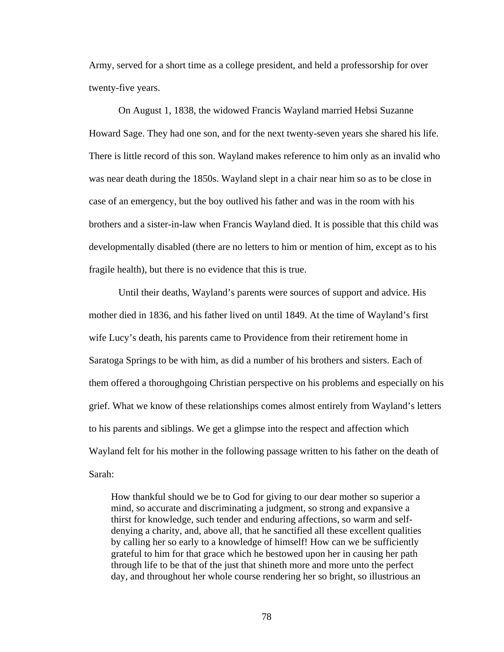Army, served for a short time as a college president, and held a professorship for over twenty-five years.

On August 1, 1838, the widowed Francis Wayland married Hebsi Suzanne Howard Sage. They had one son, and for the next twenty-seven years she shared his life. There is little record of this son. Wayland makes reference to him only as an invalid who was near death during the 1850s. Wayland slept in a chair near him so as to be close in case of an emergency, but the boy outlived his father and was in the room with his brothers and a sister-in-law when Francis Wayland died. It is possible that this child was developmentally disabled (there are no letters to him or mention of him, except as to his fragile health), but there is no evidence that this is true.

Until their deaths, Wayland's parents were sources of support and advice. His mother died in 1836, and his father lived on until 1849. At the time of Wayland's first wife Lucy's death, his parents came to Providence from their retirement home in Saratoga Springs to be with him, as did a number of his brothers and sisters. Each of them offered a thoroughgoing Christian perspective on his problems and especially on his grief. What we know of these relationships comes almost entirely from Wayland's letters to his parents and siblings. We get a glimpse into the respect and affection which Wayland felt for his mother in the following passage written to his father on the death of Sarah:

How thankful should we be to God for giving to our dear mother so superior a mind, so accurate and discriminating a judgment, so strong and expansive a thirst for knowledge, such tender and enduring affections, so warm and selfdenying a charity, and, above all, that he sanctified all these excellent qualities by calling her so early to a knowledge of himself! How can we be sufficiently grateful to him for that grace which he bestowed upon her in causing her path through life to be that of the just that shineth more and more unto the perfect day, and throughout her whole course rendering her so bright, so illustrious an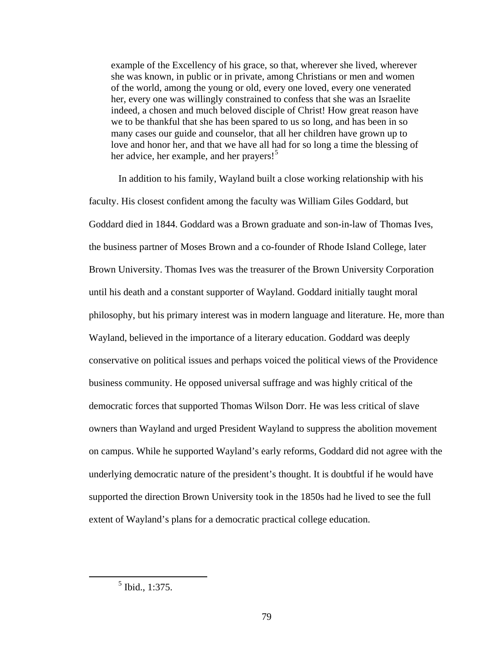example of the Excellency of his grace, so that, wherever she lived, wherever she was known, in public or in private, among Christians or men and women of the world, among the young or old, every one loved, every one venerated her, every one was willingly constrained to confess that she was an Israelite indeed, a chosen and much beloved disciple of Christ! How great reason have we to be thankful that she has been spared to us so long, and has been in so many cases our guide and counselor, that all her children have grown up to love and honor her, and that we have all had for so long a time the blessing of her advice, her example, and her prayers!<sup>[5](#page-86-0)</sup>

In addition to his family, Wayland built a close working relationship with his faculty. His closest confident among the faculty was William Giles Goddard, but Goddard died in 1844. Goddard was a Brown graduate and son-in-law of Thomas Ives, the business partner of Moses Brown and a co-founder of Rhode Island College, later Brown University. Thomas Ives was the treasurer of the Brown University Corporation until his death and a constant supporter of Wayland. Goddard initially taught moral philosophy, but his primary interest was in modern language and literature. He, more than Wayland, believed in the importance of a literary education. Goddard was deeply conservative on political issues and perhaps voiced the political views of the Providence business community. He opposed universal suffrage and was highly critical of the democratic forces that supported Thomas Wilson Dorr. He was less critical of slave owners than Wayland and urged President Wayland to suppress the abolition movement on campus. While he supported Wayland's early reforms, Goddard did not agree with the underlying democratic nature of the president's thought. It is doubtful if he would have supported the direction Brown University took in the 1850s had he lived to see the full extent of Wayland's plans for a democratic practical college education.

<span id="page-86-0"></span> $\frac{1}{5}$  $<sup>5</sup>$  Ibid., 1:375.</sup>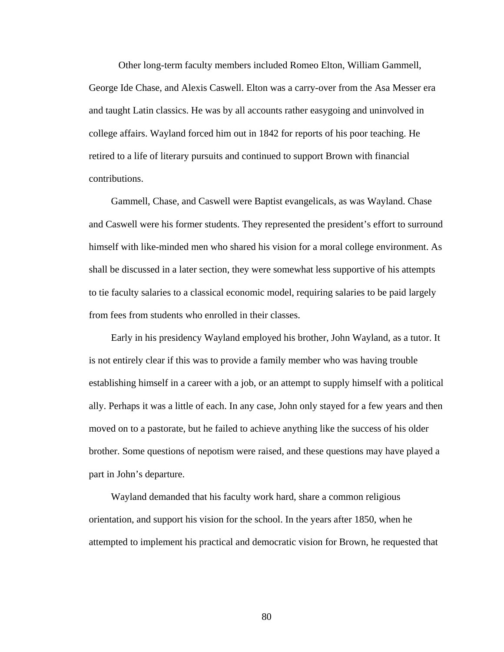Other long-term faculty members included Romeo Elton, William Gammell, George Ide Chase, and Alexis Caswell. Elton was a carry-over from the Asa Messer era and taught Latin classics. He was by all accounts rather easygoing and uninvolved in college affairs. Wayland forced him out in 1842 for reports of his poor teaching. He retired to a life of literary pursuits and continued to support Brown with financial contributions.

Gammell, Chase, and Caswell were Baptist evangelicals, as was Wayland. Chase and Caswell were his former students. They represented the president's effort to surround himself with like-minded men who shared his vision for a moral college environment. As shall be discussed in a later section, they were somewhat less supportive of his attempts to tie faculty salaries to a classical economic model, requiring salaries to be paid largely from fees from students who enrolled in their classes.

Early in his presidency Wayland employed his brother, John Wayland, as a tutor. It is not entirely clear if this was to provide a family member who was having trouble establishing himself in a career with a job, or an attempt to supply himself with a political ally. Perhaps it was a little of each. In any case, John only stayed for a few years and then moved on to a pastorate, but he failed to achieve anything like the success of his older brother. Some questions of nepotism were raised, and these questions may have played a part in John's departure.

Wayland demanded that his faculty work hard, share a common religious orientation, and support his vision for the school. In the years after 1850, when he attempted to implement his practical and democratic vision for Brown, he requested that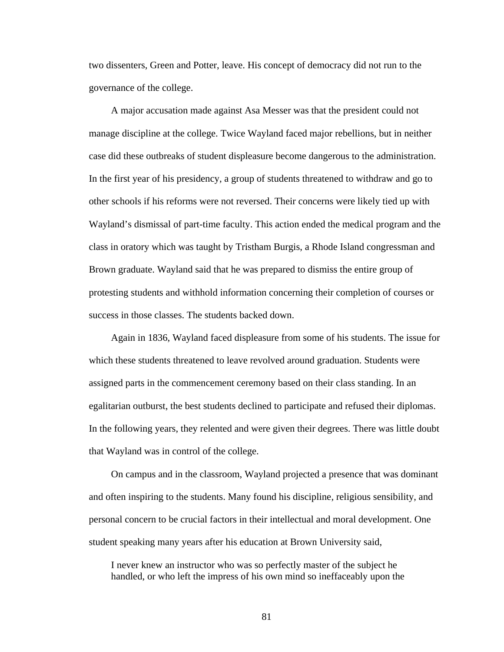two dissenters, Green and Potter, leave. His concept of democracy did not run to the governance of the college.

A major accusation made against Asa Messer was that the president could not manage discipline at the college. Twice Wayland faced major rebellions, but in neither case did these outbreaks of student displeasure become dangerous to the administration. In the first year of his presidency, a group of students threatened to withdraw and go to other schools if his reforms were not reversed. Their concerns were likely tied up with Wayland's dismissal of part-time faculty. This action ended the medical program and the class in oratory which was taught by Tristham Burgis, a Rhode Island congressman and Brown graduate. Wayland said that he was prepared to dismiss the entire group of protesting students and withhold information concerning their completion of courses or success in those classes. The students backed down.

Again in 1836, Wayland faced displeasure from some of his students. The issue for which these students threatened to leave revolved around graduation. Students were assigned parts in the commencement ceremony based on their class standing. In an egalitarian outburst, the best students declined to participate and refused their diplomas. In the following years, they relented and were given their degrees. There was little doubt that Wayland was in control of the college.

On campus and in the classroom, Wayland projected a presence that was dominant and often inspiring to the students. Many found his discipline, religious sensibility, and personal concern to be crucial factors in their intellectual and moral development. One student speaking many years after his education at Brown University said,

I never knew an instructor who was so perfectly master of the subject he handled, or who left the impress of his own mind so ineffaceably upon the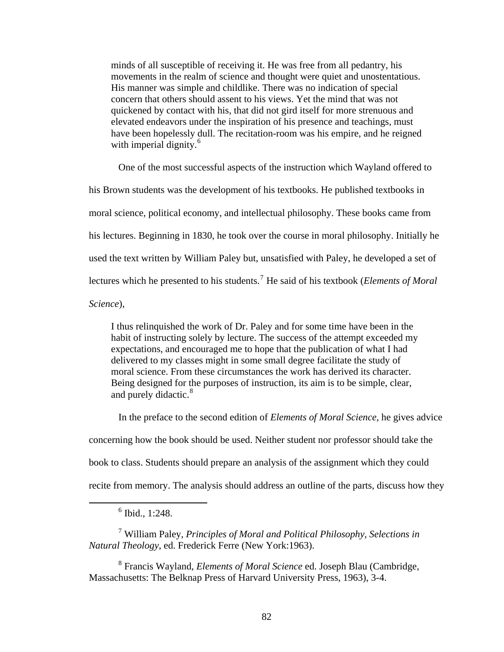minds of all susceptible of receiving it. He was free from all pedantry, his movements in the realm of science and thought were quiet and unostentatious. His manner was simple and childlike. There was no indication of special concern that others should assent to his views. Yet the mind that was not quickened by contact with his, that did not gird itself for more strenuous and elevated endeavors under the inspiration of his presence and teachings, must have been hopelessly dull. The recitation-room was his empire, and he reigned with imperial dignity.<sup>[6](#page-89-0)</sup>

One of the most successful aspects of the instruction which Wayland offered to

his Brown students was the development of his textbooks. He published textbooks in moral science, political economy, and intellectual philosophy. These books came from his lectures. Beginning in 1830, he took over the course in moral philosophy. Initially he used the text written by William Paley but, unsatisfied with Paley, he developed a set of lectures which he presented to his students.<sup>[7](#page-89-1)</sup> He said of his textbook (*Elements of Moral*)

*Science*),

I thus relinquished the work of Dr. Paley and for some time have been in the habit of instructing solely by lecture. The success of the attempt exceeded my expectations, and encouraged me to hope that the publication of what I had delivered to my classes might in some small degree facilitate the study of moral science. From these circumstances the work has derived its character. Being designed for the purposes of instruction, its aim is to be simple, clear, and purely didactic.<sup>[8](#page-89-2)</sup>

In the preface to the second edition of *Elements of Moral Science,* he gives advice concerning how the book should be used. Neither student nor professor should take the book to class. Students should prepare an analysis of the assignment which they could recite from memory. The analysis should address an outline of the parts, discuss how they

<span id="page-89-1"></span>7 William Paley, *Principles of Moral and Political Philosophy, Selections in Natural Theology*, ed. Frederick Ferre (New York:1963).

<span id="page-89-2"></span>8 Francis Wayland, *Elements of Moral Science* ed. Joseph Blau (Cambridge, Massachusetts: The Belknap Press of Harvard University Press, 1963), 3-4.

<span id="page-89-0"></span> <sup>6</sup>  $6$  Ibid., 1:248.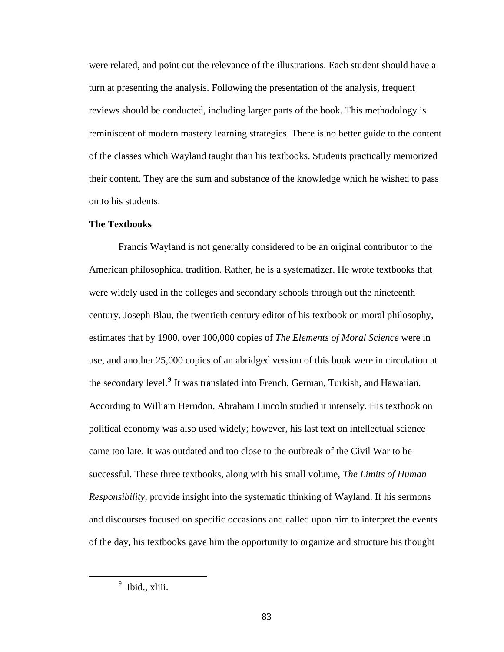were related, and point out the relevance of the illustrations. Each student should have a turn at presenting the analysis. Following the presentation of the analysis, frequent reviews should be conducted, including larger parts of the book. This methodology is reminiscent of modern mastery learning strategies. There is no better guide to the content of the classes which Wayland taught than his textbooks. Students practically memorized their content. They are the sum and substance of the knowledge which he wished to pass on to his students.

## **The Textbooks**

Francis Wayland is not generally considered to be an original contributor to the American philosophical tradition. Rather, he is a systematizer. He wrote textbooks that were widely used in the colleges and secondary schools through out the nineteenth century. Joseph Blau, the twentieth century editor of his textbook on moral philosophy, estimates that by 1900, over 100,000 copies of *The Elements of Moral Science* were in use, and another 25,000 copies of an abridged version of this book were in circulation at the secondary level.<sup>[9](#page-90-0)</sup> It was translated into French, German, Turkish, and Hawaiian. According to William Herndon, Abraham Lincoln studied it intensely. His textbook on political economy was also used widely; however, his last text on intellectual science came too late. It was outdated and too close to the outbreak of the Civil War to be successful. These three textbooks, along with his small volume, *The Limits of Human Responsibility,* provide insight into the systematic thinking of Wayland. If his sermons and discourses focused on specific occasions and called upon him to interpret the events of the day, his textbooks gave him the opportunity to organize and structure his thought

<span id="page-90-0"></span> $\frac{1}{9}$  $<sup>9</sup>$  Ibid., xliii.</sup>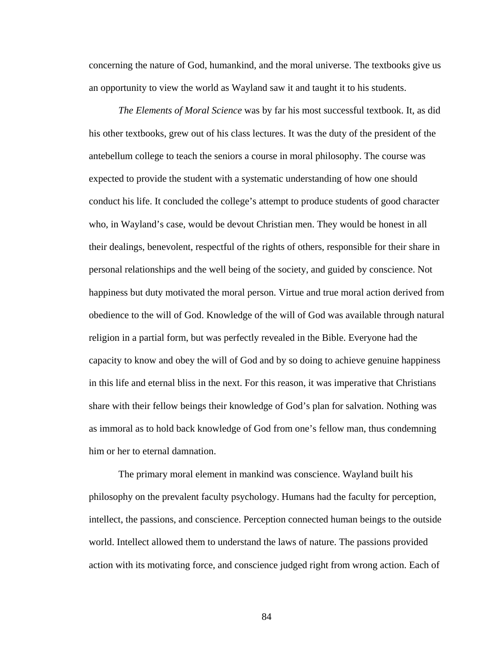concerning the nature of God, humankind, and the moral universe. The textbooks give us an opportunity to view the world as Wayland saw it and taught it to his students.

*The Elements of Moral Science* was by far his most successful textbook. It, as did his other textbooks, grew out of his class lectures. It was the duty of the president of the antebellum college to teach the seniors a course in moral philosophy. The course was expected to provide the student with a systematic understanding of how one should conduct his life. It concluded the college's attempt to produce students of good character who, in Wayland's case, would be devout Christian men. They would be honest in all their dealings, benevolent, respectful of the rights of others, responsible for their share in personal relationships and the well being of the society, and guided by conscience. Not happiness but duty motivated the moral person. Virtue and true moral action derived from obedience to the will of God. Knowledge of the will of God was available through natural religion in a partial form, but was perfectly revealed in the Bible. Everyone had the capacity to know and obey the will of God and by so doing to achieve genuine happiness in this life and eternal bliss in the next. For this reason, it was imperative that Christians share with their fellow beings their knowledge of God's plan for salvation. Nothing was as immoral as to hold back knowledge of God from one's fellow man, thus condemning him or her to eternal damnation.

The primary moral element in mankind was conscience. Wayland built his philosophy on the prevalent faculty psychology. Humans had the faculty for perception, intellect, the passions, and conscience. Perception connected human beings to the outside world. Intellect allowed them to understand the laws of nature. The passions provided action with its motivating force, and conscience judged right from wrong action. Each of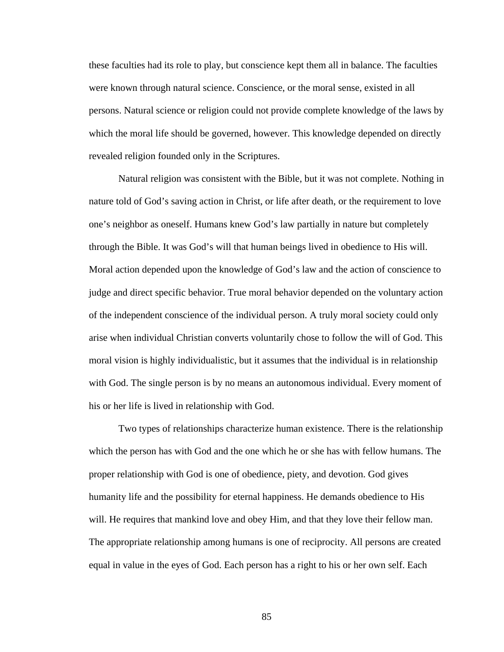these faculties had its role to play, but conscience kept them all in balance. The faculties were known through natural science. Conscience, or the moral sense, existed in all persons. Natural science or religion could not provide complete knowledge of the laws by which the moral life should be governed, however. This knowledge depended on directly revealed religion founded only in the Scriptures.

Natural religion was consistent with the Bible, but it was not complete. Nothing in nature told of God's saving action in Christ, or life after death, or the requirement to love one's neighbor as oneself. Humans knew God's law partially in nature but completely through the Bible. It was God's will that human beings lived in obedience to His will. Moral action depended upon the knowledge of God's law and the action of conscience to judge and direct specific behavior. True moral behavior depended on the voluntary action of the independent conscience of the individual person. A truly moral society could only arise when individual Christian converts voluntarily chose to follow the will of God. This moral vision is highly individualistic, but it assumes that the individual is in relationship with God. The single person is by no means an autonomous individual. Every moment of his or her life is lived in relationship with God.

Two types of relationships characterize human existence. There is the relationship which the person has with God and the one which he or she has with fellow humans. The proper relationship with God is one of obedience, piety, and devotion. God gives humanity life and the possibility for eternal happiness. He demands obedience to His will. He requires that mankind love and obey Him, and that they love their fellow man. The appropriate relationship among humans is one of reciprocity. All persons are created equal in value in the eyes of God. Each person has a right to his or her own self. Each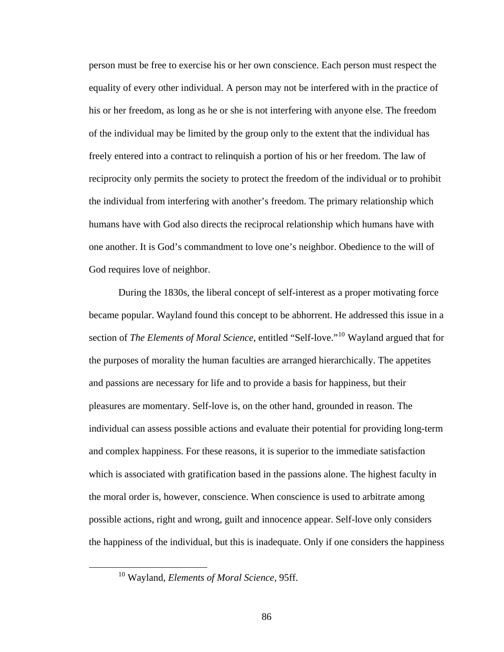person must be free to exercise his or her own conscience. Each person must respect the equality of every other individual. A person may not be interfered with in the practice of his or her freedom, as long as he or she is not interfering with anyone else. The freedom of the individual may be limited by the group only to the extent that the individual has freely entered into a contract to relinquish a portion of his or her freedom. The law of reciprocity only permits the society to protect the freedom of the individual or to prohibit the individual from interfering with another's freedom. The primary relationship which humans have with God also directs the reciprocal relationship which humans have with one another. It is God's commandment to love one's neighbor. Obedience to the will of God requires love of neighbor.

During the 1830s, the liberal concept of self-interest as a proper motivating force became popular. Wayland found this concept to be abhorrent. He addressed this issue in a section of *The Elements of Moral Science*, entitled "Self-love."[10](#page-93-0) Wayland argued that for the purposes of morality the human faculties are arranged hierarchically. The appetites and passions are necessary for life and to provide a basis for happiness, but their pleasures are momentary. Self-love is, on the other hand, grounded in reason. The individual can assess possible actions and evaluate their potential for providing long-term and complex happiness. For these reasons, it is superior to the immediate satisfaction which is associated with gratification based in the passions alone. The highest faculty in the moral order is, however, conscience. When conscience is used to arbitrate among possible actions, right and wrong, guilt and innocence appear. Self-love only considers the happiness of the individual, but this is inadequate. Only if one considers the happiness

<span id="page-93-0"></span> <sup>10</sup> Wayland, *Elements of Moral Science,* 95ff.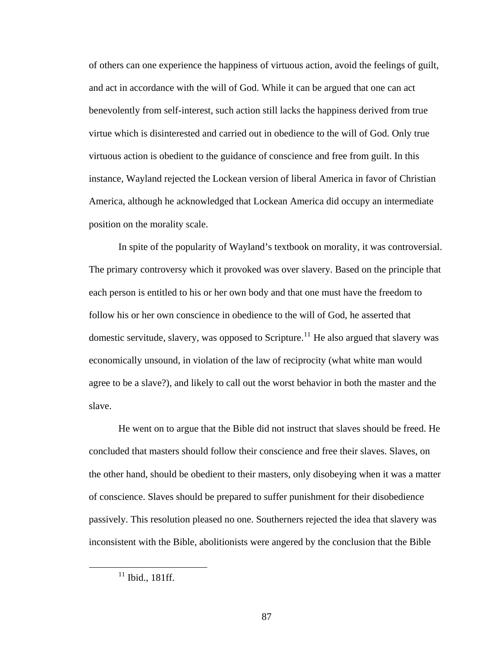of others can one experience the happiness of virtuous action, avoid the feelings of guilt, and act in accordance with the will of God. While it can be argued that one can act benevolently from self-interest, such action still lacks the happiness derived from true virtue which is disinterested and carried out in obedience to the will of God. Only true virtuous action is obedient to the guidance of conscience and free from guilt. In this instance, Wayland rejected the Lockean version of liberal America in favor of Christian America, although he acknowledged that Lockean America did occupy an intermediate position on the morality scale.

In spite of the popularity of Wayland's textbook on morality, it was controversial. The primary controversy which it provoked was over slavery. Based on the principle that each person is entitled to his or her own body and that one must have the freedom to follow his or her own conscience in obedience to the will of God, he asserted that domestic servitude, slavery, was opposed to Scripture.<sup>[11](#page-94-0)</sup> He also argued that slavery was economically unsound, in violation of the law of reciprocity (what white man would agree to be a slave?), and likely to call out the worst behavior in both the master and the slave.

He went on to argue that the Bible did not instruct that slaves should be freed. He concluded that masters should follow their conscience and free their slaves. Slaves, on the other hand, should be obedient to their masters, only disobeying when it was a matter of conscience. Slaves should be prepared to suffer punishment for their disobedience passively. This resolution pleased no one. Southerners rejected the idea that slavery was inconsistent with the Bible, abolitionists were angered by the conclusion that the Bible

<span id="page-94-0"></span> $11$  Ibid., 181ff.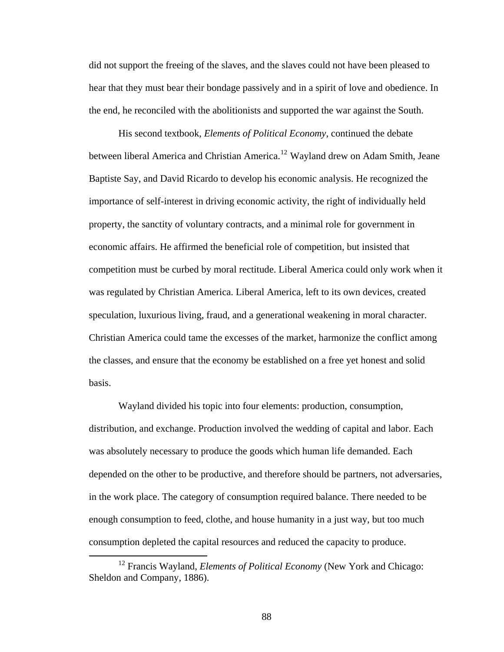did not support the freeing of the slaves, and the slaves could not have been pleased to hear that they must bear their bondage passively and in a spirit of love and obedience. In the end, he reconciled with the abolitionists and supported the war against the South.

His second textbook, *Elements of Political Economy*, continued the debate between liberal America and Christian America.<sup>[12](#page-95-0)</sup> Wayland drew on Adam Smith, Jeane Baptiste Say, and David Ricardo to develop his economic analysis. He recognized the importance of self-interest in driving economic activity, the right of individually held property, the sanctity of voluntary contracts, and a minimal role for government in economic affairs. He affirmed the beneficial role of competition, but insisted that competition must be curbed by moral rectitude. Liberal America could only work when it was regulated by Christian America. Liberal America, left to its own devices, created speculation, luxurious living, fraud, and a generational weakening in moral character. Christian America could tame the excesses of the market, harmonize the conflict among the classes, and ensure that the economy be established on a free yet honest and solid basis.

Wayland divided his topic into four elements: production, consumption, distribution, and exchange. Production involved the wedding of capital and labor. Each was absolutely necessary to produce the goods which human life demanded. Each depended on the other to be productive, and therefore should be partners, not adversaries, in the work place. The category of consumption required balance. There needed to be enough consumption to feed, clothe, and house humanity in a just way, but too much consumption depleted the capital resources and reduced the capacity to produce.

<span id="page-95-0"></span><sup>&</sup>lt;sup>12</sup> Francis Wayland, *Elements of Political Economy* (New York and Chicago: Sheldon and Company, 1886).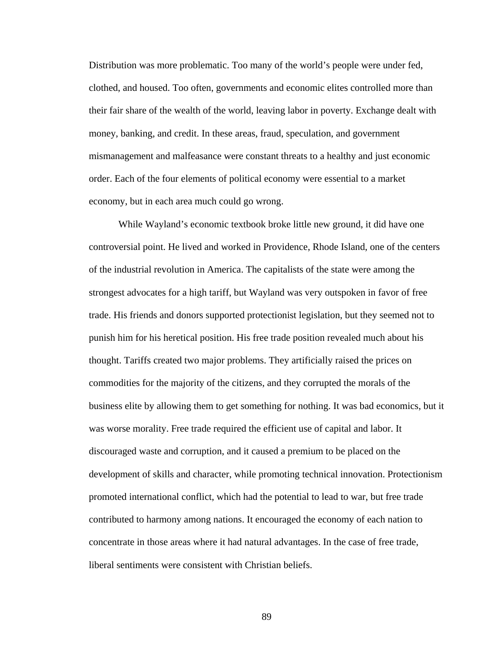Distribution was more problematic. Too many of the world's people were under fed, clothed, and housed. Too often, governments and economic elites controlled more than their fair share of the wealth of the world, leaving labor in poverty. Exchange dealt with money, banking, and credit. In these areas, fraud, speculation, and government mismanagement and malfeasance were constant threats to a healthy and just economic order. Each of the four elements of political economy were essential to a market economy, but in each area much could go wrong.

While Wayland's economic textbook broke little new ground, it did have one controversial point. He lived and worked in Providence, Rhode Island, one of the centers of the industrial revolution in America. The capitalists of the state were among the strongest advocates for a high tariff, but Wayland was very outspoken in favor of free trade. His friends and donors supported protectionist legislation, but they seemed not to punish him for his heretical position. His free trade position revealed much about his thought. Tariffs created two major problems. They artificially raised the prices on commodities for the majority of the citizens, and they corrupted the morals of the business elite by allowing them to get something for nothing. It was bad economics, but it was worse morality. Free trade required the efficient use of capital and labor. It discouraged waste and corruption, and it caused a premium to be placed on the development of skills and character, while promoting technical innovation. Protectionism promoted international conflict, which had the potential to lead to war, but free trade contributed to harmony among nations. It encouraged the economy of each nation to concentrate in those areas where it had natural advantages. In the case of free trade, liberal sentiments were consistent with Christian beliefs.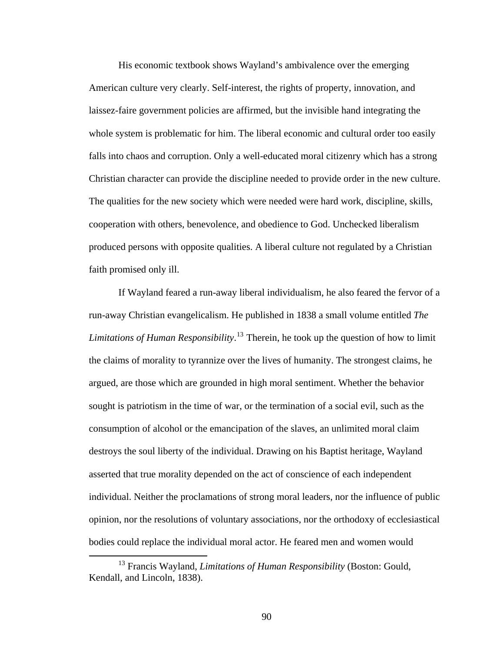His economic textbook shows Wayland's ambivalence over the emerging American culture very clearly. Self-interest, the rights of property, innovation, and laissez-faire government policies are affirmed, but the invisible hand integrating the whole system is problematic for him. The liberal economic and cultural order too easily falls into chaos and corruption. Only a well-educated moral citizenry which has a strong Christian character can provide the discipline needed to provide order in the new culture. The qualities for the new society which were needed were hard work, discipline, skills, cooperation with others, benevolence, and obedience to God. Unchecked liberalism produced persons with opposite qualities. A liberal culture not regulated by a Christian faith promised only ill.

If Wayland feared a run-away liberal individualism, he also feared the fervor of a run-away Christian evangelicalism. He published in 1838 a small volume entitled *The Limitations of Human Responsibility*. [13](#page-97-0) Therein, he took up the question of how to limit the claims of morality to tyrannize over the lives of humanity. The strongest claims, he argued, are those which are grounded in high moral sentiment. Whether the behavior sought is patriotism in the time of war, or the termination of a social evil, such as the consumption of alcohol or the emancipation of the slaves, an unlimited moral claim destroys the soul liberty of the individual. Drawing on his Baptist heritage, Wayland asserted that true morality depended on the act of conscience of each independent individual. Neither the proclamations of strong moral leaders, nor the influence of public opinion, nor the resolutions of voluntary associations, nor the orthodoxy of ecclesiastical bodies could replace the individual moral actor. He feared men and women would

<span id="page-97-0"></span> <sup>13</sup> Francis Wayland, *Limitations of Human Responsibility* (Boston: Gould, Kendall, and Lincoln, 1838).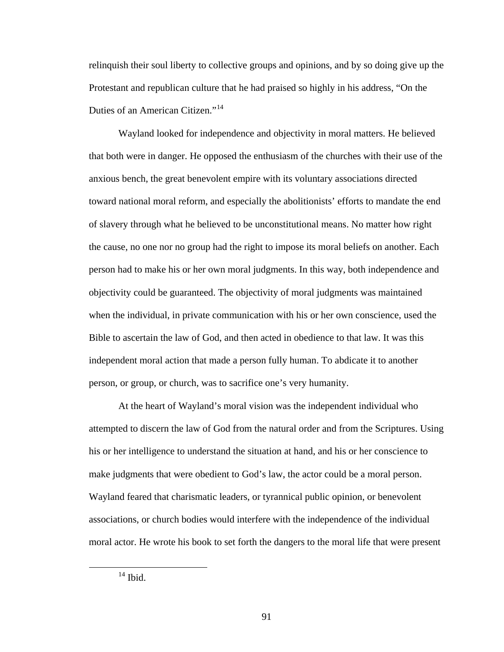relinquish their soul liberty to collective groups and opinions, and by so doing give up the Protestant and republican culture that he had praised so highly in his address, "On the Duties of an American Citizen."<sup>[14](#page-98-0)</sup>

Wayland looked for independence and objectivity in moral matters. He believed that both were in danger. He opposed the enthusiasm of the churches with their use of the anxious bench, the great benevolent empire with its voluntary associations directed toward national moral reform, and especially the abolitionists' efforts to mandate the end of slavery through what he believed to be unconstitutional means. No matter how right the cause, no one nor no group had the right to impose its moral beliefs on another. Each person had to make his or her own moral judgments. In this way, both independence and objectivity could be guaranteed. The objectivity of moral judgments was maintained when the individual, in private communication with his or her own conscience, used the Bible to ascertain the law of God, and then acted in obedience to that law. It was this independent moral action that made a person fully human. To abdicate it to another person, or group, or church, was to sacrifice one's very humanity.

At the heart of Wayland's moral vision was the independent individual who attempted to discern the law of God from the natural order and from the Scriptures. Using his or her intelligence to understand the situation at hand, and his or her conscience to make judgments that were obedient to God's law, the actor could be a moral person. Wayland feared that charismatic leaders, or tyrannical public opinion, or benevolent associations, or church bodies would interfere with the independence of the individual moral actor. He wrote his book to set forth the dangers to the moral life that were present

<span id="page-98-0"></span> $14$  Ibid.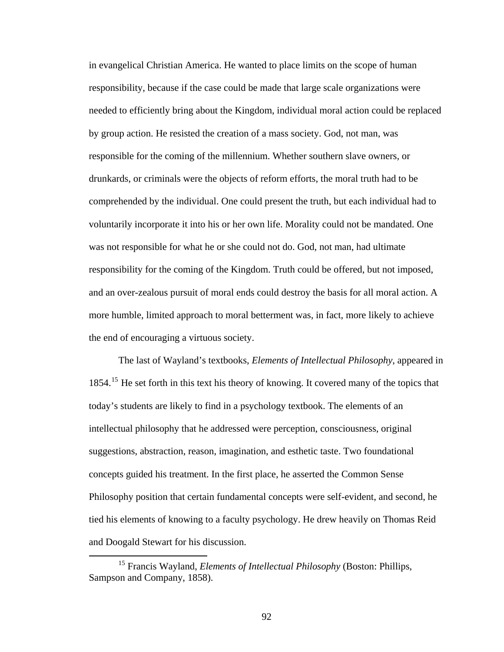in evangelical Christian America. He wanted to place limits on the scope of human responsibility, because if the case could be made that large scale organizations were needed to efficiently bring about the Kingdom, individual moral action could be replaced by group action. He resisted the creation of a mass society. God, not man, was responsible for the coming of the millennium. Whether southern slave owners, or drunkards, or criminals were the objects of reform efforts, the moral truth had to be comprehended by the individual. One could present the truth, but each individual had to voluntarily incorporate it into his or her own life. Morality could not be mandated. One was not responsible for what he or she could not do. God, not man, had ultimate responsibility for the coming of the Kingdom. Truth could be offered, but not imposed, and an over-zealous pursuit of moral ends could destroy the basis for all moral action. A more humble, limited approach to moral betterment was, in fact, more likely to achieve the end of encouraging a virtuous society.

The last of Wayland's textbooks, *Elements of Intellectual Philosophy*, appeared in 1854.<sup>[15](#page-99-0)</sup> He set forth in this text his theory of knowing. It covered many of the topics that today's students are likely to find in a psychology textbook. The elements of an intellectual philosophy that he addressed were perception, consciousness, original suggestions, abstraction, reason, imagination, and esthetic taste. Two foundational concepts guided his treatment. In the first place, he asserted the Common Sense Philosophy position that certain fundamental concepts were self-evident, and second, he tied his elements of knowing to a faculty psychology. He drew heavily on Thomas Reid and Doogald Stewart for his discussion.

<span id="page-99-0"></span> <sup>15</sup> Francis Wayland, *Elements of Intellectual Philosophy* (Boston: Phillips, Sampson and Company, 1858).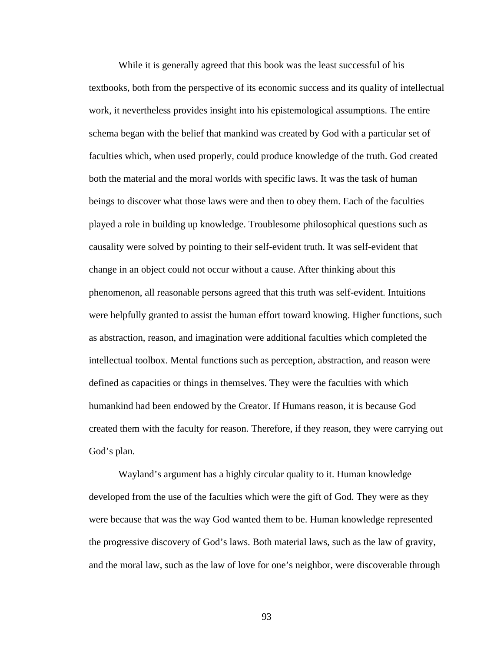While it is generally agreed that this book was the least successful of his textbooks, both from the perspective of its economic success and its quality of intellectual work, it nevertheless provides insight into his epistemological assumptions. The entire schema began with the belief that mankind was created by God with a particular set of faculties which, when used properly, could produce knowledge of the truth. God created both the material and the moral worlds with specific laws. It was the task of human beings to discover what those laws were and then to obey them. Each of the faculties played a role in building up knowledge. Troublesome philosophical questions such as causality were solved by pointing to their self-evident truth. It was self-evident that change in an object could not occur without a cause. After thinking about this phenomenon, all reasonable persons agreed that this truth was self-evident. Intuitions were helpfully granted to assist the human effort toward knowing. Higher functions, such as abstraction, reason, and imagination were additional faculties which completed the intellectual toolbox. Mental functions such as perception, abstraction, and reason were defined as capacities or things in themselves. They were the faculties with which humankind had been endowed by the Creator. If Humans reason, it is because God created them with the faculty for reason. Therefore, if they reason, they were carrying out God's plan.

Wayland's argument has a highly circular quality to it. Human knowledge developed from the use of the faculties which were the gift of God. They were as they were because that was the way God wanted them to be. Human knowledge represented the progressive discovery of God's laws. Both material laws, such as the law of gravity, and the moral law, such as the law of love for one's neighbor, were discoverable through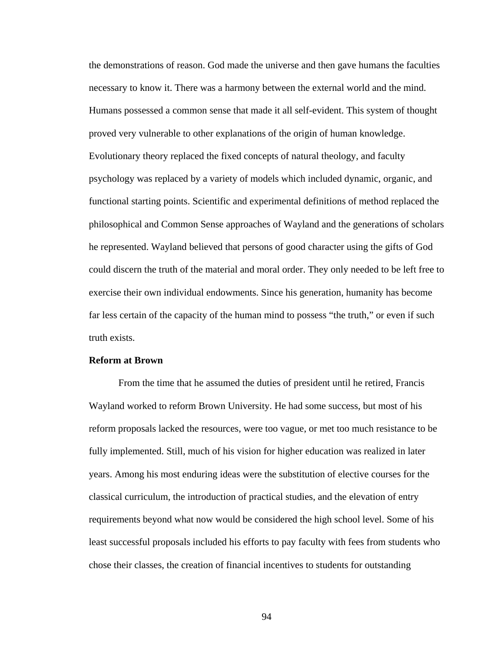the demonstrations of reason. God made the universe and then gave humans the faculties necessary to know it. There was a harmony between the external world and the mind. Humans possessed a common sense that made it all self-evident. This system of thought proved very vulnerable to other explanations of the origin of human knowledge. Evolutionary theory replaced the fixed concepts of natural theology, and faculty psychology was replaced by a variety of models which included dynamic, organic, and functional starting points. Scientific and experimental definitions of method replaced the philosophical and Common Sense approaches of Wayland and the generations of scholars he represented. Wayland believed that persons of good character using the gifts of God could discern the truth of the material and moral order. They only needed to be left free to exercise their own individual endowments. Since his generation, humanity has become far less certain of the capacity of the human mind to possess "the truth," or even if such truth exists.

### **Reform at Brown**

From the time that he assumed the duties of president until he retired, Francis Wayland worked to reform Brown University. He had some success, but most of his reform proposals lacked the resources, were too vague, or met too much resistance to be fully implemented. Still, much of his vision for higher education was realized in later years. Among his most enduring ideas were the substitution of elective courses for the classical curriculum, the introduction of practical studies, and the elevation of entry requirements beyond what now would be considered the high school level. Some of his least successful proposals included his efforts to pay faculty with fees from students who chose their classes, the creation of financial incentives to students for outstanding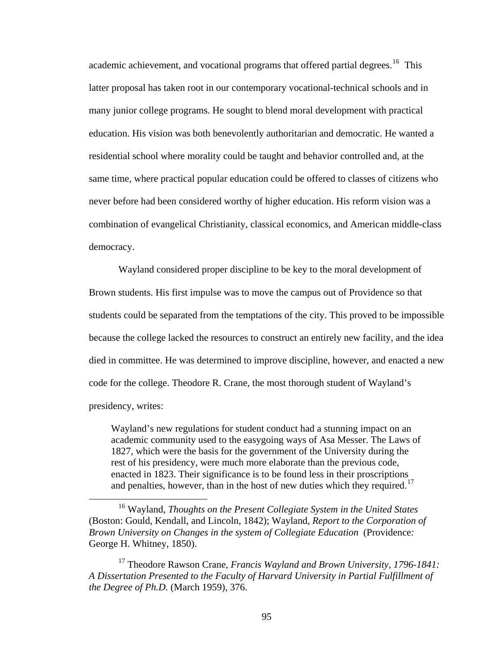academic achievement, and vocational programs that offered partial degrees.<sup>[16](#page-102-0)</sup> This latter proposal has taken root in our contemporary vocational-technical schools and in many junior college programs. He sought to blend moral development with practical education. His vision was both benevolently authoritarian and democratic. He wanted a residential school where morality could be taught and behavior controlled and, at the same time, where practical popular education could be offered to classes of citizens w ho never before had been considered worthy of higher education. His reform vision w as a combination of evangelical Christianity, classical economics, and American middle-class democracy.

Wayland considered proper discipline to be key to the moral development of Brown students. His first impulse was to move the campus out of Providence so that students could be separated from the temptations of the city. This proved to be impossible because the college lacked the resources to construct an entirely new facility, and the idea died in committee. He was determined to improve discipline, however, and enacted a new code for the college. Theodore R. Crane, the most thorough student of Wayland's presidency, writes:

Wayland's new regulations for student conduct had a stunning impact on an academic community used to the easygoing ways of Asa Messer. The Laws of 1827, which were the basis for the government of the University during the rest of his presidency, were much more elaborate than the previous code, enacted in 1823. Their significance is to be found less in their proscriptions and penalties, however, than in the host of new duties which they required.<sup>[17](#page-102-1)</sup>

 $\overline{a}$ 

<span id="page-102-0"></span><sup>16</sup> Wayland, *Thoughts on the Present Collegiate System in the United States*  (Boston: Gould, Kendall, and Lincoln, 1842); Wayland, *Report to the Corporation of Brown University on Changes in the system of Collegiate Education* (Providence*:* George H. Whitney, 1850).

<span id="page-102-1"></span><sup>17</sup> Theodore Rawson Crane, *Francis Wayland and Brown University, 1796-1841: A Dissertation Presented to the Faculty of Harvard University in Partial Fulfillment of the Degree of Ph.D.* (March 1959), 376.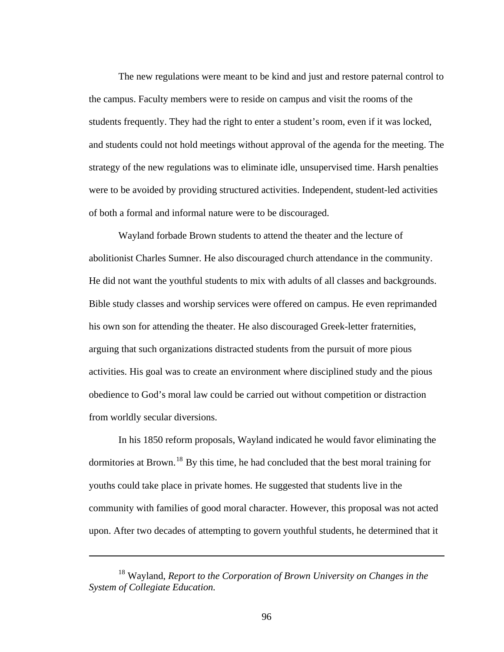The new regulations were meant to be kind and just and restore paternal control to the campus. Faculty members were to reside on campus and visit the rooms of the students frequently. They had the right to enter a student's room, even if it was locked, and students could not hold meetings without approval of the agenda for the meeting. The strategy of the new regulations was to eliminate idle, unsupervised time. Harsh penalties were to be avoided by providing structured activities. Independent, student-led activities of both a formal and informal nature were to be discouraged.

Wayland forbade Brown students to attend the theater and the lecture of abolitionist Charles Sumner. He also discouraged church attendance in the community. He did not want the youthful students to mix with adults of all classes and backgrounds. Bible study classes and worship services were offered on campus. He even reprimanded his own son for attending the theater. He also discouraged Greek-letter fraternities, arguing that such organizations distracted students from the pursuit of more pious activities. His goal was to create an environment where disciplined study and the pious obedience to God's moral law could be carried out without competition or distraction from worldly secular diversions.

In his 1850 reform proposals, Wayland indicated he would favor eliminating the dormitories at Brown.<sup>[18](#page-103-0)</sup> By this time, he had concluded that the best moral training for youths could take place in private homes. He suggested that students live in the community with families of good moral character. However, this proposal was not acted upon. After two decades of attempting to govern youthful students, he determined that it

 $\overline{a}$ 

<span id="page-103-0"></span><sup>18</sup> Wayland, *Report to the Corporation of Brown University on Changes in the System of Collegiate Education.*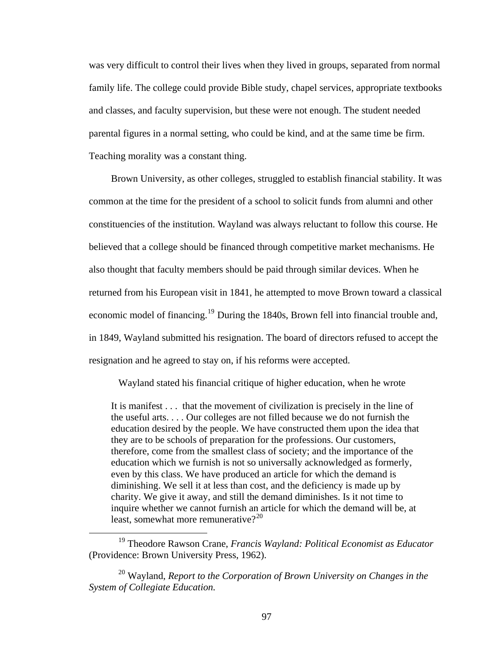was very difficult to control their lives when they lived in groups, separated from normal family life. The college could provide Bible study, chapel services, appropriate textbooks and classes, and faculty supervision, but these were not enough. The student needed parental figures in a normal setting, who could be kind, and at the same time be firm. Teaching morality was a constant thing.

Brown University, as other colleges, struggled to establish financial stability. It was common at the time for the president of a school to solicit funds from alumni and other constituencies of the institution. Wayland was always reluctant to follow this course. He believed that a college should be financed through competitive market mechanisms. He also thought that faculty members should be paid through similar devices. When he returned from his European visit in 1841, he attempted to move Brown toward a classical economic model of financing.<sup>[19](#page-104-0)</sup> During the 1840s, Brown fell into financial trouble and, in 1849, Wayland submitted his resignation. The board of directors refused to accept the resignation and he agreed to stay on, if his reforms were accepted.

Wayland stated his financial critique of higher education, when he wrote

It is manifest . . . that the movement of civilization is precisely in the line of the useful arts. . . . Our colleges are not filled because we do not furnish the education desired by the people. We have constructed them upon the idea that they are to be schools of preparation for the professions. Our customers, therefore, come from the smallest class of society; and the importance of the education which we furnish is not so universally acknowledged as formerly, even by this class. We have produced an article for which the demand is diminishing. We sell it at less than cost, and the deficiency is made up by charity. We give it away, and still the demand diminishes. Is it not time to inquire whether we cannot furnish an article for which the demand will be, at least, somewhat more remunerative? $2^{20}$  $2^{20}$  $2^{20}$ 

<span id="page-104-0"></span> <sup>19</sup> Theodore Rawson Crane, *Francis Wayland: Political Economist as Educator*  (Providence: Brown University Press, 1962).

<span id="page-104-1"></span><sup>20</sup> Wayland, *Report to the Corporation of Brown University on Changes in the System of Collegiate Education.*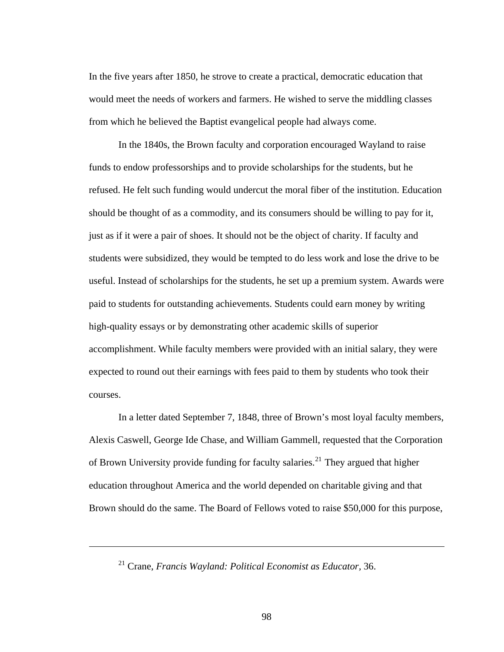In the five years after 1850, he strove to create a practical, democratic education that would meet the needs of workers and farmers. He wished to serve the middling classes from which he believed the Baptist evangelical people had always come.

In the 1840s, the Brown faculty and corporation encouraged Wayland to raise funds to endow professorships and to provide scholarships for the students, but he refused. He felt such funding would undercut the moral fiber of the institution. Education should be thought of as a commodity, and its consumers should be willing to pay for it, just as if it were a pair of shoes. It should not be the object of charity. If faculty and students were subsidized, they would be tempted to do less work and lose the drive to be useful. Instead of scholarships for the students, he set up a premium system. Awards were paid to students for outstanding achievements. Students could earn money by writing high-quality essays or by demonstrating other academic skills of superior accomplishment. While faculty members were provided with an initial salary, they were expected to round out their earnings with fees paid to them by students who took their courses.

In a letter dated September 7, 1848, three of Brown's most loyal faculty members, Alexis Caswell, George Ide Chase, and William Gammell, requested that the Corporation of Brown University provide funding for faculty salaries.<sup>[21](#page-105-0)</sup> They argued that higher education throughout America and the world depended on charitable giving and that Brown should do the same. The Board of Fellows voted to raise \$50,000 for this purpose,

21 Crane, *Francis Wayland: Political Economist as Educator,* 36.

<span id="page-105-0"></span> $\overline{a}$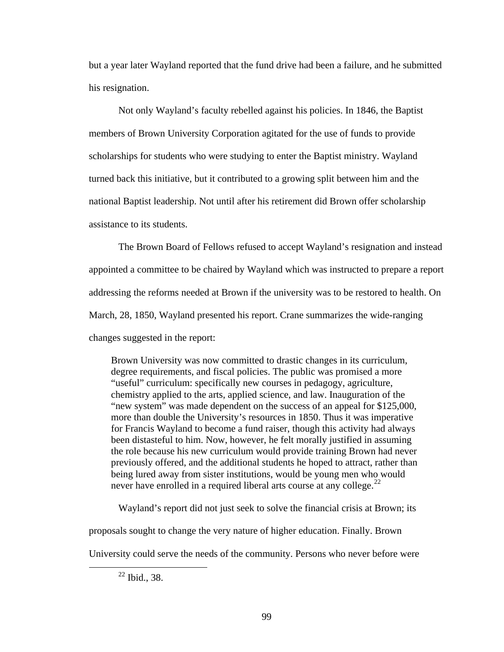but a year later Wayland reported that the fund drive had been a failure, and he submitted his resignation.

Not only Wayland's faculty rebelled against his policies. In 1846, the Baptist members of Brown University Corporation agitated for the use of funds to provide scholarships for students who were studying to enter the Baptist ministry. Wayland turned back this initiative, but it contributed to a growing split between him and the national Baptist leadership. Not until after his retirement did Brown offer scholarship assistance to its students.

The Brown Board of Fellows refused to accept Wayland's resignation and instead appointed a committee to be chaired by Wayland which was instructed to prepare a report addressing the reforms needed at Brown if the university was to be restored to health. On March, 28, 1850, Wayland presented his report. Crane summarizes the wide-ranging changes suggested in the report:

Brown University was now committed to drastic changes in its curriculum, degree requirements, and fiscal policies. The public was promised a more "useful" curriculum: specifically new courses in pedagogy, agriculture, chemistry applied to the arts, applied science, and law. Inauguration of the "new system" was made dependent on the success of an appeal for \$125,000, more than double the University's resources in 1850. Thus it was imperative for Francis Wayland to become a fund raiser, though this activity had always been distasteful to him. Now, however, he felt morally justified in assuming the role because his new curriculum would provide training Brown had never previously offered, and the additional students he hoped to attract, rather than being lured away from sister institutions, would be young men who would never have enrolled in a required liberal arts course at any college. $^{22}$  $^{22}$  $^{22}$ 

Wayland's report did not just seek to solve the financial crisis at Brown; its

proposals sought to change the very nature of higher education. Finally. Brown

<span id="page-106-0"></span>University could serve the needs of the community. Persons who never before were

 $22$  Ibid., 38.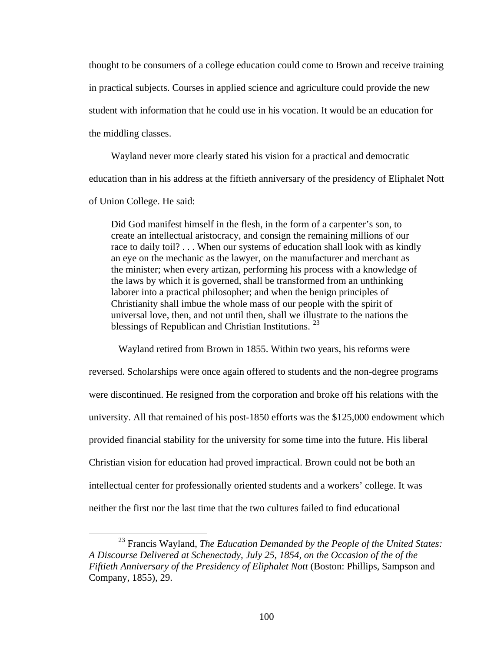thought to be consumers of a college education could come to Brown and receive training in practical subjects. Courses in applied science and agriculture could provide the new student with information that he could use in his vocation. It would be an education for the middling classes.

Wayland never more clearly stated his vision for a practical and democratic education than in his address at the fiftieth anniversary of the presidency of Eliphalet Nott of Union College. He said:

Did God manifest himself in the flesh, in the form of a carpenter's son, to create an intellectual aristocracy, and consign the remaining millions of our race to daily toil? . . . When our systems of education shall look with as kindly an eye on the mechanic as the lawyer, on the manufacturer and merchant as the minister; when every artizan, performing his process with a knowledge of the laws by which it is governed, shall be transformed from an unthinking laborer into a practical philosopher; and when the benign principles of Christianity shall imbue the whole mass of our people with the spirit of universal love, then, and not until then, shall we illustrate to the nations the blessings of Republican and Christian Institutions.<sup>[23](#page-107-0)</sup>

Wayland retired from Brown in 1855. Within two years, his reforms were reversed. Scholarships were once again offered to students and the non-degree programs were discontinued. He resigned from the corporation and broke off his relations with the university. All that remained of his post-1850 efforts was the \$125,000 endowment which provided financial stability for the university for some time into the future. His liberal Christian vision for education had proved impractical. Brown could not be both an intellectual center for professionally oriented students and a workers' college. It was neither the first nor the last time that the two cultures failed to find educational

<span id="page-107-0"></span> <sup>23</sup> Francis Wayland, *The Education Demanded by the People of the United States: A Discourse Delivered at Schenectady, July 25, 1854, on the Occasion of the of the Fiftieth Anniversary of the Presidency of Eliphalet Nott* (Boston: Phillips, Sampson and Company, 1855), 29.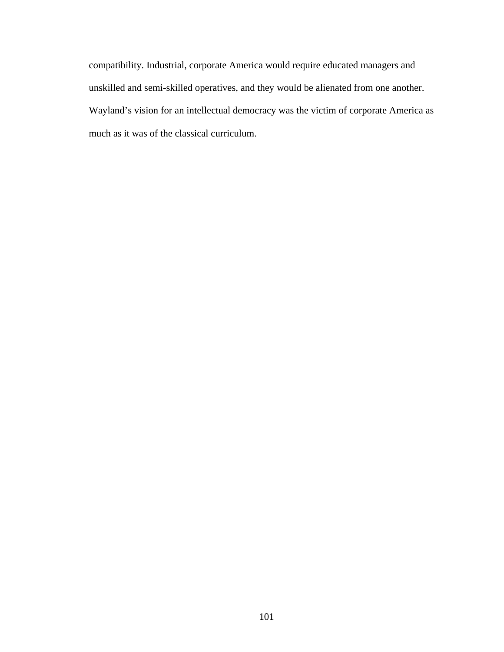compatibility. Industrial, corporate America would require educated managers and unskilled and semi-skilled operatives, and they would be alienated from one another. Wayland's vision for an intellectual democracy was the victim of corporate America as much as it was of the classical curriculum.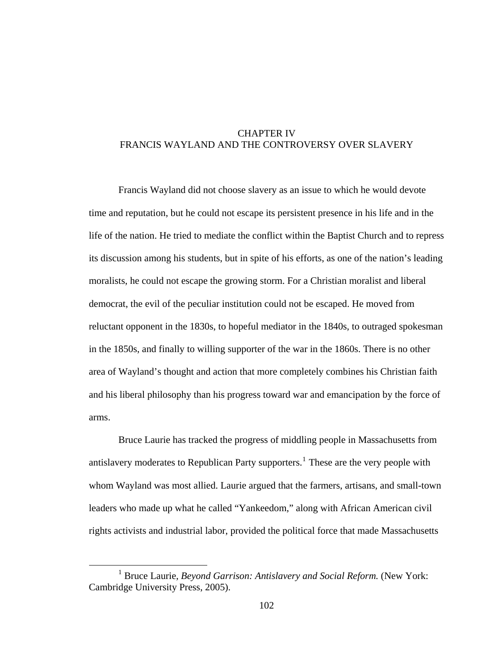# CHAPTER IV FRANCIS WAYLAND AND THE CONTROVERSY OVER SLAVERY

Francis Wayland did not choose slavery as an issue to which he would devote time and reputation, but he could not escape its persistent presence in his life and in the life of the nation. He tried to mediate the conflict within the Baptist Church and to repress its discussion among his students, but in spite of his efforts, as one of the nation's leading moralists, he could not escape the growing storm. For a Christian moralist and liberal democrat, the evil of the peculiar institution could not be escaped. He moved from reluctant opponent in the 1830s, to hopeful mediator in the 1840s, to outraged spokesman in the 1850s, and finally to willing supporter of the war in the 1860s. There is no other area of Wayland's thought and action that more completely combines his Christian faith and his liberal philosophy than his progress toward war and emancipation by the force of arms.

Bruce Laurie has tracked the progress of middling people in Massachusetts from antislavery moderates to Republican Party supporters.<sup>[1](#page-109-0)</sup> These are the very people with whom Wayland was most allied. Laurie argued that the farmers, artisans, and small-town leaders who made up what he called "Yankeedom," along with African American civil rights activists and industrial labor, provided the political force that made Massachusetts

<span id="page-109-0"></span><sup>&</sup>lt;u>1</u> <sup>1</sup> Bruce Laurie, *Beyond Garrison: Antislavery and Social Reform.* (New York: Cambridge University Press, 2005).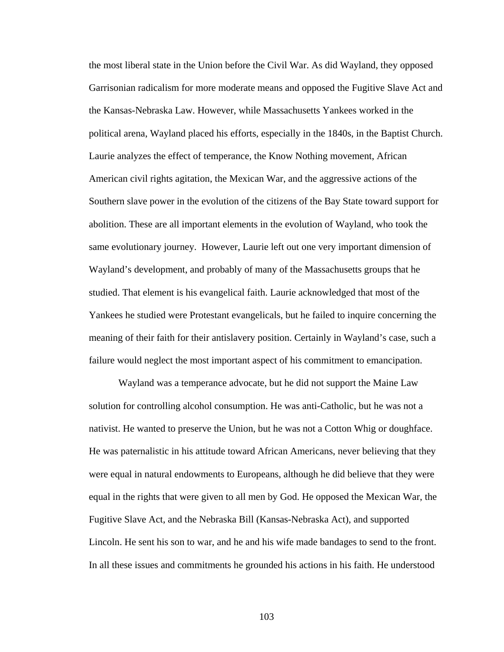the most liberal state in the Union before the Civil War. As did Wayland, they opposed Garrisonian radicalism for more moderate means and opposed the Fugitive Slave Act and the Kansas-Nebraska Law. However, while Massachusetts Yankees worked in the political arena, Wayland placed his efforts, especially in the 1840s, in the Baptist Church. Laurie analyzes the effect of temperance, the Know Nothing movement, African American civil rights agitation, the Mexican War, and the aggressive actions of the Southern slave power in the evolution of the citizens of the Bay State toward support for abolition. These are all important elements in the evolution of Wayland, who took the same evolutionary journey. However, Laurie left out one very important dimension of Wayland's development, and probably of many of the Massachusetts groups that he studied. That element is his evangelical faith. Laurie acknowledged that most of the Yankees he studied were Protestant evangelicals, but he failed to inquire concerning the meaning of their faith for their antislavery position. Certainly in Wayland's case, such a failure would neglect the most important aspect of his commitment to emancipation.

Wayland was a temperance advocate, but he did not support the Maine Law solution for controlling alcohol consumption. He was anti-Catholic, but he was not a nativist. He wanted to preserve the Union, but he was not a Cotton Whig or doughface. He was paternalistic in his attitude toward African Americans, never believing that they were equal in natural endowments to Europeans, although he did believe that they were equal in the rights that were given to all men by God. He opposed the Mexican War, the Fugitive Slave Act, and the Nebraska Bill (Kansas-Nebraska Act), and supported Lincoln. He sent his son to war, and he and his wife made bandages to send to the front. In all these issues and commitments he grounded his actions in his faith. He understood

103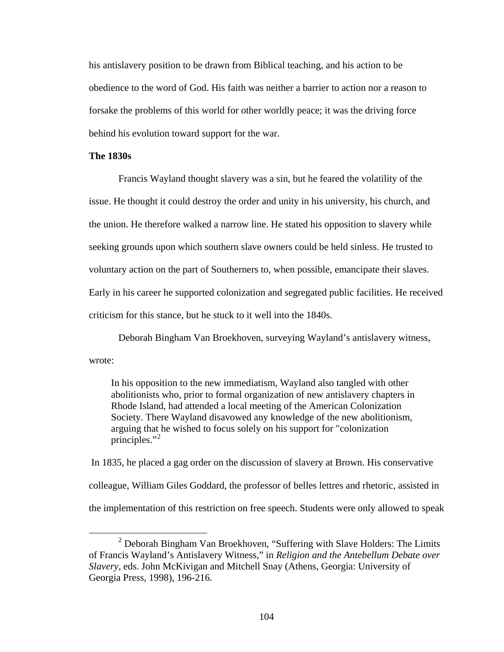his antislavery position to be drawn from Biblical teaching, and his action to be obedience to the word of God. His faith was neither a barrier to action nor a reason to forsake the problems of this world for other worldly peace; it was the driving force behind his evolution toward support for the war.

### **The 1830s**

Francis Wayland thought slavery was a sin, but he feared the volatility of the issue. He thought it could destroy the order and unity in his university, his church, and the union. He therefore walked a narrow line. He stated his opposition to slavery while seeking grounds upon which southern slave owners could be held sinless. He trusted to voluntary action on the part of Southerners to, when possible, emancipate their slaves. Early in his career he supported colonization and segregated public facilities. He received criticism for this stance, but he stuck to it well into the 1840s.

Deborah Bingham Van Broekhoven, surveying Wayland's antislavery witness, wrote:

In his opposition to the new immediatism, Wayland also tangled with other abolitionists who, prior to formal organization of new antislavery chapters in Rhode Island, had attended a local meeting of the American Colonization Society. There Wayland disavowed any knowledge of the new abolitionism, arguing that he wished to focus solely on his support for "colonization principles." $2$ 

 In 1835, he placed a gag order on the discussion of slavery at Brown. His conservative colleague, William Giles Goddard, the professor of belles lettres and rhetoric, assisted in the implementation of this restriction on free speech. Students were only allowed to speak

<span id="page-111-0"></span> <sup>2</sup> <sup>2</sup> Deborah Bingham Van Broekhoven, "Suffering with Slave Holders: The Limits of Francis Wayland's Antislavery Witness," in *Religion and the Antebellum Debate over Slavery,* eds. John McKivigan and Mitchell Snay (Athens, Georgia: University of Georgia Press, 1998), 196-216.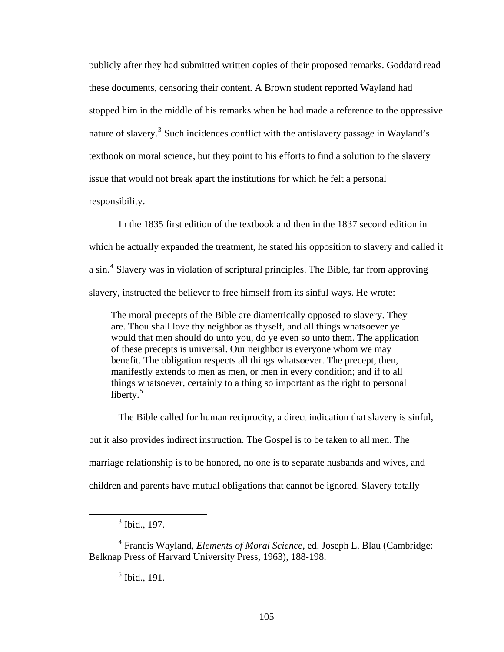publicly after they had submitted written copies of their proposed remarks. Goddard read these documents, censoring their content. A Brown student reported Wayland had stopped him in the middle of his remarks when he had made a reference to the oppressive nature of slavery.<sup>[3](#page-112-0)</sup> Such incidences conflict with the antislavery passage in Wayland's textbook on moral science, but they point to his efforts to find a solution to the slavery issue that would not break apart the institutions for which he felt a personal responsibility.

In the 1835 first edition of the textbook and then in the 1837 second edition in which he actually expanded the treatment, he stated his opposition to slavery and called it a sin.<sup>[4](#page-112-1)</sup> Slavery was in violation of scriptural principles. The Bible, far from approving slavery, instructed the believer to free himself from its sinful ways. He wrote:

The moral precepts of the Bible are diametrically opposed to slavery. They are. Thou shall love thy neighbor as thyself, and all things whatsoever ye would that men should do unto you, do ye even so unto them. The application of these precepts is universal. Our neighbor is everyone whom we may benefit. The obligation respects all things whatsoever. The precept, then, manifestly extends to men as men, or men in every condition; and if to all things whatsoever, certainly to a thing so important as the right to personal liberty. $5$ 

The Bible called for human reciprocity, a direct indication that slavery is sinful, but it also provides indirect instruction. The Gospel is to be taken to all men. The marriage relationship is to be honored, no one is to separate husbands and wives, and children and parents have mutual obligations that cannot be ignored. Slavery totally

5 Ibid., 191.

<span id="page-112-0"></span> $\frac{1}{3}$  $3$  Ibid., 197.

<span id="page-112-2"></span><span id="page-112-1"></span><sup>4</sup> Francis Wayland, *Elements of Moral Science*, ed. Joseph L. Blau (Cambridge: Belknap Press of Harvard University Press, 1963), 188-198.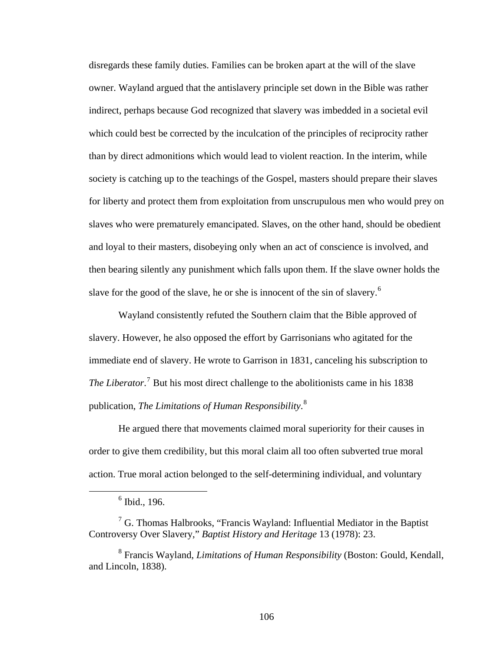disregards these family duties. Families can be broken apart at the will of the slave owner. Wayland argued that the antislavery principle set down in the Bible was rather indirect, perhaps because God recognized that slavery was imbedded in a societal evil which could best be corrected by the inculcation of the principles of reciprocity rather than by direct admonitions which would lead to violent reaction. In the interim, while society is catching up to the teachings of the Gospel, masters should prepare their slaves for liberty and protect them from exploitation from unscrupulous men who would prey on slaves who were prematurely emancipated. Slaves, on the other hand, should be obedient and loyal to their masters, disobeying only when an act of conscience is involved, and then bearing silently any punishment which falls upon them. If the slave owner holds the slave for the good of the slave, he or she is innocent of the sin of slavery.<sup>[6](#page-113-0)</sup>

Wayland consistently refuted the Southern claim that the Bible approved of slavery. However, he also opposed the effort by Garrisonians who agitated for the immediate end of slavery. He wrote to Garrison in 1831, canceling his subscription to The Liberator.<sup>[7](#page-113-1)</sup> But his most direct challenge to the abolitionists came in his 1838 publication, *The Limitations of Human Responsibility*. [8](#page-113-2)

He argued there that movements claimed moral superiority for their causes in order to give them credibility, but this moral claim all too often subverted true moral action. True moral action belonged to the self-determining individual, and voluntary

<span id="page-113-0"></span> <sup>6</sup>  $6$  Ibid., 196.

<span id="page-113-1"></span> $7$  G. Thomas Halbrooks, "Francis Wayland: Influential Mediator in the Baptist Controversy Over Slavery," *Baptist History and Heritage* 13 (1978): 23.

<span id="page-113-2"></span><sup>8</sup> Francis Wayland, *Limitations of Human Responsibility* (Boston: Gould, Kendall, and Lincoln, 1838).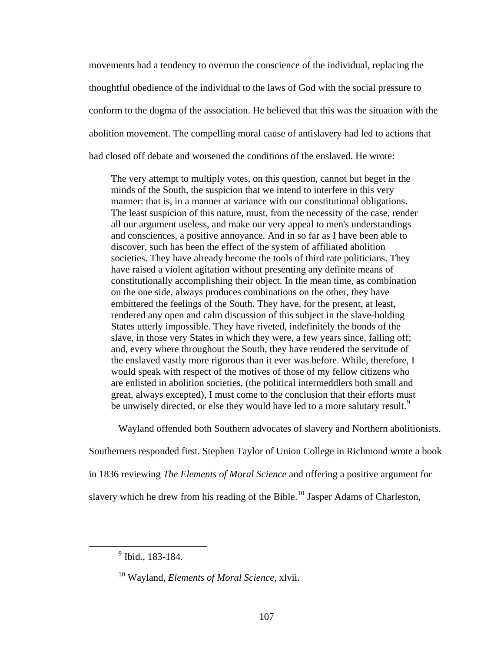movements had a tendency to overrun the conscience of the individual, replacing the thoughtful obedience of the individual to the laws of God with the social pressure to conform to the dogma of the association. He believed that this was the situation with the abolition movement. The compelling moral cause of antislavery had led to actions that had closed off debate and worsened the conditions of the enslaved. He wrote:

The very attempt to multiply votes, on this question, cannot but beget in the minds of the South, the suspicion that we intend to interfere in this very manner: that is, in a manner at variance with our constitutional obligations. The least suspicion of this nature, must, from the necessity of the case, render all our argument useless, and make our very appeal to men's understandings and consciences, a positive annoyance. And in so far as I have been able to discover, such has been the effect of the system of affiliated abolition societies. They have already become the tools of third rate politicians. They have raised a violent agitation without presenting any definite means of constitutionally accomplishing their object. In the mean time, as combination on the one side, always produces combinations on the other, they have embittered the feelings of the South. They have, for the present, at least, rendered any open and calm discussion of this subject in the slave-holding States utterly impossible. They have riveted, indefinitely the bonds of the slave, in those very States in which they were, a few years since, falling off; and, every where throughout the South, they have rendered the servitude of the enslaved vastly more rigorous than it ever was before. While, therefore, I would speak with respect of the motives of those of my fellow citizens who are enlisted in abolition societies, (the political intermeddlers both small and great, always excepted), I must come to the conclusion that their efforts must be unwisely directed, or else they would have led to a more salutary result.<sup>[9](#page-114-0)</sup>

Wayland offended both Southern advocates of slavery and Northern abolitionists.

Southerners responded first. Stephen Taylor of Union College in Richmond wrote a book

in 1836 reviewing *The Elements of Moral Science* and offering a positive argument for

slavery which he drew from his reading of the Bible.<sup>[10](#page-114-1)</sup> Jasper Adams of Charleston,

<span id="page-114-1"></span><span id="page-114-0"></span> <sup>9</sup>  $9$  Ibid., 183-184.

<sup>10</sup> Wayland, *Elements of Moral Science*, xlvii.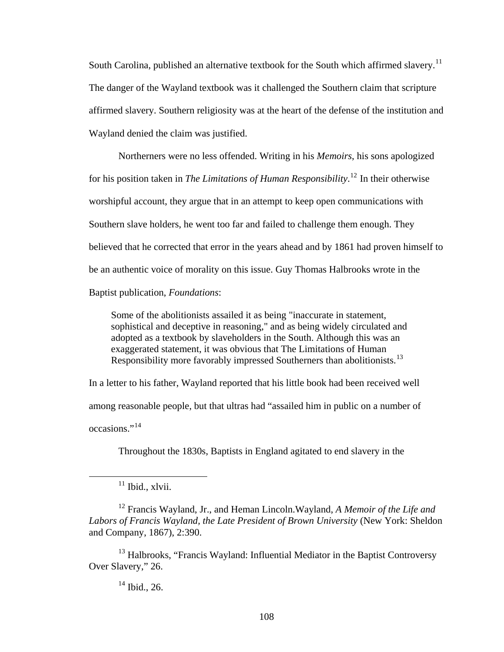South Carolina, published an alternative textbook for the South which affirmed slavery.<sup>[11](#page-115-0)</sup> The danger of the Wayland textbook was it challenged the Southern claim that scripture affirmed slavery. Southern religiosity was at the heart of the defense of the institution and Wayland denied the claim was justified.

Northerners were no less offended. Writing in his *Memoirs*, his sons apologized for his position taken in *The Limitations of Human Responsibility*. [12](#page-115-1) In their otherwise worshipful account, they argue that in an attempt to keep open communications with Southern slave holders, he went too far and failed to challenge them enough. They believed that he corrected that error in the years ahead and by 1861 had proven himself to be an authentic voice of morality on this issue. Guy Thomas Halbrooks wrote in the Baptist publication, *Foundations*:

Some of the abolitionists assailed it as being "inaccurate in statement, sophistical and deceptive in reasoning," and as being widely circulated and adopted as a textbook by slaveholders in the South. Although this was an exaggerated statement, it was obvious that The Limitations of Human Responsibility more favorably impressed Southerners than abolitionists.<sup>[13](#page-115-2)</sup>

In a letter to his father, Wayland reported that his little book had been received well among reasonable people, but that ultras had "assailed him in public on a number of  $occasions.$ <sup>[14](#page-115-3)</sup>

Throughout the 1830s, Baptists in England agitated to end slavery in the

 $11$  Ibid., xlvii.

<span id="page-115-1"></span><span id="page-115-0"></span>12 Francis Wayland, Jr., and Heman Lincoln.Wayland, *A Memoir of the Life and Labors of Francis Wayland, the Late President of Brown University* (New York: Sheldon and Company, 1867), 2:390.

<span id="page-115-3"></span><span id="page-115-2"></span> $13$  Halbrooks, "Francis Wayland: Influential Mediator in the Baptist Controversy Over Slavery," 26.

 $14$  Ibid., 26.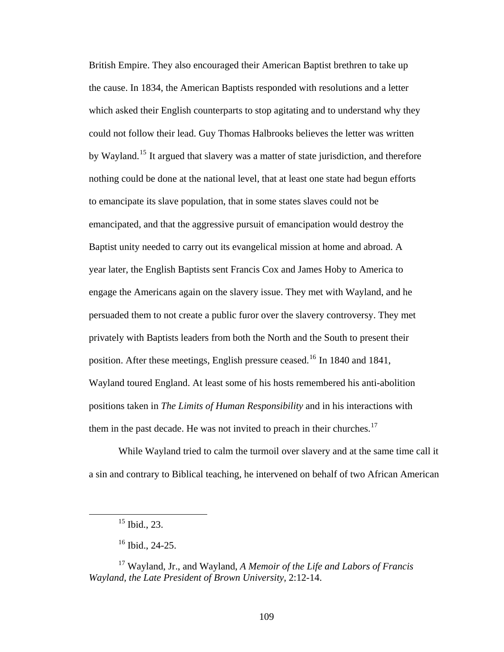British Empire. They also encouraged their American Baptist brethren to take up the cause. In 1834, the American Baptists responded with resolutions and a letter which asked their English counterparts to stop agitating and to understand why they could not follow their lead. Guy Thomas Halbrooks believes the letter was written by Wayland.<sup>[15](#page-116-0)</sup> It argued that slavery was a matter of state jurisdiction, and therefore nothing could be done at the national level, that at least one state had begun efforts to emancipate its slave population, that in some states slaves could not be emancipated, and that the aggressive pursuit of emancipation would destroy the Baptist unity needed to carry out its evangelical mission at home and abroad. A year later, the English Baptists sent Francis Cox and James Hoby to America to engage the Americans again on the slavery issue. They met with Wayland, and he persuaded them to not create a public furor over the slavery controversy. They met privately with Baptists leaders from both the North and the South to present their position. After these meetings, English pressure ceased.<sup>[16](#page-116-1)</sup> In 1840 and 1841, Wayland toured England. At least some of his hosts remembered his anti-abolition positions taken in *The Limits of Human Responsibility* and in his interactions with them in the past decade. He was not invited to preach in their churches. $^{17}$  $^{17}$  $^{17}$ 

While Wayland tried to calm the turmoil over slavery and at the same time call it a sin and contrary to Biblical teaching, he intervened on behalf of two African American

 $15$  Ibid., 23.

 $16$  Ibid., 24-25.

<span id="page-116-2"></span><span id="page-116-1"></span><span id="page-116-0"></span><sup>17</sup> Wayland, Jr., and Wayland, *A Memoir of the Life and Labors of Francis Wayland, the Late President of Brown University*, 2:12-14.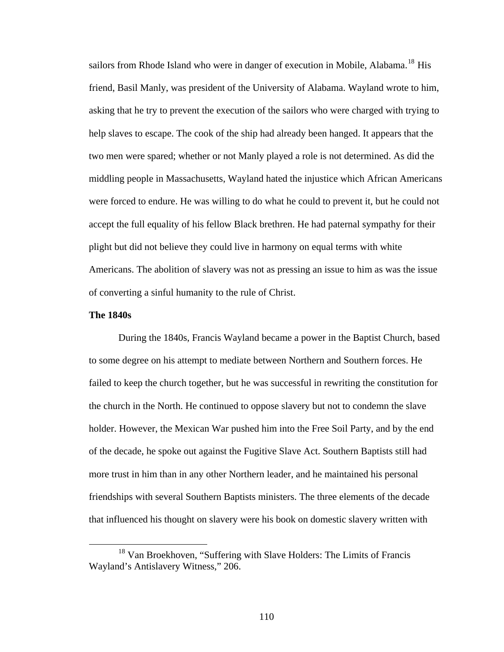sailors from Rhode Island who were in danger of execution in Mobile, Alabama.<sup>[18](#page-117-0)</sup> His friend, Basil Manly, was president of the University of Alabama. Wayland wrote to him, asking that he try to prevent the execution of the sailors who were charged with trying to help slaves to escape. The cook of the ship had already been hanged. It appears that the two men were spared; whether or not Manly played a role is not determined. As did the middling people in Massachusetts, Wayland hated the injustice which African Americans were forced to endure. He was willing to do what he could to prevent it, but he could not accept the full equality of his fellow Black brethren. He had paternal sympathy for their plight but did not believe they could live in harmony on equal terms with white Americans. The abolition of slavery was not as pressing an issue to him as was the issue of converting a sinful humanity to the rule of Christ.

### **The 1840s**

During the 1840s, Francis Wayland became a power in the Baptist Church, based to some degree on his attempt to mediate between Northern and Southern forces. He failed to keep the church together, but he was successful in rewriting the constitution for the church in the North. He continued to oppose slavery but not to condemn the slave holder. However, the Mexican War pushed him into the Free Soil Party, and by the end of the decade, he spoke out against the Fugitive Slave Act. Southern Baptists still had more trust in him than in any other Northern leader, and he maintained his personal friendships with several Southern Baptists ministers. The three elements of the decade that influenced his thought on slavery were his book on domestic slavery written with

<span id="page-117-0"></span><sup>&</sup>lt;sup>18</sup> Van Broekhoven, "Suffering with Slave Holders: The Limits of Francis Wayland's Antislavery Witness," 206.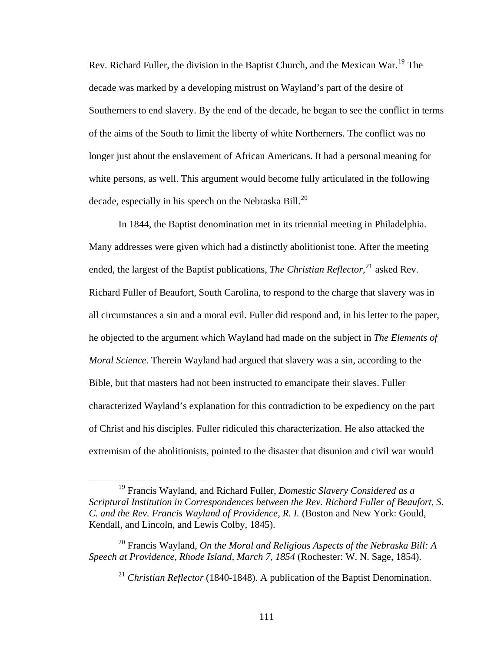Rev. Richard Fuller, the division in the Baptist Church, and the Mexican War.<sup>[19](#page-118-0)</sup> The decade was marked by a developing mistrust on Wayland's part of the desire of Southerners to end slavery. By the end of the decade, he began to see the conflict in terms of the aims of the South to limit the liberty of white Northerners. The conflict was no longer just about the enslavement of African Americans. It had a personal meaning for white persons, as well. This argument would become fully articulated in the following decade, especially in his speech on the Nebraska Bill.<sup>[20](#page-118-1)</sup>

In 1844, the Baptist denomination met in its triennial meeting in Philadelphia. Many addresses were given which had a distinctly abolitionist tone. After the meeting ended, the largest of the Baptist publications, *The Christian Reflector*,<sup>[21](#page-118-2)</sup> asked Rev. Richard Fuller of Beaufort, South Carolina, to respond to the charge that slavery was in all circumstances a sin and a moral evil. Fuller did respond and, in his letter to the paper, he objected to the argument which Wayland had made on the subject in *The Elements of Moral Science*. Therein Wayland had argued that slavery was a sin, according to the Bible, but that masters had not been instructed to emancipate their slaves. Fuller characterized Wayland's explanation for this contradiction to be expediency on the part of Christ and his disciples. Fuller ridiculed this characterization. He also attacked the extremism of the abolitionists, pointed to the disaster that disunion and civil war would

<span id="page-118-0"></span> <sup>19</sup> Francis Wayland, and Richard Fuller, *Domestic Slavery Considered as a Scriptural Institution in Correspondences between the Rev. Richard Fuller of Beaufort, S. C. and the Rev. Francis Wayland of Providence, R. I.* (Boston and New York: Gould, Kendall, and Lincoln, and Lewis Colby, 1845).

<span id="page-118-2"></span><span id="page-118-1"></span><sup>20</sup> Francis Wayland, *On the Moral and Religious Aspects of the Nebraska Bill: A Speech at Providence, Rhode Island, March 7, 1854* (Rochester: W. N. Sage, 1854).

<sup>21</sup> *Christian Reflector* (1840-1848)*.* A publication of the Baptist Denomination.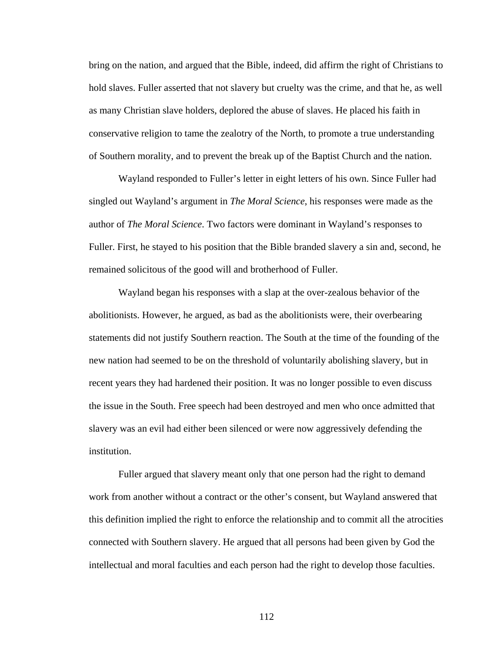bring on the nation, and argued that the Bible, indeed, did affirm the right of Christians to hold slaves. Fuller asserted that not slavery but cruelty was the crime, and that he, as well as many Christian slave holders, deplored the abuse of slaves. He placed his faith in conservative religion to tame the zealotry of the North, to promote a true understanding of Southern morality, and to prevent the break up of the Baptist Church and the nation.

Wayland responded to Fuller's letter in eight letters of his own. Since Fuller had singled out Wayland's argument in *The Moral Science*, his responses were made as the author of *The Moral Science*. Two factors were dominant in Wayland's responses to Fuller. First, he stayed to his position that the Bible branded slavery a sin and, second, he remained solicitous of the good will and brotherhood of Fuller.

Wayland began his responses with a slap at the over-zealous behavior of the abolitionists. However, he argued, as bad as the abolitionists were, their overbearing statements did not justify Southern reaction. The South at the time of the founding of the new nation had seemed to be on the threshold of voluntarily abolishing slavery, but in recent years they had hardened their position. It was no longer possible to even discuss the issue in the South. Free speech had been destroyed and men who once admitted that slavery was an evil had either been silenced or were now aggressively defending the institution.

Fuller argued that slavery meant only that one person had the right to demand work from another without a contract or the other's consent, but Wayland answered that this definition implied the right to enforce the relationship and to commit all the atrocities connected with Southern slavery. He argued that all persons had been given by God the intellectual and moral faculties and each person had the right to develop those faculties.

112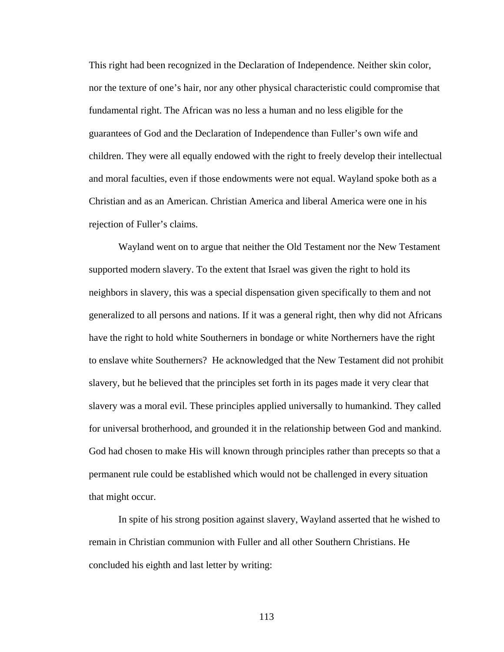This right had been recognized in the Declaration of Independence. Neither skin color, nor the texture of one's hair, nor any other physical characteristic could compromise that fundamental right. The African was no less a human and no less eligible for the guarantees of God and the Declaration of Independence than Fuller's own wife and children. They were all equally endowed with the right to freely develop their intellectual and moral faculties, even if those endowments were not equal. Wayland spoke both as a Christian and as an American. Christian America and liberal America were one in his rejection of Fuller's claims.

Wayland went on to argue that neither the Old Testament nor the New Testament supported modern slavery. To the extent that Israel was given the right to hold its neighbors in slavery, this was a special dispensation given specifically to them and not generalized to all persons and nations. If it was a general right, then why did not Africans have the right to hold white Southerners in bondage or white Northerners have the right to enslave white Southerners? He acknowledged that the New Testament did not prohibit slavery, but he believed that the principles set forth in its pages made it very clear that slavery was a moral evil. These principles applied universally to humankind. They called for universal brotherhood, and grounded it in the relationship between God and mankind. God had chosen to make His will known through principles rather than precepts so that a permanent rule could be established which would not be challenged in every situation that might occur.

In spite of his strong position against slavery, Wayland asserted that he wished to remain in Christian communion with Fuller and all other Southern Christians. He concluded his eighth and last letter by writing:

113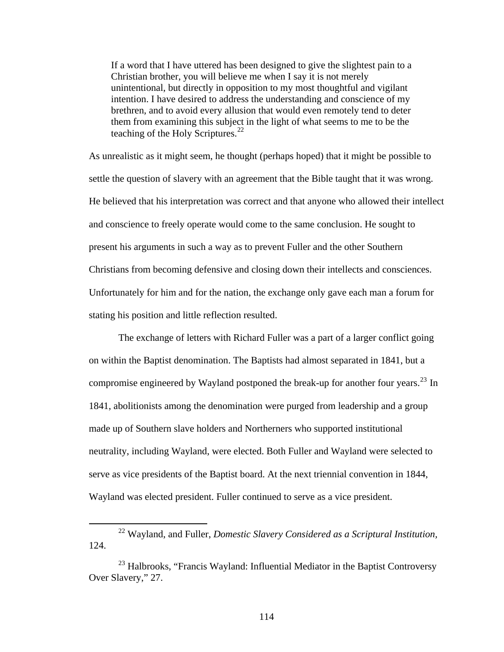If a word that I have uttered has been designed to give the slightest pain to a Christian brother, you will believe me when I say it is not merely unintentional, but directly in opposition to my most thoughtful and vigilant intention. I have desired to address the understanding and conscience of my brethren, and to avoid every allusion that would even remotely tend to deter them from examining this subject in the light of what seems to me to be the teaching of the Holy Scriptures.<sup>[22](#page-121-0)</sup>

As unrealistic as it might seem, he thought (perhaps hoped) that it might be possible to settle the question of slavery with an agreement that the Bible taught that it was wrong. He believed that his interpretation was correct and that anyone who allowed their intellect and conscience to freely operate would come to the same conclusion. He sought to present his arguments in such a way as to prevent Fuller and the other Southern Christians from becoming defensive and closing down their intellects and consciences. Unfortunately for him and for the nation, the exchange only gave each man a forum for stating his position and little reflection resulted.

The exchange of letters with Richard Fuller was a part of a larger conflict going on within the Baptist denomination. The Baptists had almost separated in 1841, but a compromise engineered by Wayland postponed the break-up for another four years.<sup>[23](#page-121-1)</sup> In 1841, abolitionists among the denomination were purged from leadership and a group made up of Southern slave holders and Northerners who supported institutional neutrality, including Wayland, were elected. Both Fuller and Wayland were selected to serve as vice presidents of the Baptist board. At the next triennial convention in 1844, Wayland was elected president. Fuller continued to serve as a vice president.

<span id="page-121-0"></span> <sup>22</sup> Wayland, and Fuller, *Domestic Slavery Considered as a Scriptural Institution,*  124.

<span id="page-121-1"></span> $^{23}$  Halbrooks, "Francis Wayland: Influential Mediator in the Baptist Controversy Over Slavery," 27.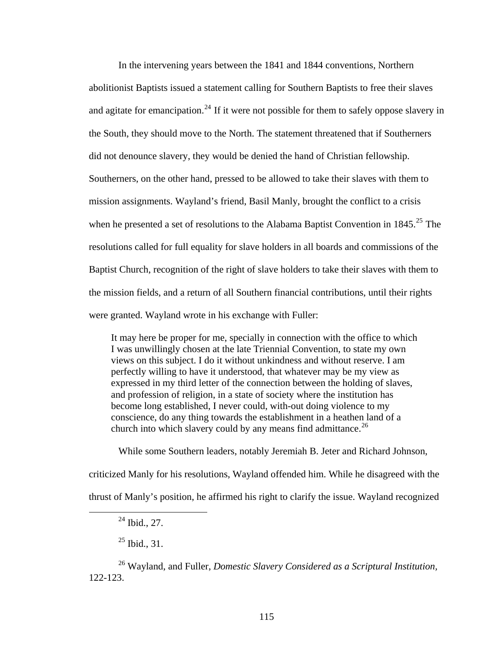In the intervening years between the 1841 and 1844 conventions, Northern abolitionist Baptists issued a statement calling for Southern Baptists to free their slaves and agitate for emancipation.<sup>[24](#page-122-0)</sup> If it were not possible for them to safely oppose slavery in the South, they should move to the North. The statement threatened that if Southerners did not denounce slavery, they would be denied the hand of Christian fellowship. Southerners, on the other hand, pressed to be allowed to take their slaves with them to mission assignments. Wayland's friend, Basil Manly, brought the conflict to a crisis when he presented a set of resolutions to the Alabama Baptist Convention in  $1845.^{25}$  $1845.^{25}$  $1845.^{25}$  The resolutions called for full equality for slave holders in all boards and commissions of the Baptist Church, recognition of the right of slave holders to take their slaves with them to the mission fields, and a return of all Southern financial contributions, until their rights were granted. Wayland wrote in his exchange with Fuller:

It may here be proper for me, specially in connection with the office to which I was unwillingly chosen at the late Triennial Convention, to state my own views on this subject. I do it without unkindness and without reserve. I am perfectly willing to have it understood, that whatever may be my view as expressed in my third letter of the connection between the holding of slaves, and profession of religion, in a state of society where the institution has become long established, I never could, with-out doing violence to my conscience, do any thing towards the establishment in a heathen land of a church into which slavery could by any means find admittance.<sup>[26](#page-122-2)</sup>

While some Southern leaders, notably Jeremiah B. Jeter and Richard Johnson,

criticized Manly for his resolutions, Wayland offended him. While he disagreed with the thrust of Manly's position, he affirmed his right to clarify the issue. Wayland recognized

 $^{25}$  Ibid., 31.

<span id="page-122-2"></span><span id="page-122-1"></span><span id="page-122-0"></span>26 Wayland, and Fuller, *Domestic Slavery Considered as a Scriptural Institution,*  122-123.

 $^{24}$  Ibid., 27.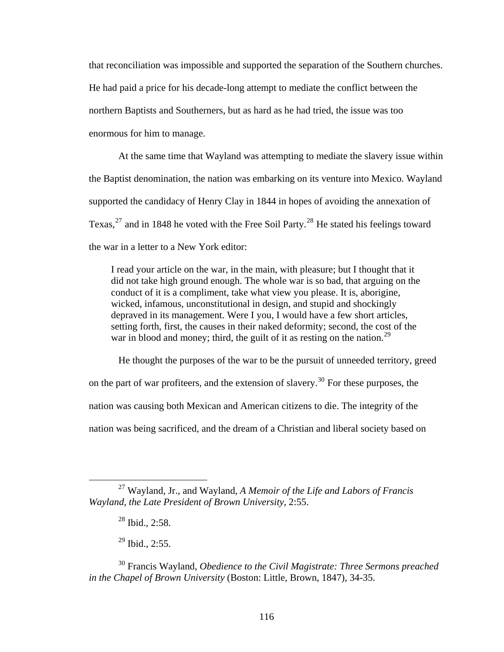that reconciliation was impossible and supported the separation of the Southern churches. He had paid a price for his decade-long attempt to mediate the conflict between the northern Baptists and Southerners, but as hard as he had tried, the issue was too enormous for him to manage.

At the same time that Wayland was attempting to mediate the slavery issue within the Baptist denomination, the nation was embarking on its venture into Mexico. Wayland supported the candidacy of Henry Clay in 1844 in hopes of avoiding the annexation of Texas,  $27$  and in 1848 he voted with the Free Soil Party.<sup>[28](#page-123-1)</sup> He stated his feelings toward the war in a letter to a New York editor:

I read your article on the war, in the main, with pleasure; but I thought that it did not take high ground enough. The whole war is so bad, that arguing on the conduct of it is a compliment, take what view you please. It is, aborigine, wicked, infamous, unconstitutional in design, and stupid and shockingly depraved in its management. Were I you, I would have a few short articles, setting forth, first, the causes in their naked deformity; second, the cost of the war in blood and money; third, the guilt of it as resting on the nation.<sup>[29](#page-123-2)</sup>

He thought the purposes of the war to be the pursuit of unneeded territory, greed on the part of war profiteers, and the extension of slavery.<sup>[30](#page-123-3)</sup> For these purposes, the nation was causing both Mexican and American citizens to die. The integrity of the nation was being sacrificed, and the dream of a Christian and liberal society based on

 $\overline{a}$ 

 $29$  Ibid., 2:55.

<span id="page-123-1"></span><span id="page-123-0"></span><sup>27</sup> Wayland, Jr., and Wayland, *A Memoir of the Life and Labors of Francis Wayland, the Late President of Brown University*, 2:55.

 $28$  Ibid., 2:58.

<span id="page-123-3"></span><span id="page-123-2"></span><sup>30</sup> Francis Wayland, *Obedience to the Civil Magistrate: Three Sermons preached in the Chapel of Brown University* (Boston: Little, Brown, 1847), 34-35.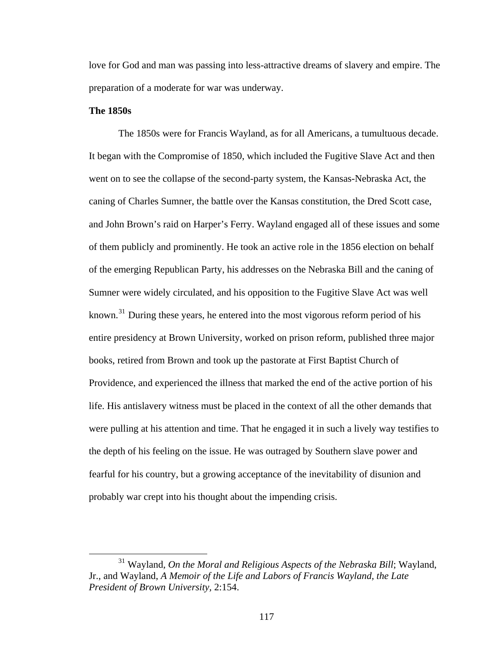love for God and man was passing into less-attractive dreams of slavery and empire. The preparation of a moderate for war was underway.

### **The 1850s**

The 1850s were for Francis Wayland, as for all Americans, a tumultuous decade. It began with the Compromise of 1850, which included the Fugitive Slave Act and then went on to see the collapse of the second-party system, the Kansas-Nebraska Act, the caning of Charles Sumner, the battle over the Kansas constitution, the Dred Scott case, and John Brown's raid on Harper's Ferry. Wayland engaged all of these issues and some of them publicly and prominently. He took an active role in the 1856 election on behalf of the emerging Republican Party, his addresses on the Nebraska Bill and the caning of Sumner were widely circulated, and his opposition to the Fugitive Slave Act was well known. $31$  During these years, he entered into the most vigorous reform period of his entire presidency at Brown University, worked on prison reform, published three major books, retired from Brown and took up the pastorate at First Baptist Church of Providence, and experienced the illness that marked the end of the active portion of his life. His antislavery witness must be placed in the context of all the other demands that were pulling at his attention and time. That he engaged it in such a lively way testifies to the depth of his feeling on the issue. He was outraged by Southern slave power and fearful for his country, but a growing acceptance of the inevitability of disunion and probably war crept into his thought about the impending crisis.

<span id="page-124-0"></span><sup>&</sup>lt;sup>31</sup> Wayland, *On the Moral and Religious Aspects of the Nebraska Bill*; Wayland, Jr., and Wayland, *A Memoir of the Life and Labors of Francis Wayland, the Late President of Brown University,* 2:154.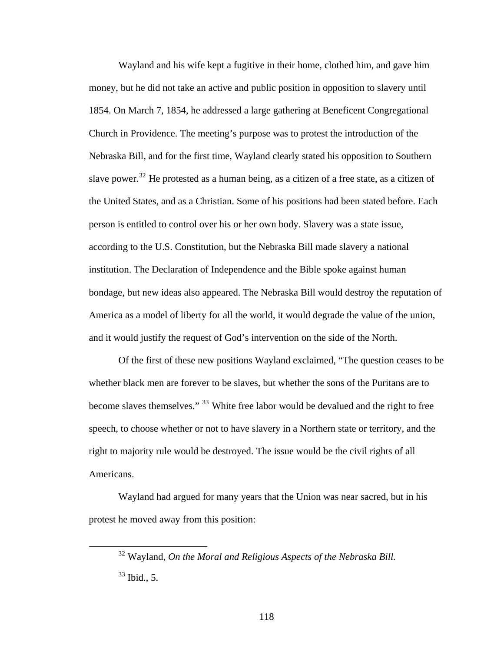Wayland and his wife kept a fugitive in their home, clothed him, and gave him money, but he did not take an active and public position in opposition to slavery until 1854. On March 7, 1854, he addressed a large gathering at Beneficent Congregational Church in Providence. The meeting's purpose was to protest the introduction of the Nebraska Bill, and for the first time, Wayland clearly stated his opposition to Southern slave power.<sup>[32](#page-125-0)</sup> He protested as a human being, as a citizen of a free state, as a citizen of the United States, and as a Christian. Some of his positions had been stated before. Each person is entitled to control over his or her own body. Slavery was a state issue, according to the U.S. Constitution, but the Nebraska Bill made slavery a national institution. The Declaration of Independence and the Bible spoke against human bondage, but new ideas also appeared. The Nebraska Bill would destroy the reputation of America as a model of liberty for all the world, it would degrade the value of the union, and it would justify the request of God's intervention on the side of the North.

Of the first of these new positions Wayland exclaimed, "The question ceases to be whether black men are forever to be slaves, but whether the sons of the Puritans are to become slaves themselves." <sup>[33](#page-125-1)</sup> White free labor would be devalued and the right to free speech, to choose whether or not to have slavery in a Northern state or territory, and the right to majority rule would be destroyed. The issue would be the civil rights of all Americans.

<span id="page-125-1"></span><span id="page-125-0"></span>Wayland had argued for many years that the Union was near sacred, but in his protest he moved away from this position:

 <sup>32</sup> Wayland, *On the Moral and Religious Aspects of the Nebraska Bill.*  $33$  Ibid., 5.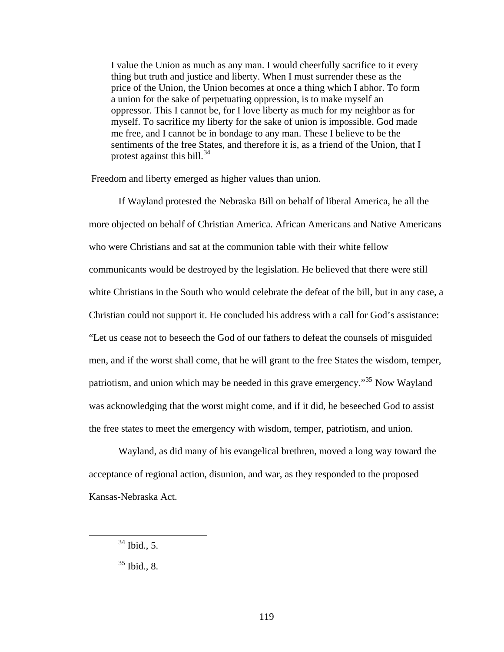I value the Union as much as any man. I would cheerfully sacrifice to it every thing but truth and justice and liberty. When I must surrender these as the price of the Union, the Union becomes at once a thing which I abhor. To form a union for the sake of perpetuating oppression, is to make myself an oppressor. This I cannot be, for I love liberty as much for my neighbor as for myself. To sacrifice my liberty for the sake of union is impossible. God made me free, and I cannot be in bondage to any man. These I believe to be the sentiments of the free States, and therefore it is, as a friend of the Union, that I protest against this bill. $^{34}$  $^{34}$  $^{34}$ 

Freedom and liberty emerged as higher values than union.

If Wayland protested the Nebraska Bill on behalf of liberal America, he all the more objected on behalf of Christian America. African Americans and Native Americans who were Christians and sat at the communion table with their white fellow communicants would be destroyed by the legislation. He believed that there were still white Christians in the South who would celebrate the defeat of the bill, but in any case, a Christian could not support it. He concluded his address with a call for God's assistance: "Let us cease not to beseech the God of our fathers to defeat the counsels of misguided men, and if the worst shall come, that he will grant to the free States the wisdom, temper, patriotism, and union which may be needed in this grave emergency."[35](#page-126-1) Now Wayland was acknowledging that the worst might come, and if it did, he beseeched God to assist the free states to meet the emergency with wisdom, temper, patriotism, and union.

Wayland, as did many of his evangelical brethren, moved a long way toward the acceptance of regional action, disunion, and war, as they responded to the proposed Kansas-Nebraska Act.

<span id="page-126-0"></span> $34$  Ibid., 5.

<span id="page-126-1"></span> $35$  Ibid., 8.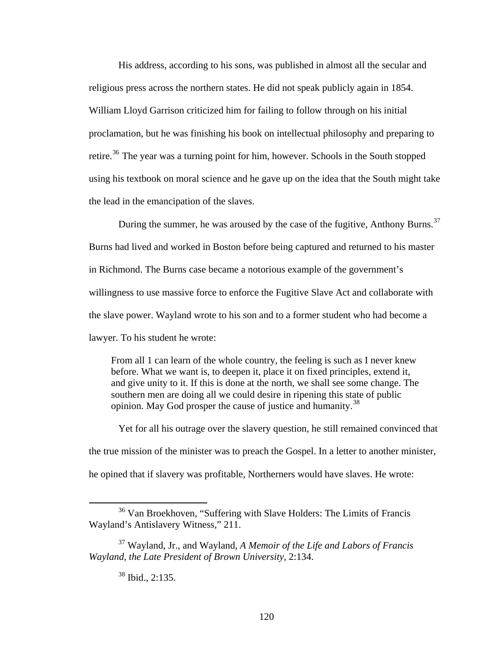His address, according to his sons, was published in almost all the secular and religious press across the northern states. He did not speak publicly again in 1854. William Lloyd Garrison criticized him for failing to follow through on his initial proclamation, but he was finishing his book on intellectual philosophy and preparing to retire.<sup>[36](#page-127-0)</sup> The year was a turning point for him, however. Schools in the South stopped using his textbook on moral science and he gave up on the idea that the South might take the lead in the emancipation of the slaves.

During the summer, he was aroused by the case of the fugitive, Anthony Burns.<sup>[37](#page-127-1)</sup> Burns had lived and worked in Boston before being captured and returned to his master in Richmond. The Burns case became a notorious example of the government's willingness to use massive force to enforce the Fugitive Slave Act and collaborate with the slave power. Wayland wrote to his son and to a former student who had become a lawyer. To his student he wrote:

From all 1 can learn of the whole country, the feeling is such as I never knew before. What we want is, to deepen it, place it on fixed principles, extend it, and give unity to it. If this is done at the north, we shall see some change. The southern men are doing all we could desire in ripening this state of public opinion. May God prosper the cause of justice and humanity.[38](#page-127-2)

Yet for all his outrage over the slavery question, he still remained convinced that the true mission of the minister was to preach the Gospel. In a letter to another minister, he opined that if slavery was profitable, Northerners would have slaves. He wrote:

<span id="page-127-0"></span> <sup>36</sup> Van Broekhoven, "Suffering with Slave Holders: The Limits of Francis Wayland's Antislavery Witness*,*" 211.

<span id="page-127-2"></span><span id="page-127-1"></span><sup>37</sup> Wayland, Jr., and Wayland, *A Memoir of the Life and Labors of Francis Wayland, the Late President of Brown University*, 2:134.

 $38$  Ibid., 2:135.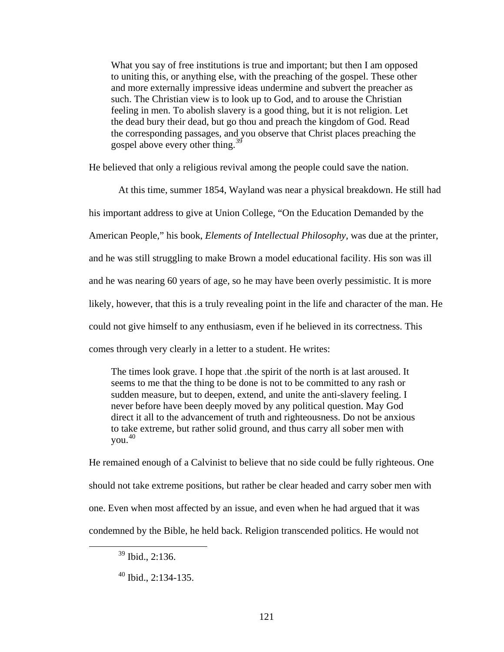What you say of free institutions is true and important; but then I am opposed to uniting this, or anything else, with the preaching of the gospel. These other and more externally impressive ideas undermine and subvert the preacher as such. The Christian view is to look up to God, and to arouse the Christian feeling in men. To abolish slavery is a good thing, but it is not religion. Let the dead bury their dead, but go thou and preach the kingdom of God. Read the corresponding passages, and you observe that Christ places preaching the gospel above every other thing.[39](#page-128-0)

He believed that only a religious revival among the people could save the nation.

At this time, summer 1854, Wayland was near a physical breakdown. He still had his important address to give at Union College, "On the Education Demanded by the American People," his book, *Elements of Intellectual Philosophy,* was due at the printer, and he was still struggling to make Brown a model educational facility. His son was ill and he was nearing 60 years of age, so he may have been overly pessimistic. It is more likely, however, that this is a truly revealing point in the life and character of the man. He could not give himself to any enthusiasm, even if he believed in its correctness. This comes through very clearly in a letter to a student. He writes:

The times look grave. I hope that .the spirit of the north is at last aroused. It seems to me that the thing to be done is not to be committed to any rash or sudden measure, but to deepen, extend, and unite the anti-slavery feeling. I never before have been deeply moved by any political question. May God direct it all to the advancement of truth and righteousness. Do not be anxious to take extreme, but rather solid ground, and thus carry all sober men with you.[40](#page-128-1)

He remained enough of a Calvinist to believe that no side could be fully righteous. One should not take extreme positions, but rather be clear headed and carry sober men with one. Even when most affected by an issue, and even when he had argued that it was condemned by the Bible, he held back. Religion transcended politics. He would not

<span id="page-128-0"></span> $39$  Ibid., 2:136.

<span id="page-128-1"></span> $40$  Ibid., 2:134-135.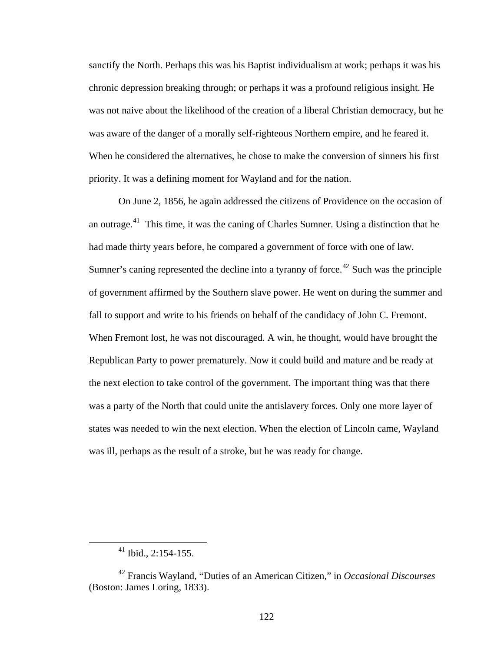sanctify the North. Perhaps this was his Baptist individualism at work; perhaps it was his chronic depression breaking through; or perhaps it was a profound religious insight. He was not naive about the likelihood of the creation of a liberal Christian democracy, but he was aware of the danger of a morally self-righteous Northern empire, and he feared it. When he considered the alternatives, he chose to make the conversion of sinners his first priority. It was a defining moment for Wayland and for the nation.

On June 2, 1856, he again addressed the citizens of Providence on the occasion of an outrage.<sup>[41](#page-129-0)</sup> This time, it was the caning of Charles Sumner. Using a distinction that he had made thirty years before, he compared a government of force with one of law. Sumner's caning represented the decline into a tyranny of force.<sup>[42](#page-129-1)</sup> Such was the principle of government affirmed by the Southern slave power. He went on during the summer and fall to support and write to his friends on behalf of the candidacy of John C. Fremont. When Fremont lost, he was not discouraged. A win, he thought, would have brought the Republican Party to power prematurely. Now it could build and mature and be ready at the next election to take control of the government. The important thing was that there was a party of the North that could unite the antislavery forces. Only one more layer of states was needed to win the next election. When the election of Lincoln came, Wayland was ill, perhaps as the result of a stroke, but he was ready for change.

 $41$  Ibid., 2:154-155.

<span id="page-129-1"></span><span id="page-129-0"></span><sup>42</sup> Francis Wayland, "Duties of an American Citizen," in *Occasional Discourses*  (Boston: James Loring, 1833).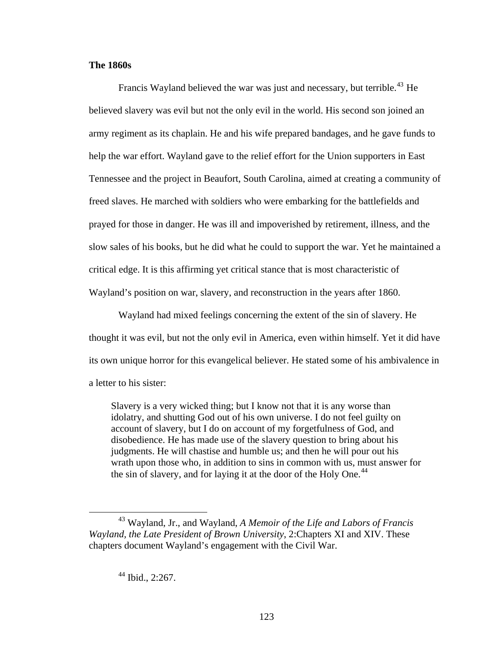### **The 1860s**

Francis Wayland believed the war was just and necessary, but terrible.<sup>[43](#page-130-0)</sup> He believed slavery was evil but not the only evil in the world. His second son joined an army regiment as its chaplain. He and his wife prepared bandages, and he gave funds to help the war effort. Wayland gave to the relief effort for the Union supporters in East Tennessee and the project in Beaufort, South Carolina, aimed at creating a community of freed slaves. He marched with soldiers who were embarking for the battlefields and prayed for those in danger. He was ill and impoverished by retirement, illness, and the slow sales of his books, but he did what he could to support the war. Yet he maintained a critical edge. It is this affirming yet critical stance that is most characteristic of Wayland's position on war, slavery, and reconstruction in the years after 1860.

Wayland had mixed feelings concerning the extent of the sin of slavery. He thought it was evil, but not the only evil in America, even within himself. Yet it did have its own unique horror for this evangelical believer. He stated some of his ambivalence in a letter to his sister:

Slavery is a very wicked thing; but I know not that it is any worse than idolatry, and shutting God out of his own universe. I do not feel guilty on account of slavery, but I do on account of my forgetfulness of God, and disobedience. He has made use of the slavery question to bring about his judgments. He will chastise and humble us; and then he will pour out his wrath upon those who, in addition to sins in common with us, must answer for the sin of slavery, and for laying it at the door of the Holy One.<sup>[44](#page-130-1)</sup>

<span id="page-130-1"></span><span id="page-130-0"></span> <sup>43</sup> Wayland, Jr., and Wayland, *A Memoir of the Life and Labors of Francis Wayland, the Late President of Brown University*, 2:Chapters XI and XIV. These chapters document Wayland's engagement with the Civil War.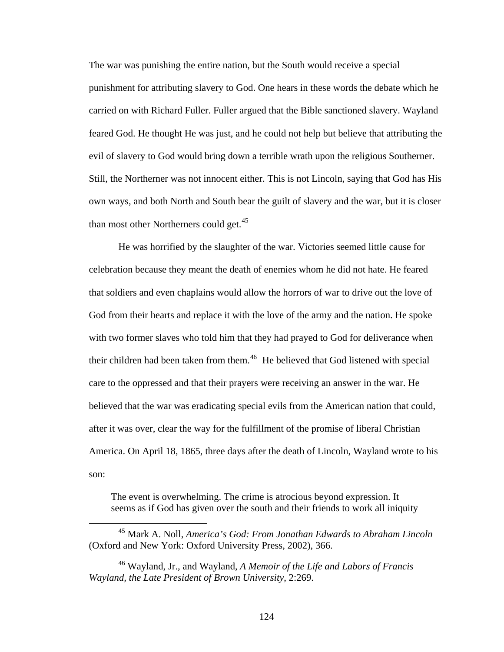The war was punishing the entire nation, but the South would receive a special punishment for attributing slavery to God. One hears in these words the debate which he carried on with Richard Fuller. Fuller argued that the Bible sanctioned slavery. Wayland feared God. He thought He was just, and he could not help but believe that attributing the evil of slavery to God would bring down a terrible wrath upon the religious Southerner. Still, the Northerner was not innocent either. This is not Lincoln, saying that God has His own ways, and both North and South bear the guilt of slavery and the war, but it is closer than most other Northerners could get. $45$ 

He was horrified by the slaughter of the war. Victories seemed little cause for celebration because they meant the death of enemies whom he did not hate. He feared that soldiers and even chaplains would allow the horrors of war to drive out the love of God from their hearts and replace it with the love of the army and the nation. He spoke with two former slaves who told him that they had prayed to God for deliverance when their children had been taken from them.<sup>[46](#page-131-1)</sup> He believed that God listened with special care to the oppressed and that their prayers were receiving an answer in the war. He believed that the war was eradicating special evils from the American nation that could, after it was over, clear the way for the fulfillment of the promise of liberal Christian America. On April 18, 1865, three days after the death of Lincoln, Wayland wrote to his son:

The event is overwhelming. The crime is atrocious beyond expression. It seems as if God has given over the south and their friends to work all iniquity

<span id="page-131-0"></span> <sup>45</sup> Mark A. Noll, *America's God: From Jonathan Edwards to Abraham Lincoln*  (Oxford and New York: Oxford University Press, 2002), 366.

<span id="page-131-1"></span><sup>46</sup> Wayland, Jr., and Wayland, *A Memoir of the Life and Labors of Francis Wayland, the Late President of Brown University*, 2:269.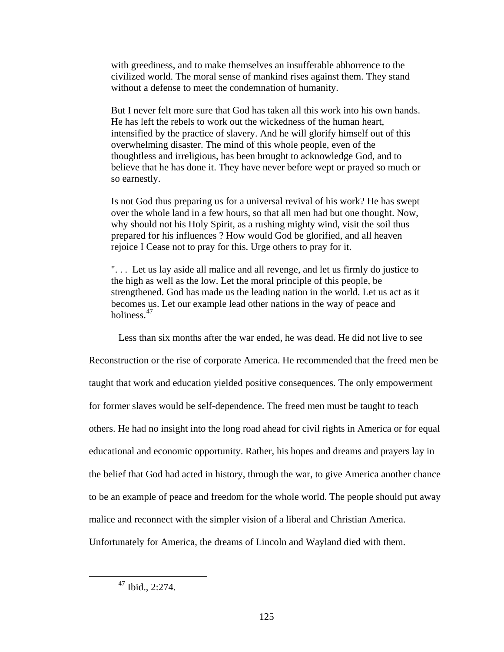with greediness, and to make themselves an insufferable abhorrence to the civilized world. The moral sense of mankind rises against them. They stand without a defense to meet the condemnation of humanity.

But I never felt more sure that God has taken all this work into his own hands. He has left the rebels to work out the wickedness of the human heart, intensified by the practice of slavery. And he will glorify himself out of this overwhelming disaster. The mind of this whole people, even of the thoughtless and irreligious, has been brought to acknowledge God, and to believe that he has done it. They have never before wept or prayed so much or so earnestly.

Is not God thus preparing us for a universal revival of his work? He has swept over the whole land in a few hours, so that all men had but one thought. Now, why should not his Holy Spirit, as a rushing mighty wind, visit the soil thus prepared for his influences ? How would God be glorified, and all heaven rejoice I Cease not to pray for this. Urge others to pray for it.

". . . Let us lay aside all malice and all revenge, and let us firmly do justice to the high as well as the low. Let the moral principle of this people, be strengthened. God has made us the leading nation in the world. Let us act as it becomes us. Let our example lead other nations in the way of peace and holiness.<sup>[47](#page-132-0)</sup>

Less than six months after the war ended, he was dead. He did not live to see

Reconstruction or the rise of corporate America. He recommended that the freed men be taught that work and education yielded positive consequences. The only empowerment for former slaves would be self-dependence. The freed men must be taught to teach others. He had no insight into the long road ahead for civil rights in America or for equal educational and economic opportunity. Rather, his hopes and dreams and prayers lay in the belief that God had acted in history, through the war, to give America another chance to be an example of peace and freedom for the whole world. The people should put away malice and reconnect with the simpler vision of a liberal and Christian America. Unfortunately for America, the dreams of Lincoln and Wayland died with them.

<span id="page-132-0"></span> $\overline{a}$ 

 $47$  Ibid., 2:274.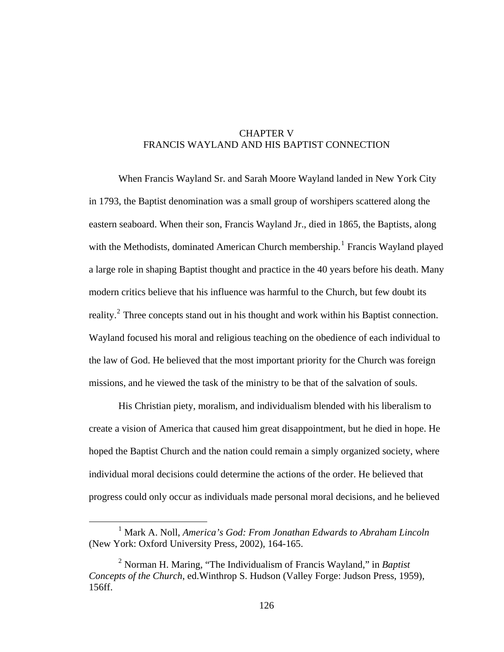## CHAPTER V FRANCIS WAYLAND AND HIS BAPTIST CONNECTION

When Francis Wayland Sr. and Sarah Moore Wayland landed in New York City in 1793, the Baptist denomination was a small group of worshipers scattered along the eastern seaboard. When their son, Francis Wayland Jr., died in 1865, the Baptists, along with the Methodists, dominated American Church membership.<sup>[1](#page-133-0)</sup> Francis Wayland played a large role in shaping Baptist thought and practice in the 40 years before his death. Many modern critics believe that his influence was harmful to the Church, but few doubt its reality. $2$  Three concepts stand out in his thought and work within his Baptist connection. Wayland focused his moral and religious teaching on the obedience of each individual to the law of God. He believed that the most important priority for the Church was foreign missions, and he viewed the task of the ministry to be that of the salvation of souls.

His Christian piety, moralism, and individualism blended with his liberalism to create a vision of America that caused him great disappointment, but he died in hope. He hoped the Baptist Church and the nation could remain a simply organized society, where individual moral decisions could determine the actions of the order. He believed that progress could only occur as individuals made personal moral decisions, and he believed

<span id="page-133-0"></span><sup>&</sup>lt;u>1</u> Mark A. Noll, *America's God: From Jonathan Edwards to Abraham Lincoln*  (New York: Oxford University Press, 2002), 164-165.

<span id="page-133-1"></span><sup>2</sup> Norman H. Maring, "The Individualism of Francis Wayland," in *Baptist Concepts of the Church*, ed.Winthrop S. Hudson (Valley Forge: Judson Press, 1959), 156ff.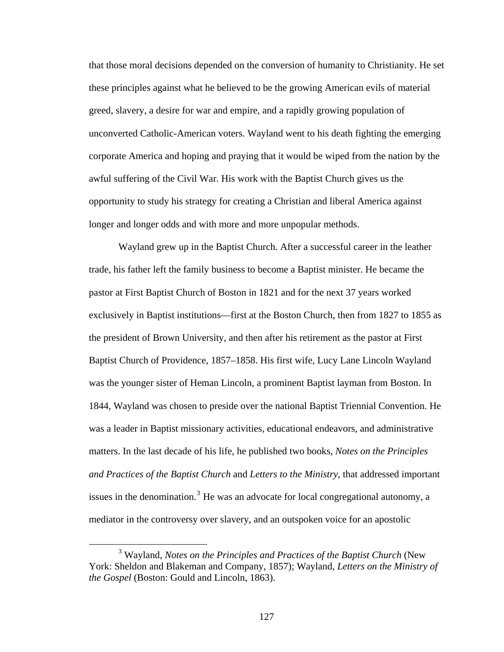that those moral decisions depended on the conversion of humanity to Christianity. He set these principles against what he believed to be the growing American evils of material greed, slavery, a desire for war and empire, and a rapidly growing population of unconverted Catholic-American voters. Wayland went to his death fighting the emerging corporate America and hoping and praying that it would be wiped from the nation by the awful suffering of the Civil War. His work with the Baptist Church gives us the opportunity to study his strategy for creating a Christian and liberal America against longer and longer odds and with more and more unpopular methods.

Wayland grew up in the Baptist Church. After a successful career in the leather trade, his father left the family business to become a Baptist minister. He became the pastor at First Baptist Church of Boston in 1821 and for the next 37 years worked exclusively in Baptist institutions—first at the Boston Church, then from 1827 to 1855 as the president of Brown University, and then after his retirement as the pastor at First Baptist Church of Providence, 1857–1858. His first wife, Lucy Lane Lincoln Wayland was the younger sister of Heman Lincoln, a prominent Baptist layman from Boston. In 1844, Wayland was chosen to preside over the national Baptist Triennial Convention. He was a leader in Baptist missionary activities, educational endeavors, and administrative matters. In the last decade of his life, he published two books, *Notes on the Principles and Practices of the Baptist Church* and *Letters to the Ministry*, that addressed important issues in the denomination.<sup>[3](#page-134-0)</sup> He was an advocate for local congregational autonomy, a mediator in the controversy over slavery, and an outspoken voice for an apostolic

<span id="page-134-0"></span> $\frac{1}{3}$ <sup>3</sup> Wayland, *Notes on the Principles and Practices of the Baptist Church* (New York: Sheldon and Blakeman and Company, 1857); Wayland, *Letters on the Ministry of the Gospel* (Boston: Gould and Lincoln, 1863).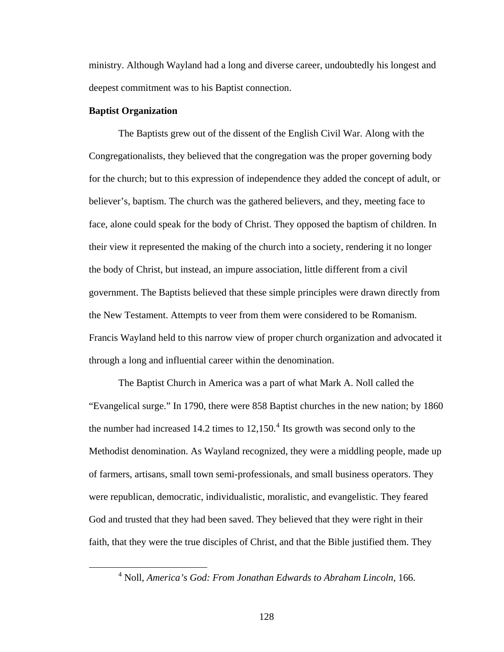ministry. Although Wayland had a long and diverse career, undoubtedly his longest and deepest commitment was to his Baptist connection.

#### **Baptist Organization**

The Baptists grew out of the dissent of the English Civil War. Along with the Congregationalists, they believed that the congregation was the proper governing body for the church; but to this expression of independence they added the concept of adult, or believer's, baptism. The church was the gathered believers, and they, meeting face to face, alone could speak for the body of Christ. They opposed the baptism of children. In their view it represented the making of the church into a society, rendering it no longer the body of Christ, but instead, an impure association, little different from a civil government. The Baptists believed that these simple principles were drawn directly from the New Testament. Attempts to veer from them were considered to be Romanism. Francis Wayland held to this narrow view of proper church organization and advocated it through a long and influential career within the denomination.

The Baptist Church in America was a part of what Mark A. Noll called the "Evangelical surge." In 1790, there were 858 Baptist churches in the new nation; by 1860 the number had increased 1[4](#page-135-0).2 times to  $12,150$ .<sup>4</sup> Its growth was second only to the Methodist denomination. As Wayland recognized, they were a middling people, made up of farmers, artisans, small town semi-professionals, and small business operators. They were republican, democratic, individualistic, moralistic, and evangelistic. They feared God and trusted that they had been saved. They believed that they were right in their faith, that they were the true disciples of Christ, and that the Bible justified them. They

<span id="page-135-0"></span> $\overline{4}$ Noll, *America's God: From Jonathan Edwards to Abraham Lincoln*, 166.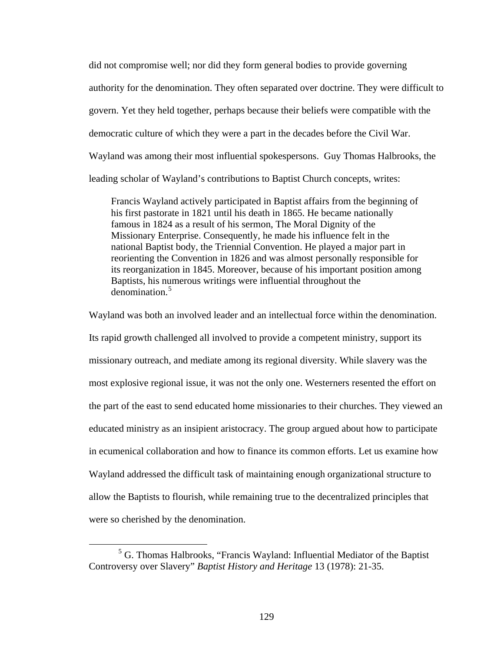did not compromise well; nor did they form general bodies to provide governing authority for the denomination. They often separated over doctrine. They were difficult to govern. Yet they held together, perhaps because their beliefs were compatible with the democratic culture of which they were a part in the decades before the Civil War. Wayland was among their most influential spokespersons. Guy Thomas Halbrooks, the leading scholar of Wayland's contributions to Baptist Church concepts, writes:

Francis Wayland actively participated in Baptist affairs from the beginning of his first pastorate in 1821 until his death in 1865. He became nationally famous in 1824 as a result of his sermon, The Moral Dignity of the Missionary Enterprise. Consequently, he made his influence felt in the national Baptist body, the Triennial Convention. He played a major part in reorienting the Convention in 1826 and was almost personally responsible for its reorganization in 1845. Moreover, because of his important position among Baptists, his numerous writings were influential throughout the denomination.<sup>[5](#page-136-0)</sup>

Wayland was both an involved leader and an intellectual force within the denomination. Its rapid growth challenged all involved to provide a competent ministry, support its missionary outreach, and mediate among its regional diversity. While slavery was the most explosive regional issue, it was not the only one. Westerners resented the effort on the part of the east to send educated home missionaries to their churches. They viewed an educated ministry as an insipient aristocracy. The group argued about how to participate in ecumenical collaboration and how to finance its common efforts. Let us examine how Wayland addressed the difficult task of maintaining enough organizational structure to allow the Baptists to flourish, while remaining true to the decentralized principles that were so cherished by the denomination.

<span id="page-136-0"></span> $\frac{1}{5}$  $<sup>5</sup>$  G. Thomas Halbrooks, "Francis Wayland: Influential Mediator of the Baptist</sup> Controversy over Slavery" *Baptist History and Heritage* 13 (1978): 21-35.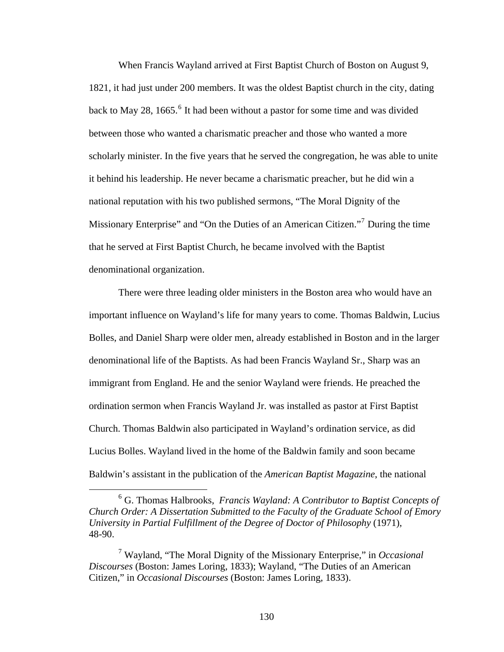When Francis Wayland arrived at First Baptist Church of Boston on August 9, 1821, it had just under 200 members. It was the oldest Baptist church in the city, dating back to May 28, 1[6](#page-137-0)65. $\degree$  It had been without a pastor for some time and was divided between those who wanted a charismatic preacher and those who wanted a more scholarly minister. In the five years that he served the congregation, he was able to unite it behind his leadership. He never became a charismatic preacher, but he did win a national reputation with his two published sermons, "The Moral Dignity of the Missionary Enterprise" and "On the Duties of an American Citizen."<sup>[7](#page-137-1)</sup> During the time that he served at First Baptist Church, he became involved with the Baptist denominational organization.

There were three leading older ministers in the Boston area who would have an important influence on Wayland's life for many years to come. Thomas Baldwin, Lucius Bolles, and Daniel Sharp were older men, already established in Boston and in the larger denominational life of the Baptists. As had been Francis Wayland Sr., Sharp was an immigrant from England. He and the senior Wayland were friends. He preached the ordination sermon when Francis Wayland Jr. was installed as pastor at First Baptist Church. Thomas Baldwin also participated in Wayland's ordination service, as did Lucius Bolles. Wayland lived in the home of the Baldwin family and soon became Baldwin's assistant in the publication of the *American Baptist Magazine*, the national

<span id="page-137-0"></span> <sup>6</sup> G. Thomas Halbrooks, *Francis Wayland: A Contributor to Baptist Concepts of Church Order: A Dissertation Submitted to the Faculty of the Graduate School of Emory University in Partial Fulfillment of the Degree of Doctor of Philosophy* (1971), 48-90.

<span id="page-137-1"></span><sup>7</sup> Wayland, "The Moral Dignity of the Missionary Enterprise," in *Occasional Discourses* (Boston: James Loring, 1833); Wayland, "The Duties of an American Citizen," in *Occasional Discourses* (Boston: James Loring, 1833).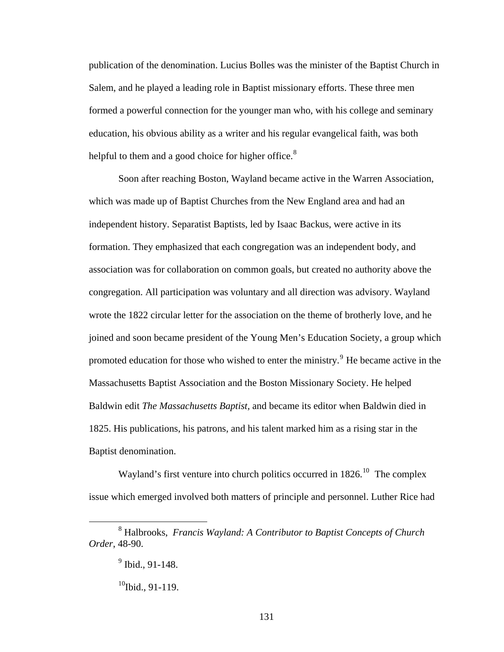publication of the denomination. Lucius Bolles was the minister of the Baptist Church in Salem, and he played a leading role in Baptist missionary efforts. These three men formed a powerful connection for the younger man who, with his college and seminary education, his obvious ability as a writer and his regular evangelical faith, was both helpful to them and a good choice for higher office. $8$ 

Soon after reaching Boston, Wayland became active in the Warren Association, which was made up of Baptist Churches from the New England area and had an independent history. Separatist Baptists, led by Isaac Backus, were active in its formation. They emphasized that each congregation was an independent body, and association was for collaboration on common goals, but created no authority above the congregation. All participation was voluntary and all direction was advisory. Wayland wrote the 1822 circular letter for the association on the theme of brotherly love, and he joined and soon became president of the Young Men's Education Society, a group which promoted education for those who wished to enter the ministry.<sup>[9](#page-138-1)</sup> He became active in the Massachusetts Baptist Association and the Boston Missionary Society. He helped Baldwin edit *The Massachusetts Baptist,* and became its editor when Baldwin died in 1825. His publications, his patrons, and his talent marked him as a rising star in the Baptist denomination.

Wayland's first venture into church politics occurred in  $1826$ .<sup>[10](#page-138-2)</sup> The complex issue which emerged involved both matters of principle and personnel. Luther Rice had

<span id="page-138-2"></span><span id="page-138-1"></span><span id="page-138-0"></span> <sup>8</sup> Halbrooks, *Francis Wayland: A Contributor to Baptist Concepts of Church Order*, 48-90.

 $9$  Ibid., 91-148.

 $10$ Ibid., 91-119.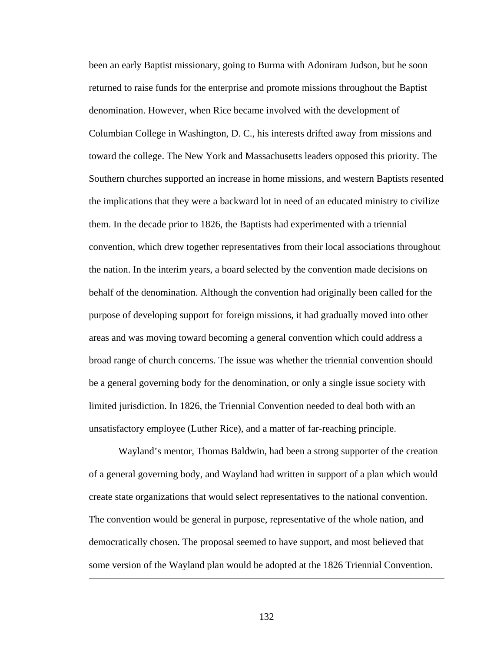been an early Baptist missionary, going to Burma with Adoniram Judson, but he soon returned to raise funds for the enterprise and promote missions throughout the Baptist denomination. However, when Rice became involved with the development of Columbian College in Washington, D. C., his interests drifted away from missions and toward the college. The New York and Massachusetts leaders opposed this priority. The Southern churches supported an increase in home missions, and western Baptists resented the implications that they were a backward lot in need of an educated ministry to civilize them. In the decade prior to 1826, the Baptists had experimented with a triennial convention, which drew together representatives from their local associations throughout the nation. In the interim years, a board selected by the convention made decisions on behalf of the denomination. Although the convention had originally been called for the purpose of developing support for foreign missions, it had gradually moved into other areas and was moving toward becoming a general convention which could address a broad range of church concerns. The issue was whether the triennial convention should be a general governing body for the denomination, or only a single issue society with limited jurisdiction. In 1826, the Triennial Convention needed to deal both with an unsatisfactory employee (Luther Rice), and a matter of far-reaching principle.

Wayland's mentor, Thomas Baldwin, had been a strong supporter of the creation of a general governing body, and Wayland had written in support of a plan which would create state organizations that would select representatives to the national convention. The convention would be general in purpose, representative of the whole nation, and democratically chosen. The proposal seemed to have support, and most believed that some version of the Wayland plan would be adopted at the 1826 Triennial Convention.

132

<u>.</u>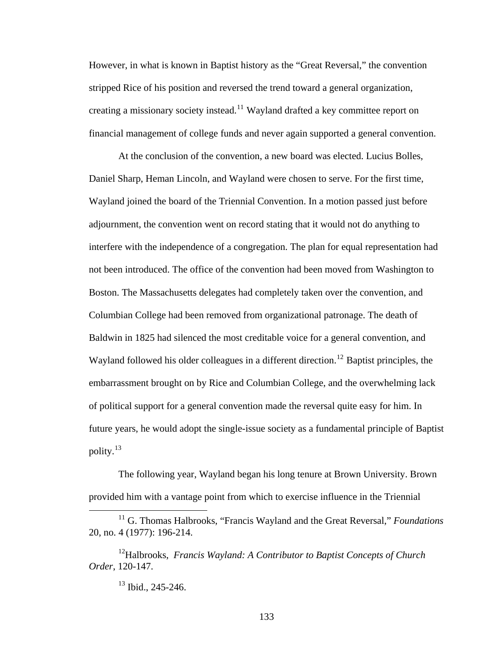However, in what is known in Baptist history as the "Great Reversal," the convention stripped Rice of his position and reversed the trend toward a general organization, creating a missionary society instead.<sup>[11](#page-140-0)</sup> Wayland drafted a key committee report on financial management of college funds and never again supported a general convention.

At the conclusion of the convention, a new board was elected. Lucius Bolles, Daniel Sharp, Heman Lincoln, and Wayland were chosen to serve. For the first time, Wayland joined the board of the Triennial Convention. In a motion passed just before adjournment, the convention went on record stating that it would not do anything to interfere with the independence of a congregation. The plan for equal representation had not been introduced. The office of the convention had been moved from Washington to Boston. The Massachusetts delegates had completely taken over the convention, and Columbian College had been removed from organizational patronage. The death of Baldwin in 1825 had silenced the most creditable voice for a general convention, and Wayland followed his older colleagues in a different direction.<sup>[12](#page-140-1)</sup> Baptist principles, the embarrassment brought on by Rice and Columbian College, and the overwhelming lack of political support for a general convention made the reversal quite easy for him. In future years, he would adopt the single-issue society as a fundamental principle of Baptist polity.[13](#page-140-2)

The following year, Wayland began his long tenure at Brown University. Brown provided him with a vantage point from which to exercise influence in the Triennial

133

<span id="page-140-0"></span> <sup>11</sup> G. Thomas Halbrooks, "Francis Wayland and the Great Reversal," *Foundations*  20, no. 4 (1977): 196-214.

<span id="page-140-2"></span><span id="page-140-1"></span><sup>12</sup>Halbrooks, *Francis Wayland: A Contributor to Baptist Concepts of Church Order*, 120-147.<br><sup>13</sup> Ibid., 245-246.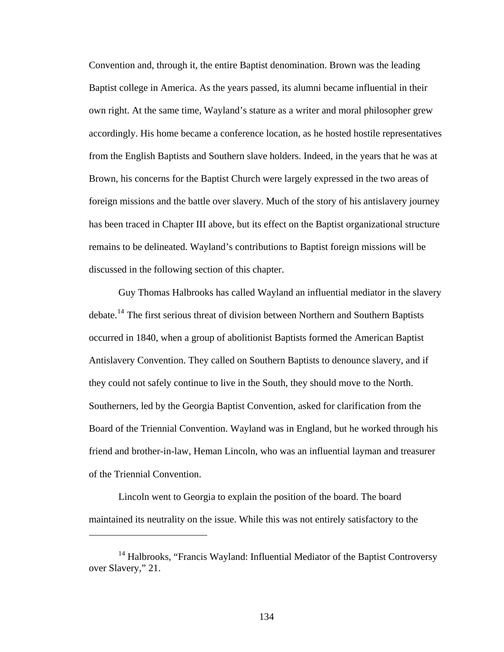Convention and, through it, the entire Baptist denomination. Brown was the leading Baptist college in America. As the years passed, its alumni became influential in their own right. At the same time, Wayland's stature as a writer and moral philosopher grew accordingly. His home became a conference location, as he hosted hostile representatives from the English Baptists and Southern slave holders. Indeed, in the years that he was at Brown, his concerns for the Baptist Church were largely expressed in the two areas of foreign missions and the battle over slavery. Much of the story of his antislavery journey has been traced in Chapter III above, but its effect on the Baptist organizational structure remains to be delineated. Wayland's contributions to Baptist foreign missions will be discussed in the following section of this chapter.

Guy Thomas Halbrooks has called Wayland an influential mediator in the slavery debate.<sup>[14](#page-141-0)</sup> The first serious threat of division between Northern and Southern Baptists occurred in 1840, when a group of abolitionist Baptists formed the American Baptist Antislavery Convention. They called on Southern Baptists to denounce slavery, and if they could not safely continue to live in the South, they should move to the North. Southerners, led by the Georgia Baptist Convention, asked for clarification from the Board of the Triennial Convention. Wayland was in England, but he worked through his friend and brother-in-law, Heman Lincoln, who was an influential layman and treasurer of the Triennial Convention.

Lincoln went to Georgia to explain the position of the board. The board maintained its neutrality on the issue. While this was not entirely satisfactory to the

 $\overline{a}$ 

<span id="page-141-0"></span><sup>&</sup>lt;sup>14</sup> Halbrooks, "Francis Wayland: Influential Mediator of the Baptist Controversy over Slavery," 21.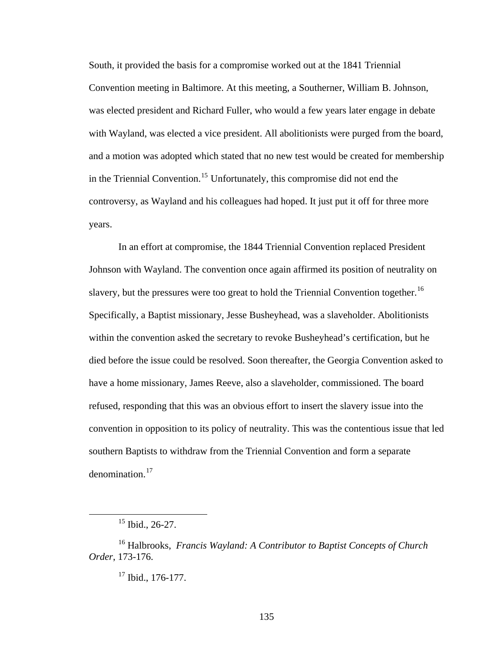South, it provided the basis for a compromise worked out at the 1841 Triennial Convention meeting in Baltimore. At this meeting, a Southerner, William B. Johnson, was elected president and Richard Fuller, who would a few years later engage in debate with Wayland, was elected a vice president. All abolitionists were purged from the board, and a motion was adopted which stated that no new test would be created for membership in the Triennial Convention.[15](#page-142-0) Unfortunately, this compromise did not end the controversy, as Wayland and his colleagues had hoped. It just put it off for three more years.

In an effort at compromise, the 1844 Triennial Convention replaced President Johnson with Wayland. The convention once again affirmed its position of neutrality on slavery, but the pressures were too great to hold the Triennial Convention together.<sup>[16](#page-142-1)</sup> Specifically, a Baptist missionary, Jesse Busheyhead, was a slaveholder. Abolitionists within the convention asked the secretary to revoke Busheyhead's certification, but he died before the issue could be resolved. Soon thereafter, the Georgia Convention asked to have a home missionary, James Reeve, also a slaveholder, commissioned. The board refused, responding that this was an obvious effort to insert the slavery issue into the convention in opposition to its policy of neutrality. This was the contentious issue that led southern Baptists to withdraw from the Triennial Convention and form a separate denomination.<sup>[17](#page-142-2)</sup>

 <sup>15</sup> Ibid., 26-27.

<span id="page-142-2"></span><span id="page-142-1"></span><span id="page-142-0"></span><sup>16</sup> Halbrooks, *Francis Wayland: A Contributor to Baptist Concepts of Church Order*, 173-176.

 $17$  Ibid., 176-177.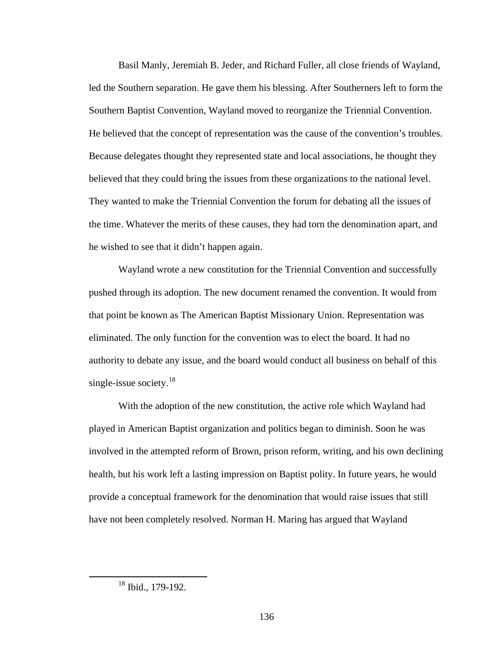Basil Manly, Jeremiah B. Jeder, and Richard Fuller, all close friends of Wayland, led the Southern separation. He gave them his blessing. After Southerners left to form the Southern Baptist Convention, Wayland moved to reorganize the Triennial Convention. He believed that the concept of representation was the cause of the convention's troubles. Because delegates thought they represented state and local associations, he thought they believed that they could bring the issues from these organizations to the national level. They wanted to make the Triennial Convention the forum for debating all the issues of the time. Whatever the merits of these causes, they had torn the denomination apart, and he wished to see that it didn't happen again.

Wayland wrote a new constitution for the Triennial Convention and successfully pushed through its adoption. The new document renamed the convention. It would from that point be known as The American Baptist Missionary Union. Representation was eliminated. The only function for the convention was to elect the board. It had no authority to debate any issue, and the board would conduct all business on behalf of this single-issue society. $18$ 

With the adoption of the new constitution, the active role which Wayland had played in American Baptist organization and politics began to diminish. Soon he was involved in the attempted reform of Brown, prison reform, writing, and his own declining health, but his work left a lasting impression on Baptist polity. In future years, he would provide a conceptual framework for the denomination that would raise issues that still have not been completely resolved. Norman H. Maring has argued that Wayland

<span id="page-143-0"></span> $18$  Ibid., 179-192.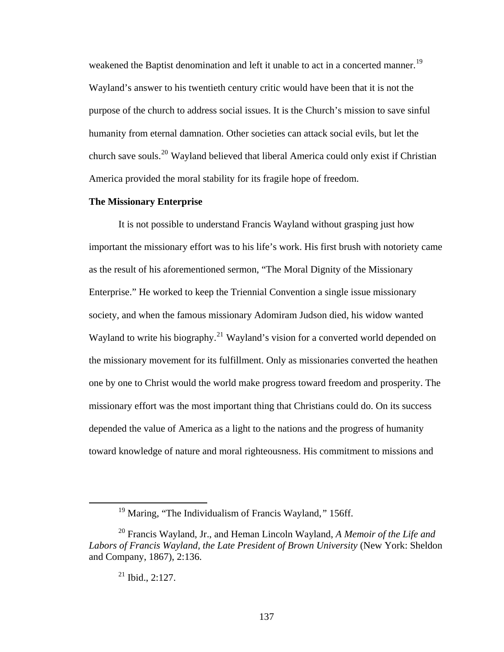weakened the Baptist denomination and left it unable to act in a concerted manner.<sup>[19](#page-144-0)</sup> Wayland's answer to his twentieth century critic would have been that it is not the purpose of the church to address social issues. It is the Church's mission to save sinful humanity from eternal damnation. Other societies can attack social evils, but let the church save souls.<sup>[20](#page-144-1)</sup> Wayland believed that liberal America could only exist if Christian America provided the moral stability for its fragile hope of freedom.

### **The Missionary Enterprise**

It is not possible to understand Francis Wayland without grasping just how important the missionary effort was to his life's work. His first brush with notoriety came as the result of his aforementioned sermon, "The Moral Dignity of the Missionary Enterprise." He worked to keep the Triennial Convention a single issue missionary society, and when the famous missionary Adomiram Judson died, his widow wanted Wayland to write his biography.<sup>[21](#page-144-2)</sup> Wayland's vision for a converted world depended on the missionary movement for its fulfillment. Only as missionaries converted the heathen one by one to Christ would the world make progress toward freedom and prosperity. The missionary effort was the most important thing that Christians could do. On its success depended the value of America as a light to the nations and the progress of humanity toward knowledge of nature and moral righteousness. His commitment to missions and

# $21$  Ibid., 2:127.

 <sup>19</sup> Maring, "The Individualism of Francis Wayland,*"* 156ff.

<span id="page-144-2"></span><span id="page-144-1"></span><span id="page-144-0"></span><sup>20</sup> Francis Wayland, Jr., and Heman Lincoln Wayland, *A Memoir of the Life and Labors of Francis Wayland, the Late President of Brown University* (New York: Sheldon and Company, 1867), 2:136.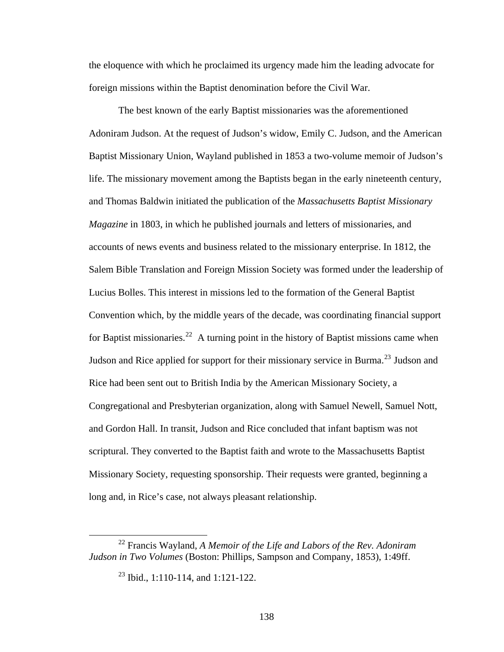the eloquence with which he proclaimed its urgency made him the leading advocate for foreign missions within the Baptist denomination before the Civil War.

The best known of the early Baptist missionaries was the aforementioned Adoniram Judson. At the request of Judson's widow, Emily C. Judson, and the American Baptist Missionary Union, Wayland published in 1853 a two-volume memoir of Judson's life. The missionary movement among the Baptists began in the early nineteenth century, and Thomas Baldwin initiated the publication of the *Massachusetts Baptist Missionary Magazine* in 1803, in which he published journals and letters of missionaries, and accounts of news events and business related to the missionary enterprise. In 1812, the Salem Bible Translation and Foreign Mission Society was formed under the leadership of Lucius Bolles. This interest in missions led to the formation of the General Baptist Convention which, by the middle years of the decade, was coordinating financial support for Baptist missionaries.<sup>[22](#page-145-0)</sup> A turning point in the history of Baptist missions came when Judson and Rice applied for support for their missionary service in Burma.<sup>[23](#page-145-1)</sup> Judson and Rice had been sent out to British India by the American Missionary Society, a Congregational and Presbyterian organization, along with Samuel Newell, Samuel Nott, and Gordon Hall. In transit, Judson and Rice concluded that infant baptism was not scriptural. They converted to the Baptist faith and wrote to the Massachusetts Baptist Missionary Society, requesting sponsorship. Their requests were granted, beginning a long and, in Rice's case, not always pleasant relationship.

<span id="page-145-1"></span><span id="page-145-0"></span> <sup>22</sup> Francis Wayland, *A Memoir of the Life and Labors of the Rev. Adoniram Judson in Two Volumes* (Boston: Phillips, Sampson and Company, 1853), 1:49ff.

<sup>23</sup> Ibid., 1:110-114, and 1:121-122.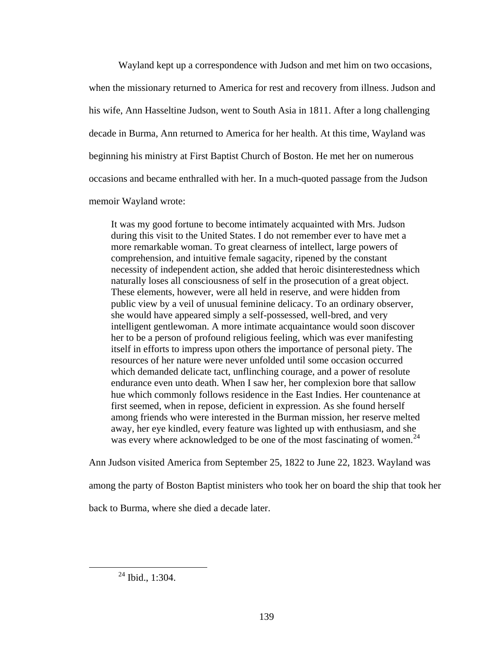Wayland kept up a correspondence with Judson and met him on two occasions, when the missionary returned to America for rest and recovery from illness. Judson and his wife, Ann Hasseltine Judson, went to South Asia in 1811. After a long challenging decade in Burma, Ann returned to America for her health. At this time, Wayland was beginning his ministry at First Baptist Church of Boston. He met her on numerous occasions and became enthralled with her. In a much-quoted passage from the Judson memoir Wayland wrote:

It was my good fortune to become intimately acquainted with Mrs. Judson during this visit to the United States. I do not remember ever to have met a more remarkable woman. To great clearness of intellect, large powers of comprehension, and intuitive female sagacity, ripened by the constant necessity of independent action, she added that heroic disinterestedness which naturally loses all consciousness of self in the prosecution of a great object. These elements, however, were all held in reserve, and were hidden from public view by a veil of unusual feminine delicacy. To an ordinary observer, she would have appeared simply a self-possessed, well-bred, and very intelligent gentlewoman. A more intimate acquaintance would soon discover her to be a person of profound religious feeling, which was ever manifesting itself in efforts to impress upon others the importance of personal piety. The resources of her nature were never unfolded until some occasion occurred which demanded delicate tact, unflinching courage, and a power of resolute endurance even unto death. When I saw her, her complexion bore that sallow hue which commonly follows residence in the East Indies. Her countenance at first seemed, when in repose, deficient in expression. As she found herself among friends who were interested in the Burman mission, her reserve melted away, her eye kindled, every feature was lighted up with enthusiasm, and she was every where acknowledged to be one of the most fascinating of women.<sup>[24](#page-146-0)</sup>

Ann Judson visited America from September 25, 1822 to June 22, 1823. Wayland was

among the party of Boston Baptist ministers who took her on board the ship that took her

<span id="page-146-0"></span>back to Burma, where she died a decade later.

 $24$  Ibid., 1:304.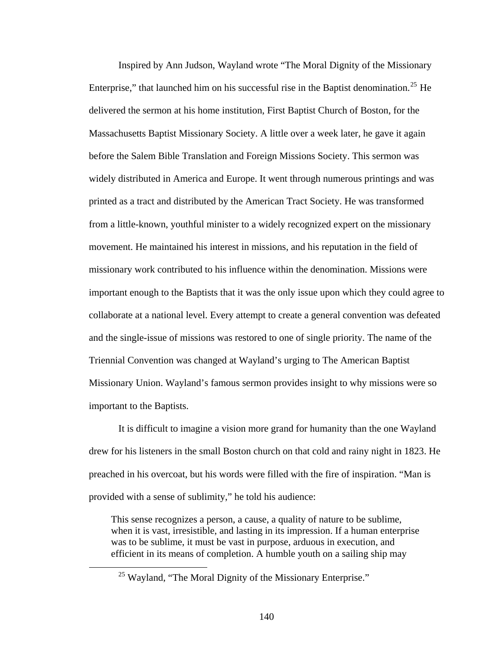Inspired by Ann Judson, Wayland wrote "The Moral Dignity of the Missionary Enterprise," that launched him on his successful rise in the Baptist denomination.<sup>[25](#page-147-0)</sup> He delivered the sermon at his home institution, First Baptist Church of Boston, for the Massachusetts Baptist Missionary Society. A little over a week later, he gave it again before the Salem Bible Translation and Foreign Missions Society. This sermon was widely distributed in America and Europe. It went through numerous printings and was printed as a tract and distributed by the American Tract Society. He was transformed from a little-known, youthful minister to a widely recognized expert on the missionary movement. He maintained his interest in missions, and his reputation in the field of missionary work contributed to his influence within the denomination. Missions were important enough to the Baptists that it was the only issue upon which they could agree to collaborate at a national level. Every attempt to create a general convention was defeated and the single-issue of missions was restored to one of single priority. The name of the Triennial Convention was changed at Wayland's urging to The American Baptist Missionary Union. Wayland's famous sermon provides insight to why missions were so important to the Baptists.

It is difficult to imagine a vision more grand for humanity than the one Wayland drew for his listeners in the small Boston church on that cold and rainy night in 1823. He preached in his overcoat, but his words were filled with the fire of inspiration. "Man is provided with a sense of sublimity," he told his audience:

This sense recognizes a person, a cause, a quality of nature to be sublime, when it is vast, irresistible, and lasting in its impression. If a human enterprise was to be sublime, it must be vast in purpose, arduous in execution, and efficient in its means of completion. A humble youth on a sailing ship may

<span id="page-147-0"></span><sup>&</sup>lt;sup>25</sup> Wayland, "The Moral Dignity of the Missionary Enterprise."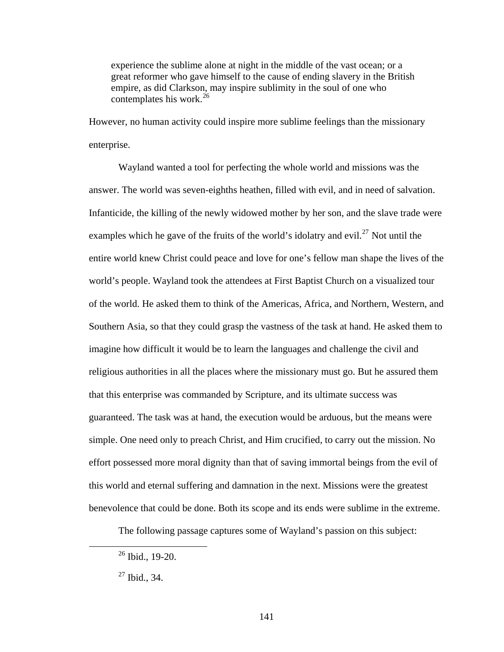experience the sublime alone at night in the middle of the vast ocean; or a great reformer who gave himself to the cause of ending slavery in the British empire, as did Clarkson, may inspire sublimity in the soul of one who contemplates his work.<sup>[26](#page-148-0)</sup>

However, no human activity could inspire more sublime feelings than the missionary enterprise.

Wayland wanted a tool for perfecting the whole world and missions was the answer. The world was seven-eighths heathen, filled with evil, and in need of salvation. Infanticide, the killing of the newly widowed mother by her son, and the slave trade were examples which he gave of the fruits of the world's idolatry and evil.<sup>[27](#page-148-1)</sup> Not until the entire world knew Christ could peace and love for one's fellow man shape the lives of the world's people. Wayland took the attendees at First Baptist Church on a visualized tour of the world. He asked them to think of the Americas, Africa, and Northern, Western, and Southern Asia, so that they could grasp the vastness of the task at hand. He asked them to imagine how difficult it would be to learn the languages and challenge the civil and religious authorities in all the places where the missionary must go. But he assured them that this enterprise was commanded by Scripture, and its ultimate success was guaranteed. The task was at hand, the execution would be arduous, but the means were simple. One need only to preach Christ, and Him crucified, to carry out the mission. No effort possessed more moral dignity than that of saving immortal beings from the evil of this world and eternal suffering and damnation in the next. Missions were the greatest benevolence that could be done. Both its scope and its ends were sublime in the extreme.

The following passage captures some of Wayland's passion on this subject:

<span id="page-148-0"></span> $26$  Ibid., 19-20.

<span id="page-148-1"></span> $27$  Ibid., 34.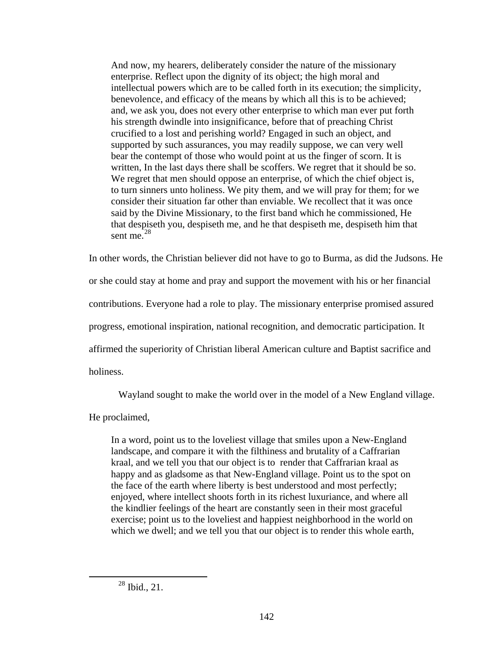And now, my hearers, deliberately consider the nature of the missionary enterprise. Reflect upon the dignity of its object; the high moral and intellectual powers which are to be called forth in its execution; the simplicity, benevolence, and efficacy of the means by which all this is to be achieved; and, we ask you, does not every other enterprise to which man ever put forth his strength dwindle into insignificance, before that of preaching Christ crucified to a lost and perishing world? Engaged in such an object, and supported by such assurances, you may readily suppose, we can very well bear the contempt of those who would point at us the finger of scorn. It is written, In the last days there shall be scoffers. We regret that it should be so. We regret that men should oppose an enterprise, of which the chief object is, to turn sinners unto holiness. We pity them, and we will pray for them; for we consider their situation far other than enviable. We recollect that it was once said by the Divine Missionary, to the first band which he commissioned, He that despiseth you, despiseth me, and he that despiseth me, despiseth him that sent me. $28$ 

In other words, the Christian believer did not have to go to Burma, as did the Judsons. He or she could stay at home and pray and support the movement with his or her financial contributions. Everyone had a role to play. The missionary enterprise promised assured progress, emotional inspiration, national recognition, and democratic participation. It affirmed the superiority of Christian liberal American culture and Baptist sacrifice and holiness.

Wayland sought to make the world over in the model of a New England village.

He proclaimed,

In a word, point us to the loveliest village that smiles upon a New-England landscape, and compare it with the filthiness and brutality of a Caffrarian kraal, and we tell you that our object is to render that Caffrarian kraal as happy and as gladsome as that New-England village. Point us to the spot on the face of the earth where liberty is best understood and most perfectly; enjoyed, where intellect shoots forth in its richest luxuriance, and where all the kindlier feelings of the heart are constantly seen in their most graceful exercise; point us to the loveliest and happiest neighborhood in the world on which we dwell; and we tell you that our object is to render this whole earth,

<span id="page-149-0"></span> $^{28}$  Ibid., 21.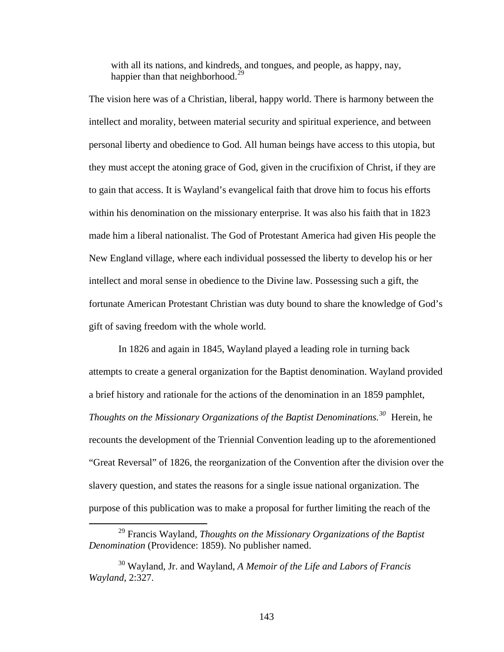with all its nations, and kindreds, and tongues, and people, as happy, nay, happier than that neighborhood.<sup>[29](#page-150-0)</sup>

The vision here was of a Christian, liberal, happy world. There is harmony between the intellect and morality, between material security and spiritual experience, and between personal liberty and obedience to God. All human beings have access to this utopia, but they must accept the atoning grace of God, given in the crucifixion of Christ, if they are to gain that access. It is Wayland's evangelical faith that drove him to focus his efforts within his denomination on the missionary enterprise. It was also his faith that in 1823 made him a liberal nationalist. The God of Protestant America had given His people the New England village, where each individual possessed the liberty to develop his or her intellect and moral sense in obedience to the Divine law. Possessing such a gift, the fortunate American Protestant Christian was duty bound to share the knowledge of God's gift of saving freedom with the whole world.

In 1826 and again in 1845, Wayland played a leading role in turning back attempts to create a general organization for the Baptist denomination. Wayland provided a brief history and rationale for the actions of the denomination in an 1859 pamphlet, *Thoughts on the Missionary Organizations of the Baptist Denominations.[30](#page-150-1)* Herein, he recounts the development of the Triennial Convention leading up to the aforementioned "Great Reversal" of 1826, the reorganization of the Convention after the division over the slavery question, and states the reasons for a single issue national organization. The purpose of this publication was to make a proposal for further limiting the reach of the

<span id="page-150-0"></span> <sup>29</sup> Francis Wayland, *Thoughts on the Missionary Organizations of the Baptist Denomination* (Providence: 1859). No publisher named.

<span id="page-150-1"></span><sup>30</sup> Wayland, Jr. and Wayland, *A Memoir of the Life and Labors of Francis Wayland,* 2:327.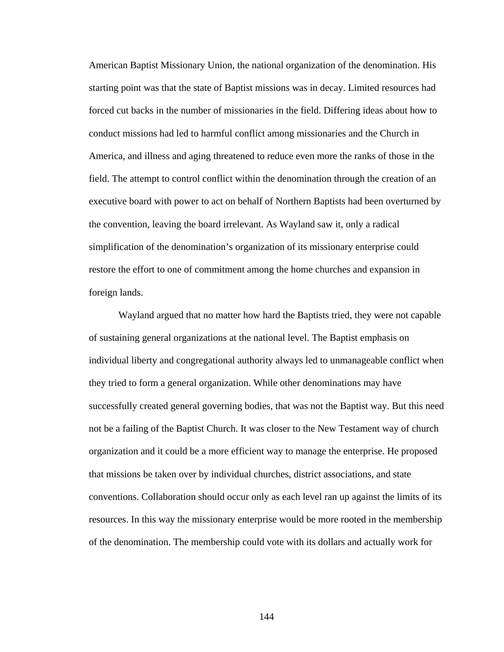American Baptist Missionary Union, the national organization of the denomination. His starting point was that the state of Baptist missions was in decay. Limited resources had forced cut backs in the number of missionaries in the field. Differing ideas about how to conduct missions had led to harmful conflict among missionaries and the Church in America, and illness and aging threatened to reduce even more the ranks of those in the field. The attempt to control conflict within the denomination through the creation of an executive board with power to act on behalf of Northern Baptists had been overturned by the convention, leaving the board irrelevant. As Wayland saw it, only a radical simplification of the denomination's organization of its missionary enterprise could restore the effort to one of commitment among the home churches and expansion in foreign lands.

Wayland argued that no matter how hard the Baptists tried, they were not capable of sustaining general organizations at the national level. The Baptist emphasis on individual liberty and congregational authority always led to unmanageable conflict when they tried to form a general organization. While other denominations may have successfully created general governing bodies, that was not the Baptist way. But this need not be a failing of the Baptist Church. It was closer to the New Testament way of church organization and it could be a more efficient way to manage the enterprise. He proposed that missions be taken over by individual churches, district associations, and state conventions. Collaboration should occur only as each level ran up against the limits of its resources. In this way the missionary enterprise would be more rooted in the membership of the denomination. The membership could vote with its dollars and actually work for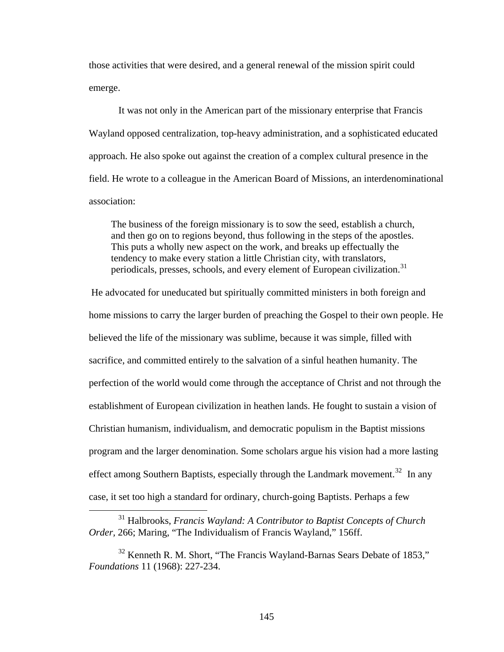those activities that were desired, and a general renewal of the mission spirit could emerge.

It was not only in the American part of the missionary enterprise that Francis Wayland opposed centralization, top-heavy administration, and a sophisticated educated approach. He also spoke out against the creation of a complex cultural presence in the field. He wrote to a colleague in the American Board of Missions, an interdenominational association:

The business of the foreign missionary is to sow the seed, establish a church, and then go on to regions beyond, thus following in the steps of the apostles. This puts a wholly new aspect on the work, and breaks up effectually the tendency to make every station a little Christian city, with translators, periodicals, presses, schools, and every element of European civilization.<sup>[31](#page-152-0)</sup>

 He advocated for uneducated but spiritually committed ministers in both foreign and home missions to carry the larger burden of preaching the Gospel to their own people. He believed the life of the missionary was sublime, because it was simple, filled with sacrifice, and committed entirely to the salvation of a sinful heathen humanity. The perfection of the world would come through the acceptance of Christ and not through the establishment of European civilization in heathen lands. He fought to sustain a vision of Christian humanism, individualism, and democratic populism in the Baptist missions program and the larger denomination. Some scholars argue his vision had a more lasting effect among Southern Baptists, especially through the Landmark movement.<sup>[32](#page-152-1)</sup> In any case, it set too high a standard for ordinary, church-going Baptists. Perhaps a few

<span id="page-152-0"></span> <sup>31</sup> Halbrooks, *Francis Wayland: A Contributor to Baptist Concepts of Church Order,* 266; Maring, "The Individualism of Francis Wayland," 156ff.

<span id="page-152-1"></span> $32$  Kenneth R. M. Short, "The Francis Wayland-Barnas Sears Debate of 1853," *Foundations* 11 (1968): 227-234.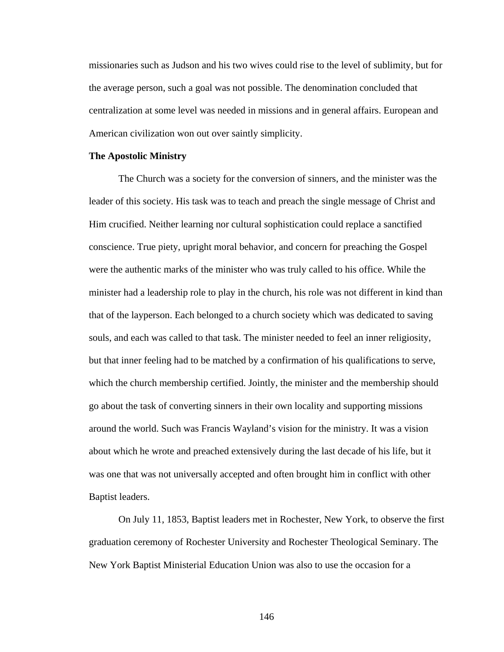missionaries such as Judson and his two wives could rise to the level of sublimity, but for the average person, such a goal was not possible. The denomination concluded that centralization at some level was needed in missions and in general affairs. European and American civilization won out over saintly simplicity.

#### **The Apostolic Ministry**

The Church was a society for the conversion of sinners, and the minister was the leader of this society. His task was to teach and preach the single message of Christ and Him crucified. Neither learning nor cultural sophistication could replace a sanctified conscience. True piety, upright moral behavior, and concern for preaching the Gospel were the authentic marks of the minister who was truly called to his office. While the minister had a leadership role to play in the church, his role was not different in kind than that of the layperson. Each belonged to a church society which was dedicated to saving souls, and each was called to that task. The minister needed to feel an inner religiosity, but that inner feeling had to be matched by a confirmation of his qualifications to serve, which the church membership certified. Jointly, the minister and the membership should go about the task of converting sinners in their own locality and supporting missions around the world. Such was Francis Wayland's vision for the ministry. It was a vision about which he wrote and preached extensively during the last decade of his life, but it was one that was not universally accepted and often brought him in conflict with other Baptist leaders.

On July 11, 1853, Baptist leaders met in Rochester, New York, to observe the first graduation ceremony of Rochester University and Rochester Theological Seminary. The New York Baptist Ministerial Education Union was also to use the occasion for a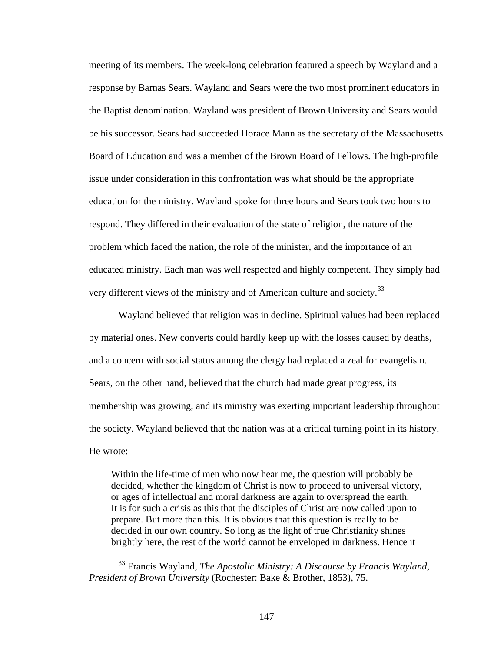meeting of its members. The week-long celebration featured a speech by Wayland and a response by Barnas Sears. Wayland and Sears were the two most prominent educators in the Baptist denomination. Wayland was president of Brown University and Sears would be his successor. Sears had succeeded Horace Mann as the secretary of the Massachusetts Board of Education and was a member of the Brown Board of Fellows. The high-profile issue under consideration in this confrontation was what should be the appropriate education for the ministry. Wayland spoke for three hours and Sears took two hours to respond. They differed in their evaluation of the state of religion, the nature of the problem which faced the nation, the role of the minister, and the importance of an educated ministry. Each man was well respected and highly competent. They simply had very different views of the ministry and of American culture and society.<sup>[33](#page-154-0)</sup>

Wayland believed that religion was in decline. Spiritual values had been replaced by material ones. New converts could hardly keep up with the losses caused by deaths, and a concern with social status among the clergy had replaced a zeal for evangelism. Sears, on the other hand, believed that the church had made great progress, its membership was growing, and its ministry was exerting important leadership throughout the society. Wayland believed that the nation was at a critical turning point in its history. He wrote:

Within the life-time of men who now hear me, the question will probably be decided, whether the kingdom of Christ is now to proceed to universal victory, or ages of intellectual and moral darkness are again to overspread the earth. It is for such a crisis as this that the disciples of Christ are now called upon to prepare. But more than this. It is obvious that this question is really to be decided in our own country. So long as the light of true Christianity shines brightly here, the rest of the world cannot be enveloped in darkness. Hence it

<span id="page-154-0"></span> <sup>33</sup> Francis Wayland, *The Apostolic Ministry: A Discourse by Francis Wayland, President of Brown University* (Rochester: Bake & Brother, 1853), 75.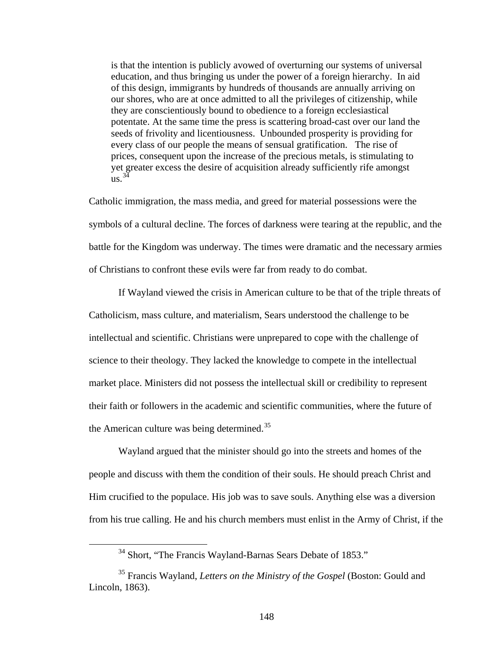is that the intention is publicly avowed of overturning our systems of universal education, and thus bringing us under the power of a foreign hierarchy. In aid of this design, immigrants by hundreds of thousands are annually arriving on our shores, who are at once admitted to all the privileges of citizenship, while they are conscientiously bound to obedience to a foreign ecclesiastical potentate. At the same time the press is scattering broad-cast over our land the seeds of frivolity and licentiousness. Unbounded prosperity is providing for every class of our people the means of sensual gratification. The rise of prices, consequent upon the increase of the precious metals, is stimulating to yet greater excess the desire of acquisition already sufficiently rife amongst  $\frac{34}{118}$  $\frac{34}{118}$  $\frac{34}{118}$ 

Catholic immigration, the mass media, and greed for material possessions were the symbols of a cultural decline. The forces of darkness were tearing at the republic, and the battle for the Kingdom was underway. The times were dramatic and the necessary armies of Christians to confront these evils were far from ready to do combat.

If Wayland viewed the crisis in American culture to be that of the triple threats of Catholicism, mass culture, and materialism, Sears understood the challenge to be intellectual and scientific. Christians were unprepared to cope with the challenge of science to their theology. They lacked the knowledge to compete in the intellectual market place. Ministers did not possess the intellectual skill or credibility to represent their faith or followers in the academic and scientific communities, where the future of the American culture was being determined.<sup>[35](#page-155-1)</sup>

Wayland argued that the minister should go into the streets and homes of the people and discuss with them the condition of their souls. He should preach Christ and Him crucified to the populace. His job was to save souls. Anything else was a diversion from his true calling. He and his church members must enlist in the Army of Christ, if the

<sup>&</sup>lt;sup>34</sup> Short, "The Francis Wayland-Barnas Sears Debate of 1853."

<span id="page-155-1"></span><span id="page-155-0"></span><sup>35</sup> Francis Wayland, *Letters on the Ministry of the Gospel* (Boston: Gould and Lincoln, 1863).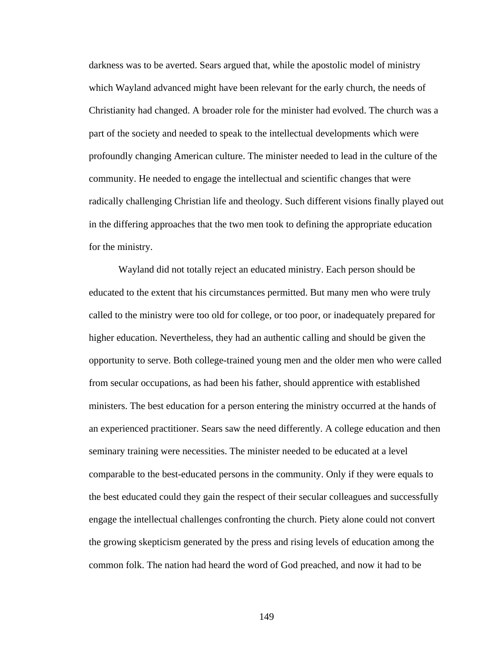darkness was to be averted. Sears argued that, while the apostolic model of ministry which Wayland advanced might have been relevant for the early church, the needs of Christianity had changed. A broader role for the minister had evolved. The church was a part of the society and needed to speak to the intellectual developments which were profoundly changing American culture. The minister needed to lead in the culture of the community. He needed to engage the intellectual and scientific changes that were radically challenging Christian life and theology. Such different visions finally played out in the differing approaches that the two men took to defining the appropriate education for the ministry.

Wayland did not totally reject an educated ministry. Each person should be educated to the extent that his circumstances permitted. But many men who were truly called to the ministry were too old for college, or too poor, or inadequately prepared for higher education. Nevertheless, they had an authentic calling and should be given the opportunity to serve. Both college-trained young men and the older men who were called from secular occupations, as had been his father, should apprentice with established ministers. The best education for a person entering the ministry occurred at the hands of an experienced practitioner. Sears saw the need differently. A college education and then seminary training were necessities. The minister needed to be educated at a level comparable to the best-educated persons in the community. Only if they were equals to the best educated could they gain the respect of their secular colleagues and successfully engage the intellectual challenges confronting the church. Piety alone could not convert the growing skepticism generated by the press and rising levels of education among the common folk. The nation had heard the word of God preached, and now it had to be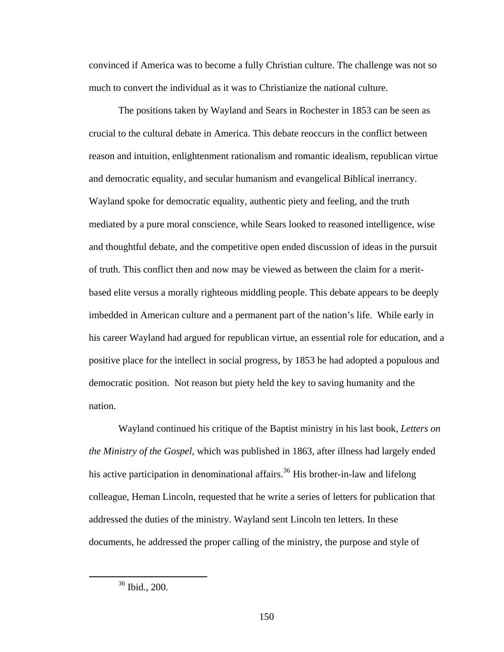convinced if America was to become a fully Christian culture. The challenge was not so much to convert the individual as it was to Christianize the national culture.

The positions taken by Wayland and Sears in Rochester in 1853 can be seen as crucial to the cultural debate in America. This debate reoccurs in the conflict between reason and intuition, enlightenment rationalism and romantic idealism, republican virtue and democratic equality, and secular humanism and evangelical Biblical inerrancy. Wayland spoke for democratic equality, authentic piety and feeling, and the truth mediated by a pure moral conscience, while Sears looked to reasoned intelligence, wise and thoughtful debate, and the competitive open ended discussion of ideas in the pursuit of truth. This conflict then and now may be viewed as between the claim for a meritbased elite versus a morally righteous middling people. This debate appears to be deeply imbedded in American culture and a permanent part of the nation's life. While early in his career Wayland had argued for republican virtue, an essential role for education, and a positive place for the intellect in social progress, by 1853 he had adopted a populous and democratic position. Not reason but piety held the key to saving humanity and the nation.

Wayland continued his critique of the Baptist ministry in his last book, *Letters on the Ministry of the Gospel,* which was published in 1863, after illness had largely ended his active participation in denominational affairs.<sup>[36](#page-157-0)</sup> His brother-in-law and lifelong colleague, Heman Lincoln, requested that he write a series of letters for publication that addressed the duties of the ministry. Wayland sent Lincoln ten letters. In these documents, he addressed the proper calling of the ministry, the purpose and style of

<span id="page-157-0"></span> <sup>36</sup> Ibid., 200.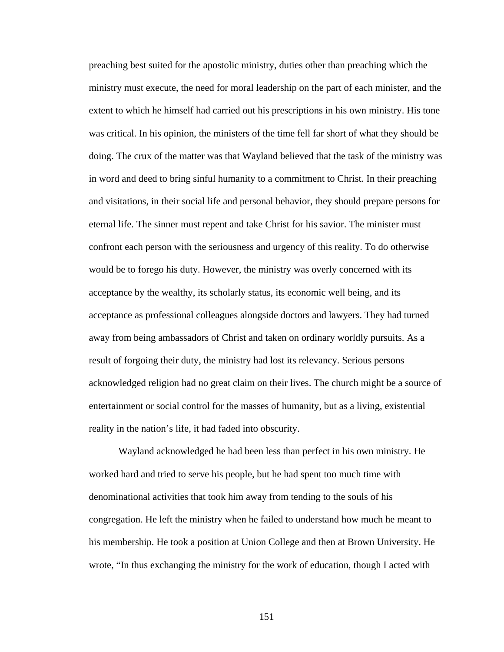preaching best suited for the apostolic ministry, duties other than preaching which the ministry must execute, the need for moral leadership on the part of each minister, and the extent to which he himself had carried out his prescriptions in his own ministry. His tone was critical. In his opinion, the ministers of the time fell far short of what they should be doing. The crux of the matter was that Wayland believed that the task of the ministry was in word and deed to bring sinful humanity to a commitment to Christ. In their preaching and visitations, in their social life and personal behavior, they should prepare persons for eternal life. The sinner must repent and take Christ for his savior. The minister must confront each person with the seriousness and urgency of this reality. To do otherwise would be to forego his duty. However, the ministry was overly concerned with its acceptance by the wealthy, its scholarly status, its economic well being, and its acceptance as professional colleagues alongside doctors and lawyers. They had turned away from being ambassadors of Christ and taken on ordinary worldly pursuits. As a result of forgoing their duty, the ministry had lost its relevancy. Serious persons acknowledged religion had no great claim on their lives. The church might be a source of entertainment or social control for the masses of humanity, but as a living, existential reality in the nation's life, it had faded into obscurity.

Wayland acknowledged he had been less than perfect in his own ministry. He worked hard and tried to serve his people, but he had spent too much time with denominational activities that took him away from tending to the souls of his congregation. He left the ministry when he failed to understand how much he meant to his membership. He took a position at Union College and then at Brown University. He wrote, "In thus exchanging the ministry for the work of education, though I acted with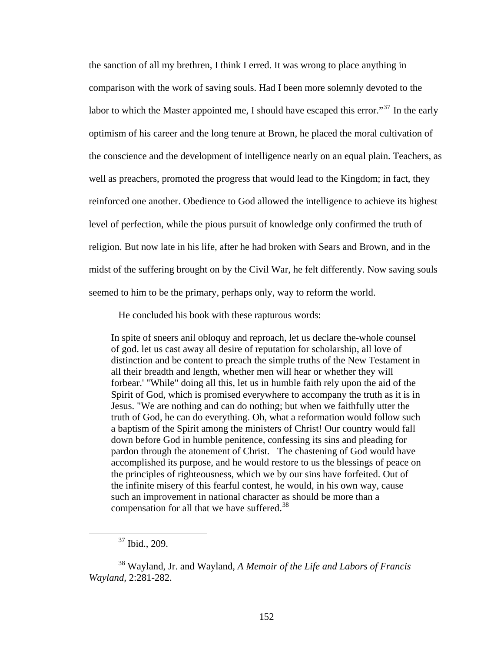the sanction of all my brethren, I think I erred. It was wrong to place anything in comparison with the work of saving souls. Had I been more solemnly devoted to the labor to which the Master appointed me, I should have escaped this error."<sup>[37](#page-159-0)</sup> In the early optimism of his career and the long tenure at Brown, he placed the moral cultivation of the conscience and the development of intelligence nearly on an equal plain. Teachers, as well as preachers, promoted the progress that would lead to the Kingdom; in fact, they reinforced one another. Obedience to God allowed the intelligence to achieve its highest level of perfection, while the pious pursuit of knowledge only confirmed the truth of religion. But now late in his life, after he had broken with Sears and Brown, and in the midst of the suffering brought on by the Civil War, he felt differently. Now saving souls seemed to him to be the primary, perhaps only, way to reform the world.

He concluded his book with these rapturous words:

In spite of sneers anil obloquy and reproach, let us declare the-whole counsel of god. let us cast away all desire of reputation for scholarship, all love of distinction and be content to preach the simple truths of the New Testament in all their breadth and length, whether men will hear or whether they will forbear.' "While" doing all this, let us in humble faith rely upon the aid of the Spirit of God, which is promised everywhere to accompany the truth as it is in Jesus. "We are nothing and can do nothing; but when we faithfully utter the truth of God, he can do everything. Oh, what a reformation would follow such a baptism of the Spirit among the ministers of Christ! Our country would fall down before God in humble penitence, confessing its sins and pleading for pardon through the atonement of Christ. The chastening of God would have accomplished its purpose, and he would restore to us the blessings of peace on the principles of righteousness, which we by our sins have forfeited. Out of the infinite misery of this fearful contest, he would, in his own way, cause such an improvement in national character as should be more than a compensation for all that we have suffered.[38](#page-159-1)

 <sup>37</sup> Ibid., 209.

<span id="page-159-1"></span><span id="page-159-0"></span><sup>38</sup> Wayland, Jr. and Wayland, *A Memoir of the Life and Labors of Francis Wayland,* 2:281-282.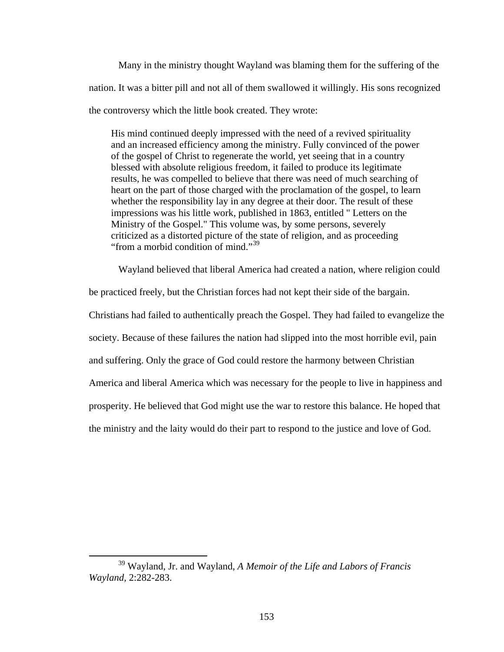Many in the ministry thought Wayland was blaming them for the suffering of the nation. It was a bitter pill and not all of them swallowed it willingly. His sons recognized the controversy which the little book created. They wrote:

His mind continued deeply impressed with the need of a revived spirituality and an increased efficiency among the ministry. Fully convinced of the power of the gospel of Christ to regenerate the world, yet seeing that in a country blessed with absolute religious freedom, it failed to produce its legitimate results, he was compelled to believe that there was need of much searching of heart on the part of those charged with the proclamation of the gospel, to learn whether the responsibility lay in any degree at their door. The result of these impressions was his little work, published in 1863, entitled " Letters on the Ministry of the Gospel." This volume was, by some persons, severely criticized as a distorted picture of the state of religion, and as proceeding "from a morbid condition of mind."<sup>[39](#page-160-0)</sup>

Wayland believed that liberal America had created a nation, where religion could

be practiced freely, but the Christian forces had not kept their side of the bargain.

Christians had failed to authentically preach the Gospel. They had failed to evangelize the

society. Because of these failures the nation had slipped into the most horrible evil, pain

and suffering. Only the grace of God could restore the harmony between Christian

America and liberal America which was necessary for the people to live in happiness and

prosperity. He believed that God might use the war to restore this balance. He hoped that

the ministry and the laity would do their part to respond to the justice and love of God.

 $\overline{a}$ 

<span id="page-160-0"></span><sup>39</sup> Wayland, Jr. and Wayland, *A Memoir of the Life and Labors of Francis Wayland,* 2:282-283.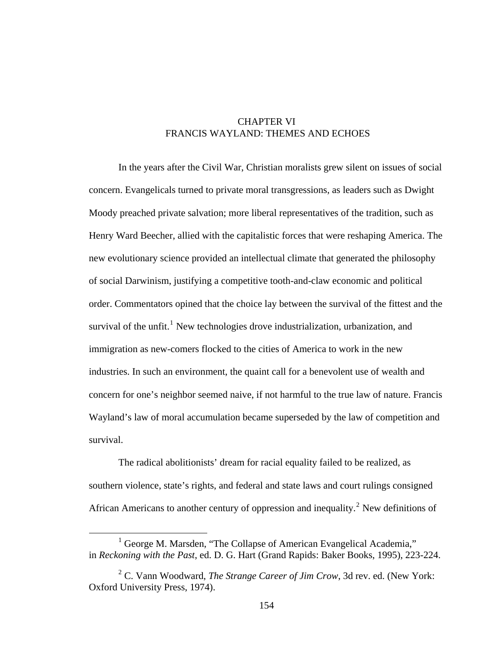## CHAPTER VI FRANCIS WAYLAND: THEMES AND ECHOES

In the years after the Civil War, Christian moralists grew silent on issues of social concern. Evangelicals turned to private moral transgressions, as leaders such as Dwight Moody preached private salvation; more liberal representatives of the tradition, such as Henry Ward Beecher, allied with the capitalistic forces that were reshaping America. The new evolutionary science provided an intellectual climate that generated the philosophy of social Darwinism, justifying a competitive tooth-and-claw economic and political order. Commentators opined that the choice lay between the survival of the fittest and the survival of the unfit.<sup>[1](#page-161-0)</sup> New technologies drove industrialization, urbanization, and immigration as new-comers flocked to the cities of America to work in the new industries. In such an environment, the quaint call for a benevolent use of wealth and concern for one's neighbor seemed naive, if not harmful to the true law of nature. Francis Wayland's law of moral accumulation became superseded by the law of competition and survival.

The radical abolitionists' dream for racial equality failed to be realized, as southern violence, state's rights, and federal and state laws and court rulings consigned African Americans to another century of oppression and inequality.<sup>[2](#page-161-1)</sup> New definitions of

<span id="page-161-0"></span><sup>&</sup>lt;u>1</u> <sup>1</sup> George M. Marsden, "The Collapse of American Evangelical Academia," in *Reckoning with the Past*, ed. D. G. Hart (Grand Rapids: Baker Books, 1995), 223-224.

<span id="page-161-1"></span><sup>2</sup> C. Vann Woodward, *The Strange Career of Jim Crow*, 3d rev. ed. (New York: Oxford University Press, 1974).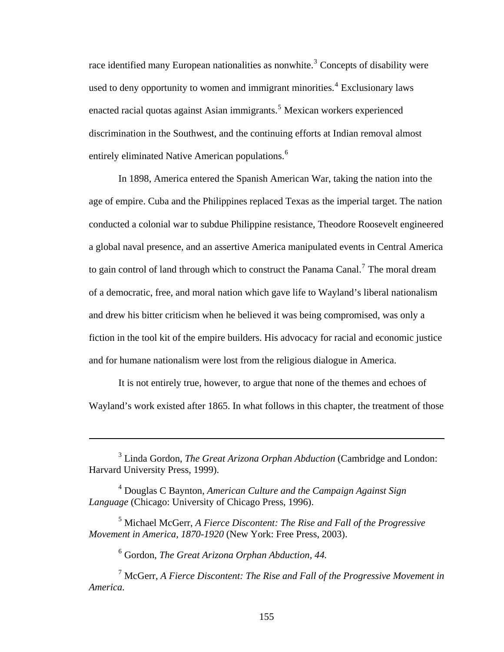race identified many European nationalities as nonwhite.<sup>[3](#page-162-0)</sup> Concepts of disability were used to deny opportunity to women and immigrant minorities.<sup>[4](#page-162-1)</sup> Exclusionary laws enacted racial quotas against Asian immigrants.<sup>[5](#page-162-2)</sup> Mexican workers experienced discrimination in the Southwest, and the continuing efforts at Indian removal almost entirely eliminated Native American populations.<sup>[6](#page-162-3)</sup>

In 1898, America entered the Spanish American War, taking the nation into the age of empire. Cuba and the Philippines replaced Texas as the imperial target. The nation conducted a colonial war to subdue Philippine resistance, Theodore Roosevelt engineered a global naval presence, and an assertive America manipulated events in Central America to gain control of land through which to construct the Panama Canal.<sup>[7](#page-162-4)</sup> The moral dream of a democratic, free, and moral nation which gave life to Wayland's liberal nationalism and drew his bitter criticism when he believed it was being compromised, was only a fiction in the tool kit of the empire builders. His advocacy for racial and economic justice and for humane nationalism were lost from the religious dialogue in America.

It is not entirely true, however, to argue that none of the themes and echoes of Wayland's work existed after 1865. In what follows in this chapter, the treatment of those

 $\overline{a}$ 

<span id="page-162-0"></span><sup>&</sup>lt;sup>3</sup> Linda Gordon, *The Great Arizona Orphan Abduction* (Cambridge and London: Harvard University Press, 1999).

<span id="page-162-1"></span><sup>4</sup> Douglas C Baynton, *American Culture and the Campaign Against Sign Language* (Chicago: University of Chicago Press, 1996).

<span id="page-162-2"></span><sup>5</sup> Michael McGerr, *A Fierce Discontent: The Rise and Fall of the Progressive Movement in America, 1870-1920* (New York: Free Press, 2003).

<sup>6</sup> Gordon, *The Great Arizona Orphan Abduction, 44.*

<span id="page-162-4"></span><span id="page-162-3"></span><sup>7</sup> McGerr, *A Fierce Discontent: The Rise and Fall of the Progressive Movement in America.*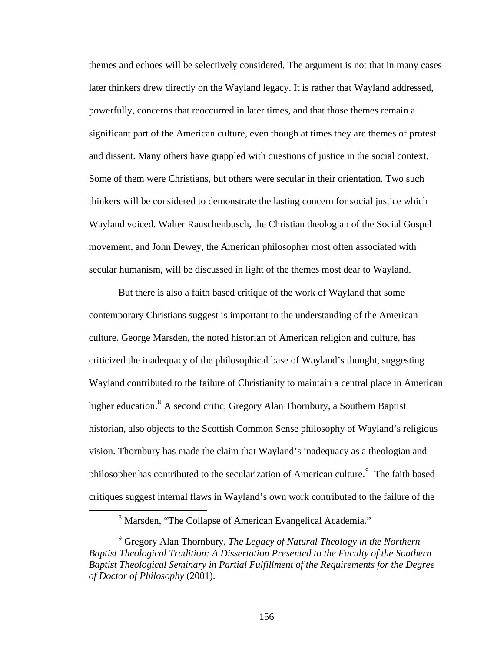themes and echoes will be selectively considered. The argument is not that in many cases later thinkers drew directly on the Wayland legacy. It is rather that Wayland addressed, powerfully, concerns that reoccurred in later times, and that those themes remain a significant part of the American culture, even though at times they are themes of protest and dissent. Many others have grappled with questions of justice in the social context. Some of them were Christians, but others were secular in their orientation. Two such thinkers will be considered to demonstrate the lasting concern for social justice which Wayland voiced. Walter Rauschenbusch, the Christian theologian of the Social Gospel movement, and John Dewey, the American philosopher most often associated with secular humanism, will be discussed in light of the themes most dear to Wayland.

But there is also a faith based critique of the work of Wayland that some contemporary Christians suggest is important to the understanding of the American culture. George Marsden, the noted historian of American religion and culture, has criticized the inadequacy of the philosophical base of Wayland's thought, suggesting Wayland contributed to the failure of Christianity to maintain a central place in American higher education.<sup>[8](#page-163-0)</sup> A second critic, Gregory Alan Thornbury, a Southern Baptist historian, also objects to the Scottish Common Sense philosophy of Wayland's religious vision. Thornbury has made the claim that Wayland's inadequacy as a theologian and philosopher has contributed to the secularization of American culture.<sup>[9](#page-163-1)</sup> The faith based critiques suggest internal flaws in Wayland's own work contributed to the failure of the

<span id="page-163-0"></span> <sup>8</sup> <sup>8</sup> Marsden, "The Collapse of American Evangelical Academia."

<span id="page-163-1"></span><sup>9</sup> Gregory Alan Thornbury, *The Legacy of Natural Theology in the Northern Baptist Theological Tradition: A Dissertation Presented to the Faculty of the Southern Baptist Theological Seminary in Partial Fulfillment of the Requirements for the Degree of Doctor of Philosophy* (2001).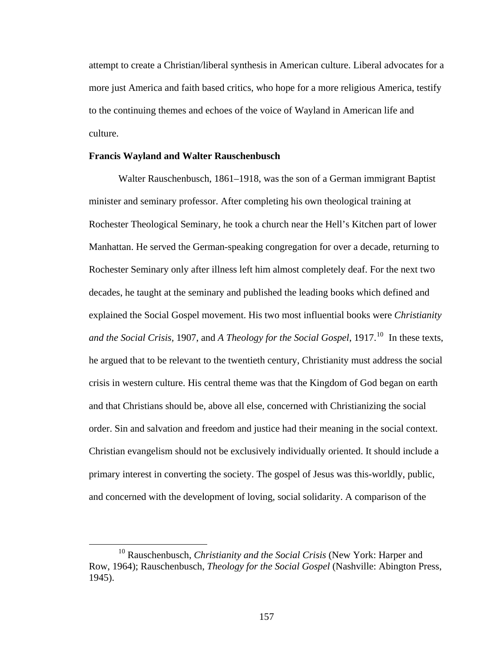attempt to create a Christian/liberal synthesis in American culture. Liberal advocates for a more just America and faith based critics, who hope for a more religious America, testify to the continuing themes and echoes of the voice of Wayland in American life and culture.

### **Francis Wayland and Walter Rauschenbusch**

Walter Rauschenbusch, 1861–1918, was the son of a German immigrant Baptist minister and seminary professor. After completing his own theological training at Rochester Theological Seminary, he took a church near the Hell's Kitchen part of lower Manhattan. He served the German-speaking congregation for over a decade, returning to Rochester Seminary only after illness left him almost completely deaf. For the next two decades, he taught at the seminary and published the leading books which defined and explained the Social Gospel movement. His two most influential books were *Christianity and the Social Crisis, 1907, and A Theology for the Social Gospel, 1917.*<sup>[10](#page-164-0)</sup> In these texts, he argued that to be relevant to the twentieth century, Christianity must address the social crisis in western culture. His central theme was that the Kingdom of God began on earth and that Christians should be, above all else, concerned with Christianizing the social order. Sin and salvation and freedom and justice had their meaning in the social context. Christian evangelism should not be exclusively individually oriented. It should include a primary interest in converting the society. The gospel of Jesus was this-worldly, public, and concerned with the development of loving, social solidarity. A comparison of the

<span id="page-164-0"></span> <sup>10</sup> Rauschenbusch, *Christianity and the Social Crisis* (New York: Harper and Row, 1964); Rauschenbusch, *Theology for the Social Gospel* (Nashville: Abington Press, 1945).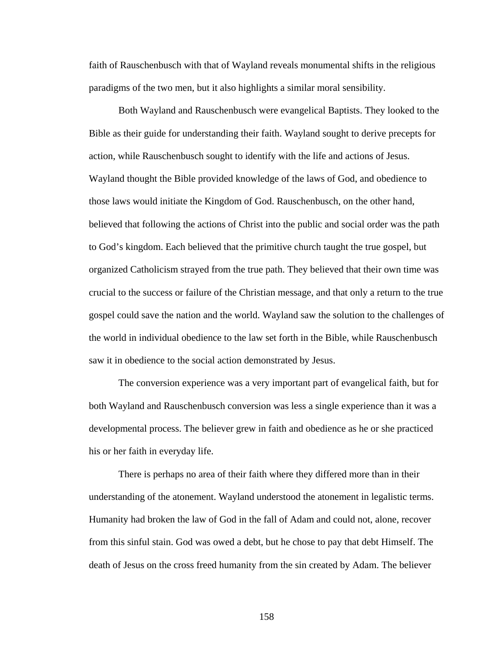faith of Rauschenbusch with that of Wayland reveals monumental shifts in the religious paradigms of the two men, but it also highlights a similar moral sensibility.

Both Wayland and Rauschenbusch were evangelical Baptists. They looked to the Bible as their guide for understanding their faith. Wayland sought to derive precepts for action, while Rauschenbusch sought to identify with the life and actions of Jesus. Wayland thought the Bible provided knowledge of the laws of God, and obedience to those laws would initiate the Kingdom of God. Rauschenbusch, on the other hand, believed that following the actions of Christ into the public and social order was the path to God's kingdom. Each believed that the primitive church taught the true gospel, but organized Catholicism strayed from the true path. They believed that their own time was crucial to the success or failure of the Christian message, and that only a return to the true gospel could save the nation and the world. Wayland saw the solution to the challenges of the world in individual obedience to the law set forth in the Bible, while Rauschenbusch saw it in obedience to the social action demonstrated by Jesus.

The conversion experience was a very important part of evangelical faith, but for both Wayland and Rauschenbusch conversion was less a single experience than it was a developmental process. The believer grew in faith and obedience as he or she practiced his or her faith in everyday life.

There is perhaps no area of their faith where they differed more than in their understanding of the atonement. Wayland understood the atonement in legalistic terms. Humanity had broken the law of God in the fall of Adam and could not, alone, recover from this sinful stain. God was owed a debt, but he chose to pay that debt Himself. The death of Jesus on the cross freed humanity from the sin created by Adam. The believer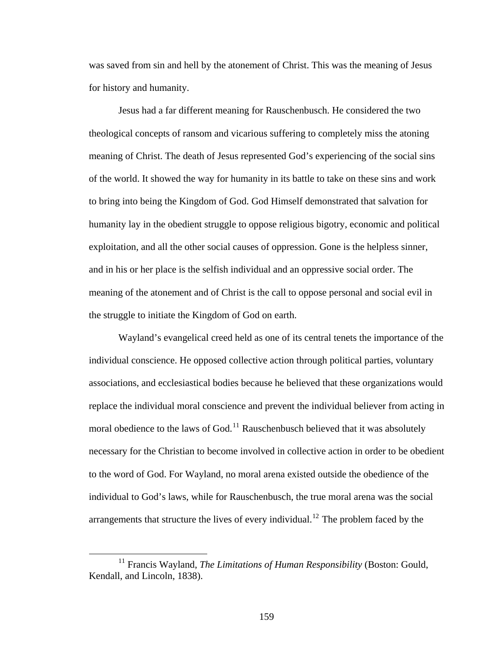was saved from sin and hell by the atonement of Christ. This was the meaning of Jesus for history and humanity.

Jesus had a far different meaning for Rauschenbusch. He considered the two theological concepts of ransom and vicarious suffering to completely miss the atoning meaning of Christ. The death of Jesus represented God's experiencing of the social sins of the world. It showed the way for humanity in its battle to take on these sins and work to bring into being the Kingdom of God. God Himself demonstrated that salvation for humanity lay in the obedient struggle to oppose religious bigotry, economic and political exploitation, and all the other social causes of oppression. Gone is the helpless sinner, and in his or her place is the selfish individual and an oppressive social order. The meaning of the atonement and of Christ is the call to oppose personal and social evil in the struggle to initiate the Kingdom of God on earth.

Wayland's evangelical creed held as one of its central tenets the importance of the individual conscience. He opposed collective action through political parties, voluntary associations, and ecclesiastical bodies because he believed that these organizations would replace the individual moral conscience and prevent the individual believer from acting in moral obedience to the laws of God.<sup>[11](#page-166-0)</sup> Rauschenbusch believed that it was absolutely necessary for the Christian to become involved in collective action in order to be obedient to the word of God. For Wayland, no moral arena existed outside the obedience of the individual to God's laws, while for Rauschenbusch, the true moral arena was the social arrangements that structure the lives of every individual.<sup>[12](#page-166-1)</sup> The problem faced by the

<span id="page-166-1"></span><span id="page-166-0"></span><sup>&</sup>lt;sup>11</sup> Francis Wayland, *The Limitations of Human Responsibility* (Boston: Gould, Kendall, and Lincoln, 1838).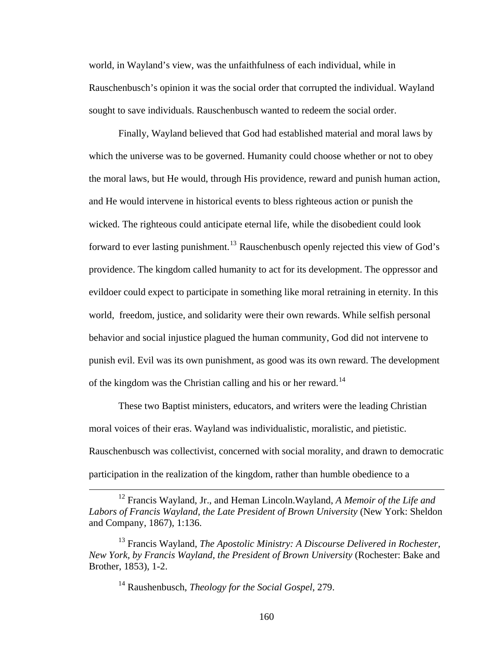world, in Wayland's view, was the unfaithfulness of each individual, while in Rauschenbusch's opinion it was the social order that corrupted the individual. Wayland sought to save individuals. Rauschenbusch wanted to redeem the social order.

Finally, Wayland believed that God had established material and moral laws by which the universe was to be governed. Humanity could choose whether or not to obey the moral laws, but He would, through His providence, reward and punish human action, and He would intervene in historical events to bless righteous action or punish the wicked. The righteous could anticipate eternal life, while the disobedient could look forward to ever lasting punishment.<sup>[13](#page-167-0)</sup> Rauschenbusch openly rejected this view of God's providence. The kingdom called humanity to act for its development. The oppressor and evildoer could expect to participate in something like moral retraining in eternity. In this world, freedom, justice, and solidarity were their own rewards. While selfish personal behavior and social injustice plagued the human community, God did not intervene to punish evil. Evil was its own punishment, as good was its own reward. The development of the kingdom was the Christian calling and his or her reward.<sup>[14](#page-167-1)</sup>

These two Baptist ministers, educators, and writers were the leading Christian moral voices of their eras. Wayland was individualistic, moralistic, and pietistic. Rauschenbusch was collectivist, concerned with social morality, and drawn to democratic participation in the realization of the kingdom, rather than humble obedience to a

 <sup>12</sup> Francis Wayland, Jr., and Heman Lincoln.Wayland, *A Memoir of the Life and Labors of Francis Wayland, the Late President of Brown University* (New York: Sheldon and Company, 1867), 1:136.

<span id="page-167-1"></span><span id="page-167-0"></span><sup>&</sup>lt;sup>13</sup> Francis Wayland, *The Apostolic Ministry: A Discourse Delivered in Rochester, New York, by Francis Wayland, the President of Brown University* (Rochester: Bake and Brother, 1853), 1-2.

<sup>14</sup> Raushenbusch, *Theology for the Social Gospel*, 279.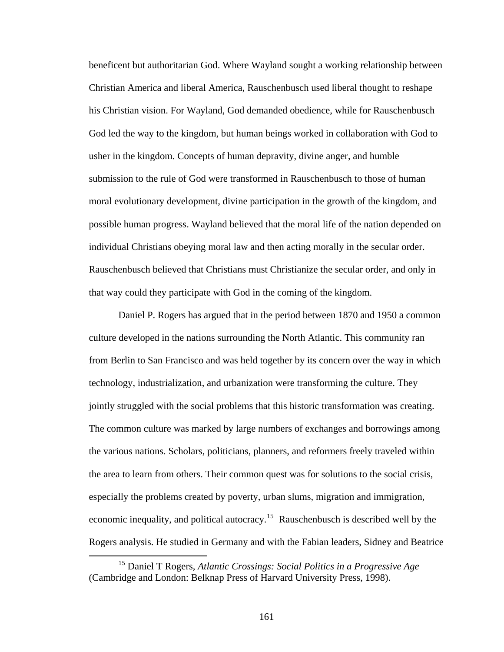beneficent but authoritarian God. Where Wayland sought a working relationship between Christian America and liberal America, Rauschenbusch used liberal thought to reshape his Christian vision. For Wayland, God demanded obedience, while for Rauschenbusch God led the way to the kingdom, but human beings worked in collaboration with God to usher in the kingdom. Concepts of human depravity, divine anger, and humble submission to the rule of God were transformed in Rauschenbusch to those of human moral evolutionary development, divine participation in the growth of the kingdom, and possible human progress. Wayland believed that the moral life of the nation depended on individual Christians obeying moral law and then acting morally in the secular order. Rauschenbusch believed that Christians must Christianize the secular order, and only in that way could they participate with God in the coming of the kingdom.

Daniel P. Rogers has argued that in the period between 1870 and 1950 a common culture developed in the nations surrounding the North Atlantic. This community ran from Berlin to San Francisco and was held together by its concern over the way in which technology, industrialization, and urbanization were transforming the culture. They jointly struggled with the social problems that this historic transformation was creating. The common culture was marked by large numbers of exchanges and borrowings among the various nations. Scholars, politicians, planners, and reformers freely traveled within the area to learn from others. Their common quest was for solutions to the social crisis, especially the problems created by poverty, urban slums, migration and immigration, economic inequality, and political autocracy.[15](#page-168-0) Rauschenbusch is described well by the Rogers analysis. He studied in Germany and with the Fabian leaders, Sidney and Beatrice

<span id="page-168-0"></span> <sup>15</sup> Daniel T Rogers, *Atlantic Crossings: Social Politics in a Progressive Age* (Cambridge and London: Belknap Press of Harvard University Press, 1998).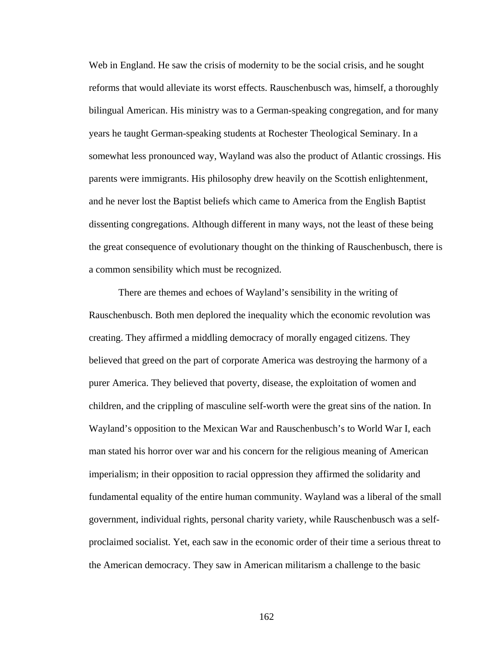Web in England. He saw the crisis of modernity to be the social crisis, and he sought reforms that would alleviate its worst effects. Rauschenbusch was, himself, a thoroughly bilingual American. His ministry was to a German-speaking congregation, and for many years he taught German-speaking students at Rochester Theological Seminary. In a somewhat less pronounced way, Wayland was also the product of Atlantic crossings. His parents were immigrants. His philosophy drew heavily on the Scottish enlightenment, and he never lost the Baptist beliefs which came to America from the English Baptist dissenting congregations. Although different in many ways, not the least of these being the great consequence of evolutionary thought on the thinking of Rauschenbusch, there is a common sensibility which must be recognized.

There are themes and echoes of Wayland's sensibility in the writing of Rauschenbusch. Both men deplored the inequality which the economic revolution was creating. They affirmed a middling democracy of morally engaged citizens. They believed that greed on the part of corporate America was destroying the harmony of a purer America. They believed that poverty, disease, the exploitation of women and children, and the crippling of masculine self-worth were the great sins of the nation. In Wayland's opposition to the Mexican War and Rauschenbusch's to World War I, each man stated his horror over war and his concern for the religious meaning of American imperialism; in their opposition to racial oppression they affirmed the solidarity and fundamental equality of the entire human community. Wayland was a liberal of the small government, individual rights, personal charity variety, while Rauschenbusch was a selfproclaimed socialist. Yet, each saw in the economic order of their time a serious threat to the American democracy. They saw in American militarism a challenge to the basic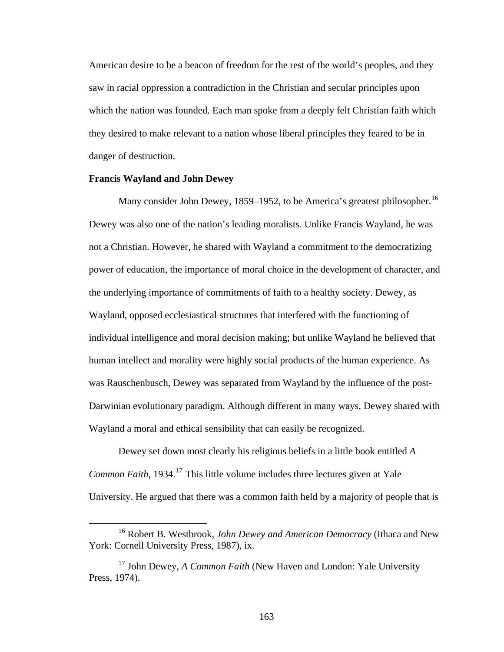American desire to be a beacon of freedom for the rest of the world's peoples, and they saw in racial oppression a contradiction in the Christian and secular principles upon which the nation was founded. Each man spoke from a deeply felt Christian faith which they desired to make relevant to a nation whose liberal principles they feared to be in danger of destruction.

### **Francis Wayland and John Dewey**

Many consider John Dewey, 1859–1952, to be America's greatest philosopher.<sup>[16](#page-170-0)</sup> Dewey was also one of the nation's leading moralists. Unlike Francis Wayland, he was not a Christian. However, he shared with Wayland a commitment to the democratizing power of education, the importance of moral choice in the development of character, and the underlying importance of commitments of faith to a healthy society. Dewey, as Wayland, opposed ecclesiastical structures that interfered with the functioning of individual intelligence and moral decision making; but unlike Wayland he believed that human intellect and morality were highly social products of the human experience. As was Rauschenbusch, Dewey was separated from Wayland by the influence of the post-Darwinian evolutionary paradigm. Although different in many ways, Dewey shared with Wayland a moral and ethical sensibility that can easily be recognized.

Dewey set down most clearly his religious beliefs in a little book entitled *A Common Faith*, 1934.<sup>[17](#page-170-1)</sup> This little volume includes three lectures given at Yale University. He argued that there was a common faith held by a majority of people that is

<span id="page-170-0"></span> <sup>16</sup> Robert B. Westbrook, *John Dewey and American Democracy* (Ithaca and New York: Cornell University Press, 1987), ix.

<span id="page-170-1"></span><sup>&</sup>lt;sup>17</sup> John Dewey, *A Common Faith* (New Haven and London: Yale University Press, 1974).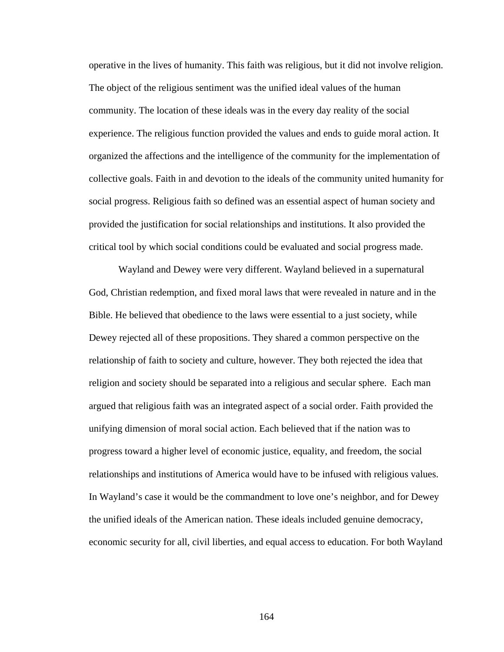operative in the lives of humanity. This faith was religious, but it did not involve religion. The object of the religious sentiment was the unified ideal values of the human community. The location of these ideals was in the every day reality of the social experience. The religious function provided the values and ends to guide moral action. It organized the affections and the intelligence of the community for the implementation of collective goals. Faith in and devotion to the ideals of the community united humanity for social progress. Religious faith so defined was an essential aspect of human society and provided the justification for social relationships and institutions. It also provided the critical tool by which social conditions could be evaluated and social progress made.

Wayland and Dewey were very different. Wayland believed in a supernatural God, Christian redemption, and fixed moral laws that were revealed in nature and in the Bible. He believed that obedience to the laws were essential to a just society, while Dewey rejected all of these propositions. They shared a common perspective on the relationship of faith to society and culture, however. They both rejected the idea that religion and society should be separated into a religious and secular sphere. Each man argued that religious faith was an integrated aspect of a social order. Faith provided the unifying dimension of moral social action. Each believed that if the nation was to progress toward a higher level of economic justice, equality, and freedom, the social relationships and institutions of America would have to be infused with religious values. In Wayland's case it would be the commandment to love one's neighbor, and for Dewey the unified ideals of the American nation. These ideals included genuine democracy, economic security for all, civil liberties, and equal access to education. For both Wayland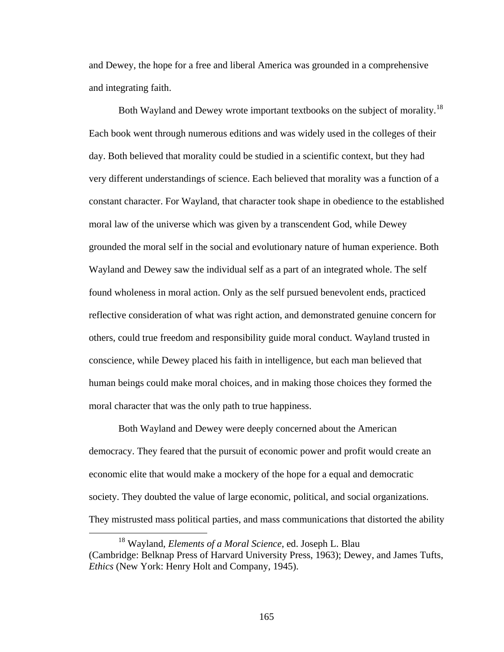and Dewey, the hope for a free and liberal America was grounded in a comprehensive and integrating faith.

Both Wayland and Dewey wrote important textbooks on the subject of morality.<sup>[18](#page-172-0)</sup> Each book went through numerous editions and was widely used in the colleges of their day. Both believed that morality could be studied in a scientific context, but they had very different understandings of science. Each believed that morality was a function of a constant character. For Wayland, that character took shape in obedience to the established moral law of the universe which was given by a transcendent God, while Dewey grounded the moral self in the social and evolutionary nature of human experience. Both Wayland and Dewey saw the individual self as a part of an integrated whole. The self found wholeness in moral action. Only as the self pursued benevolent ends, practiced reflective consideration of what was right action, and demonstrated genuine concern for others, could true freedom and responsibility guide moral conduct. Wayland trusted in conscience, while Dewey placed his faith in intelligence, but each man believed that human beings could make moral choices, and in making those choices they formed the moral character that was the only path to true happiness.

Both Wayland and Dewey were deeply concerned about the American democracy. They feared that the pursuit of economic power and profit would create an economic elite that would make a mockery of the hope for a equal and democratic society. They doubted the value of large economic, political, and social organizations. They mistrusted mass political parties, and mass communications that distorted the ability

<span id="page-172-0"></span> <sup>18</sup> Wayland, *Elements of a Moral Science*, ed. Joseph L. Blau (Cambridge: Belknap Press of Harvard University Press, 1963); Dewey, and James Tufts, *Ethics* (New York: Henry Holt and Company, 1945).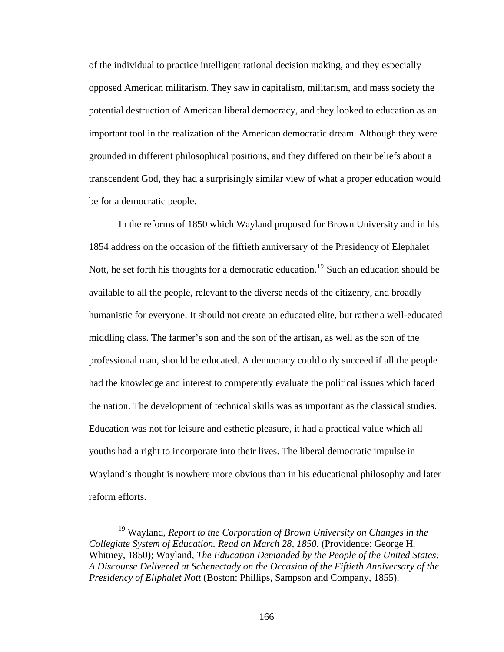of the individual to practice intelligent rational decision making, and they especially opposed American militarism. They saw in capitalism, militarism, and mass society the potential destruction of American liberal democracy, and they looked to education as an important tool in the realization of the American democratic dream. Although they were grounded in different philosophical positions, and they differed on their beliefs about a transcendent God, they had a surprisingly similar view of what a proper education would be for a democratic people.

In the reforms of 1850 which Wayland proposed for Brown University and in his 1854 address on the occasion of the fiftieth anniversary of the Presidency of Elephalet Nott, he set forth his thoughts for a democratic education.<sup>[19](#page-173-0)</sup> Such an education should be available to all the people, relevant to the diverse needs of the citizenry, and broadly humanistic for everyone. It should not create an educated elite, but rather a well-educated middling class. The farmer's son and the son of the artisan, as well as the son of the professional man, should be educated. A democracy could only succeed if all the people had the knowledge and interest to competently evaluate the political issues which faced the nation. The development of technical skills was as important as the classical studies. Education was not for leisure and esthetic pleasure, it had a practical value which all youths had a right to incorporate into their lives. The liberal democratic impulse in Wayland's thought is nowhere more obvious than in his educational philosophy and later reform efforts.

<span id="page-173-0"></span> <sup>19</sup> Wayland, *Report to the Corporation of Brown University on Changes in the Collegiate System of Education. Read on March 28, 1850.* (Providence: George H. Whitney, 1850); Wayland, *The Education Demanded by the People of the United States: A Discourse Delivered at Schenectady on the Occasion of the Fiftieth Anniversary of the Presidency of Eliphalet Nott* (Boston: Phillips, Sampson and Company, 1855).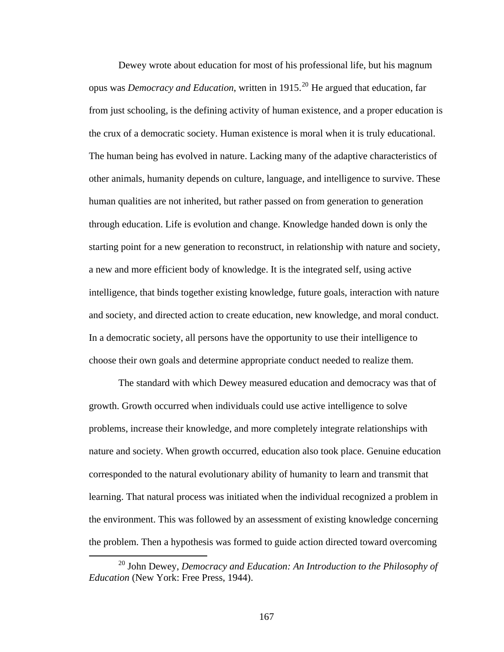Dewey wrote about education for most of his professional life, but his magnum opus was *Democracy and Education*, written in 1915.<sup>[20](#page-174-0)</sup> He argued that education, far from just schooling, is the defining activity of human existence, and a proper education is the crux of a democratic society. Human existence is moral when it is truly educational. The human being has evolved in nature. Lacking many of the adaptive characteristics of other animals, humanity depends on culture, language, and intelligence to survive. These human qualities are not inherited, but rather passed on from generation to generation through education. Life is evolution and change. Knowledge handed down is only the starting point for a new generation to reconstruct, in relationship with nature and society, a new and more efficient body of knowledge. It is the integrated self, using active intelligence, that binds together existing knowledge, future goals, interaction with nature and society, and directed action to create education, new knowledge, and moral conduct. In a democratic society, all persons have the opportunity to use their intelligence to choose their own goals and determine appropriate conduct needed to realize them.

The standard with which Dewey measured education and democracy was that of growth. Growth occurred when individuals could use active intelligence to solve problems, increase their knowledge, and more completely integrate relationships with nature and society. When growth occurred, education also took place. Genuine education corresponded to the natural evolutionary ability of humanity to learn and transmit that learning. That natural process was initiated when the individual recognized a problem in the environment. This was followed by an assessment of existing knowledge concerning the problem. Then a hypothesis was formed to guide action directed toward overcoming

<span id="page-174-0"></span><sup>&</sup>lt;sup>20</sup> John Dewey, *Democracy and Education: An Introduction to the Philosophy of Education* (New York: Free Press, 1944).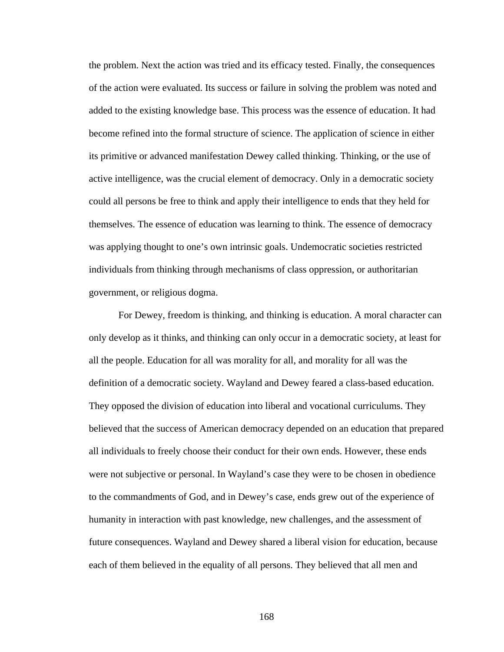the problem. Next the action was tried and its efficacy tested. Finally, the consequences of the action were evaluated. Its success or failure in solving the problem was noted and added to the existing knowledge base. This process was the essence of education. It had become refined into the formal structure of science. The application of science in either its primitive or advanced manifestation Dewey called thinking. Thinking, or the use of active intelligence, was the crucial element of democracy. Only in a democratic society could all persons be free to think and apply their intelligence to ends that they held for themselves. The essence of education was learning to think. The essence of democracy was applying thought to one's own intrinsic goals. Undemocratic societies restricted individuals from thinking through mechanisms of class oppression, or authoritarian government, or religious dogma.

For Dewey, freedom is thinking, and thinking is education. A moral character can only develop as it thinks, and thinking can only occur in a democratic society, at least for all the people. Education for all was morality for all, and morality for all was the definition of a democratic society. Wayland and Dewey feared a class-based education. They opposed the division of education into liberal and vocational curriculums. They believed that the success of American democracy depended on an education that prepared all individuals to freely choose their conduct for their own ends. However, these ends were not subjective or personal. In Wayland's case they were to be chosen in obedience to the commandments of God, and in Dewey's case, ends grew out of the experience of humanity in interaction with past knowledge, new challenges, and the assessment of future consequences. Wayland and Dewey shared a liberal vision for education, because each of them believed in the equality of all persons. They believed that all men and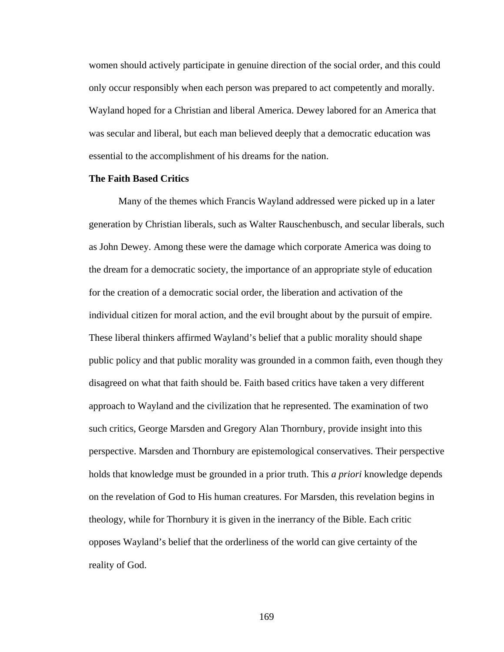women should actively participate in genuine direction of the social order, and this could only occur responsibly when each person was prepared to act competently and morally. Wayland hoped for a Christian and liberal America. Dewey labored for an America that was secular and liberal, but each man believed deeply that a democratic education was essential to the accomplishment of his dreams for the nation.

### **The Faith Based Critics**

Many of the themes which Francis Wayland addressed were picked up in a later generation by Christian liberals, such as Walter Rauschenbusch, and secular liberals, such as John Dewey. Among these were the damage which corporate America was doing to the dream for a democratic society, the importance of an appropriate style of education for the creation of a democratic social order, the liberation and activation of the individual citizen for moral action, and the evil brought about by the pursuit of empire. These liberal thinkers affirmed Wayland's belief that a public morality should shape public policy and that public morality was grounded in a common faith, even though they disagreed on what that faith should be. Faith based critics have taken a very different approach to Wayland and the civilization that he represented. The examination of two such critics, George Marsden and Gregory Alan Thornbury, provide insight into this perspective. Marsden and Thornbury are epistemological conservatives. Their perspective holds that knowledge must be grounded in a prior truth. This *a priori* knowledge depends on the revelation of God to His human creatures. For Marsden, this revelation begins in theology, while for Thornbury it is given in the inerrancy of the Bible. Each critic opposes Wayland's belief that the orderliness of the world can give certainty of the reality of God.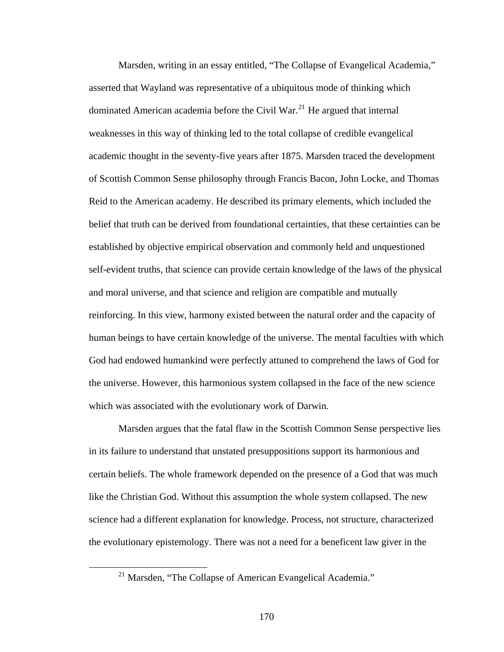Marsden, writing in an essay entitled, "The Collapse of Evangelical Academia," asserted that Wayland was representative of a ubiquitous mode of thinking which dominated American academia before the Civil War.<sup>[21](#page-177-0)</sup> He argued that internal weaknesses in this way of thinking led to the total collapse of credible evangelical academic thought in the seventy-five years after 1875. Marsden traced the development of Scottish Common Sense philosophy through Francis Bacon, John Locke, and Thomas Reid to the American academy. He described its primary elements, which included the belief that truth can be derived from foundational certainties, that these certainties can be established by objective empirical observation and commonly held and unquestioned self-evident truths, that science can provide certain knowledge of the laws of the physical and moral universe, and that science and religion are compatible and mutually reinforcing. In this view, harmony existed between the natural order and the capacity of human beings to have certain knowledge of the universe. The mental faculties with which God had endowed humankind were perfectly attuned to comprehend the laws of God for the universe. However, this harmonious system collapsed in the face of the new science which was associated with the evolutionary work of Darwin.

Marsden argues that the fatal flaw in the Scottish Common Sense perspective lies in its failure to understand that unstated presuppositions support its harmonious and certain beliefs. The whole framework depended on the presence of a God that was much like the Christian God. Without this assumption the whole system collapsed. The new science had a different explanation for knowledge. Process, not structure, characterized the evolutionary epistemology. There was not a need for a beneficent law giver in the

<span id="page-177-0"></span><sup>&</sup>lt;sup>21</sup> Marsden, "The Collapse of American Evangelical Academia."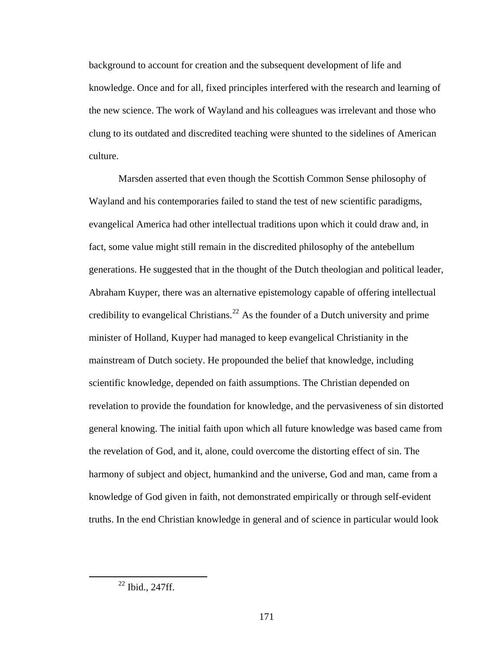background to account for creation and the subsequent development of life and knowledge. Once and for all, fixed principles interfered with the research and learning of the new science. The work of Wayland and his colleagues was irrelevant and those who clung to its outdated and discredited teaching were shunted to the sidelines of American culture.

Marsden asserted that even though the Scottish Common Sense philosophy of Wayland and his contemporaries failed to stand the test of new scientific paradigms, evangelical America had other intellectual traditions upon which it could draw and, in fact, some value might still remain in the discredited philosophy of the antebellum generations. He suggested that in the thought of the Dutch theologian and political leader, Abraham Kuyper, there was an alternative epistemology capable of offering intellectual credibility to evangelical Christians.<sup>[22](#page-178-0)</sup> As the founder of a Dutch university and prime minister of Holland, Kuyper had managed to keep evangelical Christianity in the mainstream of Dutch society. He propounded the belief that knowledge, including scientific knowledge, depended on faith assumptions. The Christian depended on revelation to provide the foundation for knowledge, and the pervasiveness of sin distorted general knowing. The initial faith upon which all future knowledge was based came from the revelation of God, and it, alone, could overcome the distorting effect of sin. The harmony of subject and object, humankind and the universe, God and man, came from a knowledge of God given in faith, not demonstrated empirically or through self-evident truths. In the end Christian knowledge in general and of science in particular would look

<span id="page-178-0"></span> $22$  Ibid., 247ff.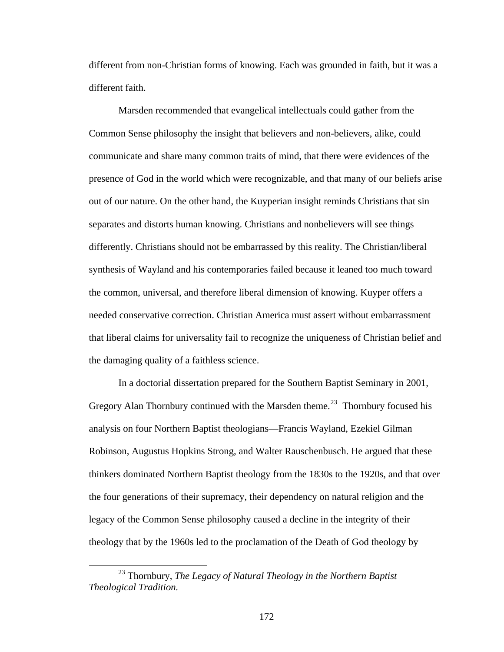different from non-Christian forms of knowing. Each was grounded in faith, but it was a different faith.

Marsden recommended that evangelical intellectuals could gather from the Common Sense philosophy the insight that believers and non-believers, alike, could communicate and share many common traits of mind, that there were evidences of the presence of God in the world which were recognizable, and that many of our beliefs arise out of our nature. On the other hand, the Kuyperian insight reminds Christians that sin separates and distorts human knowing. Christians and nonbelievers will see things differently. Christians should not be embarrassed by this reality. The Christian/liberal synthesis of Wayland and his contemporaries failed because it leaned too much toward the common, universal, and therefore liberal dimension of knowing. Kuyper offers a needed conservative correction. Christian America must assert without embarrassment that liberal claims for universality fail to recognize the uniqueness of Christian belief and the damaging quality of a faithless science.

In a doctorial dissertation prepared for the Southern Baptist Seminary in 2001, Gregory Alan Thornbury continued with the Marsden theme.<sup>[23](#page-179-0)</sup> Thornbury focused his analysis on four Northern Baptist theologians—Francis Wayland, Ezekiel Gilman Robinson, Augustus Hopkins Strong, and Walter Rauschenbusch. He argued that these thinkers dominated Northern Baptist theology from the 1830s to the 1920s, and that over the four generations of their supremacy, their dependency on natural religion and the legacy of the Common Sense philosophy caused a decline in the integrity of their theology that by the 1960s led to the proclamation of the Death of God theology by

<span id="page-179-0"></span> <sup>23</sup> Thornbury, *The Legacy of Natural Theology in the Northern Baptist Theological Tradition.*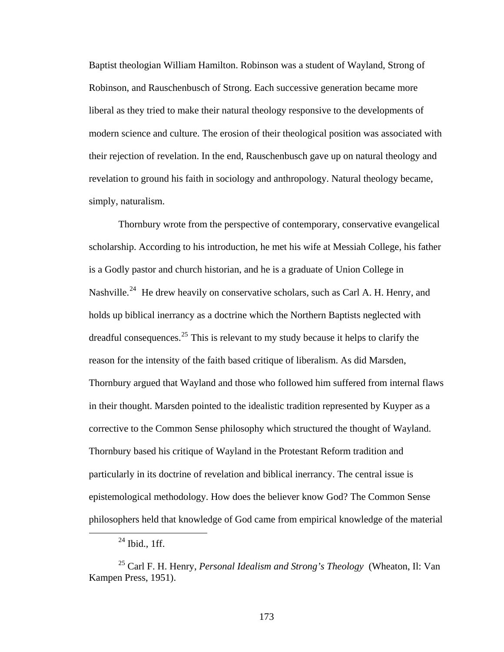Baptist theologian William Hamilton. Robinson was a student of Wayland, Strong of Robinson, and Rauschenbusch of Strong. Each successive generation became more liberal as they tried to make their natural theology responsive to the developments of modern science and culture. The erosion of their theological position was associated with their rejection of revelation. In the end, Rauschenbusch gave up on natural theology and revelation to ground his faith in sociology and anthropology. Natural theology became, simply, naturalism.

Thornbury wrote from the perspective of contemporary, conservative evangelical scholarship. According to his introduction, he met his wife at Messiah College, his father is a Godly pastor and church historian, and he is a graduate of Union College in Nashville.<sup>[24](#page-180-0)</sup> He drew heavily on conservative scholars, such as Carl A. H. Henry, and holds up biblical inerrancy as a doctrine which the Northern Baptists neglected with dreadful consequences.<sup>[25](#page-180-1)</sup> This is relevant to my study because it helps to clarify the reason for the intensity of the faith based critique of liberalism. As did Marsden, Thornbury argued that Wayland and those who followed him suffered from internal flaws in their thought. Marsden pointed to the idealistic tradition represented by Kuyper as a corrective to the Common Sense philosophy which structured the thought of Wayland. Thornbury based his critique of Wayland in the Protestant Reform tradition and particularly in its doctrine of revelation and biblical inerrancy. The central issue is epistemological methodology. How does the believer know God? The Common Sense philosophers held that knowledge of God came from empirical knowledge of the material

 $24$  Ibid., 1ff.

<span id="page-180-1"></span><span id="page-180-0"></span><sup>25</sup> Carl F. H. Henry, *Personal Idealism and Strong's Theology* (Wheaton, Il: Van Kampen Press, 1951).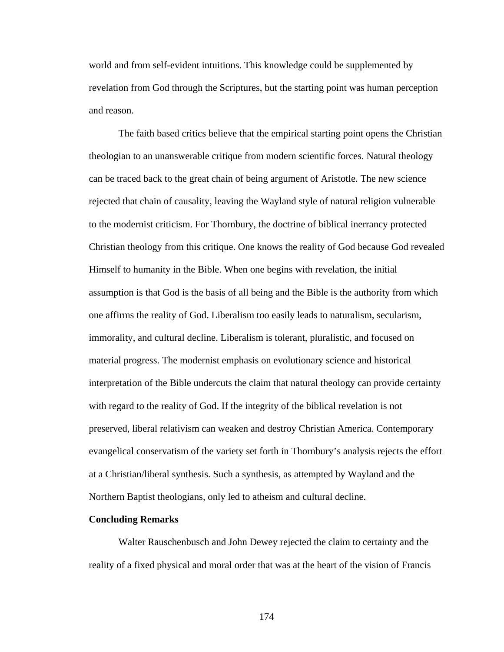world and from self-evident intuitions. This knowledge could be supplemented by revelation from God through the Scriptures, but the starting point was human perception and reason.

The faith based critics believe that the empirical starting point opens the Christian theologian to an unanswerable critique from modern scientific forces. Natural theology can be traced back to the great chain of being argument of Aristotle. The new science rejected that chain of causality, leaving the Wayland style of natural religion vulnerable to the modernist criticism. For Thornbury, the doctrine of biblical inerrancy protected Christian theology from this critique. One knows the reality of God because God revealed Himself to humanity in the Bible. When one begins with revelation, the initial assumption is that God is the basis of all being and the Bible is the authority from which one affirms the reality of God. Liberalism too easily leads to naturalism, secularism, immorality, and cultural decline. Liberalism is tolerant, pluralistic, and focused on material progress. The modernist emphasis on evolutionary science and historical interpretation of the Bible undercuts the claim that natural theology can provide certainty with regard to the reality of God. If the integrity of the biblical revelation is not preserved, liberal relativism can weaken and destroy Christian America. Contemporary evangelical conservatism of the variety set forth in Thornbury's analysis rejects the effort at a Christian/liberal synthesis. Such a synthesis, as attempted by Wayland and the Northern Baptist theologians, only led to atheism and cultural decline.

## **Concluding Remarks**

Walter Rauschenbusch and John Dewey rejected the claim to certainty and the reality of a fixed physical and moral order that was at the heart of the vision of Francis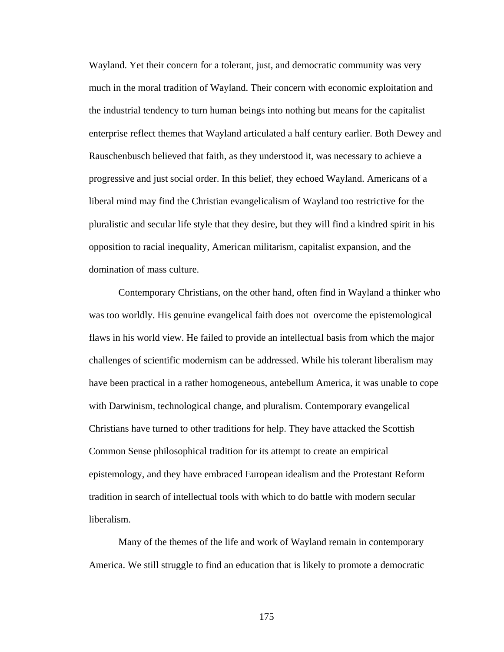Wayland. Yet their concern for a tolerant, just, and democratic community was very much in the moral tradition of Wayland. Their concern with economic exploitation and the industrial tendency to turn human beings into nothing but means for the capitalist enterprise reflect themes that Wayland articulated a half century earlier. Both Dewey and Rauschenbusch believed that faith, as they understood it, was necessary to achieve a progressive and just social order. In this belief, they echoed Wayland. Americans of a liberal mind may find the Christian evangelicalism of Wayland too restrictive for the pluralistic and secular life style that they desire, but they will find a kindred spirit in his opposition to racial inequality, American militarism, capitalist expansion, and the domination of mass culture.

Contemporary Christians, on the other hand, often find in Wayland a thinker who was too worldly. His genuine evangelical faith does not overcome the epistemological flaws in his world view. He failed to provide an intellectual basis from which the major challenges of scientific modernism can be addressed. While his tolerant liberalism may have been practical in a rather homogeneous, antebellum America, it was unable to cope with Darwinism, technological change, and pluralism. Contemporary evangelical Christians have turned to other traditions for help. They have attacked the Scottish Common Sense philosophical tradition for its attempt to create an empirical epistemology, and they have embraced European idealism and the Protestant Reform tradition in search of intellectual tools with which to do battle with modern secular liberalism.

Many of the themes of the life and work of Wayland remain in contemporary America. We still struggle to find an education that is likely to promote a democratic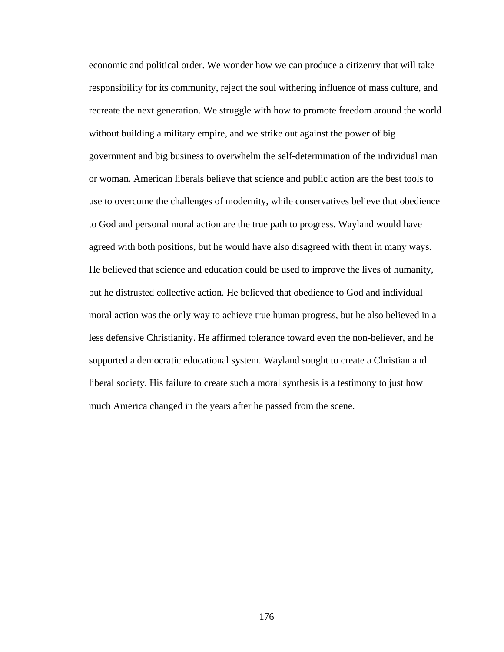economic and political order. We wonder how we can produce a citizenry that will take responsibility for its community, reject the soul withering influence of mass culture, and recreate the next generation. We struggle with how to promote freedom around the world without building a military empire, and we strike out against the power of big government and big business to overwhelm the self-determination of the individual man or woman. American liberals believe that science and public action are the best tools to use to overcome the challenges of modernity, while conservatives believe that obedience to God and personal moral action are the true path to progress. Wayland would have agreed with both positions, but he would have also disagreed with them in many ways. He believed that science and education could be used to improve the lives of humanity, but he distrusted collective action. He believed that obedience to God and individual moral action was the only way to achieve true human progress, but he also believed in a less defensive Christianity. He affirmed tolerance toward even the non-believer, and he supported a democratic educational system. Wayland sought to create a Christian and liberal society. His failure to create such a moral synthesis is a testimony to just how much America changed in the years after he passed from the scene.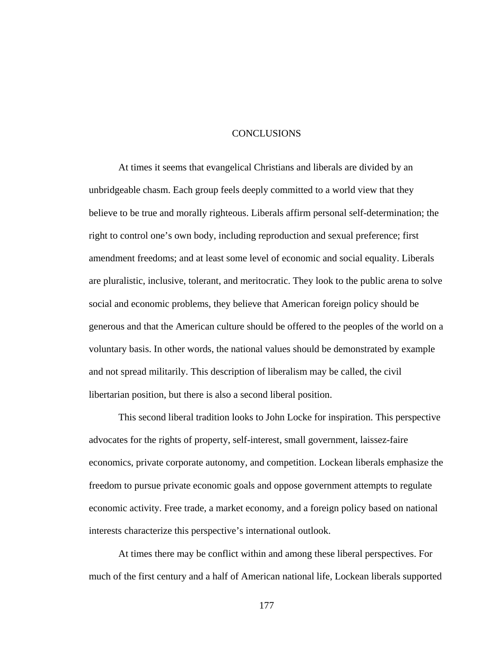## CONCLUSIONS

At times it seems that evangelical Christians and liberals are divided by an unbridgeable chasm. Each group feels deeply committed to a world view that they believe to be true and morally righteous. Liberals affirm personal self-determination; the right to control one's own body, including reproduction and sexual preference; first amendment freedoms; and at least some level of economic and social equality. Liberals are pluralistic, inclusive, tolerant, and meritocratic. They look to the public arena to solve social and economic problems, they believe that American foreign policy should be generous and that the American culture should be offered to the peoples of the world on a voluntary basis. In other words, the national values should be demonstrated by example and not spread militarily. This description of liberalism may be called, the civil libertarian position, but there is also a second liberal position.

This second liberal tradition looks to John Locke for inspiration. This perspective advocates for the rights of property, self-interest, small government, laissez-faire economics, private corporate autonomy, and competition. Lockean liberals emphasize the freedom to pursue private economic goals and oppose government attempts to regulate economic activity. Free trade, a market economy, and a foreign policy based on national interests characterize this perspective's international outlook.

At times there may be conflict within and among these liberal perspectives. For much of the first century and a half of American national life, Lockean liberals supported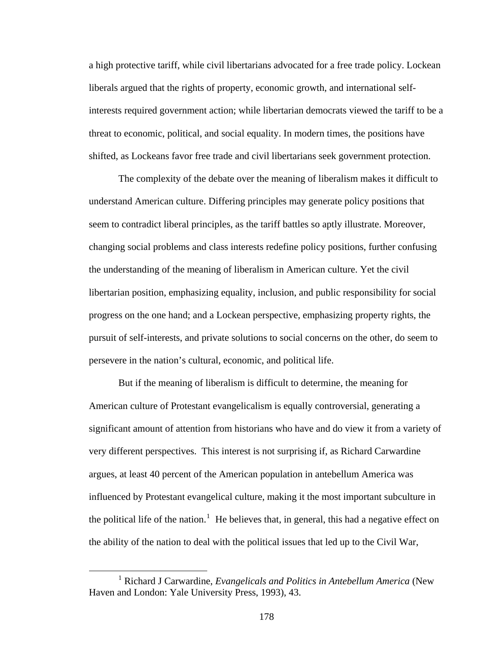a high protective tariff, while civil libertarians advocated for a free trade policy. Lockean liberals argued that the rights of property, economic growth, and international selfinterests required government action; while libertarian democrats viewed the tariff to be a threat to economic, political, and social equality. In modern times, the positions have shifted, as Lockeans favor free trade and civil libertarians seek government protection.

The complexity of the debate over the meaning of liberalism makes it difficult to understand American culture. Differing principles may generate policy positions that seem to contradict liberal principles, as the tariff battles so aptly illustrate. Moreover, changing social problems and class interests redefine policy positions, further confusing the understanding of the meaning of liberalism in American culture. Yet the civil libertarian position, emphasizing equality, inclusion, and public responsibility for social progress on the one hand; and a Lockean perspective, emphasizing property rights, the pursuit of self-interests, and private solutions to social concerns on the other, do seem to persevere in the nation's cultural, economic, and political life.

But if the meaning of liberalism is difficult to determine, the meaning for American culture of Protestant evangelicalism is equally controversial, generating a significant amount of attention from historians who have and do view it from a variety of very different perspectives. This interest is not surprising if, as Richard Carwardine argues, at least 40 percent of the American population in antebellum America was influenced by Protestant evangelical culture, making it the most important subculture in the political life of the nation.<sup>[1](#page-185-0)</sup> He believes that, in general, this had a negative effect on the ability of the nation to deal with the political issues that led up to the Civil War,

<span id="page-185-0"></span><sup>&</sup>lt;u>1</u> Richard J Carwardine, *Evangelicals and Politics in Antebellum America* (New Haven and London: Yale University Press, 1993), 43.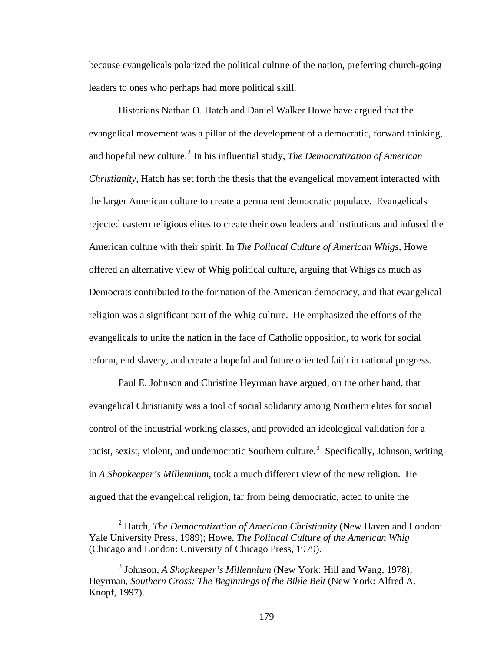because evangelicals polarized the political culture of the nation, preferring church-going leaders to ones who perhaps had more political skill.

Historians Nathan O. Hatch and Daniel Walker Howe have argued that the evangelical movement was a pillar of the development of a democratic, forward thinking, and hopeful new culture.<sup>[2](#page-186-0)</sup> In his influential study, *The Democratization of American Christianity*, Hatch has set forth the thesis that the evangelical movement interacted with the larger American culture to create a permanent democratic populace. Evangelicals rejected eastern religious elites to create their own leaders and institutions and infused the American culture with their spirit. In *The Political Culture of American Whigs*, Howe offered an alternative view of Whig political culture, arguing that Whigs as much as Democrats contributed to the formation of the American democracy, and that evangelical religion was a significant part of the Whig culture. He emphasized the efforts of the evangelicals to unite the nation in the face of Catholic opposition, to work for social reform, end slavery, and create a hopeful and future oriented faith in national progress.

Paul E. Johnson and Christine Heyrman have argued, on the other hand, that evangelical Christianity was a tool of social solidarity among Northern elites for social control of the industrial working classes, and provided an ideological validation for a racist, sexist, violent, and undemocratic Southern culture.<sup>[3](#page-186-1)</sup> Specifically, Johnson, writing in *A Shopkeeper's Millennium*, took a much different view of the new religion. He argued that the evangelical religion, far from being democratic, acted to unite the

<span id="page-186-0"></span> <sup>2</sup> Hatch, *The Democratization of American Christianity* (New Haven and London: Yale University Press, 1989); Howe, *The Political Culture of the American Whig* (Chicago and London: University of Chicago Press, 1979).

<span id="page-186-1"></span><sup>3</sup> Johnson, *A Shopkeeper's Millennium* (New York: Hill and Wang, 1978); Heyrman, *Southern Cross: The Beginnings of the Bible Belt* (New York: Alfred A. Knopf, 1997).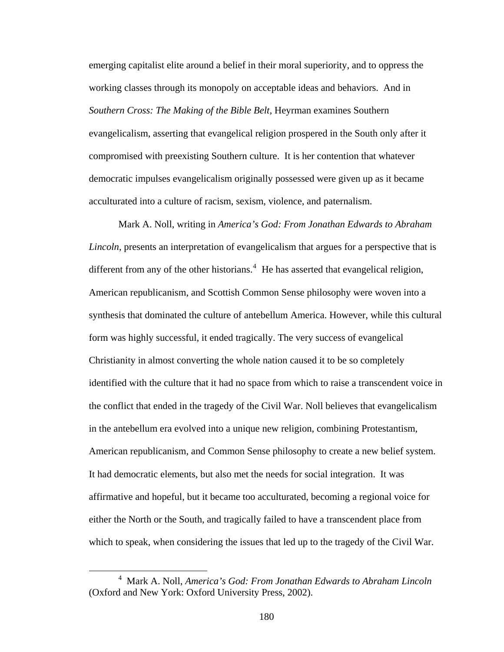emerging capitalist elite around a belief in their moral superiority, and to oppress the working classes through its monopoly on acceptable ideas and behaviors. And in *Southern Cross: The Making of the Bible Belt,* Heyrman examines Southern evangelicalism, asserting that evangelical religion prospered in the South only after it compromised with preexisting Southern culture. It is her contention that whatever democratic impulses evangelicalism originally possessed were given up as it became acculturated into a culture of racism, sexism, violence, and paternalism.

Mark A. Noll, writing in *America's God: From Jonathan Edwards to Abraham Lincoln*, presents an interpretation of evangelicalism that argues for a perspective that is different from any of the other historians.<sup>[4](#page-187-0)</sup> He has asserted that evangelical religion, American republicanism, and Scottish Common Sense philosophy were woven into a synthesis that dominated the culture of antebellum America. However, while this cultural form was highly successful, it ended tragically. The very success of evangelical Christianity in almost converting the whole nation caused it to be so completely identified with the culture that it had no space from which to raise a transcendent voice in the conflict that ended in the tragedy of the Civil War. Noll believes that evangelicalism in the antebellum era evolved into a unique new religion, combining Protestantism, American republicanism, and Common Sense philosophy to create a new belief system. It had democratic elements, but also met the needs for social integration. It was affirmative and hopeful, but it became too acculturated, becoming a regional voice for either the North or the South, and tragically failed to have a transcendent place from which to speak, when considering the issues that led up to the tragedy of the Civil War.

<span id="page-187-0"></span> $\overline{4}$  Mark A. Noll, *America's God: From Jonathan Edwards to Abraham Lincoln* (Oxford and New York: Oxford University Press, 2002).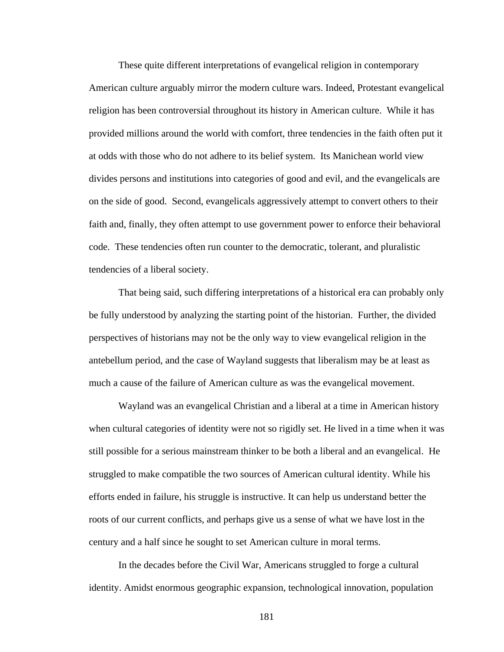These quite different interpretations of evangelical religion in contemporary American culture arguably mirror the modern culture wars. Indeed, Protestant evangelical religion has been controversial throughout its history in American culture. While it has provided millions around the world with comfort, three tendencies in the faith often put it at odds with those who do not adhere to its belief system. Its Manichean world view divides persons and institutions into categories of good and evil, and the evangelicals are on the side of good. Second, evangelicals aggressively attempt to convert others to their faith and, finally, they often attempt to use government power to enforce their behavioral code. These tendencies often run counter to the democratic, tolerant, and pluralistic tendencies of a liberal society.

That being said, such differing interpretations of a historical era can probably only be fully understood by analyzing the starting point of the historian. Further, the divided perspectives of historians may not be the only way to view evangelical religion in the antebellum period, and the case of Wayland suggests that liberalism may be at least as much a cause of the failure of American culture as was the evangelical movement.

Wayland was an evangelical Christian and a liberal at a time in American history when cultural categories of identity were not so rigidly set. He lived in a time when it was still possible for a serious mainstream thinker to be both a liberal and an evangelical. He struggled to make compatible the two sources of American cultural identity. While his efforts ended in failure, his struggle is instructive. It can help us understand better the roots of our current conflicts, and perhaps give us a sense of what we have lost in the century and a half since he sought to set American culture in moral terms.

In the decades before the Civil War, Americans struggled to forge a cultural identity. Amidst enormous geographic expansion, technological innovation, population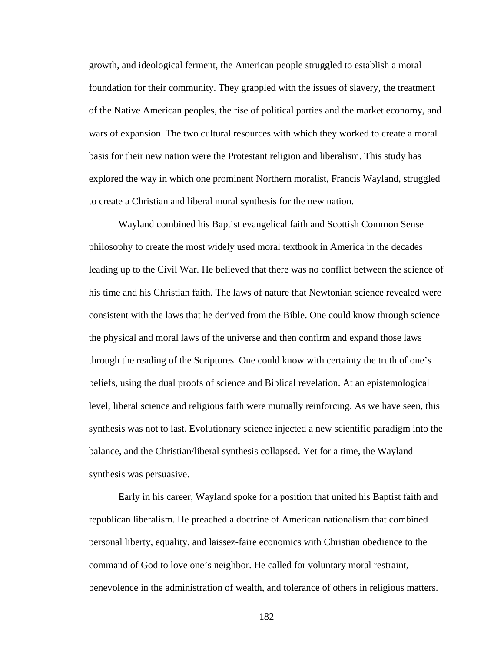growth, and ideological ferment, the American people struggled to establish a moral foundation for their community. They grappled with the issues of slavery, the treatment of the Native American peoples, the rise of political parties and the market economy, and wars of expansion. The two cultural resources with which they worked to create a moral basis for their new nation were the Protestant religion and liberalism. This study has explored the way in which one prominent Northern moralist, Francis Wayland, struggled to create a Christian and liberal moral synthesis for the new nation.

Wayland combined his Baptist evangelical faith and Scottish Common Sense philosophy to create the most widely used moral textbook in America in the decades leading up to the Civil War. He believed that there was no conflict between the science of his time and his Christian faith. The laws of nature that Newtonian science revealed were consistent with the laws that he derived from the Bible. One could know through science the physical and moral laws of the universe and then confirm and expand those laws through the reading of the Scriptures. One could know with certainty the truth of one's beliefs, using the dual proofs of science and Biblical revelation. At an epistemological level, liberal science and religious faith were mutually reinforcing. As we have seen, this synthesis was not to last. Evolutionary science injected a new scientific paradigm into the balance, and the Christian/liberal synthesis collapsed. Yet for a time, the Wayland synthesis was persuasive.

Early in his career, Wayland spoke for a position that united his Baptist faith and republican liberalism. He preached a doctrine of American nationalism that combined personal liberty, equality, and laissez-faire economics with Christian obedience to the command of God to love one's neighbor. He called for voluntary moral restraint, benevolence in the administration of wealth, and tolerance of others in religious matters.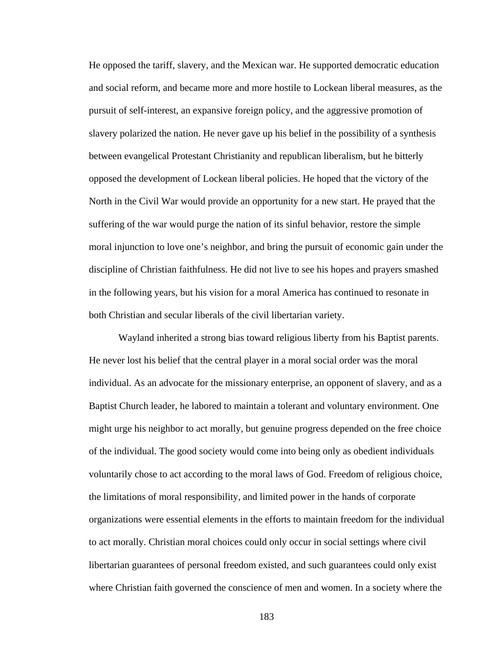He opposed the tariff, slavery, and the Mexican war. He supported democratic education and social reform, and became more and more hostile to Lockean liberal measures, as the pursuit of self-interest, an expansive foreign policy, and the aggressive promotion of slavery polarized the nation. He never gave up his belief in the possibility of a synthesis between evangelical Protestant Christianity and republican liberalism, but he bitterly opposed the development of Lockean liberal policies. He hoped that the victory of the North in the Civil War would provide an opportunity for a new start. He prayed that the suffering of the war would purge the nation of its sinful behavior, restore the simple moral injunction to love one's neighbor, and bring the pursuit of economic gain under the discipline of Christian faithfulness. He did not live to see his hopes and prayers smashed in the following years, but his vision for a moral America has continued to resonate in both Christian and secular liberals of the civil libertarian variety.

Wayland inherited a strong bias toward religious liberty from his Baptist parents. He never lost his belief that the central player in a moral social order was the moral individual. As an advocate for the missionary enterprise, an opponent of slavery, and as a Baptist Church leader, he labored to maintain a tolerant and voluntary environment. One might urge his neighbor to act morally, but genuine progress depended on the free choice of the individual. The good society would come into being only as obedient individuals voluntarily chose to act according to the moral laws of God. Freedom of religious choice, the limitations of moral responsibility, and limited power in the hands of corporate organizations were essential elements in the efforts to maintain freedom for the individual to act morally. Christian moral choices could only occur in social settings where civil libertarian guarantees of personal freedom existed, and such guarantees could only exist where Christian faith governed the conscience of men and women. In a society where the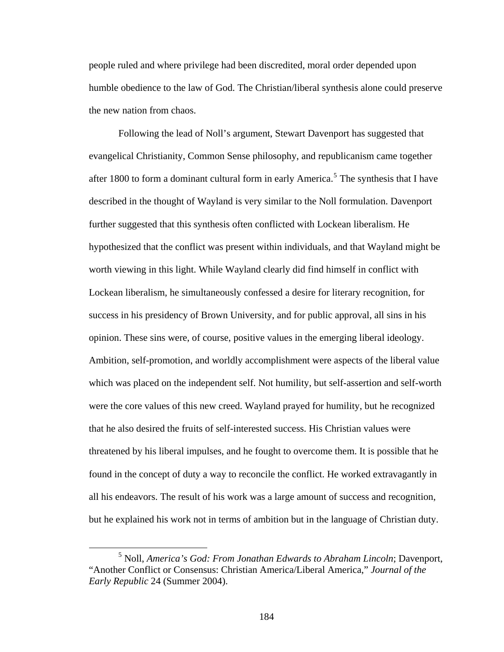people ruled and where privilege had been discredited, moral order depended upon humble obedience to the law of God. The Christian/liberal synthesis alone could preserve the new nation from chaos.

Following the lead of Noll's argument, Stewart Davenport has suggested that evangelical Christianity, Common Sense philosophy, and republicanism came together after 1800 to form a dominant cultural form in early America.<sup>[5](#page-191-0)</sup> The synthesis that I have described in the thought of Wayland is very similar to the Noll formulation. Davenport further suggested that this synthesis often conflicted with Lockean liberalism. He hypothesized that the conflict was present within individuals, and that Wayland might be worth viewing in this light. While Wayland clearly did find himself in conflict with Lockean liberalism, he simultaneously confessed a desire for literary recognition, for success in his presidency of Brown University, and for public approval, all sins in his opinion. These sins were, of course, positive values in the emerging liberal ideology. Ambition, self-promotion, and worldly accomplishment were aspects of the liberal value which was placed on the independent self. Not humility, but self-assertion and self-worth were the core values of this new creed. Wayland prayed for humility, but he recognized that he also desired the fruits of self-interested success. His Christian values were threatened by his liberal impulses, and he fought to overcome them. It is possible that he found in the concept of duty a way to reconcile the conflict. He worked extravagantly in all his endeavors. The result of his work was a large amount of success and recognition, but he explained his work not in terms of ambition but in the language of Christian duty.

<span id="page-191-0"></span> $\frac{1}{5}$  Noll, *America's God: From Jonathan Edwards to Abraham Lincoln*; Davenport, "Another Conflict or Consensus: Christian America/Liberal America," *Journal of the Early Republic* 24 (Summer 2004).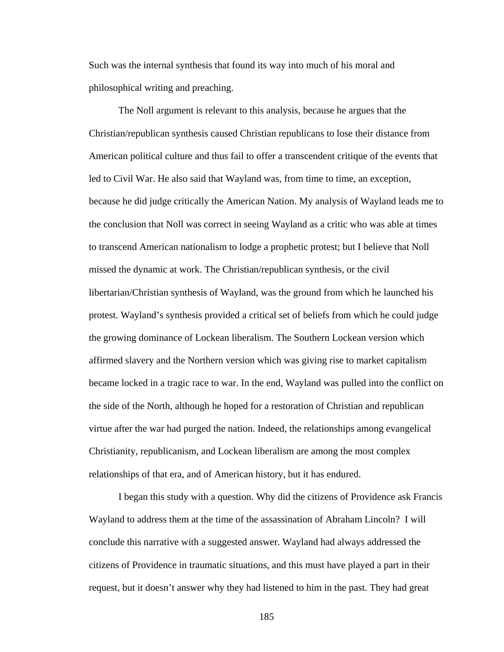Such was the internal synthesis that found its way into much of his moral and philosophical writing and preaching.

The Noll argument is relevant to this analysis, because he argues that the Christian/republican synthesis caused Christian republicans to lose their distance from American political culture and thus fail to offer a transcendent critique of the events that led to Civil War. He also said that Wayland was, from time to time, an exception, because he did judge critically the American Nation. My analysis of Wayland leads me to the conclusion that Noll was correct in seeing Wayland as a critic who was able at times to transcend American nationalism to lodge a prophetic protest; but I believe that Noll missed the dynamic at work. The Christian/republican synthesis, or the civil libertarian/Christian synthesis of Wayland, was the ground from which he launched his protest. Wayland's synthesis provided a critical set of beliefs from which he could judge the growing dominance of Lockean liberalism. The Southern Lockean version which affirmed slavery and the Northern version which was giving rise to market capitalism became locked in a tragic race to war. In the end, Wayland was pulled into the conflict on the side of the North, although he hoped for a restoration of Christian and republican virtue after the war had purged the nation. Indeed, the relationships among evangelical Christianity, republicanism, and Lockean liberalism are among the most complex relationships of that era, and of American history, but it has endured.

I began this study with a question. Why did the citizens of Providence ask Francis Wayland to address them at the time of the assassination of Abraham Lincoln? I will conclude this narrative with a suggested answer. Wayland had always addressed the citizens of Providence in traumatic situations, and this must have played a part in their request, but it doesn't answer why they had listened to him in the past. They had great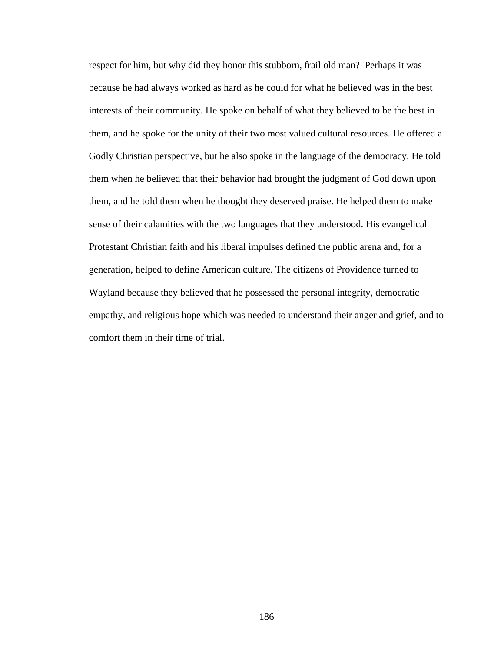respect for him, but why did they honor this stubborn, frail old man? Perhaps it was because he had always worked as hard as he could for what he believed was in the best interests of their community. He spoke on behalf of what they believed to be the best in them, and he spoke for the unity of their two most valued cultural resources. He offered a Godly Christian perspective, but he also spoke in the language of the democracy. He told them when he believed that their behavior had brought the judgment of God down upon them, and he told them when he thought they deserved praise. He helped them to make sense of their calamities with the two languages that they understood. His evangelical Protestant Christian faith and his liberal impulses defined the public arena and, for a generation, helped to define American culture. The citizens of Providence turned to Wayland because they believed that he possessed the personal integrity, democratic empathy, and religious hope which was needed to understand their anger and grief, and to comfort them in their time of trial.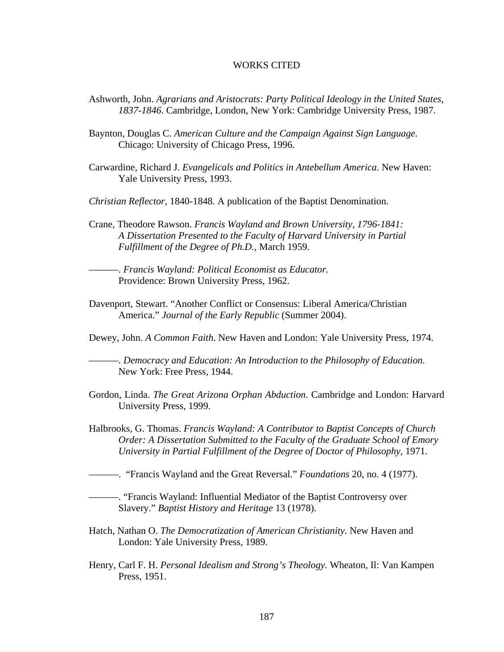## WORKS CITED

- Ashworth, John. *Agrarians and Aristocrats: Party Political Ideology in the United States, 1837-1846*. Cambridge, London, New York: Cambridge University Press, 1987.
- Baynton, Douglas C. *American Culture and the Campaign Against Sign Language.*  Chicago: University of Chicago Press, 1996.
- Carwardine, Richard J. *Evangelicals and Politics in Antebellum America.* New Haven: Yale University Press, 1993.
- *Christian Reflector,* 1840-1848*.* A publication of the Baptist Denomination.
- Crane, Theodore Rawson. *Francis Wayland and Brown University, 1796-1841: A Dissertation Presented to the Faculty of Harvard University in Partial Fulfillment of the Degree of Ph.D.,* March 1959.
	- ———. *Francis Wayland: Political Economist as Educator.*  Providence: Brown University Press, 1962.
- Davenport, Stewart. "Another Conflict or Consensus: Liberal America/Christian America." *Journal of the Early Republic* (Summer 2004).
- Dewey, John. *A Common Faith*. New Haven and London: Yale University Press, 1974.

———. *Democracy and Education: An Introduction to the Philosophy of Education.*  New York: Free Press, 1944.

- Gordon, Linda. *The Great Arizona Orphan Abduction.* Cambridge and London: Harvard University Press, 1999.
- Halbrooks, G. Thomas. *Francis Wayland: A Contributor to Baptist Concepts of Church Order: A Dissertation Submitted to the Faculty of the Graduate School of Emory University in Partial Fulfillment of the Degree of Doctor of Philosophy,* 1971.
- ———. "Francis Wayland and the Great Reversal." *Foundations* 20, no. 4 (1977).
- ———. "Francis Wayland: Influential Mediator of the Baptist Controversy over Slavery." *Baptist History and Heritage* 13 (1978).
- Hatch, Nathan O. *The Democratization of American Christianity.* New Haven and London: Yale University Press, 1989.
- Henry, Carl F. H. *Personal Idealism and Strong's Theology.* Wheaton, Il: Van Kampen Press, 1951.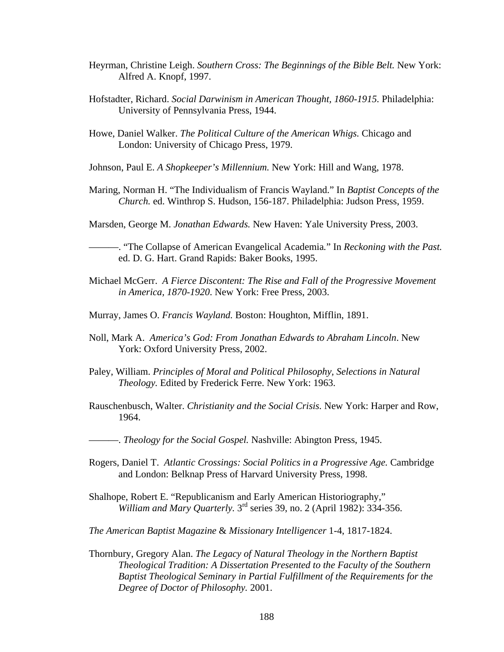- Heyrman, Christine Leigh. *Southern Cross: The Beginnings of the Bible Belt.* New York: Alfred A. Knopf, 1997.
- Hofstadter, Richard. *Social Darwinism in American Thought, 1860-1915.* Philadelphia: University of Pennsylvania Press, 1944.
- Howe, Daniel Walker. *The Political Culture of the American Whigs.* Chicago and London: University of Chicago Press, 1979.
- Johnson, Paul E. *A Shopkeeper's Millennium.* New York: Hill and Wang, 1978.
- Maring, Norman H. "The Individualism of Francis Wayland." In *Baptist Concepts of the Church.* ed. Winthrop S. Hudson, 156-187. Philadelphia: Judson Press, 1959.

Marsden, George M. *Jonathan Edwards.* New Haven: Yale University Press, 2003.

———. "The Collapse of American Evangelical Academia*.*" In *Reckoning with the Past.*  ed. D. G. Hart. Grand Rapids: Baker Books, 1995.

- Michael McGerr. *A Fierce Discontent: The Rise and Fall of the Progressive Movement in America, 1870-1920*. New York: Free Press, 2003.
- Murray, James O. *Francis Wayland.* Boston: Houghton, Mifflin, 1891.
- Noll, Mark A. *America's God: From Jonathan Edwards to Abraham Lincoln*. New York: Oxford University Press, 2002.
- Paley, William. *Principles of Moral and Political Philosophy, Selections in Natural Theology.* Edited by Frederick Ferre. New York: 1963.
- Rauschenbusch, Walter. *Christianity and the Social Crisis.* New York: Harper and Row, 1964.

———. *Theology for the Social Gospel.* Nashville: Abington Press, 1945.

- Rogers, Daniel T. *Atlantic Crossings: Social Politics in a Progressive Age.* Cambridge and London: Belknap Press of Harvard University Press, 1998.
- Shalhope, Robert E. "Republicanism and Early American Historiography," *William and Mary Quarterly.* 3rd series 39, no. 2 (April 1982): 334-356.

*The American Baptist Magazine* & *Missionary Intelligencer* 1-4, 1817-1824.

Thornbury, Gregory Alan. *The Legacy of Natural Theology in the Northern Baptist Theological Tradition: A Dissertation Presented to the Faculty of the Southern Baptist Theological Seminary in Partial Fulfillment of the Requirements for the Degree of Doctor of Philosophy.* 2001.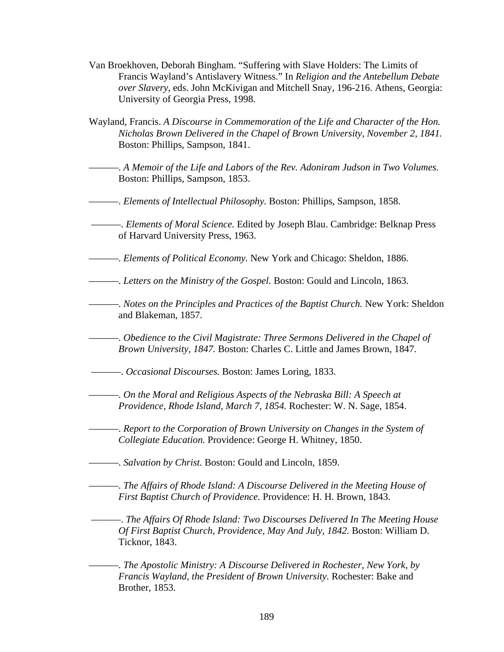- Van Broekhoven, Deborah Bingham. "Suffering with Slave Holders: The Limits of Francis Wayland's Antislavery Witness." In *Religion and the Antebellum Debate over Slavery,* eds. John McKivigan and Mitchell Snay, 196-216. Athens, Georgia: University of Georgia Press, 1998.
- Wayland, Francis. *A Discourse in Commemoration of the Life and Character of the Hon. Nicholas Brown Delivered in the Chapel of Brown University, November 2, 1841.*  Boston: Phillips, Sampson, 1841.
	- ———. *A Memoir of the Life and Labors of the Rev. Adoniram Judson in Two Volumes.*  Boston: Phillips, Sampson, 1853.
- ———. *Elements of Intellectual Philosophy.* Boston: Phillips, Sampson, 1858.
- ———. *Elements of Moral Science.* Edited by Joseph Blau. Cambridge: Belknap Press of Harvard University Press, 1963.
- ———. *Elements of Political Economy.* New York and Chicago: Sheldon, 1886.
- ———. *Letters on the Ministry of the Gospel.* Boston: Gould and Lincoln, 1863.
- ———. *Notes on the Principles and Practices of the Baptist Church.* New York: Sheldon and Blakeman, 1857.
	- ———. *Obedience to the Civil Magistrate: Three Sermons Delivered in the Chapel of Brown University, 1847.* Boston: Charles C. Little and James Brown, 1847.
- ———. *Occasional Discourses.* Boston: James Loring, 1833.
- ———. *On the Moral and Religious Aspects of the Nebraska Bill: A Speech at Providence, Rhode Island, March 7, 1854.* Rochester: W. N. Sage, 1854.
- ———. *Report to the Corporation of Brown University on Changes in the System of Collegiate Education.* Providence: George H. Whitney, 1850.
- ———. *Salvation by Christ.* Boston: Gould and Lincoln, 1859.
- ———. *The Affairs of Rhode Island: A Discourse Delivered in the Meeting House of First Baptist Church of Providence.* Providence: H. H. Brown, 1843.
	- ———. *The Affairs Of Rhode Island: Two Discourses Delivered In The Meeting House Of First Baptist Church, Providence, May And July, 1842.* Boston: William D. Ticknor, 1843.

———. *The Apostolic Ministry: A Discourse Delivered in Rochester, New York, by Francis Wayland, the President of Brown University.* Rochester: Bake and Brother, 1853.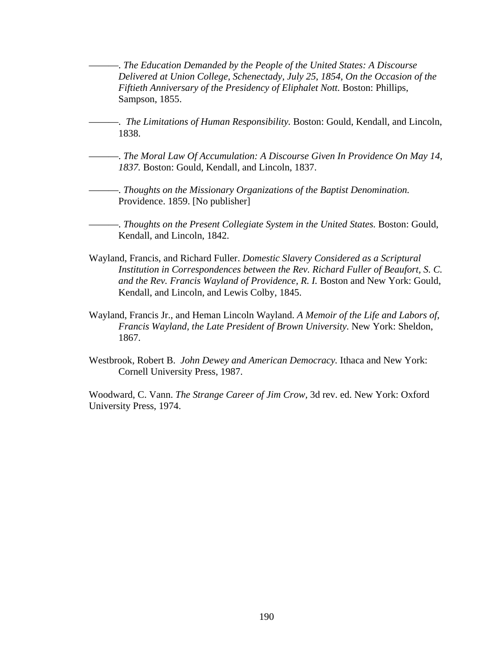———. *The Education Demanded by the People of the United States: A Discourse Delivered at Union College, Schenectady, July 25, 1854, On the Occasion of the Fiftieth Anniversary of the Presidency of Eliphalet Nott.* Boston: Phillips, Sampson, 1855.

———. *The Limitations of Human Responsibility.* Boston: Gould, Kendall, and Lincoln, 1838.

———. *The Moral Law Of Accumulation: A Discourse Given In Providence On May 14, 1837.* Boston: Gould, Kendall, and Lincoln, 1837.

———. *Thoughts on the Missionary Organizations of the Baptist Denomination.*  Providence. 1859. [No publisher]

-. *Thoughts on the Present Collegiate System in the United States. Boston: Gould,* Kendall, and Lincoln, 1842.

- Wayland, Francis, and Richard Fuller. *Domestic Slavery Considered as a Scriptural Institution in Correspondences between the Rev. Richard Fuller of Beaufort, S. C. and the Rev. Francis Wayland of Providence, R. I.* Boston and New York: Gould, Kendall, and Lincoln, and Lewis Colby, 1845.
- Wayland, Francis Jr., and Heman Lincoln Wayland. *A Memoir of the Life and Labors of, Francis Wayland, the Late President of Brown University.* New York: Sheldon, 1867.
- Westbrook, Robert B. *John Dewey and American Democracy.* Ithaca and New York: Cornell University Press, 1987.

Woodward, C. Vann. *The Strange Career of Jim Crow,* 3d rev. ed. New York: Oxford University Press, 1974.